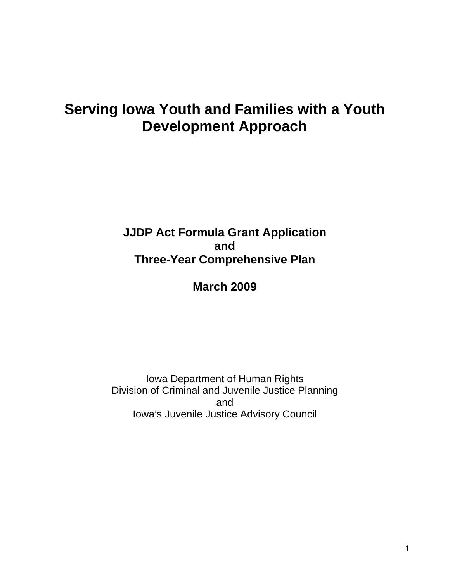# **Serving Iowa Youth and Families with a Youth Development Approach**

# **JJDP Act Formula Grant Application and Three-Year Comprehensive Plan**

# **March 2009**

Iowa Department of Human Rights Division of Criminal and Juvenile Justice Planning and Iowa's Juvenile Justice Advisory Council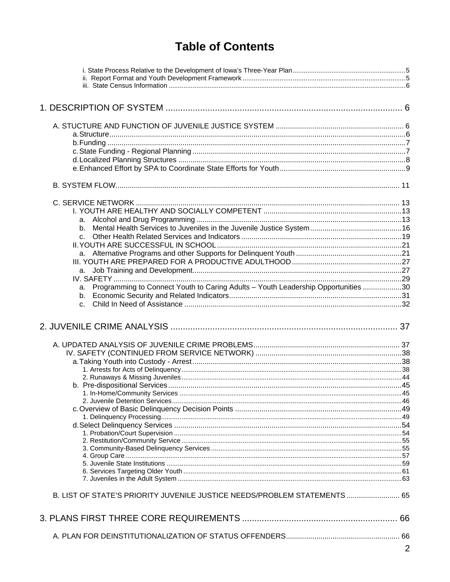# **Table of Contents**

| b.                                                                                   |   |
|--------------------------------------------------------------------------------------|---|
|                                                                                      |   |
|                                                                                      |   |
|                                                                                      |   |
|                                                                                      |   |
|                                                                                      |   |
| a. Programming to Connect Youth to Caring Adults - Youth Leadership Opportunities 30 |   |
|                                                                                      |   |
|                                                                                      |   |
|                                                                                      |   |
|                                                                                      |   |
|                                                                                      |   |
|                                                                                      |   |
|                                                                                      |   |
|                                                                                      |   |
|                                                                                      |   |
|                                                                                      |   |
|                                                                                      |   |
|                                                                                      |   |
|                                                                                      |   |
|                                                                                      |   |
|                                                                                      |   |
|                                                                                      |   |
|                                                                                      |   |
|                                                                                      |   |
|                                                                                      |   |
|                                                                                      |   |
|                                                                                      |   |
|                                                                                      |   |
| B. LIST OF STATE'S PRIORITY JUVENILE JUSTICE NEEDS/PROBLEM STATEMENTS  65            |   |
|                                                                                      |   |
|                                                                                      |   |
|                                                                                      | 2 |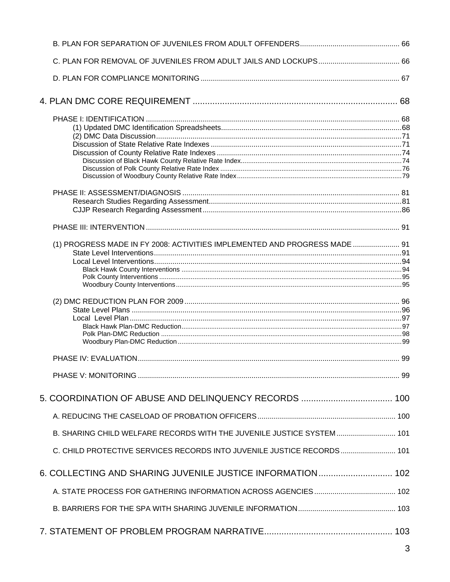| (1) PROGRESS MADE IN FY 2008: ACTIVITIES IMPLEMENTED AND PROGRESS MADE  91 |  |
|----------------------------------------------------------------------------|--|
|                                                                            |  |
|                                                                            |  |
|                                                                            |  |
|                                                                            |  |
|                                                                            |  |
|                                                                            |  |
|                                                                            |  |
|                                                                            |  |
|                                                                            |  |
|                                                                            |  |
|                                                                            |  |
|                                                                            |  |
|                                                                            |  |
|                                                                            |  |
|                                                                            |  |
| B. SHARING CHILD WELFARE RECORDS WITH THE JUVENILE JUSTICE SYSTEM  101     |  |
| C. CHILD PROTECTIVE SERVICES RECORDS INTO JUVENILE JUSTICE RECORDS 101     |  |
|                                                                            |  |
|                                                                            |  |
|                                                                            |  |
|                                                                            |  |
|                                                                            |  |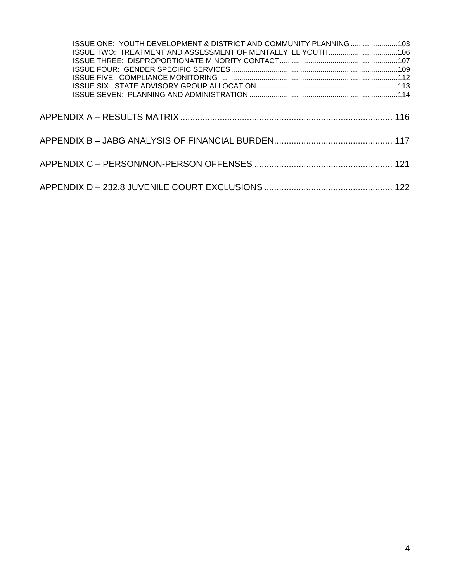| ISSUE ONE: YOUTH DEVELOPMENT & DISTRICT AND COMMUNITY PLANNING 103 |  |
|--------------------------------------------------------------------|--|
|                                                                    |  |
|                                                                    |  |
|                                                                    |  |
|                                                                    |  |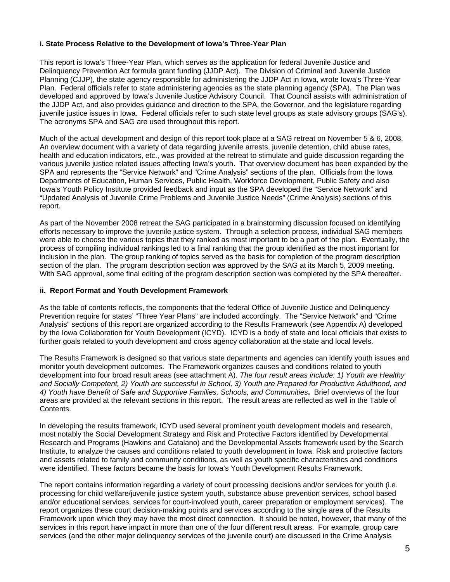#### **i. State Process Relative to the Development of Iowa's Three-Year Plan**

This report is Iowa's Three-Year Plan, which serves as the application for federal Juvenile Justice and Delinquency Prevention Act formula grant funding (JJDP Act). The Division of Criminal and Juvenile Justice Planning (CJJP), the state agency responsible for administering the JJDP Act in Iowa, wrote Iowa's Three-Year Plan. Federal officials refer to state administering agencies as the state planning agency (SPA). The Plan was developed and approved by Iowa's Juvenile Justice Advisory Council. That Council assists with administration of the JJDP Act, and also provides guidance and direction to the SPA, the Governor, and the legislature regarding juvenile justice issues in Iowa. Federal officials refer to such state level groups as state advisory groups (SAG's). The acronyms SPA and SAG are used throughout this report.

Much of the actual development and design of this report took place at a SAG retreat on November 5 & 6, 2008. An overview document with a variety of data regarding juvenile arrests, juvenile detention, child abuse rates, health and education indicators, etc., was provided at the retreat to stimulate and guide discussion regarding the various juvenile justice related issues affecting Iowa's youth. That overview document has been expanded by the SPA and represents the "Service Network" and "Crime Analysis" sections of the plan. Officials from the Iowa Departments of Education, Human Services, Public Health, Workforce Development, Public Safety and also Iowa's Youth Policy Institute provided feedback and input as the SPA developed the "Service Network" and "Updated Analysis of Juvenile Crime Problems and Juvenile Justice Needs" (Crime Analysis) sections of this report.

As part of the November 2008 retreat the SAG participated in a brainstorming discussion focused on identifying efforts necessary to improve the juvenile justice system. Through a selection process, individual SAG members were able to choose the various topics that they ranked as most important to be a part of the plan. Eventually, the process of compiling individual rankings led to a final ranking that the group identified as the most important for inclusion in the plan. The group ranking of topics served as the basis for completion of the program description section of the plan. The program description section was approved by the SAG at its March 5, 2009 meeting. With SAG approval, some final editing of the program description section was completed by the SPA thereafter.

#### **ii. Report Format and Youth Development Framework**

As the table of contents reflects, the components that the federal Office of Juvenile Justice and Delinquency Prevention require for states' "Three Year Plans" are included accordingly. The "Service Network" and "Crime Analysis" sections of this report are organized according to the Results Framework (see Appendix A) developed by the Iowa Collaboration for Youth Development (ICYD). ICYD is a body of state and local officials that exists to further goals related to youth development and cross agency collaboration at the state and local levels.

The Results Framework is designed so that various state departments and agencies can identify youth issues and monitor youth development outcomes. The Framework organizes causes and conditions related to youth development into four broad result areas (see attachment A). *The four result areas include: 1) Youth are Healthy and Socially Competent, 2) Youth are successful in School, 3) Youth are Prepared for Productive Adulthood, and 4) Youth have Benefit of Safe and Supportive Families, Schools, and Communities***.** Brief overviews of the four areas are provided at the relevant sections in this report. The result areas are reflected as well in the Table of Contents.

In developing the results framework, ICYD used several prominent youth development models and research, most notably the Social Development Strategy and Risk and Protective Factors identified by Developmental Research and Programs (Hawkins and Catalano) and the Developmental Assets framework used by the Search Institute, to analyze the causes and conditions related to youth development in Iowa. Risk and protective factors and assets related to family and community conditions, as well as youth specific characteristics and conditions were identified. These factors became the basis for Iowa's Youth Development Results Framework.

The report contains information regarding a variety of court processing decisions and/or services for youth (i.e. processing for child welfare/juvenile justice system youth, substance abuse prevention services, school based and/or educational services, services for court-involved youth, career preparation or employment services). The report organizes these court decision-making points and services according to the single area of the Results Framework upon which they may have the most direct connection. It should be noted, however, that many of the services in this report have impact in more than one of the four different result areas. For example, group care services (and the other major delinquency services of the juvenile court) are discussed in the Crime Analysis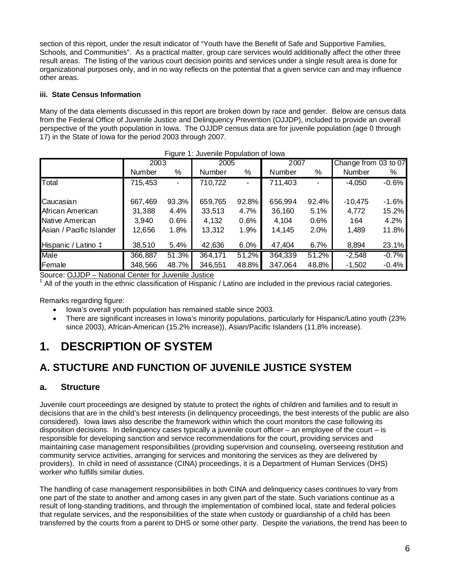section of this report, under the result indicator of "Youth have the Benefit of Safe and Supportive Families, Schools, and Communities". As a practical matter, group care services would additionally affect the other three result areas. The listing of the various court decision points and services under a single result area is done for organizational purposes only, and in no way reflects on the potential that a given service can and may influence other areas.

### **iii. State Census Information**

Many of the data elements discussed in this report are broken down by race and gender. Below are census data from the Federal Office of Juvenile Justice and Delinquency Prevention (OJJDP), included to provide an overall perspective of the youth population in Iowa. The OJJDP census data are for juvenile population (age 0 through 17) in the State of Iowa for the period 2003 through 2007.

| <u>Report in the production</u> |         |       |         |       |         |       |                      |         |  |
|---------------------------------|---------|-------|---------|-------|---------|-------|----------------------|---------|--|
|                                 | 2003    |       | 2005    |       | 2007    |       | Change from 03 to 07 |         |  |
|                                 | Number  | %     | Number  | %     | Number  | %     | Number               | %       |  |
| Total                           | 715,453 |       | 710,722 |       | 711,403 |       | $-4,050$             | $-0.6%$ |  |
|                                 |         |       |         |       |         |       |                      |         |  |
| Caucasian                       | 667,469 | 93.3% | 659,765 | 92.8% | 656,994 | 92.4% | $-10,475$            | $-1.6%$ |  |
| African American                | 31,388  | 4.4%  | 33,513  | 4.7%  | 36,160  | 5.1%  | 4,772                | 15.2%   |  |
| Native American                 | 3.940   | 0.6%  | 4,132   | 0.6%  | 4,104   | 0.6%  | 164                  | 4.2%    |  |
| Asian / Pacific Islander        | 12,656  | 1.8%  | 13,312  | 1.9%  | 14,145  | 2.0%  | 1,489                | 11.8%   |  |
| Hispanic / Latino $\ddagger$    | 38,510  | 5.4%  | 42,636  | 6.0%  | 47,404  | 6.7%  | 8,894                | 23.1%   |  |
| <b>Male</b>                     | 366,887 | 51.3% | 364,171 | 51.2% | 364,339 | 51.2% | $-2,548$             | $-0.7%$ |  |
| Female                          | 348,566 | 48.7% | 346,551 | 48.8% | 347,064 | 48.8% | $-1,502$             | $-0.4%$ |  |

Source: OJJDP – National Center for Juvenile Justice

‡ All of the youth in the ethnic classification of Hispanic / Latino are included in the previous racial categories.

Remarks regarding figure:

- Iowa's overall youth population has remained stable since 2003.
- There are significant increases in Iowa's minority populations, particularly for Hispanic/Latino youth (23% since 2003), African-American (15.2% increase)), Asian/Pacific Islanders (11.8% increase).

# **1. DESCRIPTION OF SYSTEM**

## **A. STUCTURE AND FUNCTION OF JUVENILE JUSTICE SYSTEM**

## **a. Structure**

Juvenile court proceedings are designed by statute to protect the rights of children and families and to result in decisions that are in the child's best interests (in delinquency proceedings, the best interests of the public are also considered). Iowa laws also describe the framework within which the court monitors the case following its disposition decisions. In delinquency cases typically a juvenile court officer – an employee of the court – is responsible for developing sanction and service recommendations for the court, providing services and maintaining case management responsibilities (providing supervision and counseling, overseeing restitution and community service activities, arranging for services and monitoring the services as they are delivered by providers). In child in need of assistance (CINA) proceedings, it is a Department of Human Services (DHS) worker who fulfills similar duties.

The handling of case management responsibilities in both CINA and delinquency cases continues to vary from one part of the state to another and among cases in any given part of the state. Such variations continue as a result of long-standing traditions, and through the implementation of combined local, state and federal policies that regulate services, and the responsibilities of the state when custody or guardianship of a child has been transferred by the courts from a parent to DHS or some other party. Despite the variations, the trend has been to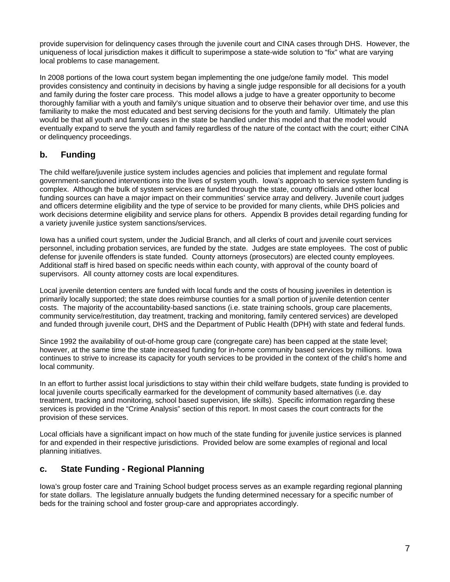provide supervision for delinquency cases through the juvenile court and CINA cases through DHS. However, the uniqueness of local jurisdiction makes it difficult to superimpose a state-wide solution to "fix" what are varying local problems to case management.

In 2008 portions of the Iowa court system began implementing the one judge/one family model. This model provides consistency and continuity in decisions by having a single judge responsible for all decisions for a youth and family during the foster care process. This model allows a judge to have a greater opportunity to become thoroughly familiar with a youth and family's unique situation and to observe their behavior over time, and use this familiarity to make the most educated and best serving decisions for the youth and family. Ultimately the plan would be that all youth and family cases in the state be handled under this model and that the model would eventually expand to serve the youth and family regardless of the nature of the contact with the court; either CINA or delinquency proceedings.

## **b. Funding**

The child welfare/juvenile justice system includes agencies and policies that implement and regulate formal government-sanctioned interventions into the lives of system youth. Iowa's approach to service system funding is complex. Although the bulk of system services are funded through the state, county officials and other local funding sources can have a major impact on their communities' service array and delivery. Juvenile court judges and officers determine eligibility and the type of service to be provided for many clients, while DHS policies and work decisions determine eligibility and service plans for others. Appendix B provides detail regarding funding for a variety juvenile justice system sanctions/services.

Iowa has a unified court system, under the Judicial Branch, and all clerks of court and juvenile court services personnel, including probation services, are funded by the state. Judges are state employees. The cost of public defense for juvenile offenders is state funded. County attorneys (prosecutors) are elected county employees. Additional staff is hired based on specific needs within each county, with approval of the county board of supervisors. All county attorney costs are local expenditures.

Local juvenile detention centers are funded with local funds and the costs of housing juveniles in detention is primarily locally supported; the state does reimburse counties for a small portion of juvenile detention center costs. The majority of the accountability-based sanctions (i.e. state training schools, group care placements, community service/restitution, day treatment, tracking and monitoring, family centered services) are developed and funded through juvenile court, DHS and the Department of Public Health (DPH) with state and federal funds.

Since 1992 the availability of out-of-home group care (congregate care) has been capped at the state level; however, at the same time the state increased funding for in-home community based services by millions. Iowa continues to strive to increase its capacity for youth services to be provided in the context of the child's home and local community.

In an effort to further assist local jurisdictions to stay within their child welfare budgets, state funding is provided to local juvenile courts specifically earmarked for the development of community based alternatives (i.e. day treatment, tracking and monitoring, school based supervision, life skills). Specific information regarding these services is provided in the "Crime Analysis" section of this report. In most cases the court contracts for the provision of these services.

Local officials have a significant impact on how much of the state funding for juvenile justice services is planned for and expended in their respective jurisdictions. Provided below are some examples of regional and local planning initiatives.

## **c. State Funding - Regional Planning**

Iowa's group foster care and Training School budget process serves as an example regarding regional planning for state dollars. The legislature annually budgets the funding determined necessary for a specific number of beds for the training school and foster group-care and appropriates accordingly.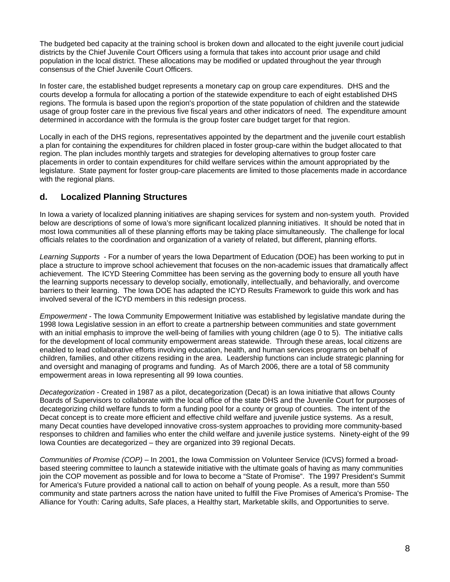The budgeted bed capacity at the training school is broken down and allocated to the eight juvenile court judicial districts by the Chief Juvenile Court Officers using a formula that takes into account prior usage and child population in the local district. These allocations may be modified or updated throughout the year through consensus of the Chief Juvenile Court Officers.

In foster care, the established budget represents a monetary cap on group care expenditures. DHS and the courts develop a formula for allocating a portion of the statewide expenditure to each of eight established DHS regions. The formula is based upon the region's proportion of the state population of children and the statewide usage of group foster care in the previous five fiscal years and other indicators of need. The expenditure amount determined in accordance with the formula is the group foster care budget target for that region.

Locally in each of the DHS regions, representatives appointed by the department and the juvenile court establish a plan for containing the expenditures for children placed in foster group-care within the budget allocated to that region. The plan includes monthly targets and strategies for developing alternatives to group foster care placements in order to contain expenditures for child welfare services within the amount appropriated by the legislature. State payment for foster group-care placements are limited to those placements made in accordance with the regional plans.

## **d. Localized Planning Structures**

In Iowa a variety of localized planning initiatives are shaping services for system and non-system youth. Provided below are descriptions of some of Iowa's more significant localized planning initiatives. It should be noted that in most Iowa communities all of these planning efforts may be taking place simultaneously. The challenge for local officials relates to the coordination and organization of a variety of related, but different, planning efforts.

*Learning Supports* - For a number of years the Iowa Department of Education (DOE) has been working to put in place a structure to improve school achievement that focuses on the non-academic issues that dramatically affect achievement. The ICYD Steering Committee has been serving as the governing body to ensure all youth have the learning supports necessary to develop socially, emotionally, intellectually, and behaviorally, and overcome barriers to their learning. The Iowa DOE has adapted the ICYD Results Framework to guide this work and has involved several of the ICYD members in this redesign process.

*Empowerment* - The Iowa Community Empowerment Initiative was established by legislative mandate during the 1998 Iowa Legislative session in an effort to create a partnership between communities and state government with an initial emphasis to improve the well-being of families with young children (age 0 to 5). The initiative calls for the development of local community empowerment areas statewide. Through these areas, local citizens are enabled to lead collaborative efforts involving education, health, and human services programs on behalf of children, families, and other citizens residing in the area. Leadership functions can include strategic planning for and oversight and managing of programs and funding. As of March 2006, there are a total of 58 community empowerment areas in Iowa representing all 99 Iowa counties.

*Decategorization* - Created in 1987 as a pilot, decategorization (Decat) is an Iowa initiative that allows County Boards of Supervisors to collaborate with the local office of the state DHS and the Juvenile Court for purposes of decategorizing child welfare funds to form a funding pool for a county or group of counties. The intent of the Decat concept is to create more efficient and effective child welfare and juvenile justice systems. As a result, many Decat counties have developed innovative cross-system approaches to providing more community-based responses to children and families who enter the child welfare and juvenile justice systems. Ninety-eight of the 99 Iowa Counties are decategorized – they are organized into 39 regional Decats.

*Communities of Promise (COP)* – In 2001, the Iowa Commission on Volunteer Service (ICVS) formed a broadbased steering committee to launch a statewide initiative with the ultimate goals of having as many communities join the COP movement as possible and for Iowa to become a "State of Promise". The 1997 President's Summit for America's Future provided a national call to action on behalf of young people. As a result, more than 550 community and state partners across the nation have united to fulfill the Five Promises of America's Promise- The Alliance for Youth: Caring adults, Safe places, a Healthy start, Marketable skills, and Opportunities to serve.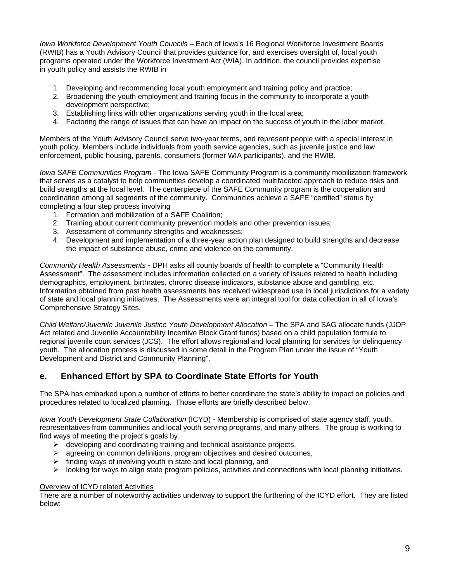*Iowa Workforce Development Youth Councils* – Each of Iowa's 16 Regional Workforce Investment Boards (RWIB) has a Youth Advisory Council that provides guidance for, and exercises oversight of, local youth programs operated under the Workforce Investment Act (WIA). In addition, the council provides expertise in youth policy and assists the RWIB in

- 1. Developing and recommending local youth employment and training policy and practice;
- 2. Broadening the youth employment and training focus in the community to incorporate a youth development perspective;
- 3. Establishing links with other organizations serving youth in the local area;
- 4. Factoring the range of issues that can have an impact on the success of youth in the labor market.

Members of the Youth Advisory Council serve two-year terms, and represent people with a special interest in youth policy. Members include individuals from youth service agencies, such as juvenile justice and law enforcement, public housing, parents, consumers (former WIA participants), and the RWIB.

*Iowa SAFE Communities Program* - The Iowa SAFE Community Program is a community mobilization framework that serves as a catalyst to help communities develop a coordinated multifaceted approach to reduce risks and build strengths at the local level. The centerpiece of the SAFE Community program is the cooperation and coordination among all segments of the community. Communities achieve a SAFE "certified" status by completing a four step process involving

- 1. Formation and mobilization of a SAFE Coalition;
- 2. Training about current community prevention models and other prevention issues;
- 3. Assessment of community strengths and weaknesses;
- 4. Development and implementation of a three-year action plan designed to build strengths and decrease the impact of substance abuse, crime and violence on the community.

*Community Health Assessments* - DPH asks all county boards of health to complete a "Community Health Assessment". The assessment includes information collected on a variety of issues related to health including demographics, employment, birthrates, chronic disease indicators, substance abuse and gambling, etc. Information obtained from past health assessments has received widespread use in local jurisdictions for a variety of state and local planning initiatives. The Assessments were an integral tool for data collection in all of Iowa's Comprehensive Strategy Sites.

*Child Welfare/Juvenile Juvenile Justice Youth Development Allocation* – The SPA and SAG allocate funds (JJDP Act related and Juvenile Accountability Incentive Block Grant funds) based on a child population formula to regional juvenile court services (JCS). The effort allows regional and local planning for services for delinquency youth. The allocation process is discussed in some detail in the Program Plan under the issue of "Youth Development and District and Community Planning".

## **e. Enhanced Effort by SPA to Coordinate State Efforts for Youth**

The SPA has embarked upon a number of efforts to better coordinate the state's ability to impact on policies and procedures related to localized planning. Those efforts are briefly described below.

*Iowa Youth Development State Collaboration* (ICYD) - Membership is comprised of state agency staff, youth, representatives from communities and local youth serving programs, and many others. The group is working to find ways of meeting the project's goals by

- $\triangleright$  developing and coordinating training and technical assistance projects,
- $\triangleright$  agreeing on common definitions, program objectives and desired outcomes,
- finding ways of involving youth in state and local planning, and
- $\triangleright$  looking for ways to align state program policies, activities and connections with local planning initiatives.

#### Overview of ICYD related Activities

There are a number of noteworthy activities underway to support the furthering of the ICYD effort. They are listed below: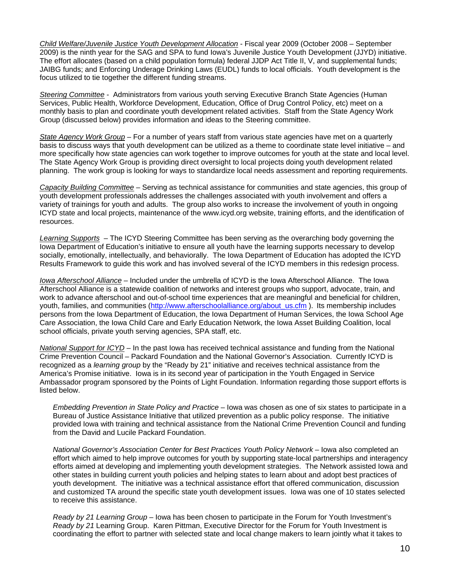*Child Welfare/Juvenile Justice Youth Development Allocation* - Fiscal year 2009 (October 2008 – September 2009) is the ninth year for the SAG and SPA to fund Iowa's Juvenile Justice Youth Development (JJYD) initiative. The effort allocates (based on a child population formula) federal JJDP Act Title II, V, and supplemental funds; JAIBG funds; and Enforcing Underage Drinking Laws (EUDL) funds to local officials. Youth development is the focus utilized to tie together the different funding streams.

*Steering Committee* - Administrators from various youth serving Executive Branch State Agencies (Human Services, Public Health, Workforce Development, Education, Office of Drug Control Policy, etc) meet on a monthly basis to plan and coordinate youth development related activities. Staff from the State Agency Work Group (discussed below) provides information and ideas to the Steering committee.

*State Agency Work Group* – For a number of years staff from various state agencies have met on a quarterly basis to discuss ways that youth development can be utilized as a theme to coordinate state level initiative – and more specifically how state agencies can work together to improve outcomes for youth at the state and local level. The State Agency Work Group is providing direct oversight to local projects doing youth development related planning. The work group is looking for ways to standardize local needs assessment and reporting requirements.

*Capacity Building Committee* – Serving as technical assistance for communities and state agencies, this group of youth development professionals addresses the challenges associated with youth involvement and offers a variety of trainings for youth and adults. The group also works to increase the involvement of youth in ongoing ICYD state and local projects, maintenance of the www.icyd.org website, training efforts, and the identification of resources.

*Learning Supports* – The ICYD Steering Committee has been serving as the overarching body governing the Iowa Department of Education's initiative to ensure all youth have the learning supports necessary to develop socially, emotionally, intellectually, and behaviorally. The Iowa Department of Education has adopted the ICYD Results Framework to guide this work and has involved several of the ICYD members in this redesign process.

*Iowa Afterschool Alliance* – Included under the umbrella of ICYD is the Iowa Afterschool Alliance. The Iowa Afterschool Alliance is a statewide coalition of networks and interest groups who support, advocate, train, and work to advance afterschool and out-of-school time experiences that are meaningful and beneficial for children, youth, families, and communities [\(http://www.afterschoolalliance.org/about\\_us.cfm \)](http://www.afterschoolalliance.org). Its membership includes persons from the Iowa Department of Education, the Iowa Department of Human Services, the Iowa School Age Care Association, the Iowa Child Care and Early Education Network, the Iowa Asset Building Coalition, local school officials, private youth serving agencies, SPA staff, etc.

*National Support for ICYD* – In the past Iowa has received technical assistance and funding from the National Crime Prevention Council – Packard Foundation and the National Governor's Association. Currently ICYD is recognized as a *learning group* by the "Ready by 21" initiative and receives technical assistance from the America's Promise initiative. Iowa is in its second year of participation in the Youth Engaged in Service Ambassador program sponsored by the Points of Light Foundation. Information regarding those support efforts is listed below.

*Embedding Prevention in State Policy and Practice* – Iowa was chosen as one of six states to participate in a Bureau of Justice Assistance Initiative that utilized prevention as a public policy response. The initiative provided Iowa with training and technical assistance from the National Crime Prevention Council and funding from the David and Lucile Packard Foundation.

*National Governor's Association Center for Best Practices Youth Policy Network* – Iowa also completed an effort which aimed to help improve outcomes for youth by supporting state-local partnerships and interagency efforts aimed at developing and implementing youth development strategies. The Network assisted Iowa and other states in building current youth policies and helping states to learn about and adopt best practices of youth development. The initiative was a technical assistance effort that offered communication, discussion and customized TA around the specific state youth development issues. Iowa was one of 10 states selected to receive this assistance.

*Ready by 21 Learning Group –* Iowa has been chosen to participate in the Forum for Youth Investment's *Ready by 21* Learning Group. Karen Pittman, Executive Director for the Forum for Youth Investment is coordinating the effort to partner with selected state and local change makers to learn jointly what it takes to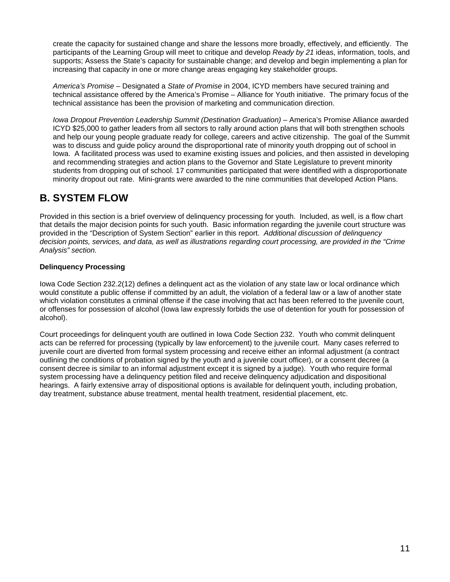create the capacity for sustained change and share the lessons more broadly, effectively, and efficiently. The participants of the Learning Group will meet to critique and develop *Ready by 21* ideas, information, tools, and supports; Assess the State's capacity for sustainable change; and develop and begin implementing a plan for increasing that capacity in one or more change areas engaging key stakeholder groups.

*America's Promise –* Designated a *State of Promise* in 2004, ICYD members have secured training and technical assistance offered by the America's Promise – Alliance for Youth initiative. The primary focus of the technical assistance has been the provision of marketing and communication direction.

*Iowa Dropout Prevention Leadership Summit (Destination Graduation)* – America's Promise Alliance awarded ICYD \$25,000 to gather leaders from all sectors to rally around action plans that will both strengthen schools and help our young people graduate ready for college, careers and active citizenship. The goal of the Summit was to discuss and guide policy around the disproportional rate of minority youth dropping out of school in Iowa. A facilitated process was used to examine existing issues and policies, and then assisted in developing and recommending strategies and action plans to the Governor and State Legislature to prevent minority students from dropping out of school. 17 communities participated that were identified with a disproportionate minority dropout out rate. Mini-grants were awarded to the nine communities that developed Action Plans.

## **B. SYSTEM FLOW**

Provided in this section is a brief overview of delinquency processing for youth. Included, as well, is a flow chart that details the major decision points for such youth. Basic information regarding the juvenile court structure was provided in the "Description of System Section" earlier in this report. *Additional discussion of delinquency*  decision points, services, and data, as well as illustrations regarding court processing, are provided in the "Crime *Analysis" section.* 

### **Delinquency Processing**

Iowa Code Section 232.2(12) defines a delinquent act as the violation of any state law or local ordinance which would constitute a public offense if committed by an adult, the violation of a federal law or a law of another state which violation constitutes a criminal offense if the case involving that act has been referred to the juvenile court, or offenses for possession of alcohol (Iowa law expressly forbids the use of detention for youth for possession of alcohol).

Court proceedings for delinquent youth are outlined in Iowa Code Section 232. Youth who commit delinquent acts can be referred for processing (typically by law enforcement) to the juvenile court. Many cases referred to juvenile court are diverted from formal system processing and receive either an informal adjustment (a contract outlining the conditions of probation signed by the youth and a juvenile court officer), or a consent decree (a consent decree is similar to an informal adjustment except it is signed by a judge). Youth who require formal system processing have a delinquency petition filed and receive delinquency adjudication and dispositional hearings. A fairly extensive array of dispositional options is available for delinquent youth, including probation, day treatment, substance abuse treatment, mental health treatment, residential placement, etc.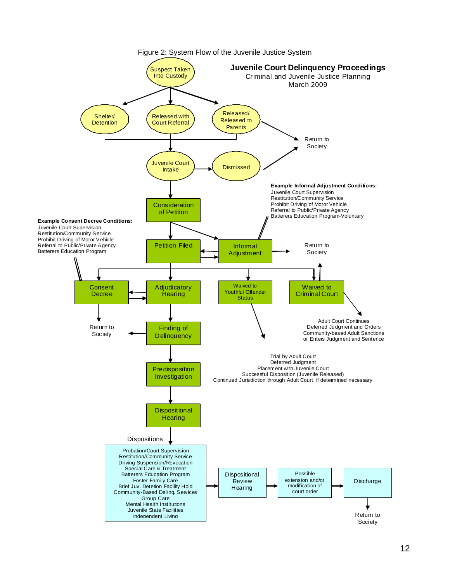

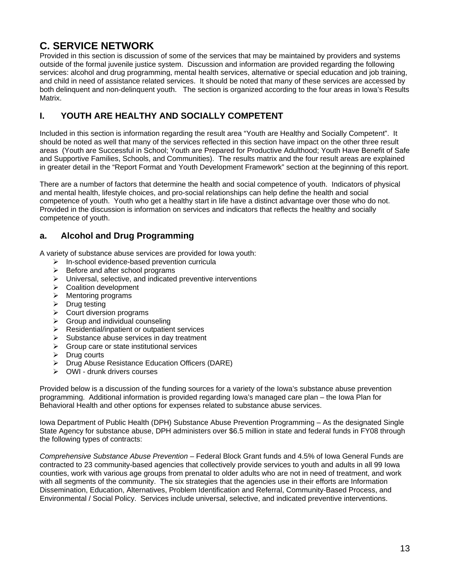# **C. SERVICE NETWORK**

Provided in this section is discussion of some of the services that may be maintained by providers and systems outside of the formal juvenile justice system. Discussion and information are provided regarding the following services: alcohol and drug programming, mental health services, alternative or special education and job training, and child in need of assistance related services. It should be noted that many of these services are accessed by both delinquent and non-delinquent youth. The section is organized according to the four areas in Iowa's Results **Matrix** 

## **I. YOUTH ARE HEALTHY AND SOCIALLY COMPETENT**

Included in this section is information regarding the result area "Youth are Healthy and Socially Competent". It should be noted as well that many of the services reflected in this section have impact on the other three result areas (Youth are Successful in School; Youth are Prepared for Productive Adulthood; Youth Have Benefit of Safe and Supportive Families, Schools, and Communities). The results matrix and the four result areas are explained in greater detail in the "Report Format and Youth Development Framework" section at the beginning of this report.

There are a number of factors that determine the health and social competence of youth. Indicators of physical and mental health, lifestyle choices, and pro-social relationships can help define the health and social competence of youth. Youth who get a healthy start in life have a distinct advantage over those who do not. Provided in the discussion is information on services and indicators that reflects the healthy and socially competence of youth.

## **a. Alcohol and Drug Programming**

A variety of substance abuse services are provided for Iowa youth:

- $\triangleright$  In-school evidence-based prevention curricula
- $\triangleright$  Before and after school programs
- $\triangleright$  Universal, selective, and indicated preventive interventions
- $\triangleright$  Coalition development
- $\triangleright$  Mentoring programs
- $\triangleright$  Drug testing
- $\triangleright$  Court diversion programs
- $\triangleright$  Group and individual counseling
- $\triangleright$  Residential/inpatient or outpatient services
- $\triangleright$  Substance abuse services in day treatment
- $\triangleright$  Group care or state institutional services
- $\triangleright$  Drug courts
- ¾ Drug Abuse Resistance Education Officers (DARE)
- $\triangleright$  OWI drunk drivers courses

Provided below is a discussion of the funding sources for a variety of the Iowa's substance abuse prevention programming. Additional information is provided regarding Iowa's managed care plan – the Iowa Plan for Behavioral Health and other options for expenses related to substance abuse services.

Iowa Department of Public Health (DPH) Substance Abuse Prevention Programming – As the designated Single State Agency for substance abuse, DPH administers over \$6.5 million in state and federal funds in FY08 through the following types of contracts:

*Comprehensive Substance Abuse Prevention* – Federal Block Grant funds and 4.5% of Iowa General Funds are contracted to 23 community-based agencies that collectively provide services to youth and adults in all 99 Iowa counties, work with various age groups from prenatal to older adults who are not in need of treatment, and work with all segments of the community. The six strategies that the agencies use in their efforts are Information Dissemination, Education, Alternatives, Problem Identification and Referral, Community-Based Process, and Environmental / Social Policy. Services include universal, selective, and indicated preventive interventions.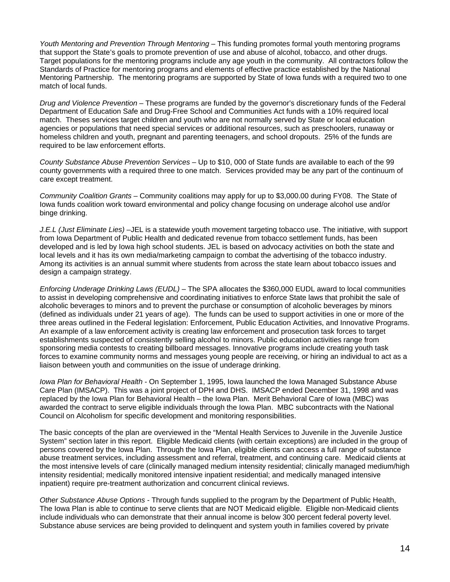*Youth Mentoring and Prevention Through Mentoring* – This funding promotes formal youth mentoring programs that support the State's goals to promote prevention of use and abuse of alcohol, tobacco, and other drugs. Target populations for the mentoring programs include any age youth in the community. All contractors follow the Standards of Practice for mentoring programs and elements of effective practice established by the National Mentoring Partnership. The mentoring programs are supported by State of Iowa funds with a required two to one match of local funds.

*Drug and Violence Prevention* – These programs are funded by the governor's discretionary funds of the Federal Department of Education Safe and Drug-Free School and Communities Act funds with a 10% required local match. Theses services target children and youth who are not normally served by State or local education agencies or populations that need special services or additional resources, such as preschoolers, runaway or homeless children and youth, pregnant and parenting teenagers, and school dropouts. 25% of the funds are required to be law enforcement efforts.

*County Substance Abuse Prevention Services* – Up to \$10, 000 of State funds are available to each of the 99 county governments with a required three to one match. Services provided may be any part of the continuum of care except treatment.

*Community Coalition Grants* – Community coalitions may apply for up to \$3,000.00 during FY08. The State of Iowa funds coalition work toward environmental and policy change focusing on underage alcohol use and/or binge drinking.

*J.E.L (Just Eliminate Lies)* –JEL is a statewide youth movement targeting tobacco use. The initiative, with support from Iowa Department of Public Health and dedicated revenue from tobacco settlement funds, has been developed and is led by Iowa high school students. JEL is based on advocacy activities on both the state and local levels and it has its own media/marketing campaign to combat the advertising of the tobacco industry. Among its activities is an annual summit where students from across the state learn about tobacco issues and design a campaign strategy.

*Enforcing Underage Drinking Laws (EUDL)* – The SPA allocates the \$360,000 EUDL award to local communities to assist in developing comprehensive and coordinating initiatives to enforce State laws that prohibit the sale of alcoholic beverages to minors and to prevent the purchase or consumption of alcoholic beverages by minors (defined as individuals under 21 years of age). The funds can be used to support activities in one or more of the three areas outlined in the Federal legislation: Enforcement, Public Education Activities, and Innovative Programs. An example of a law enforcement activity is creating law enforcement and prosecution task forces to target establishments suspected of consistently selling alcohol to minors. Public education activities range from sponsoring media contests to creating billboard messages. Innovative programs include creating youth task forces to examine community norms and messages young people are receiving, or hiring an individual to act as a liaison between youth and communities on the issue of underage drinking.

*Iowa Plan for Behavioral Health* - On September 1, 1995, Iowa launched the Iowa Managed Substance Abuse Care Plan (IMSACP). This was a joint project of DPH and DHS. IMSACP ended December 31, 1998 and was replaced by the Iowa Plan for Behavioral Health – the Iowa Plan. Merit Behavioral Care of Iowa (MBC) was awarded the contract to serve eligible individuals through the Iowa Plan. MBC subcontracts with the National Council on Alcoholism for specific development and monitoring responsibilities.

The basic concepts of the plan are overviewed in the "Mental Health Services to Juvenile in the Juvenile Justice System" section later in this report. Eligible Medicaid clients (with certain exceptions) are included in the group of persons covered by the Iowa Plan. Through the Iowa Plan, eligible clients can access a full rang*e* of substance abuse treatment services, including assessment and referral, treatment, and continuing care. Medicaid clients at the most intensive levels of care (clinically managed medium intensity residential; clinically managed medium/high intensity residential; medically monitored intensive inpatient residential; and medically managed intensive inpatient) require pre-treatment authorization and concurrent clinical reviews.

*Other Substance Abuse Options* - Through funds supplied to the program by the Department of Public Health, The Iowa Plan is able to continue to serve clients that are NOT Medicaid eligible. Eligible non-Medicaid clients include individuals who can demonstrate that their annual income is below 300 percent federal poverty level. Substance abuse services are being provided to delinquent and system youth in families covered by private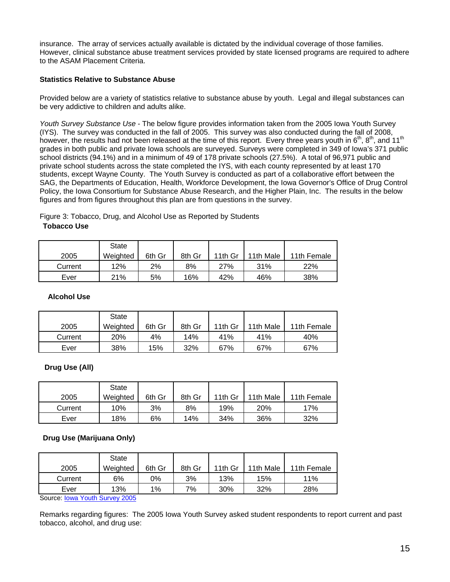insurance. The array of services actually available is dictated by the individual coverage of those families. However, clinical substance abuse treatment services provided by state licensed programs are required to adhere to the ASAM Placement Criteria.

#### **Statistics Relative to Substance Abuse**

Provided below are a variety of statistics relative to substance abuse by youth. Legal and illegal substances can be very addictive to children and adults alike.

*Youth Survey Substance Use* - The below figure provides information taken from the 2005 Iowa Youth Survey (IYS). The survey was conducted in the fall of 2005. This survey was also conducted during the fall of 2008, however, the results had not been released at the time of this report. Every three years youth in  $6^{th}$ ,  $8^{th}$ , and  $11^{th}$ grades in both public and private Iowa schools are surveyed. Surveys were completed in 349 of Iowa's 371 public school districts (94.1%) and in a minimum of 49 of 178 private schools (27.5%). A total of 96,971 public and private school students across the state completed the IYS, with each county represented by at least 170 students, except Wayne County. The Youth Survey is conducted as part of a collaborative effort between the SAG, the Departments of Education, Health, Workforce Development, the Iowa Governor's Office of Drug Control Policy, the Iowa Consortium for Substance Abuse Research, and the Higher Plain, Inc. The results in the below figures and from figures throughout this plan are from questions in the survey.

Figure 3: Tobacco, Drug, and Alcohol Use as Reported by Students **Tobacco Use** 

|         | <b>State</b> |        |        |         |           |             |
|---------|--------------|--------|--------|---------|-----------|-------------|
| 2005    | Weighted     | 6th Gr | 8th Gr | 11th Gr | 11th Male | 11th Female |
| Current | 12%          | 2%     | 8%     | 27%     | 31%       | 22%         |
| Ever    | 21%          | 5%     | 16%    | 42%     | 46%       | 38%         |

#### **Alcohol Use**

|         | <b>State</b> |        |        |         |           |             |
|---------|--------------|--------|--------|---------|-----------|-------------|
| 2005    | Weighted     | 6th Gr | 8th Gr | 11th Gr | 11th Male | 11th Female |
| Current | 20%          | 4%     | 14%    | 41%     | 41%       | 40%         |
| Ever    | 38%          | 15%    | 32%    | 67%     | 67%       | 67%         |

#### **Drug Use (All)**

|         | <b>State</b> |        |        |         |           |             |
|---------|--------------|--------|--------|---------|-----------|-------------|
| 2005    | Weighted     | 6th Gr | 8th Gr | 11th Gr | 11th Male | 11th Female |
| Current | 10%          | 3%     | 8%     | 19%     | 20%       | 17%         |
| Ever    | 18%          | 6%     | 14%    | 34%     | 36%       | 32%         |

#### **Drug Use (Marijuana Only)**

|         | <b>State</b> |        |        |           |           |             |
|---------|--------------|--------|--------|-----------|-----------|-------------|
| 2005    | Weighted     | 6th Gr | 8th Gr | 11th $Gr$ | 11th Male | 11th Female |
| Current | 6%           | 0%     | 3%     | 13%       | 15%       | 11%         |
| Ever    | 13%          | 1%     | 7%     | 30%       | 32%       | 28%         |

Source: Iowa Youth Survey 2005

Remarks regarding figures: The 2005 Iowa Youth Survey asked student respondents to report current and past tobacco, alcohol, and drug use: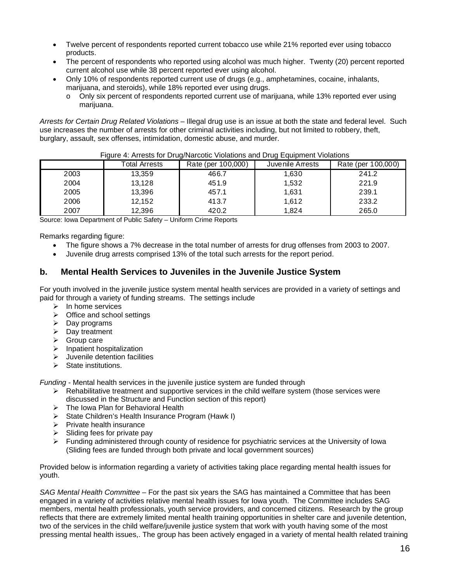- Twelve percent of respondents reported current tobacco use while 21% reported ever using tobacco products.
- The percent of respondents who reported using alcohol was much higher. Twenty (20) percent reported current alcohol use while 38 percent reported ever using alcohol.
- Only 10% of respondents reported current use of drugs (e.g., amphetamines, cocaine, inhalants, marijuana, and steroids), while 18% reported ever using drugs.
	- o Only six percent of respondents reported current use of marijuana, while 13% reported ever using marijuana.

*Arrests for Certain Drug Related Violations* – Illegal drug use is an issue at both the state and federal level. Such use increases the number of arrests for other criminal activities including, but not limited to robbery, theft, burglary, assault, sex offenses, intimidation, domestic abuse, and murder.

|      | Γotal Arrests | Rate (per 100,000) | Juvenile Arrests | Rate (per 100,000) |
|------|---------------|--------------------|------------------|--------------------|
| 2003 | 13.359        | 466.7              | 1.630            | 241.2              |
| 2004 | 13,128        | 451.9              | 1,532            | 221.9              |
| 2005 | 13.396        | 457.1              | 1.631            | 239.1              |
| 2006 | 12,152        | 413.7              | 1.612            | 233.2              |
| 2007 | 12.396        | 420.2              | 1.824            | 265.0              |

#### Figure 4: Arrests for Drug/Narcotic Violations and Drug Equipment Violations

Source: Iowa Department of Public Safety – Uniform Crime Reports

Remarks regarding figure:

- The figure shows a 7% decrease in the total number of arrests for drug offenses from 2003 to 2007.
- Juvenile drug arrests comprised 13% of the total such arrests for the report period.

### **b. Mental Health Services to Juveniles in the Juvenile Justice System**

For youth involved in the juvenile justice system mental health services are provided in a variety of settings and paid for through a variety of funding streams. The settings include

- $\triangleright$  In home services
- $\triangleright$  Office and school settings
- $\triangleright$  Day programs
- $\triangleright$  Day treatment
- $\triangleright$  Group care
- $\triangleright$  Inpatient hospitalization
- $\blacktriangleright$  Juvenile detention facilities
- $\triangleright$  State institutions.

*Funding* - Mental health services in the juvenile justice system are funded through

- $\triangleright$  Rehabilitative treatment and supportive services in the child welfare system (those services were discussed in the Structure and Function section of this report)
- $\triangleright$  The Iowa Plan for Behavioral Health
- ¾ State Children's Health Insurance Program (Hawk I)
- $\triangleright$  Private health insurance
- $\triangleright$  Sliding fees for private pay
- ¾ Funding administered through county of residence for psychiatric services at the University of Iowa (Sliding fees are funded through both private and local government sources)

Provided below is information regarding a variety of activities taking place regarding mental health issues for youth.

*SAG Mental Health Committee* – For the past six years the SAG has maintained a Committee that has been engaged in a variety of activities relative mental health issues for Iowa youth. The Committee includes SAG members, mental health professionals, youth service providers, and concerned citizens. Research by the group reflects that there are extremely limited mental health training opportunities in shelter care and juvenile detention, two of the services in the child welfare/juvenile justice system that work with youth having some of the most pressing mental health issues,. The group has been actively engaged in a variety of mental health related training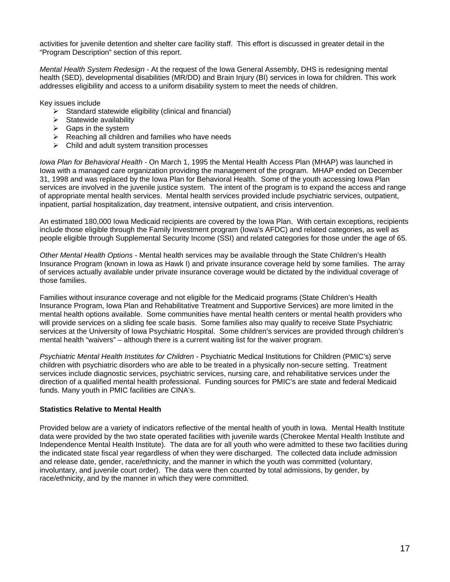activities for juvenile detention and shelter care facility staff. This effort is discussed in greater detail in the "Program Description" section of this report.

*Mental Health System Redesign* - At the request of the Iowa General Assembly, DHS is redesigning mental health (SED), developmental disabilities (MR/DD) and Brain Injury (BI) services in Iowa for children. This work addresses eligibility and access to a uniform disability system to meet the needs of children.

Key issues include

- $\triangleright$  Standard statewide eligibility (clinical and financial)
- $\triangleright$  Statewide availability
- $\triangleright$  Gaps in the system
- $\triangleright$  Reaching all children and families who have needs
- $\triangleright$  Child and adult system transition processes

*Iowa Plan for Behavioral Health* - On March 1, 1995 the Mental Health Access Plan (MHAP) was launched in Iowa with a managed care organization providing the management of the program. MHAP ended on December 31, 1998 and was replaced by the Iowa Plan for Behavioral Health. Some of the youth accessing Iowa Plan services are involved in the juvenile justice system. The intent of the program is to expand the access and range of appropriate mental health services. Mental health services provided include psychiatric services, outpatient, inpatient, partial hospitalization, day treatment, intensive outpatient, and crisis intervention.

An estimated 180,000 Iowa Medicaid recipients are covered by the Iowa Plan. With certain exceptions, recipients include those eligible through the Family Investment program (Iowa's AFDC) and related categories, as well as people eligible through Supplemental Security Income (SSI) and related categories for those under the age of 65.

*Other Mental Health Options* - Mental health services may be available through the State Children's Health Insurance Program (known in Iowa as Hawk I) and private insurance coverage held by some families. The array of services actually available under private insurance coverage would be dictated by the individual coverage of those families.

Families without insurance coverage and not eligible for the Medicaid programs (State Children's Health Insurance Program, Iowa Plan and Rehabilitative Treatment and Supportive Services) are more limited in the mental health options available. Some communities have mental health centers or mental health providers who will provide services on a sliding fee scale basis. Some families also may qualify to receive State Psychiatric services at the University of Iowa Psychiatric Hospital. Some children's services are provided through children's mental health "waivers" – although there is a current waiting list for the waiver program.

*Psychiatric Mental Health Institutes for Children* - Psychiatric Medical Institutions for Children (PMIC's) serve children with psychiatric disorders who are able to be treated in a physically non-secure setting. Treatment services include diagnostic services, psychiatric services, nursing care, and rehabilitative services under the direction of a qualified mental health professional. Funding sources for PMIC's are state and federal Medicaid funds. Many youth in PMIC facilities are CINA's.

#### **Statistics Relative to Mental Health**

Provided below are a variety of indicators reflective of the mental health of youth in Iowa. Mental Health Institute data were provided by the two state operated facilities with juvenile wards (Cherokee Mental Health Institute and Independence Mental Health Institute). The data are for all youth who were admitted to these two facilities during the indicated state fiscal year regardless of when they were discharged. The collected data include admission and release date, gender, race/ethnicity, and the manner in which the youth was committed (voluntary, involuntary, and juvenile court order). The data were then counted by total admissions, by gender, by race/ethnicity, and by the manner in which they were committed.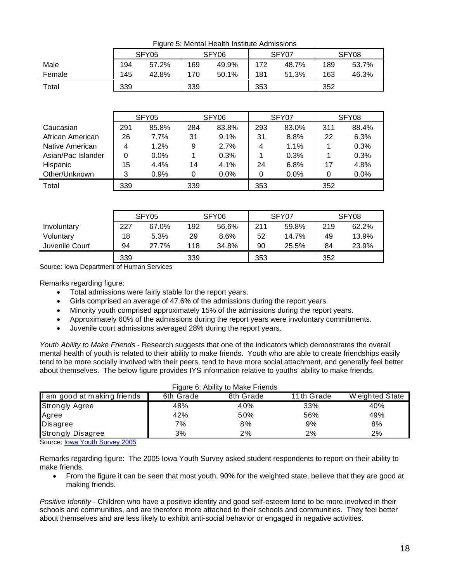|        | SFY <sub>05</sub> |       | SFY <sub>06</sub> |       | SFY07 |       | SFY08 |       |
|--------|-------------------|-------|-------------------|-------|-------|-------|-------|-------|
| Male   | 194               | 57.2% | 169               | 49.9% | 172   | 48.7% | 189   | 53.7% |
| Female | 145               | 42.8% | 170               | 50.1% | 181   | 51.3% | 163   | 46.3% |
| Total  | 339               |       | 339               |       | 353   |       | 352   |       |

Figure 5: Mental Health Institute Admissions

|                    | SFY05 |       | SFY06 |       | SFY07 |       | SFY08 |       |
|--------------------|-------|-------|-------|-------|-------|-------|-------|-------|
| Caucasian          | 291   | 85.8% | 284   | 83.8% | 293   | 83.0% | 311   | 88.4% |
| African American   | 26    | 7.7%  | 31    | 9.1%  | 31    | 8.8%  | 22    | 6.3%  |
| Native American    | 4     | 1.2%  | 9     | 2.7%  | 4     | 1.1%  |       | 0.3%  |
| Asian/Pac Islander | 0     | 0.0%  |       | 0.3%  |       | 0.3%  |       | 0.3%  |
| Hispanic           | 15    | 4.4%  | 14    | 4.1%  | 24    | 6.8%  | 17    | 4.8%  |
| Other/Unknown      | 3     | 0.9%  | 0     | 0.0%  | 0     | 0.0%  |       | 0.0%  |
| Total              | 339   |       | 339   |       | 353   |       | 352   |       |

|                |     | SFY05 |     | SFY06 |     | SFY07 |     | SFY08 |
|----------------|-----|-------|-----|-------|-----|-------|-----|-------|
| Involuntary    | 227 | 67.0% | 192 | 56.6% | 211 | 59.8% | 219 | 62.2% |
| Voluntary      | 18  | 5.3%  | 29  | 8.6%  | 52  | 14.7% | 49  | 13.9% |
| Juvenile Court | 94  | 27.7% | 118 | 34.8% | 90  | 25.5% | 84  | 23.9% |
|                | 339 |       | 339 |       | 353 |       | 352 |       |

Source: Iowa Department of Human Services

Remarks regarding figure:

- Total admissions were fairly stable for the report years.
- Girls comprised an average of 47.6% of the admissions during the report years.
- Minority youth comprised approximately 15% of the admissions during the report years.
- Approximately 60% of the admissions during the report years were involuntary commitments.
- Juvenile court admissions averaged 28% during the report years.

*Youth Ability to Make Friends* - Research suggests that one of the indicators which demonstrates the overall mental health of youth is related to their ability to make friends. Youth who are able to create friendships easily tend to be more socially involved with their peers, tend to have more social attachment, and generally feel better about themselves. The below figure provides IYS information relative to youths' ability to make friends.

| Figure 6: Ability to Make Friends |           |           |            |                 |  |  |
|-----------------------------------|-----------|-----------|------------|-----------------|--|--|
| I am good at making friends       | 6th Grade | 8th Grade | 11th Grade | W eighted State |  |  |
| <b>Strongly Agree</b>             | 48%       | 40%       | 33%        | 40%             |  |  |
| Agree                             | 42%       | 50%       | 56%        | 49%             |  |  |
| <b>Disagree</b>                   | 7%        | 8%        | 9%         | 8%              |  |  |
| <b>Strongly Disagree</b>          | 3%        | 2%        | 2%         | 2%              |  |  |

Source: Iowa Youth Survey 2005

Remarks regarding figure: The 2005 Iowa Youth Survey asked student respondents to report on their ability to make friends.

• From the figure it can be seen that most youth, 90% for the weighted state, believe that they are good at making friends.

*Positive Identity* - Children who have a positive identity and good self-esteem tend to be more involved in their schools and communities, and are therefore more attached to their schools and communities. They feel better about themselves and are less likely to exhibit anti-social behavior or engaged in negative activities.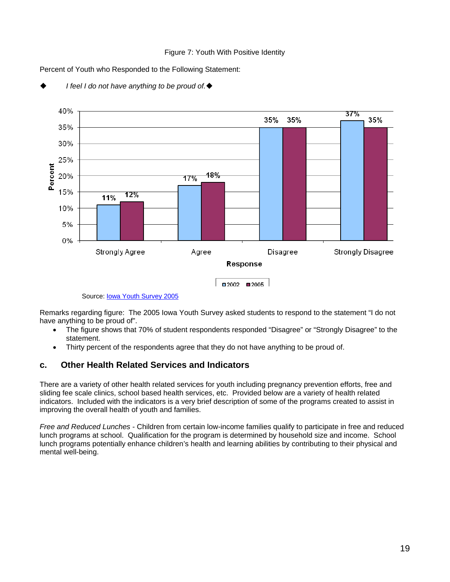Figure 7: Youth With Positive Identity

Percent of Youth who Responded to the Following Statement:



*I* feel *I* do not have anything to be proud of. ♦

Source: Iowa Youth Survey 2005

Remarks regarding figure: The 2005 Iowa Youth Survey asked students to respond to the statement "I do not have anything to be proud of".

- The figure shows that 70% of student respondents responded "Disagree" or "Strongly Disagree" to the statement.
- Thirty percent of the respondents agree that they do not have anything to be proud of.

## **c. Other Health Related Services and Indicators**

There are a variety of other health related services for youth including pregnancy prevention efforts, free and sliding fee scale clinics, school based health services, etc. Provided below are a variety of health related indicators. Included with the indicators is a very brief description of some of the programs created to assist in improving the overall health of youth and families.

*Free and Reduced Lunches* - Children from certain low-income families qualify to participate in free and reduced lunch programs at school. Qualification for the program is determined by household size and income. School lunch programs potentially enhance children's health and learning abilities by contributing to their physical and mental well-being.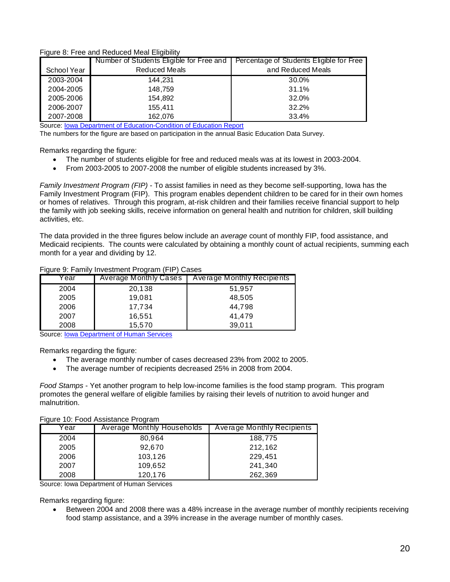Figure 8: Free and Reduced Meal Eligibility

|             | Number of Students Eligible for Free and | Percentage of Students Eligible for Free |
|-------------|------------------------------------------|------------------------------------------|
| School Year | <b>Reduced Meals</b>                     | and Reduced Meals                        |
| 2003-2004   | 144.231                                  | 30.0%                                    |
| 2004-2005   | 148.759                                  | 31.1%                                    |
| 2005-2006   | 154.892                                  | 32.0%                                    |
| 2006-2007   | 155.411                                  | 32.2%                                    |
| 2007-2008   | 162,076                                  | 33.4%                                    |

Source: Iowa Department of Education-Condition of Education Report

The numbers for the figure are based on participation in the annual Basic Education Data Survey.

Remarks regarding the figure:

- The number of students eligible for free and reduced meals was at its lowest in 2003-2004.
- From 2003-2005 to 2007-2008 the number of eligible students increased by 3%.

*Family Investment Program (FIP)* - To assist families in need as they become self-supporting, Iowa has the Family Investment Program (FIP). This program enables dependent children to be cared for in their own homes or homes of relatives. Through this program, at-risk children and their families receive financial support to help the family with job seeking skills, receive information on general health and nutrition for children, skill building activities, etc.

The data provided in the three figures below include an *average* count of monthly FIP, food assistance, and Medicaid recipients. The counts were calculated by obtaining a monthly count of actual recipients, summing each month for a year and dividing by 12.

| <u>i iyulta J. Falilliy iliyesunchu Tuyilani (Fili</u><br>vasts |                       |                            |  |  |  |
|-----------------------------------------------------------------|-----------------------|----------------------------|--|--|--|
| <b>Year</b>                                                     | Average Monthly Cases | Average Monthly Recipients |  |  |  |
| 2004                                                            | 20,138                | 51,957                     |  |  |  |
| 2005                                                            | 19,081                | 48,505                     |  |  |  |
| 2006                                                            | 17.734                | 44.798                     |  |  |  |
| 2007                                                            | 16,551                | 41,479                     |  |  |  |
| 2008                                                            | 15,570                | 39,011                     |  |  |  |

#### Figure 9: Family Investment Program (FIP) Cases

Source: Iowa Department of Human Services

Remarks regarding the figure:

- The average monthly number of cases decreased 23% from 2002 to 2005.
- The average number of recipients decreased 25% in 2008 from 2004.

*Food Stamps* - Yet another program to help low-income families is the food stamp program. This program promotes the general welfare of eligible families by raising their levels of nutrition to avoid hunger and malnutrition.

#### Figure 10: Food Assistance Program

| lear | Average Monthly Households | Average Monthly Recipients |
|------|----------------------------|----------------------------|
| 2004 | 80,964                     | 188,775                    |
| 2005 | 92.670                     | 212, 162                   |
| 2006 | 103,126                    | 229,451                    |
| 2007 | 109,652                    | 241,340                    |
| 2008 | 120,176                    | 262,369                    |

Source: Iowa Department of Human Services

Remarks regarding figure:

• Between 2004 and 2008 there was a 48% increase in the average number of monthly recipients receiving food stamp assistance, and a 39% increase in the average number of monthly cases.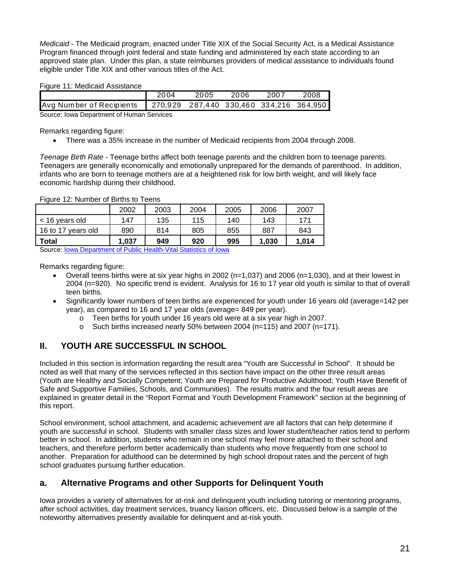*Medicaid* - The Medicaid program, enacted under Title XIX of the Social Security Act, is a Medical Assistance Program financed through joint federal and state funding and administered by each state according to an approved state plan. Under this plan, a state reimburses providers of medical assistance to individuals found eligible under Title XIX and other various titles of the Act.

Figure 11: Medicaid Assistance

|                                                                  | - 2004 | 2005 | 2006 | 2007 | 2008 |
|------------------------------------------------------------------|--------|------|------|------|------|
| Avg Number of Recipients 270,929 287,440 330,460 334,216 364,950 |        |      |      |      |      |

Source: Iowa Department of Human Services

Remarks regarding figure:

• There was a 35% increase in the number of Medicaid recipients from 2004 through 2008.

*Teenage Birth Rate* - Teenage births affect both teenage parents and the children born to teenage parents. Teenagers are generally economically and emotionally unprepared for the demands of parenthood. In addition, infants who are born to teenage mothers are at a heightened risk for low birth weight, and will likely face economic hardship during their childhood.

|                    | 2002  | 2003 | 2004 | 2005 | 2006  | 2007  |
|--------------------|-------|------|------|------|-------|-------|
| < 16 years old     | 147   | 135  | 115  | 140  | 143   | 171   |
| 16 to 17 years old | 890   | 814  | 805  | 855  | 887   | 843   |
| Total              | 1.037 | 949  | 920  | 995  | 1,030 | 1.014 |

Figure 12: Number of Births to Teens

Source: Iowa Department of Public Health-Vital Statistics of Iowa

Remarks regarding figure:

- Overall teens births were at six year highs in 2002 ( $n=1,037$ ) and 2006 ( $n=1,030$ ), and at their lowest in 2004 (n=920). No specific trend is evident. Analysis for 16 to 17 year old youth is similar to that of overall teen births.
- Significantly lower numbers of teen births are experienced for youth under 16 years old (average=142 per year), as compared to 16 and 17 year olds (average= 849 per year).
	- $\circ$  Teen births for youth under 16 years old were at a six year high in 2007.
	- $\circ$  Such births increased nearly 50% between 2004 (n=115) and 2007 (n=171).

## **II. YOUTH ARE SUCCESSFUL IN SCHOOL**

Included in this section is information regarding the result area "Youth are Successful in School". It should be noted as well that many of the services reflected in this section have impact on the other three result areas (Youth are Healthy and Socially Competent; Youth are Prepared for Productive Adulthood; Youth Have Benefit of Safe and Supportive Families, Schools, and Communities). The results matrix and the four result areas are explained in greater detail in the "Report Format and Youth Development Framework" section at the beginning of this report.

School environment, school attachment, and academic achievement are all factors that can help determine if youth are successful in school. Students with smaller class sizes and lower student/teacher ratios tend to perform better in school. In addition, students who remain in one school may feel more attached to their school and teachers, and therefore perform better academically than students who move frequently from one school to another. Preparation for adulthood can be determined by high school dropout rates and the percent of high school graduates pursuing further education.

## **a. Alternative Programs and other Supports for Delinquent Youth**

Iowa provides a variety of alternatives for at-risk and delinquent youth including tutoring or mentoring programs, after school activities, day treatment services, truancy liaison officers, etc. Discussed below is a sample of the noteworthy alternatives presently available for delinquent and at-risk youth.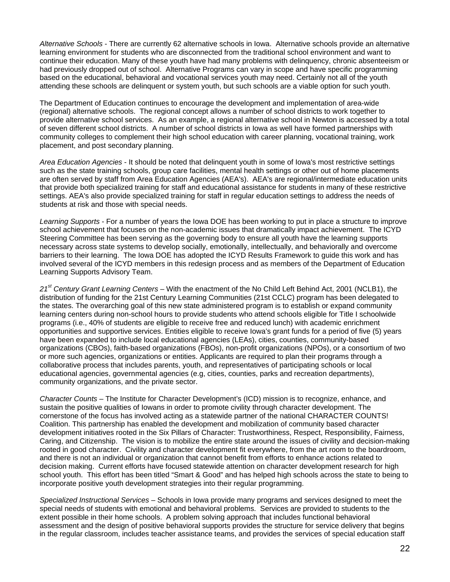*Alternative Schools* - There are currently 62 alternative schools in Iowa. Alternative schools provide an alternative learning environment for students who are disconnected from the traditional school environment and want to continue their education. Many of these youth have had many problems with delinquency, chronic absenteeism or had previously dropped out of school. Alternative Programs can vary in scope and have specific programming based on the educational, behavioral and vocational services youth may need. Certainly not all of the youth attending these schools are delinquent or system youth, but such schools are a viable option for such youth.

The Department of Education continues to encourage the development and implementation of area-wide (regional) alternative schools. The regional concept allows a number of school districts to work together to provide alternative school services. As an example, a regional alternative school in Newton is accessed by a total of seven different school districts. A number of school districts in Iowa as well have formed partnerships with community colleges to complement their high school education with career planning, vocational training, work placement, and post secondary planning.

*Area Education Agencies* - It should be noted that delinquent youth in some of Iowa's most restrictive settings such as the state training schools, group care facilities, mental health settings or other out of home placements are often served by staff from Area Education Agencies (AEA's). AEA's are regional/intermediate education units that provide both specialized training for staff and educational assistance for students in many of these restrictive settings. AEA's also provide specialized training for staff in regular education settings to address the needs of students at risk and those with special needs.

*Learning Supports* - For a number of years the Iowa DOE has been working to put in place a structure to improve school achievement that focuses on the non-academic issues that dramatically impact achievement. The ICYD Steering Committee has been serving as the governing body to ensure all youth have the learning supports necessary across state systems to develop socially, emotionally, intellectually, and behaviorally and overcome barriers to their learning. The Iowa DOE has adopted the ICYD Results Framework to guide this work and has involved several of the ICYD members in this redesign process and as members of the Department of Education Learning Supports Advisory Team.

*21st Century Grant Learning Centers* – With the enactment of the No Child Left Behind Act, 2001 (NCLB1), the distribution of funding for the 21st Century Learning Communities (21st CCLC) program has been delegated to the states. The overarching goal of this new state administered program is to establish or expand community learning centers during non-school hours to provide students who attend schools eligible for Title I schoolwide programs (i.e., 40% of students are eligible to receive free and reduced lunch) with academic enrichment opportunities and supportive services. Entities eligible to receive Iowa's grant funds for a period of five (5) years have been expanded to include local educational agencies (LEAs), cities, counties, community-based organizations (CBOs), faith-based organizations (FBOs), non-profit organizations (NPOs), or a consortium of two or more such agencies, organizations or entities. Applicants are required to plan their programs through a collaborative process that includes parents, youth, and representatives of participating schools or local educational agencies, governmental agencies (e.g, cities, counties, parks and recreation departments), community organizations, and the private sector.

*Character Counts* – The Institute for Character Development's (ICD) mission is to recognize, enhance, and sustain the positive qualities of Iowans in order to promote civility through character development. The cornerstone of the focus has involved acting as a statewide partner of the national CHARACTER COUNTS! Coalition. This partnership has enabled the development and mobilization of community based character development initiatives rooted in the Six Pillars of Character: Trustworthiness, Respect, Responsibility, Fairness, Caring, and Citizenship. The vision is to mobilize the entire state around the issues of civility and decision-making rooted in good character. Civility and character development fit everywhere, from the art room to the boardroom, and there is not an individual or organization that cannot benefit from efforts to enhance actions related to decision making. Current efforts have focused statewide attention on character development research for high school youth. This effort has been titled "Smart & Good" and has helped high schools across the state to being to incorporate positive youth development strategies into their regular programming.

*Specialized Instructional Services* – Schools in Iowa provide many programs and services designed to meet the special needs of students with emotional and behavioral problems. Services are provided to students to the extent possible in their home schools. A problem solving approach that includes functional behavioral assessment and the design of positive behavioral supports provides the structure for service delivery that begins in the regular classroom, includes teacher assistance teams, and provides the services of special education staff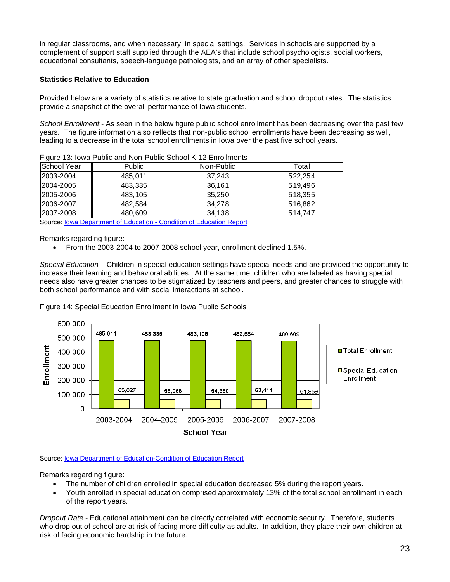in regular classrooms, and when necessary, in special settings. Services in schools are supported by a complement of support staff supplied through the AEA's that include school psychologists, social workers, educational consultants, speech-language pathologists, and an array of other specialists.

#### **Statistics Relative to Education**

Provided below are a variety of statistics relative to state graduation and school dropout rates. The statistics provide a snapshot of the overall performance of Iowa students.

*School Enrollment* - As seen in the below figure public school enrollment has been decreasing over the past few years. The figure information also reflects that non-public school enrollments have been decreasing as well, leading to a decrease in the total school enrollments in Iowa over the past five school years.

|                    | <u>I IGUIU INTE TU. IUWA FUDIIU AIIU INTIFUDIIU OCHODI INTIZILII UIIIIIUIIII IIS</u> |            |         |
|--------------------|--------------------------------------------------------------------------------------|------------|---------|
| <b>School Year</b> | Public                                                                               | Non-Public | Total   |
| 2003-2004          | 485,011                                                                              | 37,243     | 522.254 |
| 2004-2005          | 483,335                                                                              | 36,161     | 519.496 |
| 2005-2006          | 483,105                                                                              | 35,250     | 518,355 |
| 2006-2007          | 482.584                                                                              | 34,278     | 516,862 |
| 2007-2008          | 480.609                                                                              | 34.138     | 514.747 |

Figure 13: Iowa Public and Non-Public School K-12 Enrollments

Source: Iowa Department of Education - Condition of Education Report

Remarks regarding figure:

• From the 2003-2004 to 2007-2008 school year, enrollment declined 1.5%.

*Special Education* – Children in special education settings have special needs and are provided the opportunity to increase their learning and behavioral abilities. At the same time, children who are labeled as having special needs also have greater chances to be stigmatized by teachers and peers, and greater chances to struggle with both school performance and with social interactions at school.

Figure 14: Special Education Enrollment in Iowa Public Schools



Source: Iowa Department of Education-Condition of Education Report

Remarks regarding figure:

- The number of children enrolled in special education decreased 5% during the report years.
- Youth enrolled in special education comprised approximately 13% of the total school enrollment in each of the report years.

*Dropout Rate* - Educational attainment can be directly correlated with economic security. Therefore, students who drop out of school are at risk of facing more difficulty as adults. In addition, they place their own children at risk of facing economic hardship in the future.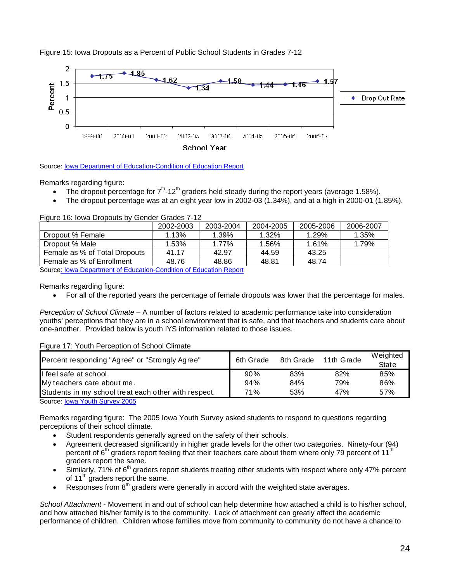

Figure 15: Iowa Dropouts as a Percent of Public School Students in Grades 7-12

Source: Iowa Department of Education-Condition of Education Report

Remarks regarding figure:

- The dropout percentage for  $7<sup>th</sup>$ -12<sup>th</sup> graders held steady during the report years (average 1.58%).
- The dropout percentage was at an eight year low in 2002-03 (1.34%), and at a high in 2000-01 (1.85%).

|                                                 | 2002-2003 | 2003-2004 | 2004-2005 | 2005-2006 | 2006-2007 |
|-------------------------------------------------|-----------|-----------|-----------|-----------|-----------|
| Dropout % Female                                | 1.13%     | 1.39%     | $1.32\%$  | 1.29%     | 1.35%     |
| Dropout % Male                                  | 1.53%     | 1.77%     | 1.56%     | 1.61%     | 1.79%     |
| Female as % of Total Dropouts                   | 41 17     | 42.97     | 44.59     | 43.25     |           |
| Female as % of Enrollment                       | 48.76     | 48.86     | 48.81     | 48.74     |           |
| $\bullet$ , and the set of the set of $\bullet$ |           |           |           |           |           |

Figure 16: Iowa Dropouts by Gender Grades 7-12

Source: Iowa Department of Education-Condition of Education Report

Remarks regarding figure:

• For all of the reported years the percentage of female dropouts was lower that the percentage for males.

*Perception of School Climate* – A number of factors related to academic performance take into consideration youths' perceptions that they are in a school environment that is safe, and that teachers and students care about one-another. Provided below is youth IYS information related to those issues.

#### Figure 17: Youth Perception of School Climate

| Percent responding "Agree" or "Strongly Agree"       | 6th Grade | 8th Grade | 11th Grade | Weighted<br>State |
|------------------------------------------------------|-----------|-----------|------------|-------------------|
| I feel safe at school.                               | 90%       | 83%       | 82%        | 85%               |
| My teachers care about me.                           | 94%       | 84%       | 79%        | 86%               |
| Students in my school treat each other with respect. | 71%       | 53%       | 47%        | 57%               |
| Course, James Vaulle Cupier, 2005                    |           |           |            |                   |

Source: lowa Youth Survey 2005

Remarks regarding figure: The 2005 Iowa Youth Survey asked students to respond to questions regarding perceptions of their school climate.

- Student respondents generally agreed on the safety of their schools.
- Agreement decreased significantly in higher grade levels for the other two categories. Ninety-four (94) percent of  $6<sup>th</sup>$  graders report feeling that their teachers care about them where only 79 percent of 11<sup>th</sup> graders report the same.
- Similarly, 71% of 6<sup>th</sup> graders report students treating other students with respect where only 47% percent of 11 $<sup>th</sup>$  graders report the same.</sup>
- Responses from  $8<sup>th</sup>$  graders were generally in accord with the weighted state averages.

*School Attachment* - Movement in and out of school can help determine how attached a child is to his/her school, and how attached his/her family is to the community. Lack of attachment can greatly affect the academic performance of children. Children whose families move from community to community do not have a chance to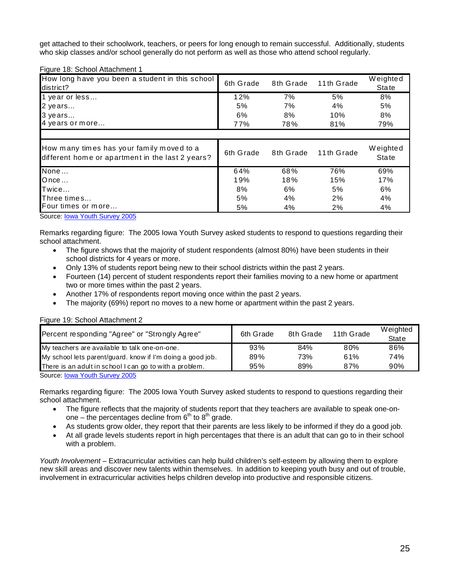get attached to their schoolwork, teachers, or peers for long enough to remain successful. Additionally, students who skip classes and/or school generally do not perform as well as those who attend school regularly.

#### Figure 18: School Attachment 1

| How long have you been a student in this school<br>district?                                  | 6th Grade | 8th Grade | 11th Grade | Weighted<br><b>State</b> |
|-----------------------------------------------------------------------------------------------|-----------|-----------|------------|--------------------------|
| 1 year or less                                                                                | 12%       | 7%        | 5%         | 8%                       |
| 2 years                                                                                       | 5%        | 7%        | 4%         | 5%                       |
| 3 years                                                                                       | 6%        | 8%        | 10%        | 8%                       |
| 4 years or more                                                                               | 77%       | 78%       | 81%        | 79%                      |
|                                                                                               |           |           |            |                          |
| How many times has your family moved to a<br>different home or apartment in the last 2 years? | 6th Grade | 8th Grade | 11th Grade | Weighted<br><b>State</b> |
| None                                                                                          | 64%       | 68%       | 76%        | 69%                      |
| Once                                                                                          | 19%       | 18%       | 15%        | 17%                      |
| Twice                                                                                         | 8%        | 6%        | 5%         | 6%                       |
| Three times                                                                                   | 5%        | 4%        | 2%         | 4%                       |
| Four times or more                                                                            | 5%        | 4%        | 2%         | 4%                       |

Source: **lowa Youth Survey 2005** 

Remarks regarding figure: The 2005 Iowa Youth Survey asked students to respond to questions regarding their school attachment.

- The figure shows that the majority of student respondents (almost 80%) have been students in their school districts for 4 years or more.
- Only 13% of students report being new to their school districts within the past 2 years.
- Fourteen (14) percent of student respondents report their families moving to a new home or apartment two or more times within the past 2 years.
- Another 17% of respondents report moving once within the past 2 years.
- The majority (69%) report no moves to a new home or apartment within the past 2 years.

#### Figure 19: School Attachment 2

| Percent responding "Agree" or "Strongly Agree"                        | 6th Grade | 8th Grade | 11th Grade | Weighted<br>State |
|-----------------------------------------------------------------------|-----------|-----------|------------|-------------------|
| My teachers are available to talk one-on-one.                         | 93%       | 84%       | 80%        | 86%               |
| My school lets parent/guard. know if I'm doing a good job.            | 89%       | 73%       | 61%        | 74%               |
| There is an adult in school I can go to with a problem.               | 95%       | 89%       | 87%        | 90%               |
| $\sim$ $\sim$ $\sim$<br>$\mathbf{a} \mathbf{a} \mathbf{a} \mathbf{b}$ |           |           |            |                   |

Source: Iowa Youth Survey 2005

Remarks regarding figure: The 2005 Iowa Youth Survey asked students to respond to questions regarding their school attachment.

- The figure reflects that the majority of students report that they teachers are available to speak one-onone – the percentages decline from  $6<sup>th</sup>$  to  $8<sup>th</sup>$  grade.
- As students grow older, they report that their parents are less likely to be informed if they do a good job.
- At all grade levels students report in high percentages that there is an adult that can go to in their school with a problem.

*Youth Involvement* – Extracurricular activities can help build children's self-esteem by allowing them to explore new skill areas and discover new talents within themselves. In addition to keeping youth busy and out of trouble, involvement in extracurricular activities helps children develop into productive and responsible citizens.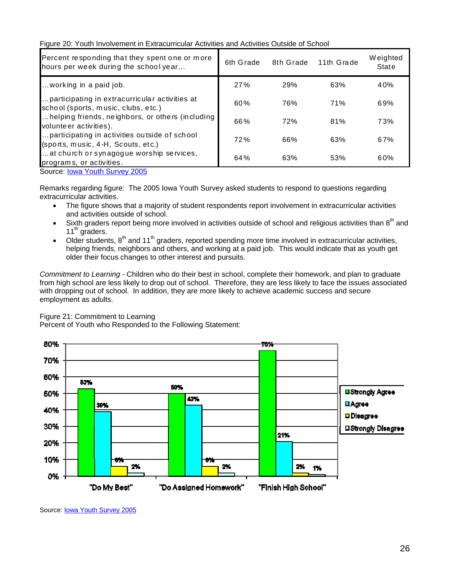| Figure 20: Youth Involvement in Extracurricular Activities and Activities Outside of School |
|---------------------------------------------------------------------------------------------|
|---------------------------------------------------------------------------------------------|

| Percent responding that they spent one or more<br>hours per week during the school year                 | 6th Grade | 8th Grade | 11th Grade | Weighted<br>State |
|---------------------------------------------------------------------------------------------------------|-----------|-----------|------------|-------------------|
| working in a paid job.                                                                                  | 27%       | 29%       | 63%        | 40%               |
| participating in extracurricular activities at<br>school (sports, music, clubs, etc.)                   | 60%       | 76%       | 71%        | 69%               |
| helping friends, neighbors, or others (including<br>volunteer activities).                              | 66%       | 72%       | 81%        | 73%               |
| participating in activities outside of school<br>(sports, music, 4-H, Scouts, etc.)                     | 72%       | 66%       | 63%        | 67%               |
| at church or synagogue worship services,<br>programs, or activities.<br>Course Journ Vouth Current 2005 | 64%       | 63%       | 53%        | 60%               |

Source: <u>Iowa Youth Survey 2005</u>

Remarks regarding figure: The 2005 Iowa Youth Survey asked students to respond to questions regarding extracurricular activities.

- The figure shows that a majority of student respondents report involvement in extracurricular activities and activities outside of school.
- Sixth graders report being more involved in activities outside of school and religious activities than 8<sup>th</sup> and  $11<sup>th</sup>$  graders.
- Older students,  $8<sup>th</sup>$  and 11<sup>th</sup> graders, reported spending more time involved in extracurricular activities, helping friends, neighbors and others, and working at a paid job. This would indicate that as youth get older their focus changes to other interest and pursuits.

*Commitment to Learning* - Children who do their best in school, complete their homework, and plan to graduate from high school are less likely to drop out of school. Therefore, they are less likely to face the issues associated with dropping out of school. In addition, they are more likely to achieve academic success and secure employment as adults.

#### Figure 21: Commitment to Learning

Percent of Youth who Responded to the Following Statement:



Source: **Iowa Youth Survey 2005**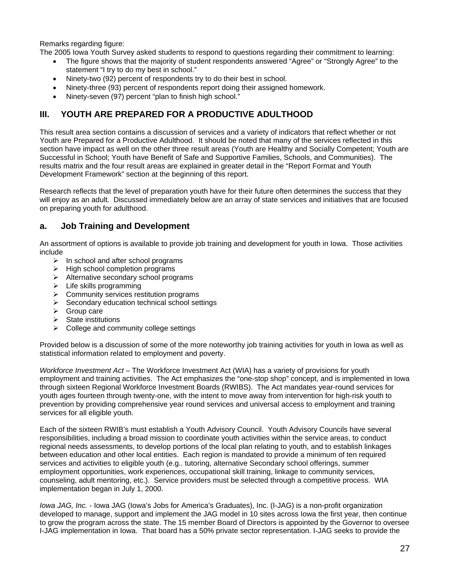Remarks regarding figure:

The 2005 Iowa Youth Survey asked students to respond to questions regarding their commitment to learning:

- The figure shows that the majority of student respondents answered "Agree" or "Strongly Agree" to the statement "I try to do my best in school."
- Ninety-two (92) percent of respondents try to do their best in school.
- Ninety-three (93) percent of respondents report doing their assigned homework.
- Ninety-seven (97) percent "plan to finish high school."

## **III. YOUTH ARE PREPARED FOR A PRODUCTIVE ADULTHOOD**

This result area section contains a discussion of services and a variety of indicators that reflect whether or not Youth are Prepared for a Productive Adulthood. It should be noted that many of the services reflected in this section have impact as well on the other three result areas (Youth are Healthy and Socially Competent; Youth are Successful in School; Youth have Benefit of Safe and Supportive Families, Schools, and Communities). The results matrix and the four result areas are explained in greater detail in the "Report Format and Youth Development Framework" section at the beginning of this report.

Research reflects that the level of preparation youth have for their future often determines the success that they will enjoy as an adult. Discussed immediately below are an array of state services and initiatives that are focused on preparing youth for adulthood.

## **a. Job Training and Development**

An assortment of options is available to provide job training and development for youth in Iowa. Those activities include

- $\geq$  In school and after school programs
- $\triangleright$  High school completion programs
- $\triangleright$  Alternative secondary school programs
- $\triangleright$  Life skills programming
- $\triangleright$  Community services restitution programs
- $\triangleright$  Secondary education technical school settings
- $\triangleright$  Group care
- $\triangleright$  State institutions
- $\triangleright$  College and community college settings

Provided below is a discussion of some of the more noteworthy job training activities for youth in Iowa as well as statistical information related to employment and poverty.

*Workforce Investment Act* – The Workforce Investment Act (WIA) has a variety of provisions for youth employment and training activities. The Act emphasizes the "one-stop shop" concept, and is implemented in Iowa through sixteen Regional Workforce Investment Boards (RWIBS). The Act mandates year-round services for youth ages fourteen through twenty-one, with the intent to move away from intervention for high-risk youth to prevention by providing comprehensive year round services and universal access to employment and training services for all eligible youth.

Each of the sixteen RWIB's must establish a Youth Advisory Council. Youth Advisory Councils have several responsibilities, including a broad mission to coordinate youth activities within the service areas, to conduct regional needs assessments, to develop portions of the local plan relating to youth, and to establish linkages between education and other local entities. Each region is mandated to provide a minimum of ten required services and activities to eligible youth (e.g.. tutoring, alternative Secondary school offerings, summer employment opportunities, work experiences, occupational skill training, linkage to community services, counseling, adult mentoring, etc.). Service providers must be selected through a competitive process. WIA implementation began in July 1, 2000.

*Iowa JAG, Inc.* - Iowa JAG (Iowa's Jobs for America's Graduates), Inc. (I-JAG) is a non-profit organization developed to manage, support and implement the JAG model in 10 sites across Iowa the first year, then continue to grow the program across the state. The 15 member Board of Directors is appointed by the Governor to oversee I-JAG implementation in Iowa. That board has a 50% private sector representation. I-JAG seeks to provide the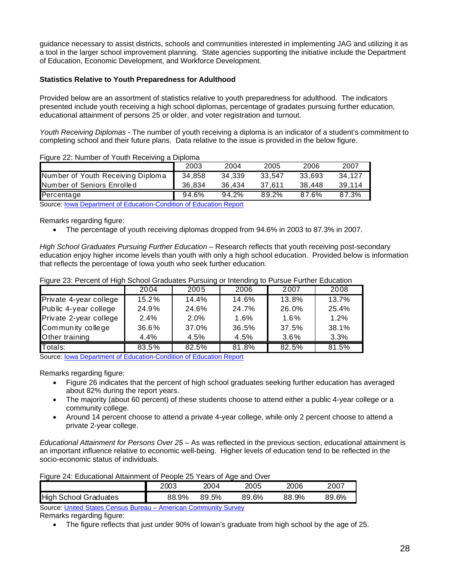guidance necessary to assist districts, schools and communities interested in implementing JAG and utilizing it as a tool in the larger school improvement planning. State agencies supporting the initiative include the Department of Education, Economic Development, and Workforce Development.

### **Statistics Relative to Youth Preparedness for Adulthood**

Provided below are an assortment of statistics relative to youth preparedness for adulthood. The indicators presented include youth receiving a high school diplomas, percentage of gradates pursuing further education, educational attainment of persons 25 or older, and voter registration and turnout.

*Youth Receiving Diplomas* - The number of youth receiving a diploma is an indicator of a student's commitment to completing school and their future plans. Data relative to the issue is provided in the below figure.

| $\overline{a}$ in the set of $\overline{a}$ is the set of $\overline{a}$ in the set of $\overline{a}$ is the set of $\overline{a}$ |        |        |        |        |        |  |  |  |
|------------------------------------------------------------------------------------------------------------------------------------|--------|--------|--------|--------|--------|--|--|--|
|                                                                                                                                    | 2003   | 2004   | 2005   | 2006   | 2007   |  |  |  |
| Number of Youth Receiving Diploma                                                                                                  | 34,858 | 34.339 | 33.547 | 33.693 | 34.127 |  |  |  |
| Number of Seniors Enrolled                                                                                                         | 36.834 | 36.434 | 37.611 | 38.448 | 39,114 |  |  |  |
| Percentage                                                                                                                         | 94.6%  | 94.2%  | 89.2%  | 87.6%  | 87.3%  |  |  |  |
| Course: James Demontment of Education Condition of Education Demont                                                                |        |        |        |        |        |  |  |  |

Figure 22: Number of Youth Receiving a Diploma

Source: Iowa Department of Education-Condition of Education Report

Remarks regarding figure:

• The percentage of youth receiving diplomas dropped from 94.6% in 2003 to 87.3% in 2007.

*High School Graduates Pursuing Further Education* – Research reflects that youth receiving post-secondary education enjoy higher income levels than youth with only a high school education. Provided below is information that reflects the percentage of Iowa youth who seek further education.

|                        | 2004  | 2005  | 2006  | 2007    | 2008    |
|------------------------|-------|-------|-------|---------|---------|
| Private 4-year college | 15.2% | 14.4% | 14.6% | 13.8%   | 13.7%   |
| Public 4-year college  | 24.9% | 24.6% | 24.7% | 26.0%   | 25.4%   |
| Private 2-year college | 2.4%  | 2.0%  | 1.6%  | 1.6%    | $1.2\%$ |
| Community college      | 36.6% | 37.0% | 36.5% | 37.5%   | 38.1%   |
| Other training         | 4.4%  | 4.5%  | 4.5%  | $3.6\%$ | 3.3%    |
| Totals:                | 83.5% | 82.5% | 81.8% | 82.5%   | 81.5%   |

Figure 23: Percent of High School Graduates Pursuing or Intending to Pursue Further Education

Source: Iowa Department of Education-Condition of Education Report

Remarks regarding figure:

- Figure 26 indicates that the percent of high school graduates seeking further education has averaged about 82% during the report years.
- The majority (about 60 percent) of these students choose to attend either a public 4-year college or a community college.
- Around 14 percent choose to attend a private 4-year college, while only 2 percent choose to attend a private 2-year college.

*Educational Attainment for Persons Over 25* – As was reflected in the previous section, educational attainment is an important influence relative to economic well-being. Higher levels of education tend to be reflected in the socio-economic status of individuals.

Figure 24: Educational Attainment of People 25 Years of Age and Over

|                            | מ∩∩<br>∠∪∪ | 2004  | 2005  | 2006  | 2007  |
|----------------------------|------------|-------|-------|-------|-------|
| High<br>ا School Graduates | 88.9%      | 89.5% | 89.6% | 88.9% | 89.6% |

Source: United States Census Bureau – American Community Survey

Remarks regarding figure:

• The figure reflects that just under 90% of Iowan's graduate from high school by the age of 25.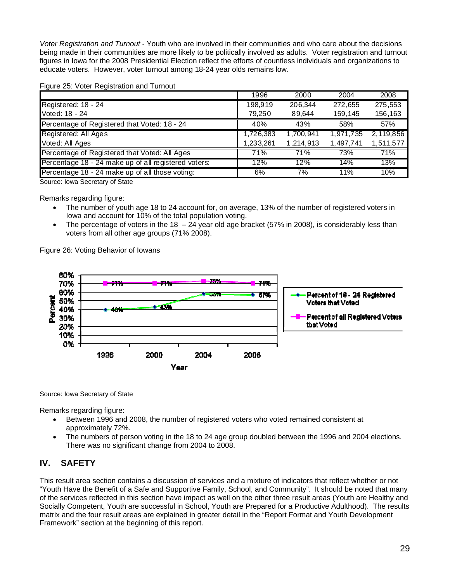*Voter Registration and Turnout* - Youth who are involved in their communities and who care about the decisions being made in their communities are more likely to be politically involved as adults. Voter registration and turnout figures in Iowa for the 2008 Presidential Election reflect the efforts of countless individuals and organizations to educate voters. However, voter turnout among 18-24 year olds remains low.

Figure 25: Voter Registration and Turnout

|                                                      | 1996      | 2000      | 2004      | 2008      |
|------------------------------------------------------|-----------|-----------|-----------|-----------|
| Registered: 18 - 24                                  | 198,919   | 206.344   | 272,655   | 275,553   |
| Voted: 18 - 24                                       | 79,250    | 89.644    | 159,145   | 156,163   |
| Percentage of Registered that Voted: 18 - 24         | 40%       | 43%       | 58%       | 57%       |
| Registered: All Ages                                 | 1,726,383 | 1,700,941 | 1,971,735 | 2,119,856 |
| Voted: All Ages                                      | ,233,261  | 1,214,913 | 1,497,741 | 1,511,577 |
| Percentage of Registered that Voted: All Ages        | 71%       | 71%       | 73%       | 71%       |
| Percentage 18 - 24 make up of all registered voters: | 12%       | 12%       | 14%       | 13%       |
| Percentage 18 - 24 make up of all those voting:      | 6%        | 7%        | 11%       | 10%       |
|                                                      |           |           |           |           |

Source: Iowa Secretary of State

Remarks regarding figure:

- The number of youth age 18 to 24 account for, on average, 13% of the number of registered voters in Iowa and account for 10% of the total population voting.
- The percentage of voters in the 18 24 year old age bracket (57% in 2008), is considerably less than voters from all other age groups (71% 2008).

Figure 26: Voting Behavior of Iowans



Source: Iowa Secretary of State

Remarks regarding figure:

- Between 1996 and 2008, the number of registered voters who voted remained consistent at approximately 72%.
- The numbers of person voting in the 18 to 24 age group doubled between the 1996 and 2004 elections. There was no significant change from 2004 to 2008.

## **IV. SAFETY**

This result area section contains a discussion of services and a mixture of indicators that reflect whether or not "Youth Have the Benefit of a Safe and Supportive Family, School, and Community". It should be noted that many of the services reflected in this section have impact as well on the other three result areas (Youth are Healthy and Socially Competent, Youth are successful in School, Youth are Prepared for a Productive Adulthood). The results matrix and the four result areas are explained in greater detail in the "Report Format and Youth Development Framework" section at the beginning of this report.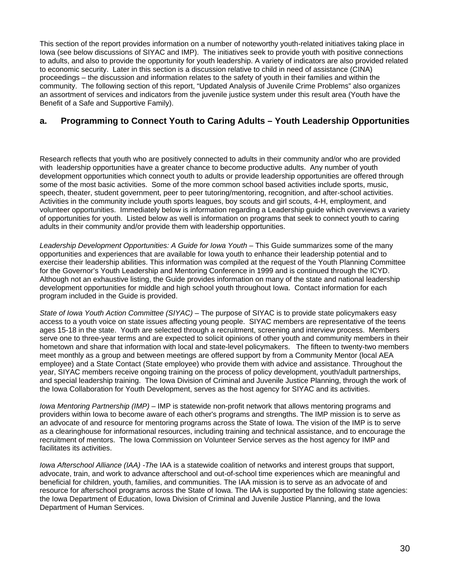This section of the report provides information on a number of noteworthy youth-related initiatives taking place in Iowa (see below discussions of SIYAC and IMP). The initiatives seek to provide youth with positive connections to adults, and also to provide the opportunity for youth leadership. A variety of indicators are also provided related to economic security. Later in this section is a discussion relative to child in need of assistance (CINA) proceedings – the discussion and information relates to the safety of youth in their families and within the community. The following section of this report, "Updated Analysis of Juvenile Crime Problems" also organizes an assortment of services and indicators from the juvenile justice system under this result area (Youth have the Benefit of a Safe and Supportive Family).

## **a. Programming to Connect Youth to Caring Adults – Youth Leadership Opportunities**

Research reflects that youth who are positively connected to adults in their community and/or who are provided with leadership opportunities have a greater chance to become productive adults. Any number of youth development opportunities which connect youth to adults or provide leadership opportunities are offered through some of the most basic activities. Some of the more common school based activities include sports, music, speech, theater, student government, peer to peer tutoring/mentoring, recognition, and after-school activities. Activities in the community include youth sports leagues, boy scouts and girl scouts, 4-H, employment, and volunteer opportunities. Immediately below is information regarding a Leadership guide which overviews a variety of opportunities for youth. Listed below as well is information on programs that seek to connect youth to caring adults in their community and/or provide them with leadership opportunities.

Leadership Development Opportunities: A Guide for Iowa Youth – This Guide summarizes some of the many opportunities and experiences that are available for Iowa youth to enhance their leadership potential and to exercise their leadership abilities. This information was compiled at the request of the Youth Planning Committee for the Governor's Youth Leadership and Mentoring Conference in 1999 and is continued through the ICYD. Although not an exhaustive listing, the Guide provides information on many of the state and national leadership development opportunities for middle and high school youth throughout Iowa. Contact information for each program included in the Guide is provided.

*State of Iowa Youth Action Committee (SIYAC)* – The purpose of SIYAC is to provide state policymakers easy access to a youth voice on state issues affecting young people. SIYAC members are representative of the teens ages 15-18 in the state. Youth are selected through a recruitment, screening and interview process. Members serve one to three-year terms and are expected to solicit opinions of other youth and community members in their hometown and share that information with local and state-level policymakers. The fifteen to twenty-two members meet monthly as a group and between meetings are offered support by from a Community Mentor (local AEA employee) and a State Contact (State employee) who provide them with advice and assistance. Throughout the year, SIYAC members receive ongoing training on the process of policy development, youth/adult partnerships, and special leadership training. The Iowa Division of Criminal and Juvenile Justice Planning, through the work of the Iowa Collaboration for Youth Development, serves as the host agency for SIYAC and its activities.

*Iowa Mentoring Partnership (IMP)* – IMP is statewide non-profit network that allows mentoring programs and providers within Iowa to become aware of each other's programs and strengths. The IMP mission is to serve as an advocate of and resource for mentoring programs across the State of Iowa. The vision of the IMP is to serve as a clearinghouse for informational resources, including training and technical assistance, and to encourage the recruitment of mentors. The Iowa Commission on Volunteer Service serves as the host agency for IMP and facilitates its activities.

*Iowa Afterschool Alliance (IAA) -Th*e IAA is a statewide coalition of networks and interest groups that support, advocate, train, and work to advance afterschool and out-of-school time experiences which are meaningful and beneficial for children, youth, families, and communities. The IAA mission is to serve as an advocate of and resource for afterschool programs across the State of Iowa. The IAA is supported by the following state agencies: the Iowa Department of Education, Iowa Division of Criminal and Juvenile Justice Planning, and the Iowa Department of Human Services.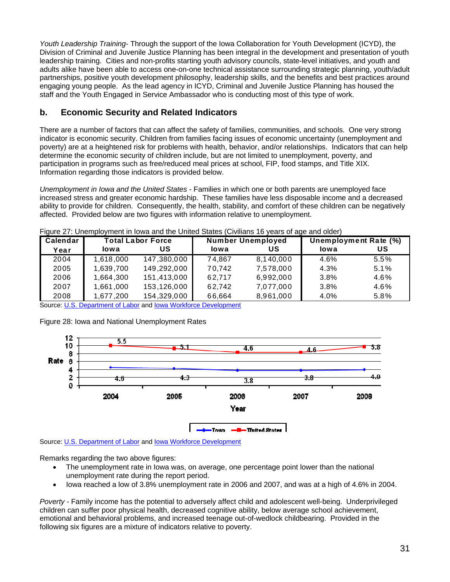*Youth Leadership Training-* Through the support of the Iowa Collaboration for Youth Development (ICYD), the Division of Criminal and Juvenile Justice Planning has been integral in the development and presentation of youth leadership training. Cities and non-profits starting youth advisory councils, state-level initiatives, and youth and adults alike have been able to access one-on-one technical assistance surrounding strategic planning, youth/adult partnerships, positive youth development philosophy, leadership skills, and the benefits and best practices around engaging young people. As the lead agency in ICYD, Criminal and Juvenile Justice Planning has housed the staff and the Youth Engaged in Service Ambassador who is conducting most of this type of work.

## **b. Economic Security and Related Indicators**

There are a number of factors that can affect the safety of families, communities, and schools. One very strong indicator is economic security. Children from families facing issues of economic uncertainty (unemployment and poverty) are at a heightened risk for problems with health, behavior, and/or relationships. Indicators that can help determine the economic security of children include, but are not limited to unemployment, poverty, and participation in programs such as free/reduced meal prices at school, FIP, food stamps, and Title XIX. Information regarding those indicators is provided below.

*Unemployment in Iowa and the United States* - Families in which one or both parents are unemployed face increased stress and greater economic hardship. These families have less disposable income and a decreased ability to provide for children. Consequently, the health, stability, and comfort of these children can be negatively affected. Provided below are two figures with information relative to unemployment.

| Calendar | <b>Total Labor Force</b> |             |        | <b>Number Unemployed</b> | Unemployment Rate (%) |         |
|----------|--------------------------|-------------|--------|--------------------------|-----------------------|---------|
| Year     | lowa                     | US          | lowa   | US                       | <b>lowa</b>           | US      |
| 2004     | 1,618,000                | 147,380,000 | 74.867 | 8.140.000                | 4.6%                  | $5.5\%$ |
| 2005     | 1,639,700                | 149,292,000 | 70.742 | 7.578.000                | 4.3%                  | 5.1%    |
| 2006     | 1.664.300                | 151.413.000 | 62.717 | 6.992.000                | 3.8%                  | $4.6\%$ |
| 2007     | 1,661,000                | 153,126,000 | 62.742 | 7,077,000                | 3.8%                  | 4.6%    |
| 2008     | 1,677,200                | 154,329,000 | 66.664 | 8,961,000                | 4.0%                  | 5.8%    |

Figure 27: Unemployment in Iowa and the United States (Civilians 16 years of age and older)

Source: U.S. Department of Labor and Iowa Workforce Development



Figure 28: Iowa and National Unemployment Rates

Source: U.S. Department of Labor and Iowa Workforce Development

Remarks regarding the two above figures:

- The unemployment rate in Iowa was, on average, one percentage point lower than the national unemployment rate during the report period.
- Iowa reached a low of 3.8% unemployment rate in 2006 and 2007, and was at a high of 4.6% in 2004.

*Poverty* - Family income has the potential to adversely affect child and adolescent well-being. Underprivileged children can suffer poor physical health, decreased cognitive ability, below average school achievement, emotional and behavioral problems, and increased teenage out-of-wedlock childbearing. Provided in the following six figures are a mixture of indicators relative to poverty.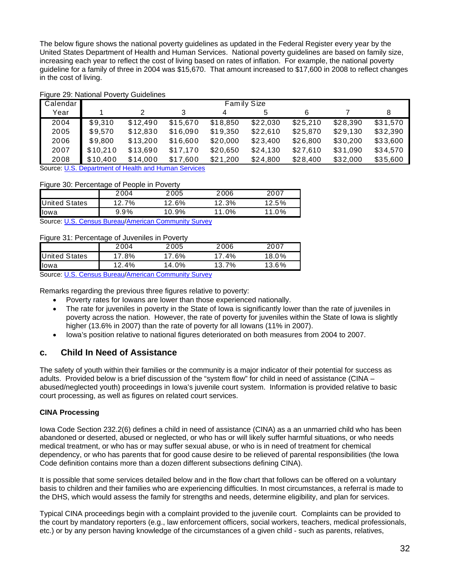The below figure shows the national poverty guidelines as updated in the Federal Register every year by the United States Department of Health and Human Services. National poverty guidelines are based on family size, increasing each year to reflect the cost of living based on rates of inflation. For example, the national poverty guideline for a family of three in 2004 was \$15,670. That amount increased to \$17,600 in 2008 to reflect changes in the cost of living.

#### Figure 29: National Poverty Guidelines

| Calendar | Family Size |          |          |          |          |          |          |          |  |
|----------|-------------|----------|----------|----------|----------|----------|----------|----------|--|
| Year     |             |          |          | 4        | 5        | 6        |          | 8        |  |
| 2004     | \$9,310     | \$12,490 | \$15,670 | \$18,850 | \$22,030 | \$25,210 | \$28,390 | \$31,570 |  |
| 2005     | \$9,570     | \$12,830 | \$16,090 | \$19,350 | \$22,610 | \$25,870 | \$29,130 | \$32,390 |  |
| 2006     | \$9,800     | \$13,200 | \$16,600 | \$20,000 | \$23,400 | \$26,800 | \$30,200 | \$33,600 |  |
| 2007     | \$10,210    | \$13,690 | \$17,170 | \$20,650 | \$24,130 | \$27,610 | \$31,090 | \$34,570 |  |
| 2008     | \$10,400    | \$14,000 | \$17,600 | \$21,200 | \$24,800 | \$28,400 | \$32,000 | \$35,600 |  |

Source: U.S. Department of Health and Human Services

#### Figure 30: Percentage of People in Poverty

| . .                  | --                |            |       |       |
|----------------------|-------------------|------------|-------|-------|
|                      | 2004              | 2005       | 2006  | 2007  |
| <b>United States</b> | 7%<br>ィっ          | $2.6\%$    | 12.3% | 12.5% |
| lowa                 | $9.9\%$           | 10.9%      | 0%    | 11.0% |
| .<br>$\sim$          | <b>STATISTICS</b> | __<br>____ |       |       |

Source: U.S. Census Bureau/American Community Survey

#### Figure 31: Percentage of Juveniles in Poverty

|                      | 2004  | 2005   | 2006         | 2007  |
|----------------------|-------|--------|--------------|-------|
| <b>United States</b> | 17.8% | $.6\%$ | $.4\%$<br>17 | 18.0% |
| <b>Ilowa</b>         | 12.4% | 14.0%  | 13.7%        | 13.6% |

Source: U.S. Census Bureau/American Community Survey

Remarks regarding the previous three figures relative to poverty:

- Poverty rates for Iowans are lower than those experienced nationally.
- The rate for juveniles in poverty in the State of Iowa is significantly lower than the rate of juveniles in poverty across the nation. However, the rate of poverty for juveniles within the State of Iowa is slightly higher (13.6% in 2007) than the rate of poverty for all Iowans (11% in 2007).
- Iowa's position relative to national figures deteriorated on both measures from 2004 to 2007.

### **c. Child In Need of Assistance**

The safety of youth within their families or the community is a major indicator of their potential for success as adults. Provided below is a brief discussion of the "system flow" for child in need of assistance (CINA – abused/neglected youth) proceedings in Iowa's juvenile court system. Information is provided relative to basic court processing, as well as figures on related court services.

#### **CINA Processing**

Iowa Code Section 232.2(6) defines a child in need of assistance (CINA) as a an unmarried child who has been abandoned or deserted, abused or neglected, or who has or will likely suffer harmful situations, or who needs medical treatment, or who has or may suffer sexual abuse, or who is in need of treatment for chemical dependency, or who has parents that for good cause desire to be relieved of parental responsibilities (the Iowa Code definition contains more than a dozen different subsections defining CINA).

It is possible that some services detailed below and in the flow chart that follows can be offered on a voluntary basis to children and their families who are experiencing difficulties. In most circumstances, a referral is made to the DHS, which would assess the family for strengths and needs, determine eligibility, and plan for services.

Typical CINA proceedings begin with a complaint provided to the juvenile court. Complaints can be provided to the court by mandatory reporters (e.g., law enforcement officers, social workers, teachers, medical professionals, etc.) or by any person having knowledge of the circumstances of a given child - such as parents, relatives,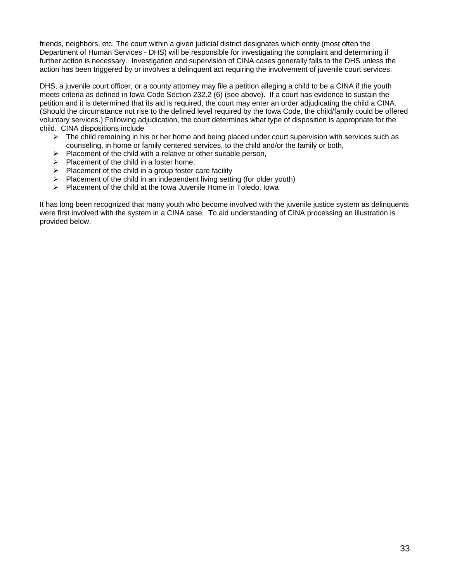friends, neighbors, etc. The court within a given judicial district designates which entity (most often the Department of Human Services - DHS) will be responsible for investigating the complaint and determining if further action is necessary. Investigation and supervision of CINA cases generally falls to the DHS unless the action has been triggered by or involves a delinquent act requiring the involvement of juvenile court services.

DHS, a juvenile court officer, or a county attorney may file a petition alleging a child to be a CINA if the youth meets criteria as defined in Iowa Code Section 232.2 (6) (see above). If a court has evidence to sustain the petition and it is determined that its aid is required, the court may enter an order adjudicating the child a CINA. (Should the circumstance not rise to the defined level required by the Iowa Code, the child/family could be offered voluntary services.) Following adjudication, the court determines what type of disposition is appropriate for the child. CINA dispositions include

- $\triangleright$  The child remaining in his or her home and being placed under court supervision with services such as counseling, in home or family centered services, to the child and/or the family or both,
- $\triangleright$  Placement of the child with a relative or other suitable person,
- $\triangleright$  Placement of the child in a foster home,
- $\triangleright$  Placement of the child in a group foster care facility
- $\triangleright$  Placement of the child in an independent living setting (for older youth)
- $\triangleright$  Placement of the child at the Iowa Juvenile Home in Toledo, Iowa

It has long been recognized that many youth who become involved with the juvenile justice system as delinquents were first involved with the system in a CINA case. To aid understanding of CINA processing an illustration is provided below.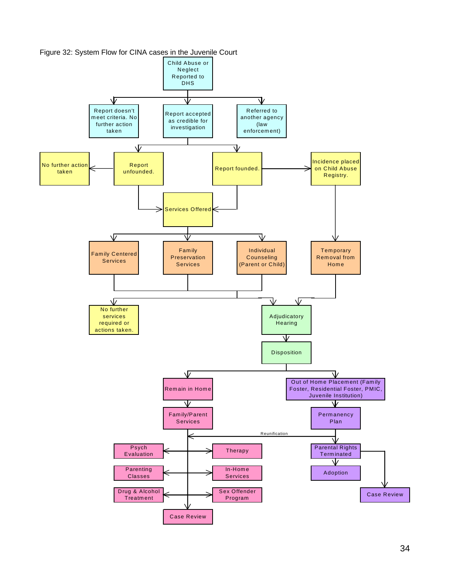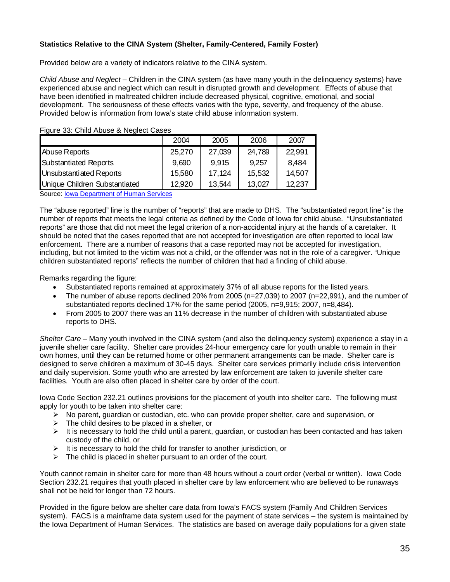### **Statistics Relative to the CINA System (Shelter, Family-Centered, Family Foster)**

Provided below are a variety of indicators relative to the CINA system.

*Child Abuse and Neglect* – Children in the CINA system (as have many youth in the delinquency systems) have experienced abuse and neglect which can result in disrupted growth and development. Effects of abuse that have been identified in maltreated children include decreased physical, cognitive, emotional, and social development. The seriousness of these effects varies with the type, severity, and frequency of the abuse. Provided below is information from Iowa's state child abuse information system.

|                               | 2004   | 2005   | 2006   | 2007   |
|-------------------------------|--------|--------|--------|--------|
| Abuse Reports                 | 25,270 | 27,039 | 24,789 | 22,991 |
| Substantiated Reports         | 9,690  | 9.915  | 9.257  | 8,484  |
| Unsubstantiated Reports       | 15,580 | 17,124 | 15,532 | 14,507 |
| Unique Children Substantiated | 12,920 | 13,544 | 13,027 | 12,237 |

Figure 33: Child Abuse & Neglect Cases

Source: Iowa Department of Human Services

The "abuse reported" line is the number of "reports" that are made to DHS. The "substantiated report line" is the number of reports that meets the legal criteria as defined by the Code of Iowa for child abuse. "Unsubstantiated reports" are those that did not meet the legal criterion of a non-accidental injury at the hands of a caretaker. It should be noted that the cases reported that are not accepted for investigation are often reported to local law enforcement. There are a number of reasons that a case reported may not be accepted for investigation, including, but not limited to the victim was not a child, or the offender was not in the role of a caregiver. "Unique children substantiated reports" reflects the number of children that had a finding of child abuse.

Remarks regarding the figure:

- Substantiated reports remained at approximately 37% of all abuse reports for the listed years.
- The number of abuse reports declined 20% from 2005 ( $n=27,039$ ) to 2007 ( $n=22,991$ ), and the number of substantiated reports declined 17% for the same period (2005, n=9,915; 2007, n=8,484).
- From 2005 to 2007 there was an 11% decrease in the number of children with substantiated abuse reports to DHS.

*Shelter Care* – Many youth involved in the CINA system (and also the delinquency system) experience a stay in a juvenile shelter care facility. Shelter care provides 24-hour emergency care for youth unable to remain in their own homes, until they can be returned home or other permanent arrangements can be made. Shelter care is designed to serve children a maximum of 30-45 days. Shelter care services primarily include crisis intervention and daily supervision. Some youth who are arrested by law enforcement are taken to juvenile shelter care facilities. Youth are also often placed in shelter care by order of the court.

Iowa Code Section 232.21 outlines provisions for the placement of youth into shelter care. The following must apply for youth to be taken into shelter care:

- $\triangleright$  No parent, guardian or custodian, etc. who can provide proper shelter, care and supervision, or
- $\triangleright$  The child desires to be placed in a shelter, or
- ¾ It is necessary to hold the child until a parent, guardian, or custodian has been contacted and has taken custody of the child, or
- $\triangleright$  It is necessary to hold the child for transfer to another jurisdiction, or
- $\triangleright$  The child is placed in shelter pursuant to an order of the court.

Youth cannot remain in shelter care for more than 48 hours without a court order (verbal or written). Iowa Code Section 232.21 requires that youth placed in shelter care by law enforcement who are believed to be runaways shall not be held for longer than 72 hours.

Provided in the figure below are shelter care data from Iowa's FACS system (Family And Children Services system). FACS is a mainframe data system used for the payment of state services – the system is maintained by the Iowa Department of Human Services. The statistics are based on average daily populations for a given state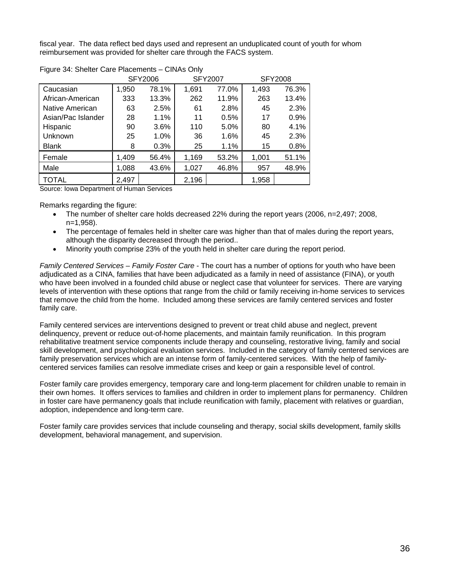fiscal year. The data reflect bed days used and represent an unduplicated count of youth for whom reimbursement was provided for shelter care through the FACS system.

|                    | <b>SFY2006</b> |       | <b>SFY2007</b> |         | <b>SFY2008</b> |       |
|--------------------|----------------|-------|----------------|---------|----------------|-------|
| Caucasian          | 1,950          | 78.1% | 1,691          | 77.0%   | 1,493          | 76.3% |
| African-American   | 333            | 13.3% | 262            | 11.9%   | 263            | 13.4% |
| Native American    | 63             | 2.5%  | 61             | 2.8%    | 45             | 2.3%  |
| Asian/Pac Islander | 28             | 1.1%  | 11             | 0.5%    | 17             | 0.9%  |
| Hispanic           | 90             | 3.6%  | 110            | $5.0\%$ | 80             | 4.1%  |
| Unknown            | 25             | 1.0%  | 36             | 1.6%    | 45             | 2.3%  |
| <b>Blank</b>       | 8              | 0.3%  | 25             | 1.1%    | 15             | 0.8%  |
| Female             | 1,409          | 56.4% | 1,169          | 53.2%   | 1,001          | 51.1% |
| Male               | 1,088          | 43.6% | 1,027          | 46.8%   | 957            | 48.9% |
| TOTAL              | 2,497          |       | 2,196          |         | 1,958          |       |

Figure 34: Shelter Care Placements – CINAs Only

Source: Iowa Department of Human Services

Remarks regarding the figure:

- The number of shelter care holds decreased 22% during the report years (2006, n=2,497; 2008, n=1,958).
- The percentage of females held in shelter care was higher than that of males during the report years, although the disparity decreased through the period..
- Minority youth comprise 23% of the youth held in shelter care during the report period.

*Family Centered Services – Family Foster Care* - The court has a number of options for youth who have been adjudicated as a CINA, families that have been adjudicated as a family in need of assistance (FINA), or youth who have been involved in a founded child abuse or neglect case that volunteer for services. There are varying levels of intervention with these options that range from the child or family receiving in-home services to services that remove the child from the home. Included among these services are family centered services and foster family care.

Family centered services are interventions designed to prevent or treat child abuse and neglect, prevent delinquency, prevent or reduce out-of-home placements, and maintain family reunification. In this program rehabilitative treatment service components include therapy and counseling, restorative living, family and social skill development, and psychological evaluation services. Included in the category of family centered services are family preservation services which are an intense form of family-centered services. With the help of familycentered services families can resolve immediate crises and keep or gain a responsible level of control.

Foster family care provides emergency, temporary care and long-term placement for children unable to remain in their own homes. It offers services to families and children in order to implement plans for permanency. Children in foster care have permanency goals that include reunification with family, placement with relatives or guardian, adoption, independence and long-term care.

Foster family care provides services that include counseling and therapy, social skills development, family skills development, behavioral management, and supervision.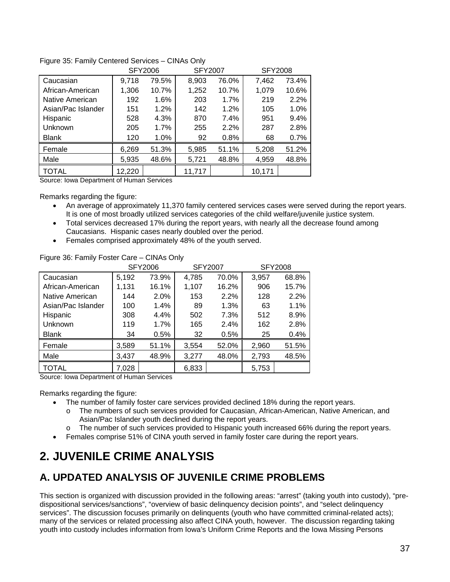|                    |        | <b>SFY2006</b> | <b>SFY2007</b> |         | <b>SFY2008</b> |         |
|--------------------|--------|----------------|----------------|---------|----------------|---------|
| Caucasian          | 9,718  | 79.5%          | 8,903          | 76.0%   | 7,462          | 73.4%   |
| African-American   | 1,306  | 10.7%          | 1,252          | 10.7%   | 1,079          | 10.6%   |
| Native American    | 192    | $1.6\%$        | 203            | 1.7%    | 219            | 2.2%    |
| Asian/Pac Islander | 151    | 1.2%           | 142            | $1.2\%$ | 105            | 1.0%    |
| Hispanic           | 528    | 4.3%           | 870            | 7.4%    | 951            | $9.4\%$ |
| Unknown            | 205    | 1.7%           | 255            | 2.2%    | 287            | 2.8%    |
| <b>Blank</b>       | 120    | $1.0\%$        | 92             | 0.8%    | 68             | 0.7%    |
| Female             | 6,269  | 51.3%          | 5,985          | 51.1%   | 5,208          | 51.2%   |
| Male               | 5,935  | 48.6%          | 5,721          | 48.8%   | 4,959          | 48.8%   |
| <b>TOTAL</b>       | 12,220 |                | 11,717         |         | 10,171         |         |

#### Figure 35: Family Centered Services – CINAs Only

Source: Iowa Department of Human Services

Remarks regarding the figure:

- An average of approximately 11,370 family centered services cases were served during the report years. It is one of most broadly utilized services categories of the child welfare/juvenile justice system.
- Total services decreased 17% during the report years, with nearly all the decrease found among Caucasians. Hispanic cases nearly doubled over the period.
- Females comprised approximately 48% of the youth served.

Figure 36: Family Foster Care – CINAs Only

|                    | <b>SFY2006</b> |       | <b>SFY2007</b> |       | <b>SFY2008</b> |       |
|--------------------|----------------|-------|----------------|-------|----------------|-------|
| Caucasian          | 5,192          | 73.9% | 4,785          | 70.0% | 3,957          | 68.8% |
| African-American   | 1,131          | 16.1% | 1,107          | 16.2% | 906            | 15.7% |
| Native American    | 144            | 2.0%  | 153            | 2.2%  | 128            | 2.2%  |
| Asian/Pac Islander | 100            | 1.4%  | 89             | 1.3%  | 63             | 1.1%  |
| Hispanic           | 308            | 4.4%  | 502            | 7.3%  | 512            | 8.9%  |
| Unknown            | 119            | 1.7%  | 165            | 2.4%  | 162            | 2.8%  |
| <b>Blank</b>       | 34             | 0.5%  | 32             | 0.5%  | 25             | 0.4%  |
| Female             | 3,589          | 51.1% | 3,554          | 52.0% | 2,960          | 51.5% |
| Male               | 3,437          | 48.9% | 3,277          | 48.0% | 2,793          | 48.5% |
| <b>TOTAL</b>       | 7,028          |       | 6,833          |       | 5,753          |       |

Source: Iowa Department of Human Services

Remarks regarding the figure:

- The number of family foster care services provided declined 18% during the report years.
	- o The numbers of such services provided for Caucasian, African-American, Native American, and Asian/Pac Islander youth declined during the report years.
	- o The number of such services provided to Hispanic youth increased 66% during the report years.
- Females comprise 51% of CINA youth served in family foster care during the report years.

# **2. JUVENILE CRIME ANALYSIS**

# **A. UPDATED ANALYSIS OF JUVENILE CRIME PROBLEMS**

This section is organized with discussion provided in the following areas: "arrest" (taking youth into custody), "predispositional services/sanctions", "overview of basic delinquency decision points", and "select delinquency services". The discussion focuses primarily on delinquents (youth who have committed criminal-related acts); many of the services or related processing also affect CINA youth, however. The discussion regarding taking youth into custody includes information from Iowa's Uniform Crime Reports and the Iowa Missing Persons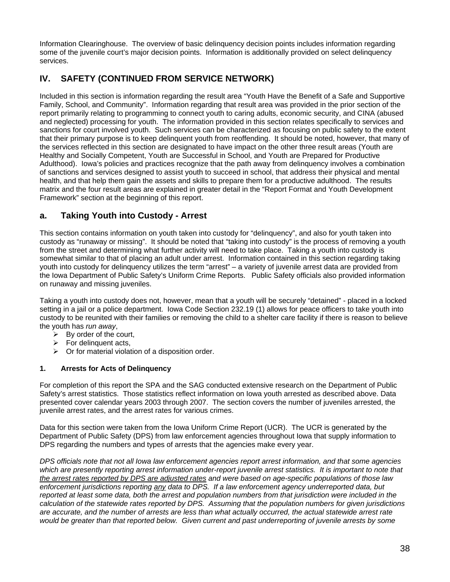Information Clearinghouse. The overview of basic delinquency decision points includes information regarding some of the juvenile court's major decision points. Information is additionally provided on select delinquency services.

# **IV. SAFETY (CONTINUED FROM SERVICE NETWORK)**

Included in this section is information regarding the result area "Youth Have the Benefit of a Safe and Supportive Family, School, and Community". Information regarding that result area was provided in the prior section of the report primarily relating to programming to connect youth to caring adults, economic security, and CINA (abused and neglected) processing for youth. The information provided in this section relates specifically to services and sanctions for court involved youth. Such services can be characterized as focusing on public safety to the extent that their primary purpose is to keep delinquent youth from reoffending. It should be noted, however, that many of the services reflected in this section are designated to have impact on the other three result areas (Youth are Healthy and Socially Competent, Youth are Successful in School, and Youth are Prepared for Productive Adulthood). Iowa's policies and practices recognize that the path away from delinquency involves a combination of sanctions and services designed to assist youth to succeed in school, that address their physical and mental health, and that help them gain the assets and skills to prepare them for a productive adulthood. The results matrix and the four result areas are explained in greater detail in the "Report Format and Youth Development Framework" section at the beginning of this report.

# **a. Taking Youth into Custody - Arrest**

This section contains information on youth taken into custody for "delinquency", and also for youth taken into custody as "runaway or missing". It should be noted that "taking into custody" is the process of removing a youth from the street and determining what further activity will need to take place. Taking a youth into custody is somewhat similar to that of placing an adult under arrest. Information contained in this section regarding taking youth into custody for delinquency utilizes the term "arrest" – a variety of juvenile arrest data are provided from the Iowa Department of Public Safety's Uniform Crime Reports. Public Safety officials also provided information on runaway and missing juveniles.

Taking a youth into custody does not, however, mean that a youth will be securely "detained" - placed in a locked setting in a jail or a police department. Iowa Code Section 232.19 (1) allows for peace officers to take youth into custody to be reunited with their families or removing the child to a shelter care facility if there is reason to believe the youth has *run away*,

- $\triangleright$  By order of the court,
- $\triangleright$  For delinquent acts,
- $\triangleright$  Or for material violation of a disposition order.

## **1. Arrests for Acts of Delinquency**

For completion of this report the SPA and the SAG conducted extensive research on the Department of Public Safety's arrest statistics. Those statistics reflect information on Iowa youth arrested as described above. Data presented cover calendar years 2003 through 2007. The section covers the number of juveniles arrested, the juvenile arrest rates, and the arrest rates for various crimes.

Data for this section were taken from the Iowa Uniform Crime Report (UCR). The UCR is generated by the Department of Public Safety (DPS) from law enforcement agencies throughout Iowa that supply information to DPS regarding the numbers and types of arrests that the agencies make every year.

*DPS officials note that not all Iowa law enforcement agencies report arrest information, and that some agencies*  which are presently reporting arrest information under-report juvenile arrest statistics. It is important to note that *the arrest rates reported by DPS are adjusted rates and were based on age-specific populations of those law enforcement jurisdictions reporting any data to DPS. If a law enforcement agency underreported data, but reported at least some data, both the arrest and population numbers from that jurisdiction were included in the calculation of the statewide rates reported by DPS. Assuming that the population numbers for given jurisdictions are accurate, and the number of arrests are less than what actually occurred, the actual statewide arrest rate*  would be greater than that reported below. Given current and past underreporting of juvenile arrests by some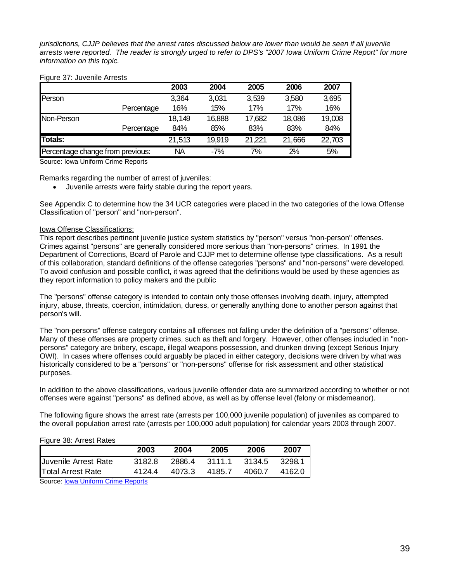*jurisdictions, CJJP believes that the arrest rates discussed below are lower than would be seen if all juvenile arrests were reported. The reader is strongly urged to refer to DPS's "2007 Iowa Uniform Crime Report" for more information on this topic.* 

#### Figure 37: Juvenile Arrests

|                                  | 2003   | 2004   | 2005   | 2006   | 2007   |
|----------------------------------|--------|--------|--------|--------|--------|
| Person                           | 3,364  | 3,031  | 3,539  | 3,580  | 3,695  |
| Percentage                       | 16%    | 15%    | 17%    | 17%    | 16%    |
| Non-Person                       | 18,149 | 16,888 | 17,682 | 18,086 | 19,008 |
| Percentage                       | 84%    | 85%    | 83%    | 83%    | 84%    |
| <b>Totals:</b>                   | 21,513 | 19,919 | 21,221 | 21,666 | 22,703 |
| Percentage change from previous: | NA     | $-7%$  | 7%     | 2%     | 5%     |

Source: Iowa Uniform Crime Reports

Remarks regarding the number of arrest of juveniles:

• Juvenile arrests were fairly stable during the report years.

See Appendix C to determine how the 34 UCR categories were placed in the two categories of the Iowa Offense Classification of "person" and "non-person".

#### Iowa Offense Classifications:

This report describes pertinent juvenile justice system statistics by "person" versus "non-person" offenses. Crimes against "persons" are generally considered more serious than "non-persons" crimes. In 1991 the Department of Corrections, Board of Parole and CJJP met to determine offense type classifications. As a result of this collaboration, standard definitions of the offense categories "persons" and "non-persons" were developed. To avoid confusion and possible conflict, it was agreed that the definitions would be used by these agencies as they report information to policy makers and the public

The "persons" offense category is intended to contain only those offenses involving death, injury, attempted injury, abuse, threats, coercion, intimidation, duress, or generally anything done to another person against that person's will.

The "non-persons" offense category contains all offenses not falling under the definition of a "persons" offense. Many of these offenses are property crimes, such as theft and forgery. However, other offenses included in "nonpersons" category are bribery, escape, illegal weapons possession, and drunken driving (except Serious Injury OWI). In cases where offenses could arguably be placed in either category, decisions were driven by what was historically considered to be a "persons" or "non-persons" offense for risk assessment and other statistical purposes.

In addition to the above classifications, various juvenile offender data are summarized according to whether or not offenses were against "persons" as defined above, as well as by offense level (felony or misdemeanor).

The following figure shows the arrest rate (arrests per 100,000 juvenile population) of juveniles as compared to the overall population arrest rate (arrests per 100,000 adult population) for calendar years 2003 through 2007.

#### Figure 38: Arrest Rates

|                                       | 2003   | 2004 | 2005          | 2006   | 2007   |  |  |  |  |
|---------------------------------------|--------|------|---------------|--------|--------|--|--|--|--|
| Juvenile Arrest Rate                  | 3182.8 |      | 2886.4 3111.1 | 3134.5 | 3298.1 |  |  |  |  |
| Total Arrest Rate                     | 41244  |      | 4073.3 4185.7 | 4060.7 | 4162.0 |  |  |  |  |
| Course, Isuza Haiferra Origin Departs |        |      |               |        |        |  |  |  |  |

Source: **<u>Iowa Uniform Crime Reports</u>**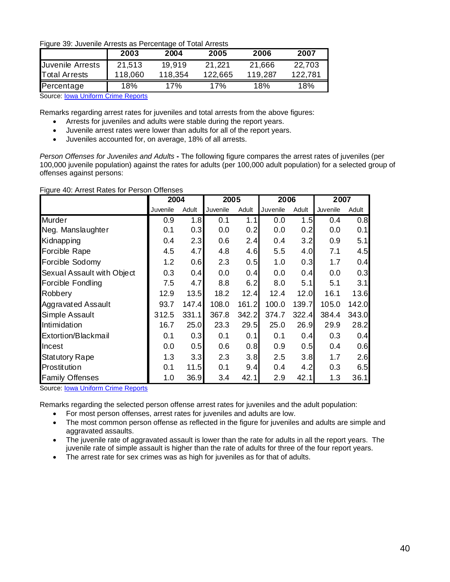|  |  |  | Figure 39: Juvenile Arrests as Percentage of Total Arrests |
|--|--|--|------------------------------------------------------------|
|  |  |  |                                                            |
|  |  |  |                                                            |
|  |  |  |                                                            |

|                                           | 2003    | 2004    | 2005    | 2006    | 2007    |
|-------------------------------------------|---------|---------|---------|---------|---------|
| <b>Juvenile Arrests</b>                   | 21,513  | 19.919  | 21.221  | 21,666  | 22,703  |
| <b>Total Arrests</b>                      | 118,060 | 118,354 | 122,665 | 119.287 | 122.781 |
| Percentage                                | 18%     | 17%     | 17%     | 18%     | 18%     |
| <b>Course: Jowe Uniform Crime Peperts</b> |         |         |         |         |         |

Source: <u>Iowa Uniform Crime Reports</u>

Remarks regarding arrest rates for juveniles and total arrests from the above figures:

- Arrests for juveniles and adults were stable during the report years.
- Juvenile arrest rates were lower than adults for all of the report years.
- Juveniles accounted for, on average, 18% of all arrests.

*Person Offenses for Juveniles and Adults* **-** The following figure compares the arrest rates of juveniles (per 100,000 juvenile population) against the rates for adults (per 100,000 adult population) for a selected group of offenses against persons:

Figure 40: Arrest Rates for Person Offenses

|                            | 2004     |       | 2005     |       | 2006     |       | 2007     |       |
|----------------------------|----------|-------|----------|-------|----------|-------|----------|-------|
|                            | Juvenile | Adult | Juvenile | Adult | Juvenile | Adult | Juvenile | Adult |
| <b>Murder</b>              | 0.9      | 1.8   | 0.1      | 1.1   | 0.0      | 1.5   | 0.4      | 0.8   |
| Neg. Manslaughter          | 0.1      | 0.3   | 0.0      | 0.2   | 0.0      | 0.2   | 0.0      | 0.1   |
| Kidnapping                 | 0.4      | 2.3   | 0.6      | 2.4   | 0.4      | 3.2   | 0.9      | 5.1   |
| Forcible Rape              | 4.5      | 4.7   | 4.8      | 4.6   | 5.5      | 4.0   | 7.1      | 4.5   |
| Forcible Sodomy            | 1.2      | 0.6   | 2.3      | 0.5   | 1.0      | 0.3   | 1.7      | 0.4   |
| Sexual Assault with Object | 0.3      | 0.4   | 0.0      | 0.4   | 0.0      | 0.4   | 0.0      | 0.3   |
| Forcible Fondling          | 7.5      | 4.7   | 8.8      | 6.2   | 8.0      | 5.1   | 5.1      | 3.1   |
| Robbery                    | 12.9     | 13.5  | 18.2     | 12.4  | 12.4     | 12.0  | 16.1     | 13.6  |
| Aggravated Assault         | 93.7     | 147.4 | 108.0    | 161.2 | 100.0    | 139.7 | 105.0    | 142.0 |
| Simple Assault             | 312.5    | 331.1 | 367.8    | 342.2 | 374.7    | 322.4 | 384.4    | 343.0 |
| Intimidation               | 16.7     | 25.0  | 23.3     | 29.5  | 25.0     | 26.9  | 29.9     | 28.2  |
| Extortion/Blackmail        | 0.1      | 0.3   | 0.1      | 0.1   | 0.1      | 0.4   | 0.3      | 0.4   |
| Incest                     | 0.0      | 0.5   | 0.6      | 0.8   | 0.9      | 0.5   | 0.4      | 0.6   |
| <b>Statutory Rape</b>      | 1.3      | 3.3   | 2.3      | 3.8   | 2.5      | 3.8   | 1.7      | 2.6   |
| Prostitution               | 0.1      | 11.5  | 0.1      | 9.4   | 0.4      | 4.2   | 0.3      | 6.5   |
| <b>Family Offenses</b>     | 1.0      | 36.9  | 3.4      | 42.1  | 2.9      | 42.1  | 1.3      | 36.1  |

Source: Iowa Uniform Crime Reports

Remarks regarding the selected person offense arrest rates for juveniles and the adult population:

- For most person offenses, arrest rates for juveniles and adults are low.
- The most common person offense as reflected in the figure for juveniles and adults are simple and aggravated assaults.
- The juvenile rate of aggravated assault is lower than the rate for adults in all the report years. The juvenile rate of simple assault is higher than the rate of adults for three of the four report years.
- The arrest rate for sex crimes was as high for juveniles as for that of adults.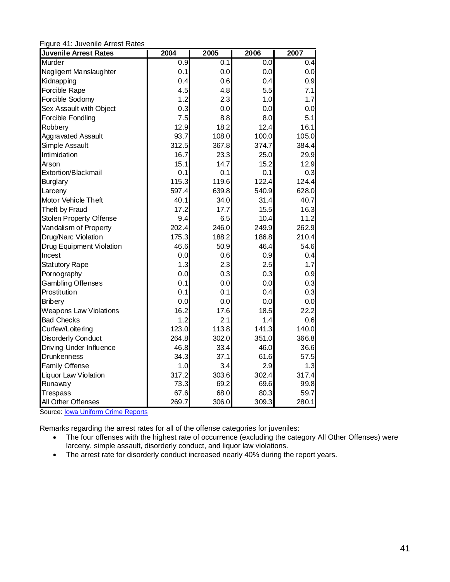Figure 41: Juvenile Arrest Rates

| <b>Juvenile Arrest Rates</b>   | 2004             | 2005  | 2006  | 2007  |
|--------------------------------|------------------|-------|-------|-------|
| <b>Murder</b>                  | $\overline{0.9}$ | 0.1   | 0.0   | 0.4   |
| Negligent Manslaughter         | 0.1              | 0.0   | 0.0   | 0.0   |
| Kidnapping                     | 0.4              | 0.6   | 0.4   | 0.9   |
| Forcible Rape                  | 4.5              | 4.8   | 5.5   | 7.1   |
| Forcible Sodomy                | 1.2              | 2.3   | 1.0   | 1.7   |
| Sex Assault with Object        | 0.3              | 0.0   | 0.0   | 0.0   |
| Forcible Fondling              | 7.5              | 8.8   | 8.0   | 5.1   |
| Robbery                        | 12.9             | 18.2  | 12.4  | 16.1  |
| Aggravated Assault             | 93.7             | 108.0 | 100.0 | 105.0 |
| Simple Assault                 | 312.5            | 367.8 | 374.7 | 384.4 |
| Intimidation                   | 16.7             | 23.3  | 25.0  | 29.9  |
| Arson                          | 15.1             | 14.7  | 15.2  | 12.9  |
| Extortion/Blackmail            | 0.1              | 0.1   | 0.1   | 0.3   |
| <b>Burglary</b>                | 115.3            | 119.6 | 122.4 | 124.4 |
| Larceny                        | 597.4            | 639.8 | 540.9 | 628.0 |
| Motor Vehicle Theft            | 40.1             | 34.0  | 31.4  | 40.7  |
| Theft by Fraud                 | 17.2             | 17.7  | 15.5  | 16.3  |
| <b>Stolen Property Offense</b> | 9.4              | 6.5   | 10.4  | 11.2  |
| Vandalism of Property          | 202.4            | 246.0 | 249.9 | 262.9 |
| Drug/Narc Violation            | 175.3            | 188.2 | 186.8 | 210.4 |
| Drug Equipment Violation       | 46.6             | 50.9  | 46.4  | 54.6  |
| Incest                         | 0.0              | 0.6   | 0.9   | 0.4   |
| <b>Statutory Rape</b>          | 1.3              | 2.3   | 2.5   | 1.7   |
| Pornography                    | 0.0              | 0.3   | 0.3   | 0.9   |
| Gambling Offenses              | 0.1              | 0.0   | 0.0   | 0.3   |
| Prostitution                   | 0.1              | 0.1   | 0.4   | 0.3   |
| <b>Bribery</b>                 | 0.0              | 0.0   | 0.0   | 0.0   |
| <b>Weapons Law Violations</b>  | 16.2             | 17.6  | 18.5  | 22.2  |
| <b>Bad Checks</b>              | 1.2              | 2.1   | 1.4   | 0.6   |
| Curfew/Loitering               | 123.0            | 113.8 | 141.3 | 140.0 |
| <b>Disorderly Conduct</b>      | 264.8            | 302.0 | 351.0 | 366.8 |
| Driving Under Influence        | 46.8             | 33.4  | 46.0  | 36.6  |
| Drunkenness                    | 34.3             | 37.1  | 61.6  | 57.5  |
| <b>Family Offense</b>          | 1.0              | 3.4   | 2.9   | 1.3   |
| Liquor Law Violation           | 317.2            | 303.6 | 302.4 | 317.4 |
| Runaway                        | 73.3             | 69.2  | 69.6  | 99.8  |
| Trespass                       | 67.6             | 68.0  | 80.3  | 59.7  |
| All Other Offenses             | 269.7            | 306.0 | 309.3 | 280.1 |

Source: **<u>Iowa Uniform Crime Reports</u>** 

Remarks regarding the arrest rates for all of the offense categories for juveniles:

- The four offenses with the highest rate of occurrence (excluding the category All Other Offenses) were larceny, simple assault, disorderly conduct, and liquor law violations.
- The arrest rate for disorderly conduct increased nearly 40% during the report years.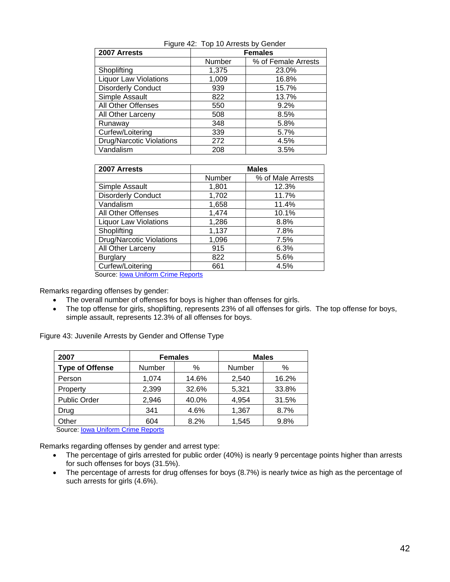| 2007 Arrests                    | <b>Females</b> |                     |  |  |  |
|---------------------------------|----------------|---------------------|--|--|--|
|                                 | Number         | % of Female Arrests |  |  |  |
| Shoplifting                     | 1,375          | 23.0%               |  |  |  |
| <b>Liquor Law Violations</b>    | 1,009          | 16.8%               |  |  |  |
| <b>Disorderly Conduct</b>       | 939            | 15.7%               |  |  |  |
| Simple Assault                  | 822            | 13.7%               |  |  |  |
| All Other Offenses              | 550            | 9.2%                |  |  |  |
| All Other Larceny               | 508            | 8.5%                |  |  |  |
| Runaway                         | 348            | 5.8%                |  |  |  |
| Curfew/Loitering                | 339            | 5.7%                |  |  |  |
| <b>Drug/Narcotic Violations</b> | 272            | 4.5%                |  |  |  |
| Vandalism                       | 208            | 3.5%                |  |  |  |

| Figure 42: Top 10 Arrests by Gender |  |  |  |
|-------------------------------------|--|--|--|
|                                     |  |  |  |

| 2007 Arrests                    | <b>Males</b> |                   |  |  |  |
|---------------------------------|--------------|-------------------|--|--|--|
|                                 | Number       | % of Male Arrests |  |  |  |
| Simple Assault                  | 1,801        | 12.3%             |  |  |  |
| <b>Disorderly Conduct</b>       | 1,702        | 11.7%             |  |  |  |
| Vandalism                       | 1,658        | 11.4%             |  |  |  |
| All Other Offenses              | 1,474        | 10.1%             |  |  |  |
| <b>Liquor Law Violations</b>    | 1,286        | 8.8%              |  |  |  |
| Shoplifting                     | 1,137        | 7.8%              |  |  |  |
| <b>Drug/Narcotic Violations</b> | 1,096        | 7.5%              |  |  |  |
| All Other Larceny               | 915          | 6.3%              |  |  |  |
| <b>Burglary</b>                 | 822          | 5.6%              |  |  |  |
| Curfew/Loitering                | 661          | 4.5%              |  |  |  |
| . <i>. .</i>                    |              |                   |  |  |  |

Source: **Iowa Uniform Crime Reports** 

Remarks regarding offenses by gender:

- The overall number of offenses for boys is higher than offenses for girls.
- The top offense for girls, shoplifting, represents 23% of all offenses for girls. The top offense for boys, simple assault, represents 12.3% of all offenses for boys.

| 2007                   |        | <b>Females</b> | <b>Males</b> |       |  |
|------------------------|--------|----------------|--------------|-------|--|
| <b>Type of Offense</b> | Number | %              | Number       | $\%$  |  |
| Person                 | 1.074  | 14.6%          | 2.540        | 16.2% |  |
| Property               | 2,399  | 32.6%          | 5,321        | 33.8% |  |
| <b>Public Order</b>    | 2,946  | 40.0%          | 4,954        | 31.5% |  |
| Drug                   | 341    | 4.6%           | 1,367        | 8.7%  |  |
| Other                  | 604    | 8.2%           | 1,545        | 9.8%  |  |

Figure 43: Juvenile Arrests by Gender and Offense Type

Source: Iowa Uniform Crime Reports

Remarks regarding offenses by gender and arrest type:

- The percentage of girls arrested for public order (40%) is nearly 9 percentage points higher than arrests for such offenses for boys (31.5%).
- The percentage of arrests for drug offenses for boys (8.7%) is nearly twice as high as the percentage of such arrests for girls (4.6%).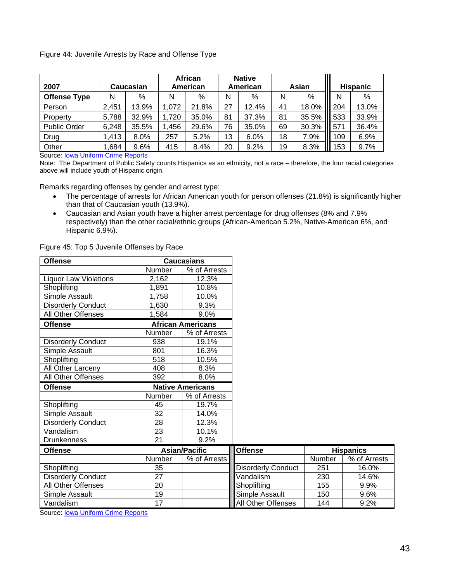Figure 44: Juvenile Arrests by Race and Offense Type

| 2007                |       | Caucasian | African<br>American |       | <b>Native</b><br>American |       |    | Asian | <b>Hispanic</b> |       |  |
|---------------------|-------|-----------|---------------------|-------|---------------------------|-------|----|-------|-----------------|-------|--|
| <b>Offense Type</b> | N     | %         | N                   | %     | N                         | %     | N  | %     | N               | %     |  |
| Person              | 2.451 | 13.9%     | 1,072               | 21.8% | 27                        | 12.4% | 41 | 18.0% | 204             | 13.0% |  |
| Property            | 5,788 | 32.9%     | 1,720               | 35.0% | 81                        | 37.3% | 81 | 35.5% | 533             | 33.9% |  |
| <b>Public Order</b> | 6,248 | 35.5%     | 1,456               | 29.6% | 76                        | 35.0% | 69 | 30.3% | 571             | 36.4% |  |
| Drug                | 1,413 | 8.0%      | 257                 | 5.2%  | 13                        | 6.0%  | 18 | 7.9%  | 109             | 6.9%  |  |
| Other               | .684  | 9.6%      | 415                 | 8.4%  | 20                        | 9.2%  | 19 | 8.3%  | 153             | 9.7%  |  |

Source: Iowa Uniform Crime Reports

Note: The Department of Public Safety counts Hispanics as an ethnicity, not a race – therefore, the four racial categories above will include youth of Hispanic origin.

Remarks regarding offenses by gender and arrest type:

- The percentage of arrests for African American youth for person offenses (21.8%) is significantly higher than that of Caucasian youth (13.9%).
- Caucasian and Asian youth have a higher arrest percentage for drug offenses (8% and 7.9% respectively) than the other racial/ethnic groups (African-American 5.2%, Native-American 6%, and Hispanic 6.9%).

Figure 45: Top 5 Juvenile Offenses by Race

| <b>Offense</b>               | <b>Caucasians</b>        |                         |                                      |        |                  |
|------------------------------|--------------------------|-------------------------|--------------------------------------|--------|------------------|
|                              | Number                   | % of Arrests            |                                      |        |                  |
| <b>Liquor Law Violations</b> | 2,162                    | 12.3%                   |                                      |        |                  |
| Shoplifting                  | 1,891                    | 10.8%                   |                                      |        |                  |
| Simple Assault               | 1,758                    | 10.0%                   |                                      |        |                  |
| <b>Disorderly Conduct</b>    | 1,630                    | 9.3%                    |                                      |        |                  |
| All Other Offenses           | 1,584                    | 9.0%                    |                                      |        |                  |
| <b>Offense</b>               | <b>African Americans</b> |                         |                                      |        |                  |
|                              | Number                   | % of Arrests            |                                      |        |                  |
| <b>Disorderly Conduct</b>    | 938                      | 19.1%                   |                                      |        |                  |
| Simple Assault               | 801                      | 16.3%                   |                                      |        |                  |
| Shoplifting                  | 518                      | 10.5%                   |                                      |        |                  |
| All Other Larceny            | 408                      | 8.3%                    |                                      |        |                  |
| All Other Offenses           | 392                      | 8.0%                    |                                      |        |                  |
|                              |                          |                         |                                      |        |                  |
| <b>Offense</b>               |                          | <b>Native Americans</b> |                                      |        |                  |
|                              | Number                   | % of Arrests            |                                      |        |                  |
| Shoplifting                  | 45                       | 19.7%                   |                                      |        |                  |
| Simple Assault               | 32                       | 14.0%                   |                                      |        |                  |
| <b>Disorderly Conduct</b>    | 28                       | 12.3%                   |                                      |        |                  |
| Vandalism                    | 23                       | 10.1%                   |                                      |        |                  |
| <b>Drunkenness</b>           | 21                       | 9.2%                    |                                      |        |                  |
| <b>Offense</b>               |                          | <b>Asian/Pacific</b>    | <b>Offense</b>                       |        | <b>Hispanics</b> |
|                              | Number                   | % of Arrests            |                                      | Number | % of Arrests     |
| Shoplifting                  | 35                       |                         | <b>Disorderly Conduct</b>            | 251    | 16.0%            |
| <b>Disorderly Conduct</b>    | 27                       |                         | Vandalism                            | 230    | 14.6%            |
| All Other Offenses           | 20                       |                         | Shoplifting                          | 155    | 9.9%             |
| Simple Assault               | 19<br>17                 |                         | Simple Assault<br>All Other Offenses | 150    | 9.6%             |

Source: **Iowa Uniform Crime Reports**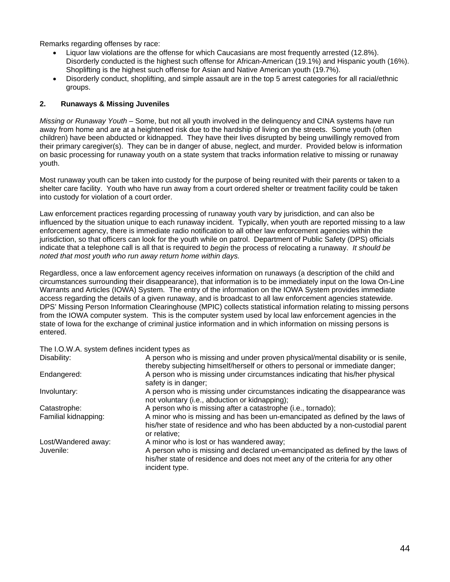Remarks regarding offenses by race:

- Liquor law violations are the offense for which Caucasians are most frequently arrested (12.8%). Disorderly conducted is the highest such offense for African-American (19.1%) and Hispanic youth (16%). Shoplifting is the highest such offense for Asian and Native American youth (19.7%).
- Disorderly conduct, shoplifting, and simple assault are in the top 5 arrest categories for all racial/ethnic groups.

#### **2. Runaways & Missing Juveniles**

*Missing or Runaway Youth* – Some, but not all youth involved in the delinquency and CINA systems have run away from home and are at a heightened risk due to the hardship of living on the streets. Some youth (often children) have been abducted or kidnapped. They have their lives disrupted by being unwillingly removed from their primary caregiver(s). They can be in danger of abuse, neglect, and murder. Provided below is information on basic processing for runaway youth on a state system that tracks information relative to missing or runaway youth.

Most runaway youth can be taken into custody for the purpose of being reunited with their parents or taken to a shelter care facility. Youth who have run away from a court ordered shelter or treatment facility could be taken into custody for violation of a court order.

Law enforcement practices regarding processing of runaway youth vary by jurisdiction, and can also be influenced by the situation unique to each runaway incident. Typically, when youth are reported missing to a law enforcement agency, there is immediate radio notification to all other law enforcement agencies within the jurisdiction, so that officers can look for the youth while on patrol. Department of Public Safety (DPS) officials indicate that a telephone call is all that is required to *begin* the process of relocating a runaway. *It should be noted that most youth who run away return home within days.* 

Regardless, once a law enforcement agency receives information on runaways (a description of the child and circumstances surrounding their disappearance), that information is to be immediately input on the Iowa On-Line Warrants and Articles (IOWA) System. The entry of the information on the IOWA System provides immediate access regarding the details of a given runaway, and is broadcast to all law enforcement agencies statewide. DPS' Missing Person Information Clearinghouse (MPIC) collects statistical information relating to missing persons from the IOWA computer system. This is the computer system used by local law enforcement agencies in the state of Iowa for the exchange of criminal justice information and in which information on missing persons is entered.

The I.O.W.A. system defines incident types as

| Disability:          | A person who is missing and under proven physical/mental disability or is senile,                                                                                                 |
|----------------------|-----------------------------------------------------------------------------------------------------------------------------------------------------------------------------------|
|                      | thereby subjecting himself/herself or others to personal or immediate danger;                                                                                                     |
| Endangered:          | A person who is missing under circumstances indicating that his/her physical<br>safety is in danger;                                                                              |
| Involuntary:         | A person who is missing under circumstances indicating the disappearance was<br>not voluntary (i.e., abduction or kidnapping);                                                    |
| Catastrophe:         | A person who is missing after a catastrophe (i.e., tornado);                                                                                                                      |
| Familial kidnapping: | A minor who is missing and has been un-emancipated as defined by the laws of<br>his/her state of residence and who has been abducted by a non-custodial parent<br>or relative:    |
| Lost/Wandered away:  | A minor who is lost or has wandered away;                                                                                                                                         |
| Juvenile:            | A person who is missing and declared un-emancipated as defined by the laws of<br>his/her state of residence and does not meet any of the criteria for any other<br>incident type. |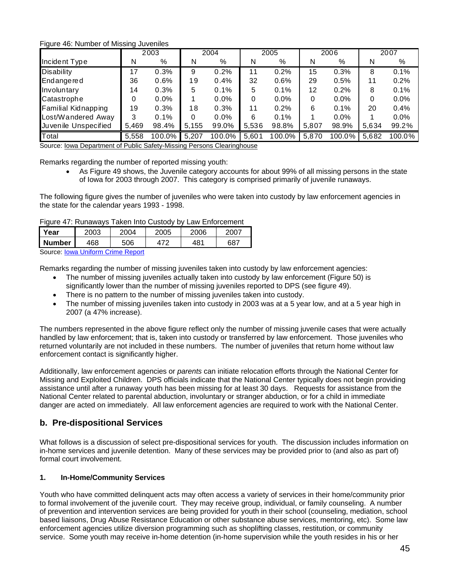#### Figure 46: Number of Missing Juveniles

|       |        |       |        |       |                                                                       |       |         |       | 2007   |
|-------|--------|-------|--------|-------|-----------------------------------------------------------------------|-------|---------|-------|--------|
| N     | %      | N     | %      | N     | %                                                                     | N     | %       | N     | %      |
| 17    | 0.3%   | 9     | 0.2%   | 11    | 0.2%                                                                  | 15    | 0.3%    | 8     | 0.1%   |
| 36    | 0.6%   | 19    | 0.4%   | 32    | 0.6%                                                                  | 29    | 0.5%    | 11    | 0.2%   |
| 14    | 0.3%   | 5     | 0.1%   | 5     | 0.1%                                                                  | 12    | 0.2%    | 8     | 0.1%   |
| 0     | 0.0%   |       | 0.0%   | 0     | 0.0%                                                                  | 0     | $0.0\%$ | 0     | 0.0%   |
| 19    | 0.3%   | 18    | 0.3%   | 11    | 0.2%                                                                  | 6     | 0.1%    | 20    | 0.4%   |
| 3     | 0.1%   | 0     | 0.0%   | 6     | 0.1%                                                                  |       | $0.0\%$ |       | 0.0%   |
| 5,469 | 98.4%  | 5.155 | 99.0%  | 5,536 | 98.8%                                                                 | 5,807 | 98.9%   | 5.634 | 99.2%  |
| 5,558 | 100.0% | 5,207 | 100.0% | 5,601 | $00.0\%$                                                              | 5,870 | 100.0%  | 5,682 | 100.0% |
|       |        | 2003  |        | 2004  | Course Jours Department of Dublic Cafety Missing Demana Clearinghouse | 2005  |         | 2006  |        |

Source: <u>Iowa Department of Public Safety-Missing Persons Clearinghouse</u>

Remarks regarding the number of reported missing youth:

• As Figure 49 shows, the Juvenile category accounts for about 99% of all missing persons in the state of Iowa for 2003 through 2007. This category is comprised primarily of juvenile runaways.

The following figure gives the number of juveniles who were taken into custody by law enforcement agencies in the state for the calendar years 1993 - 1998.

|  |  | Figure 47: Runaways Taken Into Custody by Law Enforcement |
|--|--|-----------------------------------------------------------|
|  |  |                                                           |

| Year   | 2003                                     | 2004 | 2005       | 2006 | 2007 |  |  |  |  |  |  |
|--------|------------------------------------------|------|------------|------|------|--|--|--|--|--|--|
| Number | 468                                      | 506  | <b>17つ</b> | 481  | 687  |  |  |  |  |  |  |
|        | Source: <b>Jowa Uniform Crime Report</b> |      |            |      |      |  |  |  |  |  |  |

Remarks regarding the number of missing juveniles taken into custody by law enforcement agencies:

- The number of missing juveniles actually taken into custody by law enforcement (Figure 50) is significantly lower than the number of missing juveniles reported to DPS (see figure 49).
- There is no pattern to the number of missing juveniles taken into custody.
- The number of missing juveniles taken into custody in 2003 was at a 5 year low, and at a 5 year high in 2007 (a 47% increase).

The numbers represented in the above figure reflect only the number of missing juvenile cases that were actually handled by law enforcement; that is, taken into custody or transferred by law enforcement. Those juveniles who returned voluntarily are not included in these numbers. The number of juveniles that return home without law enforcement contact is significantly higher.

Additionally, law enforcement agencies or *parents* can initiate relocation efforts through the National Center for Missing and Exploited Children. DPS officials indicate that the National Center typically does not begin providing assistance until after a runaway youth has been missing for at least 30 days. Requests for assistance from the National Center related to parental abduction, involuntary or stranger abduction, or for a child in immediate danger are acted on immediately. All law enforcement agencies are required to work with the National Center.

# **b. Pre-dispositional Services**

What follows is a discussion of select pre-dispositional services for youth. The discussion includes information on in-home services and juvenile detention. Many of these services may be provided prior to (and also as part of) formal court involvement.

## **1. In-Home/Community Services**

Youth who have committed delinquent acts may often access a variety of services in their home/community prior to formal involvement of the juvenile court. They may receive group, individual, or family counseling. A number of prevention and intervention services are being provided for youth in their school (counseling, mediation, school based liaisons, Drug Abuse Resistance Education or other substance abuse services, mentoring, etc). Some law enforcement agencies utilize diversion programming such as shoplifting classes, restitution, or community service. Some youth may receive in-home detention (in-home supervision while the youth resides in his or her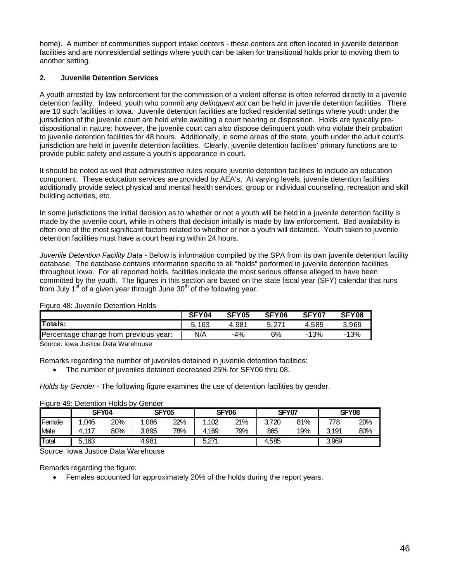home). A number of communities support intake centers - these centers are often located in juvenile detention facilities and are nonresidential settings where youth can be taken for transitional holds prior to moving them to another setting.

#### **2. Juvenile Detention Services**

A youth arrested by law enforcement for the commission of a violent offense is often referred directly to a juvenile detention facility. Indeed, youth who commit *any delinquent act* can be held in juvenile detention facilities. There are 10 such facilities in Iowa. Juvenile detention facilities are locked residential settings where youth under the jurisdiction of the juvenile court are held while awaiting a court hearing or disposition. Holds are typically predispositional in nature; however, the juvenile court can also dispose delinquent youth who violate their probation to juvenile detention facilities for 48 hours. Additionally, in some areas of the state, youth under the adult court's jurisdiction are held in juvenile detention facilities. Clearly, juvenile detention facilities' primary functions are to provide public safety and assure a youth's appearance in court.

It should be noted as well that administrative rules require juvenile detention facilities to include an education component. These education services are provided by AEA's. At varying levels, juvenile detention facilities additionally provide select physical and mental health services, group or individual counseling, recreation and skill building activities, etc.

In some jurisdictions the initial decision as to whether or not a youth will be held in a juvenile detention facility is made by the juvenile court, while in others that decision initially is made by law enforcement. Bed availability is often one of the most significant factors related to whether or not a youth will detained. Youth taken to juvenile detention facilities must have a court hearing within 24 hours.

*Juvenile Detention Facility Data* - Below is information compiled by the SPA from its own juvenile detention facility database. The database contains information specific to all "holds" performed in juvenile detention facilities throughout Iowa. For all reported holds, facilities indicate the most serious offense alleged to have been committed by the youth. The figures in this section are based on the state fiscal year (SFY) calendar that runs from July  $1<sup>st</sup>$  of a given year through June  $30<sup>th</sup>$  of the following year.

Figure 48: Juvenile Detention Holds

|                                       | SFY04     | SFY05 | SFY06 | SFY07  | SFY08 |
|---------------------------------------|-----------|-------|-------|--------|-------|
| Totals:                               | 163<br>5. | 4.981 |       | 4.585  | 3.969 |
| Percentage change from previous year: | N/A       | $-4%$ | 6%    | $-13%$ | 13%   |

Source: Iowa Justice Data Warehouse

Remarks regarding the number of juveniles detained in juvenile detention facilities:

• The number of juveniles detained decreased 25% for SFY06 thru 08.

*Holds by Gender* - The following figure examines the use of detention facilities by gender.

|  |  | Figure 49: Detention Holds by Gender |  |
|--|--|--------------------------------------|--|
|  |  |                                      |  |
|  |  |                                      |  |

|        | SFY04  |     | SFY05 |     | SFY06 |     | SFY07 |     | SFY <sub>08</sub> |     |
|--------|--------|-----|-------|-----|-------|-----|-------|-----|-------------------|-----|
| Female | ,046   | 20% | .086  | 22% | 102   | 21% | .720  | 81% | 778               | 20% |
| Male   | $-117$ | 80% | 3.895 | 78% | 4.169 | 79% | 865   | 19% | 3.191             | 80% |
| Total  | 5,163  |     | l.981 |     | 5,27' |     | 4,585 |     | 3,969             |     |

Source: Iowa Justice Data Warehouse

Remarks regarding the figure:

• Females accounted for approximately 20% of the holds during the report years.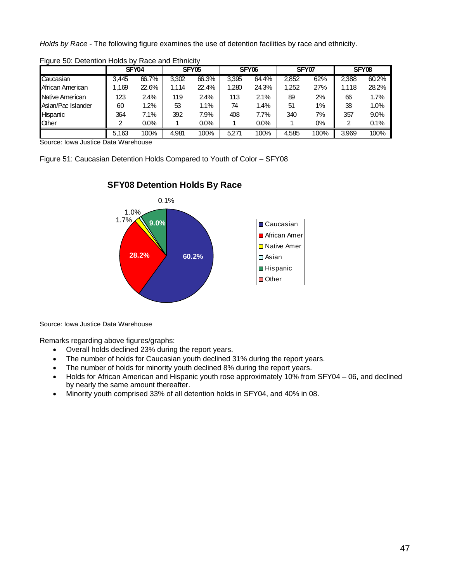*Holds by Race* - The following figure examines the use of detention facilities by race and ethnicity.

|                    | SFY <sub>04</sub> |         | SFY <sub>05</sub> |         | SFY <sub>06</sub> |         | SFY07 |       | SFY <sub>08</sub> |       |
|--------------------|-------------------|---------|-------------------|---------|-------------------|---------|-------|-------|-------------------|-------|
| Caucasian          | 3.445             | 66.7%   | 3.302             | 66.3%   | 3.395             | 64.4%   | 2.852 | 62%   | 2,388             | 60.2% |
| African American   | .169              | 22.6%   | 1,114             | 22.4%   | 1.280             | 24.3%   | 1.252 | 27%   | 1,118             | 28.2% |
| Native American    | 123               | 2.4%    | 119               | 2.4%    | 113               | 2.1%    | 89    | 2%    | 66                | 1.7%  |
| Asian/Pac Islander | 60                | 1.2%    | 53                | 1.1%    | 74                | 1.4%    | 51    | $1\%$ | 38                | 1.0%  |
| Hispanic           | 364               | 7.1%    | 392               | 7.9%    | 408               | 7.7%    | 340   | 7%    | 357               | 9.0%  |
| <b>Other</b>       | ◠                 | $0.0\%$ |                   | $0.0\%$ |                   | $0.0\%$ |       | $0\%$ | 2                 | 0.1%  |
|                    | 5,163             | 100%    | 4,981             | 100%    | 5.271             | 100%    | 4,585 | 100%  | 3,969             | 100%  |

Figure 50: Detention Holds by Race and Ethnicity

Source: Iowa Justice Data Warehouse

Figure 51: Caucasian Detention Holds Compared to Youth of Color – SFY08



# **SFY08 Detention Holds By Race**

Source: Iowa Justice Data Warehouse

Remarks regarding above figures/graphs:

- Overall holds declined 23% during the report years.
- The number of holds for Caucasian youth declined 31% during the report years.
- The number of holds for minority youth declined 8% during the report years.
- Holds for African American and Hispanic youth rose approximately 10% from SFY04 06, and declined by nearly the same amount thereafter.
- Minority youth comprised 33% of all detention holds in SFY04, and 40% in 08.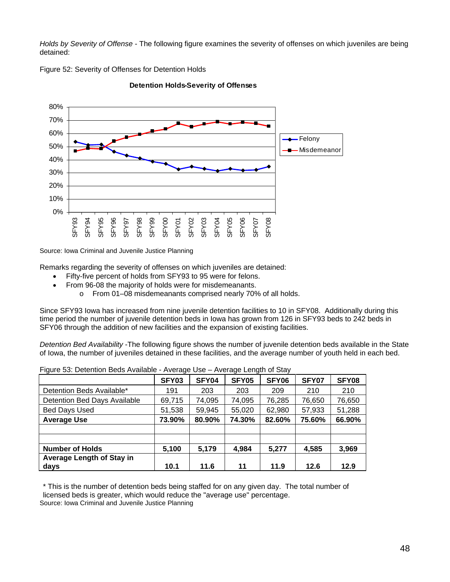*Holds by Severity of Offense* - The following figure examines the severity of offenses on which juveniles are being detained:

Figure 52: Severity of Offenses for Detention Holds



**Detention Holds-Severity of Offenses**

Source: Iowa Criminal and Juvenile Justice Planning

Remarks regarding the severity of offenses on which juveniles are detained:

- Fifty-five percent of holds from SFY93 to 95 were for felons.
	- From 96-08 the majority of holds were for misdemeanants.
		- o From 01–08 misdemeanants comprised nearly 70% of all holds.

Since SFY93 Iowa has increased from nine juvenile detention facilities to 10 in SFY08. Additionally during this time period the number of juvenile detention beds in Iowa has grown from 126 in SFY93 beds to 242 beds in SFY06 through the addition of new facilities and the expansion of existing facilities.

*Detention Bed Availability* -The following figure shows the number of juvenile detention beds available in the State of Iowa, the number of juveniles detained in these facilities, and the average number of youth held in each bed.

|                                  | SFY03  | SFY04  | $-90$ $-0.9$ $-0.00$<br>SFY05 | SFY06  | SFY07  | SFY08  |
|----------------------------------|--------|--------|-------------------------------|--------|--------|--------|
| Detention Beds Available*        | 191    | 203    | 203                           | 209    | 210    | 210    |
| Detention Bed Days Available     | 69,715 | 74,095 | 74,095                        | 76,285 | 76,650 | 76,650 |
| <b>Bed Days Used</b>             | 51,538 | 59,945 | 55,020                        | 62,980 | 57,933 | 51,288 |
| <b>Average Use</b>               | 73.90% | 80.90% | 74.30%                        | 82.60% | 75.60% | 66.90% |
|                                  |        |        |                               |        |        |        |
|                                  |        |        |                               |        |        |        |
| <b>Number of Holds</b>           | 5,100  | 5,179  | 4,984                         | 5,277  | 4,585  | 3,969  |
| <b>Average Length of Stay in</b> |        |        |                               |        |        |        |
| days                             | 10.1   | 11.6   | 11                            | 11.9   | 12.6   | 12.9   |

Figure 53: Detention Beds Available - Average Use – Average Length of Stay

\* This is the number of detention beds being staffed for on any given day. The total number of

licensed beds is greater, which would reduce the "average use" percentage.

Source: Iowa Criminal and Juvenile Justice Planning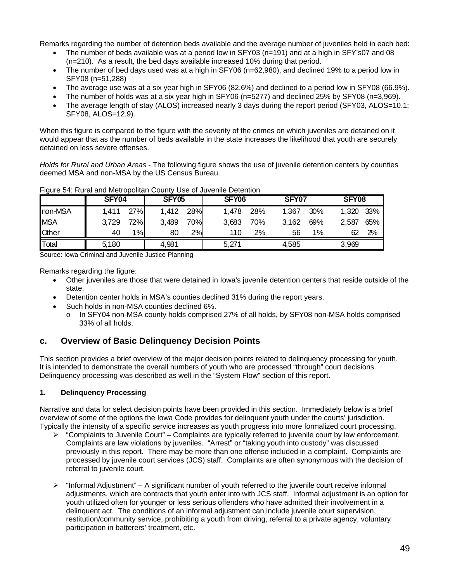Remarks regarding the number of detention beds available and the average number of juveniles held in each bed:

- The number of beds available was at a period low in SFY03 (n=191) and at a high in SFY's07 and 08 (n=210). As a result, the bed days available increased 10% during that period.
- The number of bed days used was at a high in SFY06 (n=62,980), and declined 19% to a period low in SFY08 (n=51,288)
- The average use was at a six year high in SFY06 (82.6%) and declined to a period low in SFY08 (66.9%).
- The number of holds was at a six year high in SFY06 (n=5277) and declined 25% by SFY08 (n=3,969).
- The average length of stay (ALOS) increased nearly 3 days during the report period (SFY03, ALOS=10.1; SFY08, ALOS=12.9).

When this figure is compared to the figure with the severity of the crimes on which juveniles are detained on it would appear that as the number of beds available in the state increases the likelihood that youth are securely detained on less severe offenses.

*Holds for Rural and Urban Areas* - The following figure shows the use of juvenile detention centers by counties deemed MSA and non-MSA by the US Census Bureau.

|            | SFY04<br>SFY <sub>05</sub> |     | SFY <sub>06</sub> |     | SFY07 |     | SFY08 |     |       |     |
|------------|----------------------------|-----|-------------------|-----|-------|-----|-------|-----|-------|-----|
| non-MSA    | 1.411                      | 27% | 1,412             | 28% | 1,478 | 28% | 1,367 | 30% | 1,320 | 33% |
| <b>MSA</b> | 3,729                      | 72% | 3,489             | 70% | 3,683 | 70% | 3.162 | 69% | 2,587 | 65% |
| Other      | 40                         | 1%  | 80                | 2%  | 110   | 2%  | 56    | 1%  | 62    | 2%  |
| Total      | 5,180                      |     | 4,981             |     | 5,271 |     | 4,585 |     | 3,969 |     |

Figure 54: Rural and Metropolitan County Use of Juvenile Detention

Source: Iowa Criminal and Juvenile Justice Planning

Remarks regarding the figure:

- Other juveniles are those that were detained in Iowa's juvenile detention centers that reside outside of the state.
- Detention center holds in MSA's counties declined 31% during the report years.
- Such holds in non-MSA counties declined 6%.
	- o In SFY04 non-MSA county holds comprised 27% of all holds, by SFY08 non-MSA holds comprised 33% of all holds.

# **c. Overview of Basic Delinquency Decision Points**

This section provides a brief overview of the major decision points related to delinquency processing for youth. It is intended to demonstrate the overall numbers of youth who are processed "through" court decisions. Delinquency processing was described as well in the "System Flow" section of this report.

#### **1. Delinquency Processing**

Narrative and data for select decision points have been provided in this section. Immediately below is a brief overview of some of the options the Iowa Code provides for delinquent youth under the courts' jurisdiction. Typically the intensity of a specific service increases as youth progress into more formalized court processing.

- $\triangleright$  "Complaints to Juvenile Court" Complaints are typically referred to juvenile court by law enforcement. Complaints are law violations by juveniles. "Arrest" or "taking youth into custody" was discussed previously in this report. There may be more than one offense included in a complaint. Complaints are processed by juvenile court services (JCS) staff. Complaints are often synonymous with the decision of referral to juvenile court.
- $\triangleright$  "Informal Adjustment" A significant number of youth referred to the juvenile court receive informal adjustments, which are contracts that youth enter into with JCS staff. Informal adjustment is an option for youth utilized often for younger or less serious offenders who have admitted their involvement in a delinquent act. The conditions of an informal adjustment can include juvenile court supervision, restitution/community service, prohibiting a youth from driving, referral to a private agency, voluntary participation in batterers' treatment, etc.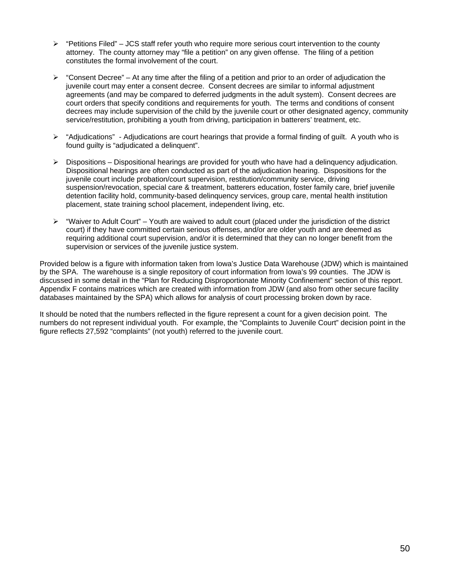- $\triangleright$  "Petitions Filed" JCS staff refer youth who require more serious court intervention to the county attorney. The county attorney may "file a petition" on any given offense. The filing of a petition constitutes the formal involvement of the court.
- $\triangleright$  "Consent Decree" At any time after the filing of a petition and prior to an order of adjudication the juvenile court may enter a consent decree. Consent decrees are similar to informal adjustment agreements (and may be compared to deferred judgments in the adult system). Consent decrees are court orders that specify conditions and requirements for youth. The terms and conditions of consent decrees may include supervision of the child by the juvenile court or other designated agency, community service/restitution, prohibiting a youth from driving, participation in batterers' treatment, etc.
- $\triangleright$  "Adjudications" Adjudications are court hearings that provide a formal finding of guilt. A youth who is found guilty is "adjudicated a delinquent".
- $\triangleright$  Dispositions Dispositional hearings are provided for youth who have had a delinguency adjudication. Dispositional hearings are often conducted as part of the adjudication hearing. Dispositions for the juvenile court include probation/court supervision, restitution/community service, driving suspension/revocation, special care & treatment, batterers education, foster family care, brief juvenile detention facility hold, community-based delinquency services, group care, mental health institution placement, state training school placement, independent living, etc.
- $\triangleright$  "Waiver to Adult Court" Youth are waived to adult court (placed under the jurisdiction of the district court) if they have committed certain serious offenses, and/or are older youth and are deemed as requiring additional court supervision, and/or it is determined that they can no longer benefit from the supervision or services of the juvenile justice system.

Provided below is a figure with information taken from Iowa's Justice Data Warehouse (JDW) which is maintained by the SPA. The warehouse is a single repository of court information from Iowa's 99 counties. The JDW is discussed in some detail in the "Plan for Reducing Disproportionate Minority Confinement" section of this report. Appendix F contains matrices which are created with information from JDW (and also from other secure facility databases maintained by the SPA) which allows for analysis of court processing broken down by race.

It should be noted that the numbers reflected in the figure represent a count for a given decision point. The numbers do not represent individual youth. For example, the "Complaints to Juvenile Court" decision point in the figure reflects 27,592 "complaints" (not youth) referred to the juvenile court.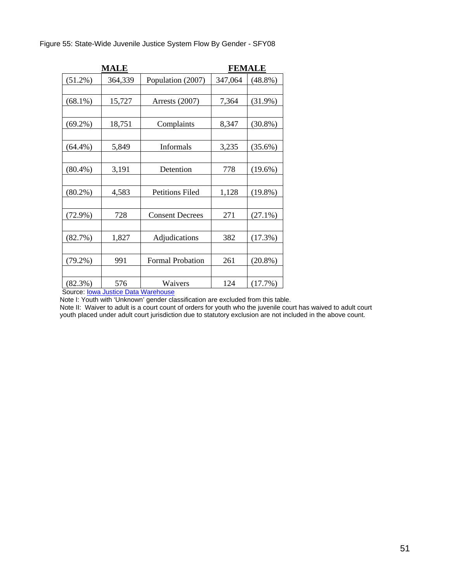|            | <b>MALE</b> |                         |         | <b>FEMALE</b> |
|------------|-------------|-------------------------|---------|---------------|
| $(51.2\%)$ | 364,339     | Population (2007)       | 347,064 | $(48.8\%)$    |
| $(68.1\%)$ | 15,727      | Arrests $(2007)$        | 7,364   | $(31.9\%)$    |
| $(69.2\%)$ | 18,751      | Complaints              | 8,347   | $(30.8\%)$    |
| $(64.4\%)$ | 5,849       | Informals               | 3,235   | $(35.6\%)$    |
| $(80.4\%)$ | 3,191       | Detention               | 778     | $(19.6\%)$    |
| $(80.2\%)$ | 4,583       | <b>Petitions Filed</b>  | 1,128   | $(19.8\%)$    |
| $(72.9\%)$ | 728         | <b>Consent Decrees</b>  | 271     | $(27.1\%)$    |
| (82.7%)    | 1,827       | Adjudications           | 382     | (17.3%)       |
| $(79.2\%)$ | 991         | <b>Formal Probation</b> | 261     | $(20.8\%)$    |
| $(82.3\%)$ | 576         | Waivers                 | 124     | (17.7%)       |

Figure 55: State-Wide Juvenile Justice System Flow By Gender - SFY08

Note I: Youth with 'Unknown' gender classification are excluded from this table.

 Note II: Waiver to adult is a court count of orders for youth who the juvenile court has waived to adult court youth placed under adult court jurisdiction due to statutory exclusion are not included in the above count.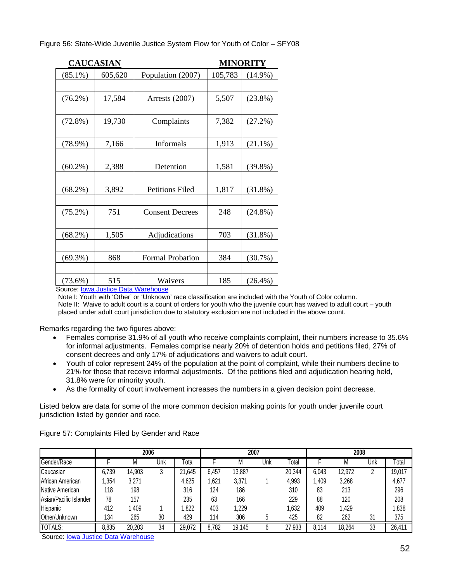Figure 56: State-Wide Juvenile Justice System Flow for Youth of Color – SFY08

| <b>CAUCASIAN</b>                               |         |                         | <b>MINORITY</b> |            |
|------------------------------------------------|---------|-------------------------|-----------------|------------|
| $(85.1\%)$                                     | 605,620 | Population (2007)       | 105,783         | $(14.9\%)$ |
|                                                |         |                         |                 |            |
| $(76.2\%)$                                     | 17,584  | Arrests (2007)          | 5,507           | $(23.8\%)$ |
|                                                |         |                         |                 |            |
| $(72.8\%)$                                     | 19,730  | Complaints              | 7,382           | (27.2%)    |
|                                                |         |                         |                 |            |
| $(78.9\%)$                                     | 7,166   | Informals               | 1,913           | $(21.1\%)$ |
|                                                |         |                         |                 |            |
| $(60.2\%)$                                     | 2,388   | Detention               | 1,581           | $(39.8\%)$ |
|                                                |         |                         |                 |            |
| $(68.2\%)$                                     | 3,892   | <b>Petitions Filed</b>  | 1,817           | $(31.8\%)$ |
|                                                |         |                         |                 |            |
| $(75.2\%)$                                     | 751     | <b>Consent Decrees</b>  | 248             | $(24.8\%)$ |
|                                                |         |                         |                 |            |
| (68.2%)                                        | 1,505   | Adjudications           | 703             | $(31.8\%)$ |
|                                                |         |                         |                 |            |
| $(69.3\%)$                                     | 868     | <b>Formal Probation</b> | 384             | (30.7%)    |
|                                                |         |                         |                 |            |
| (73.6%)<br>Source: Jowe Justice Data Warehouse | 515     | Waivers                 | 185             | $(26.4\%)$ |

Source: lowa Justice Data Warehouse

 Note I: Youth with 'Other' or 'Unknown' race classification are included with the Youth of Color column. Note II: Waive to adult court is a count of orders for youth who the juvenile court has waived to adult court – youth placed under adult court jurisdiction due to statutory exclusion are not included in the above count.

Remarks regarding the two figures above:

- Females comprise 31.9% of all youth who receive complaints complaint, their numbers increase to 35.6% for informal adjustments. Females comprise nearly 20% of detention holds and petitions filed, 27% of consent decrees and only 17% of adjudications and waivers to adult court.
- Youth of color represent 24% of the population at the point of complaint, while their numbers decline to 21% for those that receive informal adjustments. Of the petitions filed and adjudication hearing held, 31.8% were for minority youth.
- As the formality of court involvement increases the numbers in a given decision point decrease.

Listed below are data for some of the more common decision making points for youth under juvenile court jurisdiction listed by gender and race.

|                        | 2006  |        |     | 2007       |       |        |     | 2008   |       |        |     |        |
|------------------------|-------|--------|-----|------------|-------|--------|-----|--------|-------|--------|-----|--------|
| Gender/Race            |       | M      | Unk | Total      |       | M      | Unk | Total  |       | М      | Unk | Total  |
| Caucasian              | 6,739 | 14,903 | 3   | .645<br>21 | 6,457 | 13,887 |     | 20,344 | 6,043 | 12,972 |     | 19,017 |
| African American       | ,354  | 3,271  |     | 4,625      | ,621  | 3,371  |     | 4,993  | ,409  | 3,268  |     | 4,677  |
| Native American        | 118   | 198    |     | 316        | 124   | 186    |     | 310    | 83    | 213    |     | 296    |
| Asian/Pacific Islander | 78    | 157    |     | 235        | 63    | 166    |     | 229    | 88    | 120    |     | 208    |
| Hispanic               | 412   | 1,409  |     | ,822       | 403   | 1,229  |     | ,632   | 409   | 1,429  |     | 838,   |
| Other/Unknown          | 134   | 265    | 30  | 429        | 114   | 306    | b   | 425    | 82    | 262    | 31  | 375    |
| <b>TOTALS:</b>         | 8,835 | 20,203 | 34  | 29.072     | 8.782 | 19.145 | 6   | 27.933 | 8.114 | 18.264 | 33  | 26,411 |

Figure 57: Complaints Filed by Gender and Race

Source: **Iowa Justice Data Warehouse**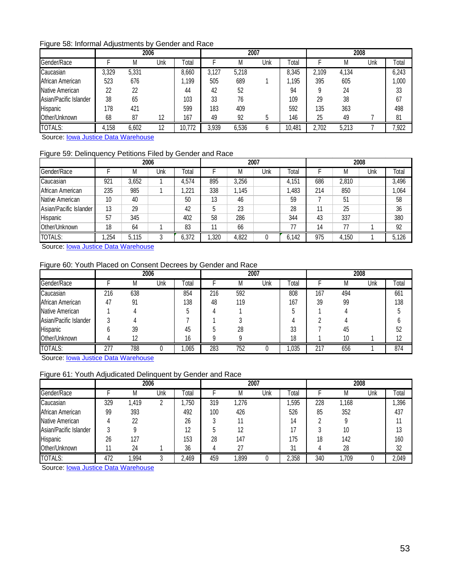#### Figure 58: Informal Adjustments by Gender and Race

|                        | 2006  |       |     | 2007                      |       |       |     | 2008         |       |       |     |       |
|------------------------|-------|-------|-----|---------------------------|-------|-------|-----|--------------|-------|-------|-----|-------|
| Gender/Race            |       | Μ     | Unk | $\overline{\text{total}}$ |       | M     | Unk | <b>Total</b> |       | M     | Unk | Total |
| Caucasian              | 3,329 | 5,331 |     | 8,660                     | 3,127 | 5,218 |     | 8,345        | 2.109 | 4,134 |     | 6,243 |
| African American       | 523   | 676   |     | 1,199                     | 505   | 689   |     | ,195         | 395   | 605   |     | 1,000 |
| Native American        | 22    | 22    |     | 44                        | 42    | 52    |     | 94           |       | 24    |     | 33    |
| Asian/Pacific Islander | 38    | 65    |     | 103                       | 33    | 76    |     | 109          | 29    | 38    |     | 67    |
| Hispanic               | 178   | 421   |     | 599                       | 183   | 409   |     | 592          | 135   | 363   |     | 498   |
| Other/Unknown          | 68    | 87    | 12  | 167                       | 49    | 92    |     | 146          | 25    | 49    |     | 81    |
| <b>TOTALS:</b>         | 4,158 | 6,602 | 12  | 10.772                    | 3,939 | 6,536 | 6   | 10.481       | 2.702 | 5,213 |     | 7,922 |

Source: lowa Justice Data Warehouse

## Figure 59: Delinquency Petitions Filed by Gender and Race

|                        |      |       | 2006 |       | 2007 |       |     |       | 2008 |       |     |       |
|------------------------|------|-------|------|-------|------|-------|-----|-------|------|-------|-----|-------|
| Gender/Race            |      | M     | Unk  | Total |      | Μ     | Unk | Total |      | М     | Unk | Total |
| Caucasian              | 921  | 3,652 |      | 4.574 | 895  | 3,256 |     | 4,151 | 686  | 2,810 |     | 3.496 |
| African American       | 235  | 985   |      | .221  | 338  | 1.145 |     | ,483  | 214  | 850   |     | 1,064 |
| Native American        | 10   | 40    |      | 50    | 13   | 46    |     | 59    |      | 51    |     | 58    |
| Asian/Pacific Islander | 13   | 29    |      | 42    | 5    | 23    |     | 28    |      | 25    |     | 36    |
| Hispanic               | 57   | 345   |      | 402   | 58   | 286   |     | 344   | 43   | 337   |     | 380   |
| Other/Unknown          | 18   | 64    |      | 83    | 11   | 66    |     | 77    | 14   | 77    |     | 92    |
| <b>TOTALS:</b>         | ,254 | 5,115 |      | 6,372 | ,320 | 4.822 |     | 6.142 | 975  | 4,150 |     | 5,126 |

Source: Iowa Justice Data Warehouse

#### Figure 60: Youth Placed on Consent Decrees by Gender and Race

|                        |     |     | 2006 |                           |     |     | 2007 |                           | 2008 |     |     |       |
|------------------------|-----|-----|------|---------------------------|-----|-----|------|---------------------------|------|-----|-----|-------|
| Gender/Race            |     |     | Unk  | $\overline{\text{Total}}$ |     | ΙM  | Unk  | $\overline{\text{total}}$ |      | M   | Unk | Total |
| Caucasian              | 216 | 638 |      | 854                       | 216 | 592 |      | 808                       | 167  | 494 |     | 661   |
| African American       | 47  | 91  |      | 138                       | 48  | 119 |      | 167                       | 39   | 99  |     | 138   |
| Native American        |     |     |      |                           |     |     |      |                           |      |     |     |       |
| Asian/Pacific Islander |     |     |      |                           |     |     |      |                           |      |     |     |       |
| Hispanic               |     | 39  |      | 45                        |     | 28  |      | 33                        |      | 45  |     | 52    |
| Other/Unknown          |     | 12  |      | 16                        |     |     |      | 18                        |      | 10  |     | 12    |
| TOTALS:                | 277 | 788 |      | ,065                      | 283 | 752 |      | ,035                      | 217  | 656 |     | 874   |

Source: lowa Justice Data Warehouse

# Figure 61: Youth Adjudicated Delinquent by Gender and Race

|                        |     | 2006  |        |                           | 2007 |       |     |       | 2008 |       |     |       |
|------------------------|-----|-------|--------|---------------------------|------|-------|-----|-------|------|-------|-----|-------|
| Gender/Race            |     | IVI   | Unk    | $\overline{\text{total}}$ |      | M     | Unk | Total |      | ΙVΙ   | Unk | Total |
| Caucasian              | 329 | 1,419 | ∩<br>∠ | ,750                      | 319  | 1,276 |     | ,595  | 228  | 1,168 |     | 396,  |
| African American       | 99  | 393   |        | 492                       | 100  | 426   |     | 526   | 85   | 352   |     | 437   |
| Native American        |     | 22    |        | 26                        |      | 11    |     | 14    |      |       |     |       |
| Asian/Pacific Islander |     |       |        | 12                        |      | 12    |     |       |      | 10    |     | 13    |
| Hispanic               | 26  | 127   |        | 153                       | 28   | 147   |     | 175   | 18   | 142   |     | 160   |
| Other/Unknown          |     | 24    |        | 36                        |      | 27    |     | 31    |      | 28    |     | 32    |
| <b>TOTALS:</b>         | 472 | ,994  | ∩<br>J | 2,469                     | 459  | ,899  |     | 2,358 | 340  | ,709  |     | 2,049 |

Source: **Iowa Justice Data Warehouse**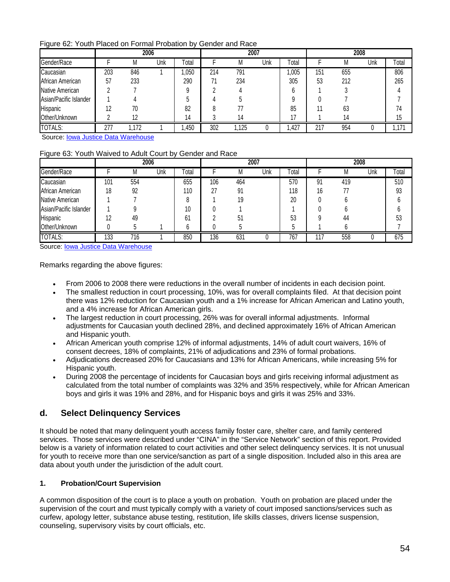#### Figure 62: Youth Placed on Formal Probation by Gender and Race

|                        |     |      | 2006 |       | 2007 |      |     |       | 2008 |            |     |       |
|------------------------|-----|------|------|-------|------|------|-----|-------|------|------------|-----|-------|
| Gender/Race            |     | IVI  | Unk  | Total |      | M    | Unk | Total |      | <b>IVI</b> | Unk | Total |
| Caucasian              | 203 | 846  |      | ,050  | 214  | 791  |     | ,005  | 151  | 655        |     | 806   |
| African American       | 57  | 233  |      | 290   |      | 234  |     | 305   | 53   | 212        |     | 265   |
| Native American        |     |      |      |       |      |      |     |       |      |            |     |       |
| Asian/Pacific Islander |     |      |      |       |      |      |     |       |      |            |     |       |
| Hispanic               |     | 70   |      | 82    |      |      |     | 85    | 11   | 63         |     | 74    |
| Other/Unknown          |     | 12   |      | 14    |      | 14   |     |       |      | 14         |     | 15    |
| <b>TOTALS:</b>         | 277 | .172 |      | ,450  | 302  | .125 |     | ,427  | 217  | 954        |     | 1,171 |

Source: Iowa Justice Data Warehouse

## Figure 63: Youth Waived to Adult Court by Gender and Race

|                        |     |     | 2006 |                           |     |     | 2007 |                                 |     |     | 2008 |       |
|------------------------|-----|-----|------|---------------------------|-----|-----|------|---------------------------------|-----|-----|------|-------|
| Gender/Race            |     | ΙVΙ | Unk  | $\overline{\text{Total}}$ |     | M   | Unk  | $\overline{\tau_{\text{otal}}}$ |     | M   | Unk  | Total |
| Caucasian              | 101 | 554 |      | 655                       | 106 | 464 |      | 570                             | 91  | 419 |      | 510   |
| African American       | 18  | 92  |      | 110                       | 27  | 91  |      | 118                             | 16  | 77  |      | 93    |
| Native American        |     |     |      |                           |     | 19  |      | 20                              |     |     |      |       |
| Asian/Pacific Islander |     |     |      | 10                        |     |     |      |                                 |     |     |      |       |
| Hispanic               | 12  | 49  |      | 61                        |     | 51  |      | 53                              |     | 44  |      | 53    |
| Other/Unknown          |     |     |      | 6                         |     |     |      |                                 |     |     |      |       |
| <b>TOTALS:</b>         | 133 | 716 |      | 850                       | 136 | 631 |      | 767                             | 117 | 558 |      | 675   |

Source: Iowa Justice Data Warehouse

Remarks regarding the above figures:

- From 2006 to 2008 there were reductions in the overall number of incidents in each decision point.
- The smallest reduction in court processing, 10%, was for overall complaints filed. At that decision point there was 12% reduction for Caucasian youth and a 1% increase for African American and Latino youth, and a 4% increase for African American girls.
- The largest reduction in court processing, 26% was for overall informal adjustments. Informal adjustments for Caucasian youth declined 28%, and declined approximately 16% of African American and Hispanic youth.
- African American youth comprise 12% of informal adjustments, 14% of adult court waivers, 16% of consent decrees, 18% of complaints, 21% of adjudications and 23% of formal probations.
- Adjudications decreased 20% for Caucasians and 13% for African Americans, while increasing 5% for Hispanic youth.
- During 2008 the percentage of incidents for Caucasian boys and girls receiving informal adjustment as calculated from the total number of complaints was 32% and 35% respectively, while for African American boys and girls it was 19% and 28%, and for Hispanic boys and girls it was 25% and 33%.

# **d. Select Delinquency Services**

It should be noted that many delinquent youth access family foster care, shelter care, and family centered services. Those services were described under "CINA" in the "Service Network" section of this report. Provided below is a variety of information related to court activities and other select delinquency services. It is not unusual for youth to receive more than one service/sanction as part of a single disposition. Included also in this area are data about youth under the jurisdiction of the adult court.

## **1. Probation/Court Supervision**

A common disposition of the court is to place a youth on probation. Youth on probation are placed under the supervision of the court and must typically comply with a variety of court imposed sanctions/services such as curfew, apology letter, substance abuse testing, restitution, life skills classes, drivers license suspension, counseling, supervisory visits by court officials, etc.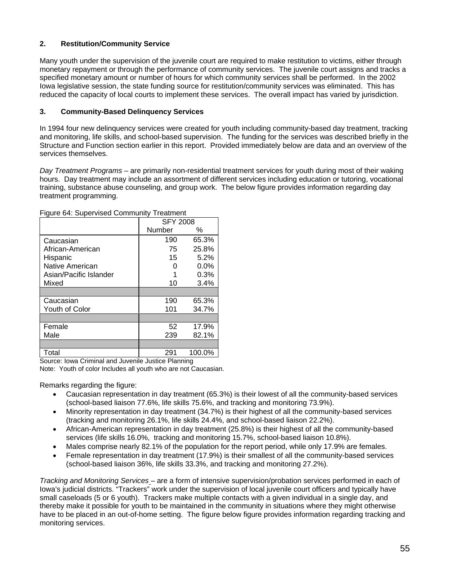## **2. Restitution/Community Service**

Many youth under the supervision of the juvenile court are required to make restitution to victims, either through monetary repayment or through the performance of community services. The juvenile court assigns and tracks a specified monetary amount or number of hours for which community services shall be performed. In the 2002 Iowa legislative session, the state funding source for restitution/community services was eliminated. This has reduced the capacity of local courts to implement these services. The overall impact has varied by jurisdiction.

#### **3. Community-Based Delinquency Services**

In 1994 four new delinquency services were created for youth including community-based day treatment, tracking and monitoring, life skills, and school-based supervision. The funding for the services was described briefly in the Structure and Function section earlier in this report. Provided immediately below are data and an overview of the services themselves.

*Day Treatment Programs* – are primarily non-residential treatment services for youth during most of their waking hours. Day treatment may include an assortment of different services including education or tutoring, vocational training, substance abuse counseling, and group work. The below figure provides information regarding day treatment programming.

|                        | <b>SFY 2008</b> |        |  |  |  |
|------------------------|-----------------|--------|--|--|--|
|                        | Number          | ℅      |  |  |  |
| Caucasian              | 190             | 65.3%  |  |  |  |
| African-American       | 75              | 25.8%  |  |  |  |
| Hispanic               | 15              | 5.2%   |  |  |  |
| Native American        |                 | 0.0%   |  |  |  |
| Asian/Pacific Islander |                 | 0.3%   |  |  |  |
| Mixed                  | 10              | 3.4%   |  |  |  |
|                        |                 |        |  |  |  |
| Caucasian              | 190             | 65.3%  |  |  |  |
| Youth of Color         | 101             | 34.7%  |  |  |  |
|                        |                 |        |  |  |  |
| Female                 | 52              | 17.9%  |  |  |  |
| Male                   | 239             | 82.1%  |  |  |  |
|                        |                 |        |  |  |  |
| Total                  | 291             | 100.0% |  |  |  |

Figure 64: Supervised Community Treatment

Source: Iowa Criminal and Juvenile Justice Planning Note: Youth of color Includes all youth who are not Caucasian.

Remarks regarding the figure:

- Caucasian representation in day treatment (65.3%) is their lowest of all the community-based services (school-based liaison 77.6%, life skills 75.6%, and tracking and monitoring 73.9%).
- Minority representation in day treatment (34.7%) is their highest of all the community-based services (tracking and monitoring 26.1%, life skills 24.4%, and school-based liaison 22.2%).
- African-American representation in day treatment (25.8%) is their highest of all the community-based services (life skills 16.0%, tracking and monitoring 15.7%, school-based liaison 10.8%).
- Males comprise nearly 82.1% of the population for the report period, while only 17.9% are females.
- Female representation in day treatment (17.9%) is their smallest of all the community-based services (school-based liaison 36%, life skills 33.3%, and tracking and monitoring 27.2%).

*Tracking and Monitoring Services* – are a form of intensive supervision/probation services performed in each of Iowa's judicial districts. "Trackers" work under the supervision of local juvenile court officers and typically have small caseloads (5 or 6 youth). Trackers make multiple contacts with a given individual in a single day, and thereby make it possible for youth to be maintained in the community in situations where they might otherwise have to be placed in an out-of-home setting. The figure below figure provides information regarding tracking and monitoring services.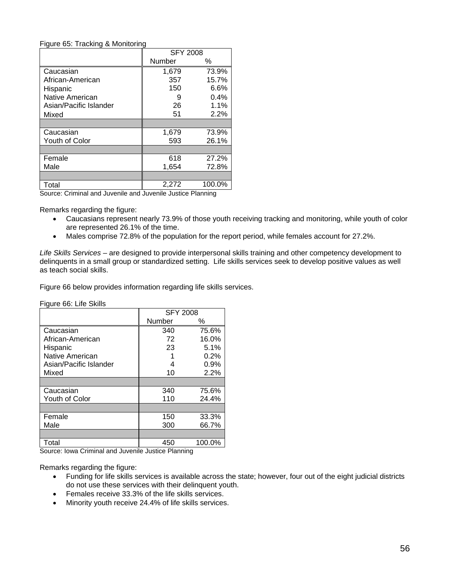#### Figure 65: Tracking & Monitoring

|                        | <b>SFY 2008</b> |        |  |  |  |
|------------------------|-----------------|--------|--|--|--|
|                        | Number          | ℅      |  |  |  |
| Caucasian              | 1,679           | 73.9%  |  |  |  |
| African-American       | 357             | 15.7%  |  |  |  |
| Hispanic               | 150             | 6.6%   |  |  |  |
| Native American        | 9               | 0.4%   |  |  |  |
| Asian/Pacific Islander | 26              | 1.1%   |  |  |  |
| Mixed                  | 51              | 2.2%   |  |  |  |
|                        |                 |        |  |  |  |
| Caucasian              | 1,679           | 73.9%  |  |  |  |
| Youth of Color         | 593             | 26.1%  |  |  |  |
|                        |                 |        |  |  |  |
| Female                 | 618             | 27.2%  |  |  |  |
| Male                   | 1,654           | 72.8%  |  |  |  |
|                        |                 |        |  |  |  |
| Total                  | 2,272           | 100.0% |  |  |  |

Source: Criminal and Juvenile and Juvenile Justice Planning

Remarks regarding the figure:

- Caucasians represent nearly 73.9% of those youth receiving tracking and monitoring, while youth of color are represented 26.1% of the time.
- Males comprise 72.8% of the population for the report period, while females account for 27.2%.

*Life Skills Services* – are designed to provide interpersonal skills training and other competency development to delinquents in a small group or standardized setting. Life skills services seek to develop positive values as well as teach social skills.

Figure 66 below provides information regarding life skills services.

Figure 66: Life Skills

|                        | <b>SFY 2008</b> |        |  |  |  |
|------------------------|-----------------|--------|--|--|--|
|                        | Number          | ℅      |  |  |  |
| Caucasian              | 340             | 75.6%  |  |  |  |
| African-American       | 72              | 16.0%  |  |  |  |
| Hispanic               | 23              | 5.1%   |  |  |  |
| Native American        |                 | 0.2%   |  |  |  |
| Asian/Pacific Islander |                 | 0.9%   |  |  |  |
| Mixed                  | 10              | 2.2%   |  |  |  |
|                        |                 |        |  |  |  |
| Caucasian              | 340             | 75.6%  |  |  |  |
| Youth of Color         | 110             | 24.4%  |  |  |  |
|                        |                 |        |  |  |  |
| Female                 | 150             | 33.3%  |  |  |  |
| Male                   | 300             | 66.7%  |  |  |  |
|                        |                 |        |  |  |  |
| Total                  | 450             | 100.0% |  |  |  |

Source: Iowa Criminal and Juvenile Justice Planning

Remarks regarding the figure:

- Funding for life skills services is available across the state; however, four out of the eight judicial districts do not use these services with their delinquent youth.
- Females receive 33.3% of the life skills services.
- Minority youth receive 24.4% of life skills services.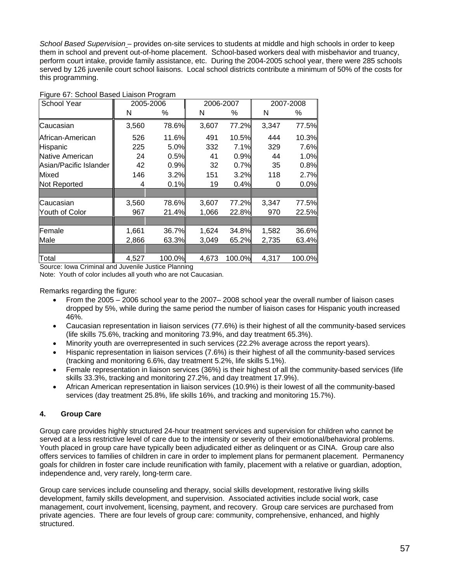*School Based Supervision* – provides on-site services to students at middle and high schools in order to keep them in school and prevent out-of-home placement. School-based workers deal with misbehavior and truancy, perform court intake, provide family assistance, etc. During the 2004-2005 school year, there were 285 schools served by 126 juvenile court school liaisons. Local school districts contribute a minimum of 50% of the costs for this programming.

| School Year            | 2005-2006 |        | 2006-2007 |        |       | 2007-2008 |
|------------------------|-----------|--------|-----------|--------|-------|-----------|
|                        | N         | %      | N         | %      | N     | %         |
| Caucasian              | 3,560     | 78.6%  | 3,607     | 77.2%  | 3,347 | 77.5%     |
| African-American       | 526       | 11.6%  | 491       | 10.5%  | 444   | 10.3%     |
| Hispanic               | 225       | 5.0%   | 332       | 7.1%   | 329   | 7.6%      |
| Native American        | 24        | 0.5%   | 41        | 0.9%   | 44    | 1.0%      |
| Asian/Pacific Islander | 42        | 0.9%   | 32        | 0.7%   | 35    | 0.8%      |
| Mixed                  | 146       | 3.2%   | 151       | 3.2%   | 118   | 2.7%      |
| Not Reported           | 4         | 0.1%   | 19        | 0.4%   | 0     | 0.0%      |
|                        |           |        |           |        |       |           |
| Caucasian              | 3,560     | 78.6%  | 3,607     | 77.2%  | 3,347 | 77.5%     |
| Youth of Color         | 967       | 21.4%  | 1,066     | 22.8%  | 970   | 22.5%     |
|                        |           |        |           |        |       |           |
| Female                 | 1,661     | 36.7%  | 1,624     | 34.8%  | 1,582 | 36.6%     |
| Male                   | 2,866     | 63.3%  | 3,049     | 65.2%  | 2,735 | 63.4%     |
|                        |           |        |           |        |       |           |
| Total                  | 4,527     | 100.0% | 4,673     | 100.0% | 4,317 | 100.0%    |

#### Figure 67: School Based Liaison Program

Source: Iowa Criminal and Juvenile Justice Planning

Note: Youth of color includes all youth who are not Caucasian.

Remarks regarding the figure:

- From the 2005 2006 school year to the 2007– 2008 school year the overall number of liaison cases dropped by 5%, while during the same period the number of liaison cases for Hispanic youth increased 46%.
- Caucasian representation in liaison services (77.6%) is their highest of all the community-based services (life skills 75.6%, tracking and monitoring 73.9%, and day treatment 65.3%).
- Minority youth are overrepresented in such services (22.2% average across the report years).
- Hispanic representation in liaison services (7.6%) is their highest of all the community-based services (tracking and monitoring 6.6%, day treatment 5.2%, life skills 5.1%).
- Female representation in liaison services (36%) is their highest of all the community-based services (life skills 33.3%, tracking and monitoring 27.2%, and day treatment 17.9%).
- African American representation in liaison services (10.9%) is their lowest of all the community-based services (day treatment 25.8%, life skills 16%, and tracking and monitoring 15.7%).

#### **4. Group Care**

Group care provides highly structured 24-hour treatment services and supervision for children who cannot be served at a less restrictive level of care due to the intensity or severity of their emotional/behavioral problems. Youth placed in group care have typically been adjudicated either as delinquent or as CINA. Group care also offers services to families of children in care in order to implement plans for permanent placement. Permanency goals for children in foster care include reunification with family, placement with a relative or guardian, adoption, independence and, very rarely, long-term care.

Group care services include counseling and therapy, social skills development, restorative living skills development, family skills development, and supervision. Associated activities include social work, case management, court involvement, licensing, payment, and recovery. Group care services are purchased from private agencies. There are four levels of group care: community, comprehensive, enhanced, and highly structured.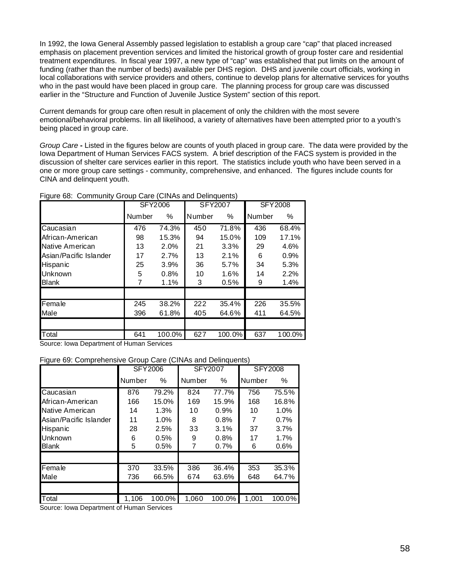In 1992, the Iowa General Assembly passed legislation to establish a group care "cap" that placed increased emphasis on placement prevention services and limited the historical growth of group foster care and residential treatment expenditures. In fiscal year 1997, a new type of "cap" was established that put limits on the amount of funding (rather than the number of beds) available per DHS region. DHS and juvenile court officials, working in local collaborations with service providers and others, continue to develop plans for alternative services for youths who in the past would have been placed in group care. The planning process for group care was discussed earlier in the "Structure and Function of Juvenile Justice System" section of this report.

Current demands for group care often result in placement of only the children with the most severe emotional/behavioral problems. Iin all likelihood, a variety of alternatives have been attempted prior to a youth's being placed in group care.

*Group Care* **-** Listed in the figures below are counts of youth placed in group care. The data were provided by the Iowa Department of Human Services FACS system. A brief description of the FACS system is provided in the discussion of shelter care services earlier in this report. The statistics include youth who have been served in a one or more group care settings - community, comprehensive, and enhanced. The figures include counts for CINA and delinquent youth.

|                                           |        | <b>SFY2006</b> | <b>SFY2007</b> |         | <b>SFY2008</b> |        |
|-------------------------------------------|--------|----------------|----------------|---------|----------------|--------|
|                                           | Number | %              | Number         | %       | Number         | $\%$   |
| Caucasian                                 | 476    | 74.3%          | 450            | 71.8%   | 436            | 68.4%  |
| African-American                          | 98     | 15.3%          | 94             | 15.0%   | 109            | 17.1%  |
| Native American                           | 13     | 2.0%           | 21             | 3.3%    | 29             | 4.6%   |
| Asian/Pacific Islander                    | 17     | 2.7%           | 13             | 2.1%    | 6              | 0.9%   |
| Hispanic                                  | 25     | 3.9%           | 36             | 5.7%    | 34             | 5.3%   |
| Unknown                                   | 5      | 0.8%           | 10             | $1.6\%$ | 14             | 2.2%   |
| <b>Blank</b>                              | 7      | 1.1%           | 3              | 0.5%    | 9              | 1.4%   |
|                                           |        |                |                |         |                |        |
| Female                                    | 245    | 38.2%          | 222            | 35.4%   | 226            | 35.5%  |
| Male                                      | 396    | 61.8%          | 405            | 64.6%   | 411            | 64.5%  |
|                                           |        |                |                |         |                |        |
| Total                                     | 641    | 100.0%         | 627            | 100.0%  | 637            | 100.0% |
| Coursey Journ Demontment of Human Company |        |                |                |         |                |        |

Figure 68: Community Group Care (CINAs and Delinquents)

Source: Iowa Department of Human Services

#### Figure 69: Comprehensive Group Care (CINAs and Delinquents)

|                                                     | <b>SFY2006</b> |                                |        | <b>SFY2007</b> | <b>SFY2008</b> |         |
|-----------------------------------------------------|----------------|--------------------------------|--------|----------------|----------------|---------|
|                                                     | Number         | ℅                              | Number | %              | Number         | ℅       |
| Caucasian                                           | 876            | 79.2%                          | 824    | 77.7%          | 756            | 75.5%   |
| African-American                                    | 166            | 15.0%                          | 169    | 15.9%          | 168            | 16.8%   |
| Native American                                     | 14             | 1.3%                           | 10     | 0.9%           | 10             | 1.0%    |
| Asian/Pacific Islander                              | 11             | 1.0%                           | 8      | 0.8%           | 7              | 0.7%    |
| Hispanic                                            | 28             | 2.5%                           | 33     | 3.1%           | 37             | $3.7\%$ |
| Unknown                                             | 6              | 0.5%                           | 9      | 0.8%           | 17             | 1.7%    |
| <b>Blank</b>                                        | 5              | 0.5%                           | 7      | 0.7%           | 6              | 0.6%    |
|                                                     |                |                                |        |                |                |         |
| Female                                              | 370            | 33.5%                          | 386    | 36.4%          | 353            | 35.3%   |
| Male                                                | 736            | 66.5%                          | 674    | 63.6%          | 648            | 64.7%   |
|                                                     |                |                                |        |                |                |         |
| Total<br>$\sim$<br>an Israel Dans subscript of Home | 1,106          | 100.0%<br>$\sim$ $\sim$ $\sim$ | 1,060  | 100.0%         | 1,001          | 100.0%  |

Source: Iowa Department of Human Services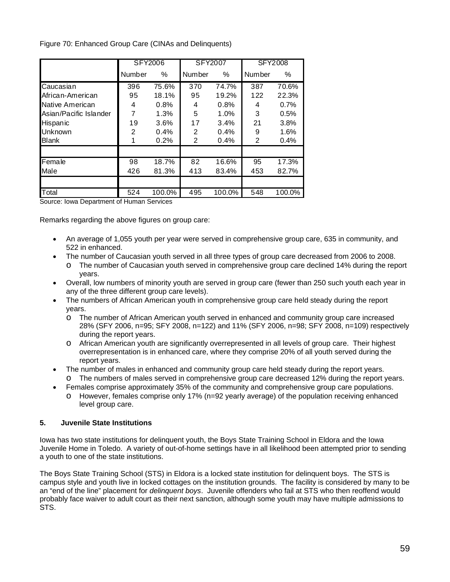#### Figure 70: Enhanced Group Care (CINAs and Delinquents)

|                        | <b>SFY2006</b> |         | <b>SFY2007</b> |        |        | <b>SFY2008</b> |
|------------------------|----------------|---------|----------------|--------|--------|----------------|
|                        | Number         | %       | Number         | %      | Number | %              |
| Caucasian              | 396            | 75.6%   | 370            | 74.7%  | 387    | 70.6%          |
| African-American       | 95             | 18.1%   | 95             | 19.2%  | 122    | 22.3%          |
| Native American        | 4              | 0.8%    | 4              | 0.8%   | 4      | 0.7%           |
| Asian/Pacific Islander | 7              | 1.3%    | 5              | 1.0%   | 3      | 0.5%           |
| Hispanic               | 19             | 3.6%    | 17             | 3.4%   | 21     | 3.8%           |
| Unknown                | 2              | $0.4\%$ | 2              | 0.4%   | 9      | 1.6%           |
| <b>Blank</b>           | 1              | 0.2%    | 2              | 0.4%   | 2      | 0.4%           |
|                        |                |         |                |        |        |                |
| Female                 | 98             | 18.7%   | 82             | 16.6%  | 95     | 17.3%          |
| Male                   | 426            | 81.3%   | 413            | 83.4%  | 453    | 82.7%          |
|                        |                |         |                |        |        |                |
| Total                  | 524            | 100.0%  | 495            | 100.0% | 548    | 100.0%         |

Source: Iowa Department of Human Services

Remarks regarding the above figures on group care:

- An average of 1,055 youth per year were served in comprehensive group care, 635 in community, and 522 in enhanced.
- The number of Caucasian youth served in all three types of group care decreased from 2006 to 2008.
	- o The number of Caucasian youth served in comprehensive group care declined 14% during the report years.
- Overall, low numbers of minority youth are served in group care (fewer than 250 such youth each year in any of the three different group care levels).
- The numbers of African American youth in comprehensive group care held steady during the report years.
	- o The number of African American youth served in enhanced and community group care increased 28% (SFY 2006, n=95; SFY 2008, n=122) and 11% (SFY 2006, n=98; SFY 2008, n=109) respectively during the report years.
	- o African American youth are significantly overrepresented in all levels of group care. Their highest overrepresentation is in enhanced care, where they comprise 20% of all youth served during the report years.
- The number of males in enhanced and community group care held steady during the report years. o The numbers of males served in comprehensive group care decreased 12% during the report years.
- Females comprise approximately 35% of the community and comprehensive group care populations.
- o However, females comprise only 17% (n=92 yearly average) of the population receiving enhanced level group care.

## **5. Juvenile State Institutions**

Iowa has two state institutions for delinquent youth, the Boys State Training School in Eldora and the Iowa Juvenile Home in Toledo. A variety of out-of-home settings have in all likelihood been attempted prior to sending a youth to one of the state institutions.

The Boys State Training School (STS) in Eldora is a locked state institution for delinquent boys. The STS is campus style and youth live in locked cottages on the institution grounds. The facility is considered by many to be an "end of the line" placement for *delinquent boys*. Juvenile offenders who fail at STS who then reoffend would probably face waiver to adult court as their next sanction, although some youth may have multiple admissions to STS.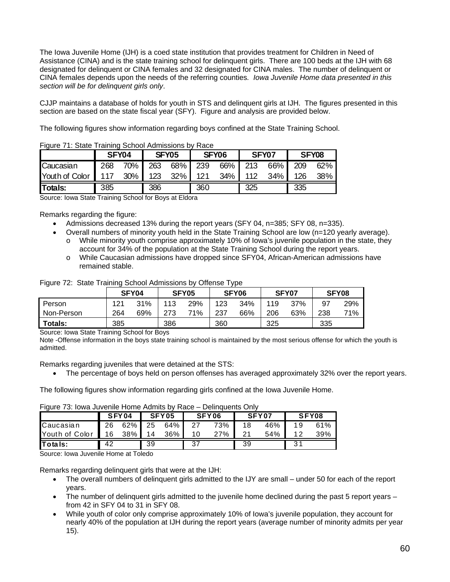The Iowa Juvenile Home (IJH) is a coed state institution that provides treatment for Children in Need of Assistance (CINA) and is the state training school for delinquent girls. There are 100 beds at the IJH with 68 designated for delinquent or CINA females and 32 designated for CINA males. The number of delinquent or CINA females depends upon the needs of the referring counties*. Iowa Juvenile Home data presented in this section will be for delinquent girls only*.

CJJP maintains a database of holds for youth in STS and delinquent girls at IJH. The figures presented in this section are based on the state fiscal year (SFY). Figure and analysis are provided below.

The following figures show information regarding boys confined at the State Training School.

|                |     | SFY04 | SFY <sub>05</sub> |         | SFY06 |        | SFY07 |     | SFY08 |        |
|----------------|-----|-------|-------------------|---------|-------|--------|-------|-----|-------|--------|
| Caucasian      | 268 | 70%   | 263               | 68% 239 |       | $66\%$ | 213   | 66% | 209   | $62\%$ |
| Youth of Color | 117 | 30%   | 123               | $32\%$  | -121  | 34%    | 112   | 34% | 126   | 38%    |
| lTotals:       | 385 |       | 386               |         | 360   |        | 325   |     | 335   |        |

Figure 71: State Training School Admissions by Race

Source: Iowa State Training School for Boys at Eldora

Remarks regarding the figure:

- Admissions decreased 13% during the report years (SFY 04, n=385; SFY 08, n=335).
	- Overall numbers of minority youth held in the State Training School are low (n=120 yearly average). o While minority youth comprise approximately 10% of Iowa's juvenile population in the state, they
		- account for 34% of the population at the State Training School during the report years.
		- o While Caucasian admissions have dropped since SFY04, African-American admissions have remained stable.

|  |  | Figure 72: State Training School Admissions by Offense Type |  |  |
|--|--|-------------------------------------------------------------|--|--|
|  |  |                                                             |  |  |

|            |     | SFY04 | SFY05 |     | SFY06 |     | SFY07 |     | SFY08 |     |
|------------|-----|-------|-------|-----|-------|-----|-------|-----|-------|-----|
| Person     | 121 | 31%   | 113   | 29% | 123   | 34% | 119   | 37% | 97    | 29% |
| Non-Person | 264 | 69%   | 273   | 71% | 237   | 66% | 206   | 63% | 238   | 71% |
| Totals:    | 385 |       | 386   |     | 360   |     | 325   |     | 335   |     |

Source: Iowa State Training School for Boys

Note -Offense information in the boys state training school is maintained by the most serious offense for which the youth is admitted.

Remarks regarding juveniles that were detained at the STS:

• The percentage of boys held on person offenses has averaged approximately 32% over the report years.

The following figures show information regarding girls confined at the Iowa Juvenile Home.

Figure 73: Iowa Juvenile Home Admits by Race – Delinquents Only

|                       |    | SFY04    |    | <b>SFY05</b> |     | SFY06 |    | SFY07 |             | SFY08 |
|-----------------------|----|----------|----|--------------|-----|-------|----|-------|-------------|-------|
| Caucasian             | 26 | 62%   25 |    | 64% I        | -27 | 73%   | 18 | 46%   | 1 Q         | 61%   |
| <b>Nouth of Color</b> | 16 | 38% L    | 14 | 36% I        | 10  | 27%   | 21 | 54%   |             | 39%   |
| <b>ITotals:</b>       | 42 |          | 39 |              |     |       | 39 |       | $3^{\circ}$ |       |

Source: Iowa Juvenile Home at Toledo

Remarks regarding delinquent girls that were at the IJH:

- The overall numbers of delinquent girls admitted to the IJY are small under 50 for each of the report years.
- The number of delinquent girls admitted to the juvenile home declined during the past 5 report years from 42 in SFY 04 to 31 in SFY 08.
- While youth of color only comprise approximately 10% of Iowa's juvenile population, they account for nearly 40% of the population at IJH during the report years (average number of minority admits per year 15).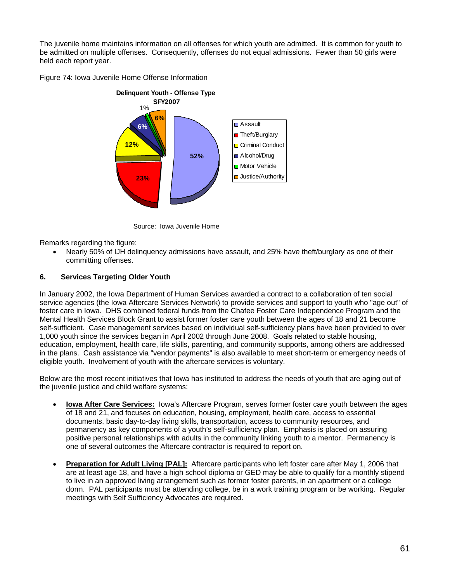The juvenile home maintains information on all offenses for which youth are admitted. It is common for youth to be admitted on multiple offenses. Consequently, offenses do not equal admissions. Fewer than 50 girls were held each report year.

Figure 74: Iowa Juvenile Home Offense Information



Source: Iowa Juvenile Home

Remarks regarding the figure:

• Nearly 50% of IJH delinquency admissions have assault, and 25% have theft/burglary as one of their committing offenses.

## **6. Services Targeting Older Youth**

In January 2002, the Iowa Department of Human Services awarded a contract to a collaboration of ten social service agencies (the Iowa Aftercare Services Network) to provide services and support to youth who "age out" of foster care in Iowa. DHS combined federal funds from the Chafee Foster Care Independence Program and the Mental Health Services Block Grant to assist former foster care youth between the ages of 18 and 21 become self-sufficient. Case management services based on individual self-sufficiency plans have been provided to over 1,000 youth since the services began in April 2002 through June 2008. Goals related to stable housing, education, employment, health care, life skills, parenting, and community supports, among others are addressed in the plans. Cash assistance via "vendor payments" is also available to meet short-term or emergency needs of eligible youth. Involvement of youth with the aftercare services is voluntary.

Below are the most recent initiatives that Iowa has instituted to address the needs of youth that are aging out of the juvenile justice and child welfare systems:

- **Iowa After Care Services:** Iowa's Aftercare Program, serves former foster care youth between the ages of 18 and 21, and focuses on education, housing, employment, health care, access to essential documents, basic day-to-day living skills, transportation, access to community resources, and permanency as key components of a youth's self-sufficiency plan. Emphasis is placed on assuring positive personal relationships with adults in the community linking youth to a mentor. Permanency is one of several outcomes the Aftercare contractor is required to report on.
- **Preparation for Adult Living [PAL]:**Aftercare participants who left foster care after May 1, 2006 that are at least age 18, and have a high school diploma or GED may be able to qualify for a monthly stipend to live in an approved living arrangement such as former foster parents, in an apartment or a college dorm. PAL participants must be attending college, be in a work training program or be working. Regular meetings with Self Sufficiency Advocates are required.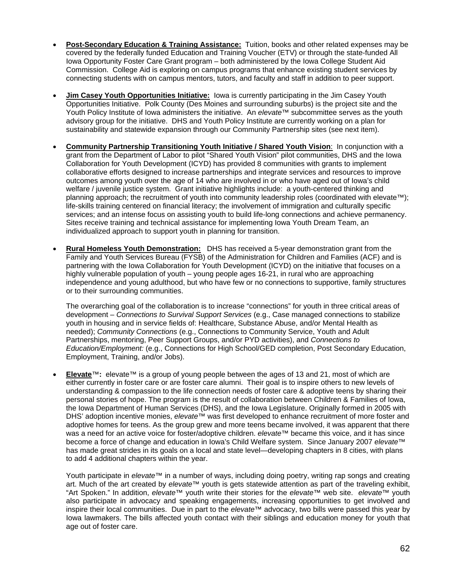- **Post-Secondary Education & Training Assistance:** Tuition, books and other related expenses may be covered by the federally funded Education and Training Voucher (ETV) or through the state-funded All Iowa Opportunity Foster Care Grant program – both administered by the Iowa College Student Aid Commission. College Aid is exploring on campus programs that enhance existing student services by connecting students with on campus mentors, tutors, and faculty and staff in addition to peer support.
- **Jim Casey Youth Opportunities Initiative:** Iowa is currently participating in the Jim Casey Youth Opportunities Initiative. Polk County (Des Moines and surrounding suburbs) is the project site and the Youth Policy Institute of Iowa administers the initiative. An *elevate™* subcommittee serves as the youth advisory group for the initiative. DHS and Youth Policy Institute are currently working on a plan for sustainability and statewide expansion through our Community Partnership sites (see next item).
- **Community Partnership Transitioning Youth Initiative / Shared Youth Vision**:In conjunction with a grant from the Department of Labor to pilot "Shared Youth Vision" pilot communities, DHS and the Iowa Collaboration for Youth Development (ICYD) has provided 8 communities with grants to implement collaborative efforts designed to increase partnerships and integrate services and resources to improve outcomes among youth over the age of 14 who are involved in or who have aged out of Iowa's child welfare / juvenile justice system. Grant initiative highlights include: a youth-centered thinking and planning approach; the recruitment of youth into community leadership roles (coordinated with elevate™); life-skills training centered on financial literacy; the involvement of immigration and culturally specific services; and an intense focus on assisting youth to build life-long connections and achieve permanency. Sites receive training and technical assistance for implementing Iowa Youth Dream Team, an individualized approach to support youth in planning for transition.
- **Rural Homeless Youth Demonstration:** DHS has received a 5-year demonstration grant from the Family and Youth Services Bureau (FYSB) of the Administration for Children and Families (ACF) and is partnering with the Iowa Collaboration for Youth Development (ICYD) on the initiative that focuses on a highly vulnerable population of youth – young people ages 16-21, in rural who are approaching independence and young adulthood, but who have few or no connections to supportive, family structures or to their surrounding communities.

The overarching goal of the collaboration is to increase "connections" for youth in three critical areas of development – *Connections to Survival Support Services* (e.g., Case managed connections to stabilize youth in housing and in service fields of: Healthcare, Substance Abuse, and/or Mental Health as needed); *Community Connections* (e.g., Connections to Community Service, Youth and Adult Partnerships, mentoring, Peer Support Groups, and/or PYD activities), and *Connections to Education/Employment:* (e.g., Connections for High School/GED completion, Post Secondary Education, Employment, Training, and/or Jobs).

• **Elevate**™**:** elevate™ is a group of young people between the ages of 13 and 21, most of which are either currently in foster care or are foster care alumni. Their goal is to inspire others to new levels of understanding & compassion to the life connection needs of foster care & adoptive teens by sharing their personal stories of hope. The program is the result of collaboration between Children & Families of Iowa, the Iowa Department of Human Services (DHS), and the Iowa Legislature. Originally formed in 2005 with DHS' adoption incentive monies, *elevate™* was first developed to enhance recruitment of more foster and adoptive homes for teens. As the group grew and more teens became involved, it was apparent that there was a need for an active voice for foster/adoptive children. *elevate™* became this voice, and it has since become a force of change and education in Iowa's Child Welfare system. Since January 2007 *elevate™*  has made great strides in its goals on a local and state level—developing chapters in 8 cities, with plans to add 4 additional chapters within the year.

Youth participate in *elevate™* in a number of ways, including doing poetry, writing rap songs and creating art. Much of the art created by *elevate™* youth is gets statewide attention as part of the traveling exhibit, "Art Spoken." In addition, *elevate™* youth write their stories for the *elevate™* web site. *elevate™* youth also participate in advocacy and speaking engagements, increasing opportunities to get involved and inspire their local communities. Due in part to the *elevate™* advocacy, two bills were passed this year by Iowa lawmakers. The bills affected youth contact with their siblings and education money for youth that age out of foster care.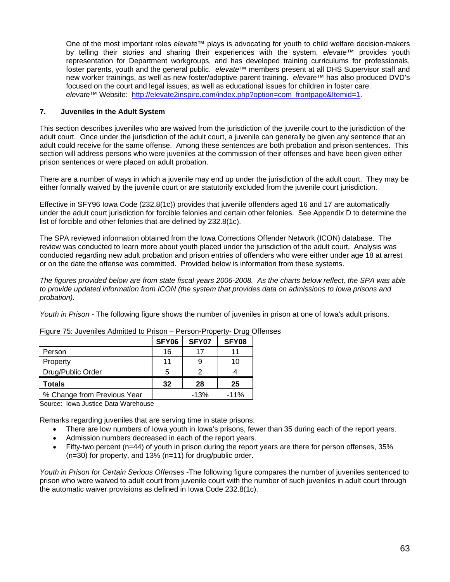One of the most important roles *elevate™* plays is advocating for youth to child welfare decision-makers by telling their stories and sharing their experiences with the system. *elevate™* provides youth representation for Department workgroups, and has developed training curriculums for professionals, foster parents, youth and the general public. *elevate™* members present at all DHS Supervisor staff and new worker trainings, as well as new foster/adoptive parent training. *elevate™* has also produced DVD's focused on the court and legal issues, as well as educational issues for children in foster care. *elevate™* Website: http://elevate2inspire.com/index.php?option=com\_frontpage&Itemid=1.

#### **7. Juveniles in the Adult System**

This section describes juveniles who are waived from the jurisdiction of the juvenile court to the jurisdiction of the adult court. Once under the jurisdiction of the adult court, a juvenile can generally be given any sentence that an adult could receive for the same offense. Among these sentences are both probation and prison sentences. This section will address persons who were juveniles at the commission of their offenses and have been given either prison sentences or were placed on adult probation.

There are a number of ways in which a juvenile may end up under the jurisdiction of the adult court. They may be either formally waived by the juvenile court or are statutorily excluded from the juvenile court jurisdiction.

Effective in SFY96 Iowa Code (232.8(1c)) provides that juvenile offenders aged 16 and 17 are automatically under the adult court jurisdiction for forcible felonies and certain other felonies. See Appendix D to determine the list of forcible and other felonies that are defined by 232.8(1c).

The SPA reviewed information obtained from the Iowa Corrections Offender Network (ICON) database. The review was conducted to learn more about youth placed under the jurisdiction of the adult court. Analysis was conducted regarding new adult probation and prison entries of offenders who were either under age 18 at arrest or on the date the offense was committed. Provided below is information from these systems.

*The figures provided below are from state fiscal years 2006-2008. As the charts below reflect, the SPA was able to provide updated information from ICON (the system that provides data on admissions to Iowa prisons and probation).* 

*Youth in Prison* - The following figure shows the number of juveniles in prison at one of Iowa's adult prisons.

|                             | SFY06 | SFY07  | SFY08  |
|-----------------------------|-------|--------|--------|
| Person                      | 16    |        |        |
| Property                    | 11    |        | 10     |
| Drug/Public Order           | 5     |        |        |
| <b>Totals</b>               | 32    | 28     | 25     |
| % Change from Previous Year |       | $-13%$ | $-11%$ |

Figure 75: Juveniles Admitted to Prison – Person-Property- Drug Offenses

Source:Iowa Justice Data Warehouse

Remarks regarding juveniles that are serving time in state prisons:

- There are low numbers of lowa youth in lowa's prisons, fewer than 35 during each of the report years.
- Admission numbers decreased in each of the report years.
- Fifty-two percent (n=44) of youth in prison during the report years are there for person offenses, 35% (n=30) for property, and 13% (n=11) for drug/public order.

*Youth in Prison for Certain Serious Offenses* -The following figure compares the number of juveniles sentenced to prison who were waived to adult court from juvenile court with the number of such juveniles in adult court through the automatic waiver provisions as defined in Iowa Code 232.8(1c).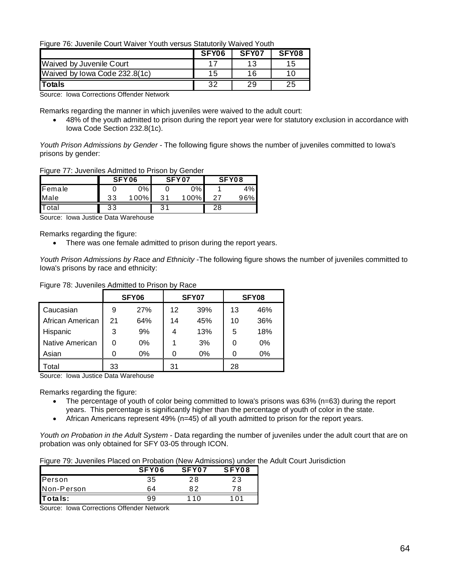Figure 76: Juvenile Court Waiver Youth versus Statutorily Waived Youth

|                               | SFY <sub>06</sub> | SFY <sub>07</sub> | SFY08 |
|-------------------------------|-------------------|-------------------|-------|
| Waived by Juvenile Court      | 17                |                   | 15    |
| Waived by Iowa Code 232.8(1c) | 15                | 16                |       |
| <b>Totals</b>                 | 32                | 29                | 25    |

Source:Iowa Corrections Offender Network

Remarks regarding the manner in which juveniles were waived to the adult court:

• 48% of the youth admitted to prison during the report year were for statutory exclusion in accordance with Iowa Code Section 232.8(1c).

*Youth Prison Admissions by Gender* - The following figure shows the number of juveniles committed to Iowa's prisons by gender:

Figure 77: Juveniles Admitted to Prison by Gender

|                 |    | SFY06 |    | SFY07 | SFY08 |     |
|-----------------|----|-------|----|-------|-------|-----|
| <b>IF</b> emale |    | $0\%$ |    | 0%    |       | 4%  |
| Male            | 33 | 100%  | 31 | 100%  | າ     | 96% |
| Total           | 33 |       | 31 |       | 28    |     |

Source:Iowa Justice Data Warehouse

Remarks regarding the figure:

• There was one female admitted to prison during the report years.

*Youth Prison Admissions by Race and Ethnicity* -The following figure shows the number of juveniles committed to Iowa's prisons by race and ethnicity:

Figure 78: Juveniles Admitted to Prison by Race

|                        | SFY06 |     |    | SFY07 | SFY08 |     |
|------------------------|-------|-----|----|-------|-------|-----|
| Caucasian              | 9     | 27% | 12 | 39%   | 13    | 46% |
| African American       | 21    | 64% | 14 | 45%   | 10    | 36% |
| Hispanic               | 3     | 9%  | 4  | 13%   | 5     | 18% |
| <b>Native American</b> |       | 0%  |    | 3%    | 0     | 0%  |
| Asian                  |       | 0%  |    | 0%    |       | 0%  |
| Total                  | 33    |     | 31 |       | 28    |     |

Source:Iowa Justice Data Warehouse

Remarks regarding the figure:

- The percentage of youth of color being committed to lowa's prisons was 63% (n=63) during the report years. This percentage is significantly higher than the percentage of youth of color in the state.
- African Americans represent 49% (n=45) of all youth admitted to prison for the report years.

*Youth on Probation in the Adult System* - Data regarding the number of juveniles under the adult court that are on probation was only obtained for SFY 03-05 through ICON.

Figure 79: Juveniles Placed on Probation (New Admissions) under the Adult Court Jurisdiction

|                        | SFY06 | SFY07 | SFY08 |
|------------------------|-------|-------|-------|
| Person                 | 35    | 28    | 23    |
| Non-Person             | 64    | 82    | 78    |
| $\blacksquare$ Totals: | 99    | 10    | 1 0 1 |

Source:Iowa Corrections Offender Network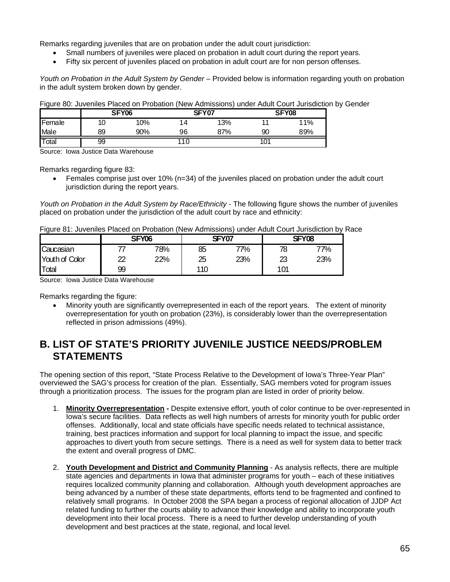Remarks regarding juveniles that are on probation under the adult court jurisdiction:

- Small numbers of juveniles were placed on probation in adult court during the report years.
- Fifty six percent of juveniles placed on probation in adult court are for non person offenses.

*Youth on Probation in the Adult System by Gender* – Provided below is information regarding youth on probation in the adult system broken down by gender.

Figure 80: Juveniles Placed on Probation (New Admissions) under Adult Court Jurisdiction by Gender

|        |    | SFY06 |     | SFY07 |     | SFY08 |
|--------|----|-------|-----|-------|-----|-------|
| Female | 10 | 10%   | l 4 | 13%   |     | 11%   |
| Male   | 89 | 90%   | 96  | 87%   | 90  | 89%   |
| Total  | 99 |       | 110 |       | 101 |       |

Source:Iowa Justice Data Warehouse

Remarks regarding figure 83:

• Females comprise just over 10% (n=34) of the juveniles placed on probation under the adult court jurisdiction during the report years.

*Youth on Probation in the Adult System by Race/Ethnicity* - The following figure shows the number of juveniles placed on probation under the jurisdiction of the adult court by race and ethnicity:

Figure 81: Juveniles Placed on Probation (New Admissions) under Adult Court Jurisdiction by Race

|                | SFY <sub>06</sub> |     | SFY07 |     | SFY <sub>08</sub> |     |
|----------------|-------------------|-----|-------|-----|-------------------|-----|
| Caucasian      |                   | 78% | 85    | 77% | 78                | 77% |
| Youth of Color | 22                | 22% | 25    | 23% | 23                | 23% |
| Total          | 99                |     | 110   |     | 101               |     |

Source:Iowa Justice Data Warehouse

Remarks regarding the figure:

• Minority youth are significantly overrepresented in each of the report years. The extent of minority overrepresentation for youth on probation (23%), is considerably lower than the overrepresentation reflected in prison admissions (49%).

# **B. LIST OF STATE'S PRIORITY JUVENILE JUSTICE NEEDS/PROBLEM STATEMENTS**

The opening section of this report, "State Process Relative to the Development of Iowa's Three-Year Plan" overviewed the SAG's process for creation of the plan. Essentially, SAG members voted for program issues through a prioritization process. The issues for the program plan are listed in order of priority below.

- 1. **Minority Overrepresentation** Despite extensive effort, youth of color continue to be over-represented in Iowa's secure facilities. Data reflects as well high numbers of arrests for minority youth for public order offenses. Additionally, local and state officials have specific needs related to technical assistance, training, best practices information and support for local planning to impact the issue, and specific approaches to divert youth from secure settings. There is a need as well for system data to better track the extent and overall progress of DMC.
- 2. **Youth Development and District and Community Planning** As analysis reflects, there are multiple state agencies and departments in Iowa that administer programs for youth – each of these initiatives requires localized community planning and collaboration. Although youth development approaches are being advanced by a number of these state departments, efforts tend to be fragmented and confined to relatively small programs. In October 2008 the SPA began a process of regional allocation of JJDP Act related funding to further the courts ability to advance their knowledge and ability to incorporate youth development into their local process. There is a need to further develop understanding of youth development and best practices at the state, regional, and local level.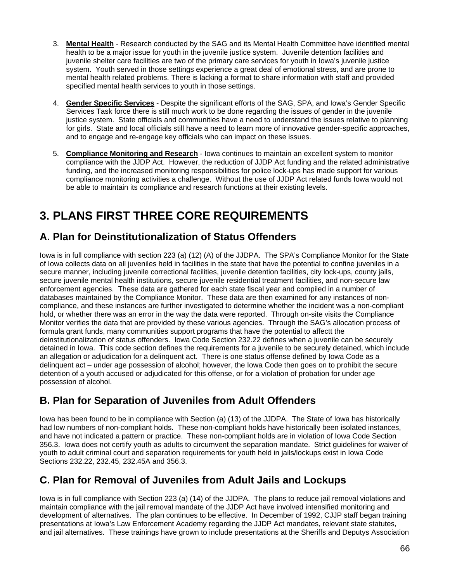- 3. **Mental Health** Research conducted by the SAG and its Mental Health Committee have identified mental health to be a major issue for youth in the juvenile justice system. Juvenile detention facilities and juvenile shelter care facilities are two of the primary care services for youth in Iowa's juvenile justice system. Youth served in those settings experience a great deal of emotional stress, and are prone to mental health related problems. There is lacking a format to share information with staff and provided specified mental health services to youth in those settings.
- 4. **Gender Specific Services** Despite the significant efforts of the SAG, SPA, and Iowa's Gender Specific Services Task force there is still much work to be done regarding the issues of gender in the juvenile justice system. State officials and communities have a need to understand the issues relative to planning for girls. State and local officials still have a need to learn more of innovative gender-specific approaches, and to engage and re-engage key officials who can impact on these issues.
- 5. **Compliance Monitoring and Research** Iowa continues to maintain an excellent system to monitor compliance with the JJDP Act. However, the reduction of JJDP Act funding and the related administrative funding, and the increased monitoring responsibilities for police lock-ups has made support for various compliance monitoring activities a challenge. Without the use of JJDP Act related funds Iowa would not be able to maintain its compliance and research functions at their existing levels.

# **3. PLANS FIRST THREE CORE REQUIREMENTS**

# **A. Plan for Deinstitutionalization of Status Offenders**

Iowa is in full compliance with section 223 (a) (12) (A) of the JJDPA. The SPA's Compliance Monitor for the State of Iowa collects data on all juveniles held in facilities in the state that have the potential to confine juveniles in a secure manner, including juvenile correctional facilities, juvenile detention facilities, city lock-ups, county jails, secure juvenile mental health institutions, secure juvenile residential treatment facilities, and non-secure law enforcement agencies. These data are gathered for each state fiscal year and compiled in a number of databases maintained by the Compliance Monitor. These data are then examined for any instances of noncompliance, and these instances are further investigated to determine whether the incident was a non-compliant hold, or whether there was an error in the way the data were reported. Through on-site visits the Compliance Monitor verifies the data that are provided by these various agencies. Through the SAG's allocation process of formula grant funds, many communities support programs that have the potential to affectt the deinstitutionalization of status offenders. Iowa Code Section 232.22 defines when a juvenile can be securely detained in Iowa. This code section defines the requirements for a juvenile to be securely detained, which include an allegation or adjudication for a delinquent act. There is one status offense defined by Iowa Code as a delinquent act – under age possession of alcohol; however, the Iowa Code then goes on to prohibit the secure detention of a youth accused or adjudicated for this offense, or for a violation of probation for under age possession of alcohol.

# **B. Plan for Separation of Juveniles from Adult Offenders**

Iowa has been found to be in compliance with Section (a) (13) of the JJDPA. The State of Iowa has historically had low numbers of non-compliant holds. These non-compliant holds have historically been isolated instances, and have not indicated a pattern or practice. These non-compliant holds are in violation of Iowa Code Section 356.3. Iowa does not certify youth as adults to circumvent the separation mandate. Strict guidelines for waiver of youth to adult criminal court and separation requirements for youth held in jails/lockups exist in Iowa Code Sections 232.22, 232.45, 232.45A and 356.3.

# **C. Plan for Removal of Juveniles from Adult Jails and Lockups**

Iowa is in full compliance with Section 223 (a) (14) of the JJDPA. The plans to reduce jail removal violations and maintain compliance with the jail removal mandate of the JJDP Act have involved intensified monitoring and development of alternatives. The plan continues to be effective. In December of 1992, CJJP staff began training presentations at Iowa's Law Enforcement Academy regarding the JJDP Act mandates, relevant state statutes, and jail alternatives. These trainings have grown to include presentations at the Sheriffs and Deputys Association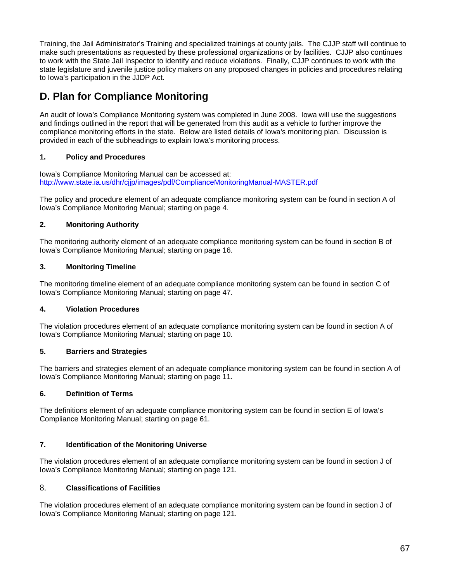Training, the Jail Administrator's Training and specialized trainings at county jails. The CJJP staff will continue to make such presentations as requested by these professional organizations or by facilities. CJJP also continues to work with the State Jail Inspector to identify and reduce violations. Finally, CJJP continues to work with the state legislature and juvenile justice policy makers on any proposed changes in policies and procedures relating to Iowa's participation in the JJDP Act.

# **D. Plan for Compliance Monitoring**

An audit of Iowa's Compliance Monitoring system was completed in June 2008. Iowa will use the suggestions and findings outlined in the report that will be generated from this audit as a vehicle to further improve the compliance monitoring efforts in the state. Below are listed details of Iowa's monitoring plan. Discussion is provided in each of the subheadings to explain Iowa's monitoring process.

# **1. Policy and Procedures**

Iowa's Compliance Monitoring Manual can be accessed at: http://www.state.ia.us/dhr/cjjp/images/pdf/ComplianceMonitoringManual-MASTER.pdf

The policy and procedure element of an adequate compliance monitoring system can be found in section A of Iowa's Compliance Monitoring Manual; starting on page 4.

# **2. Monitoring Authority**

The monitoring authority element of an adequate compliance monitoring system can be found in section B of Iowa's Compliance Monitoring Manual; starting on page 16.

# **3. Monitoring Timeline**

The monitoring timeline element of an adequate compliance monitoring system can be found in section C of Iowa's Compliance Monitoring Manual; starting on page 47.

## **4. Violation Procedures**

The violation procedures element of an adequate compliance monitoring system can be found in section A of Iowa's Compliance Monitoring Manual; starting on page 10.

## **5. Barriers and Strategies**

The barriers and strategies element of an adequate compliance monitoring system can be found in section A of Iowa's Compliance Monitoring Manual; starting on page 11.

## **6. Definition of Terms**

The definitions element of an adequate compliance monitoring system can be found in section E of Iowa's Compliance Monitoring Manual; starting on page 61.

## **7. Identification of the Monitoring Universe**

The violation procedures element of an adequate compliance monitoring system can be found in section J of Iowa's Compliance Monitoring Manual; starting on page 121.

## 8. **Classifications of Facilities**

The violation procedures element of an adequate compliance monitoring system can be found in section J of Iowa's Compliance Monitoring Manual; starting on page 121.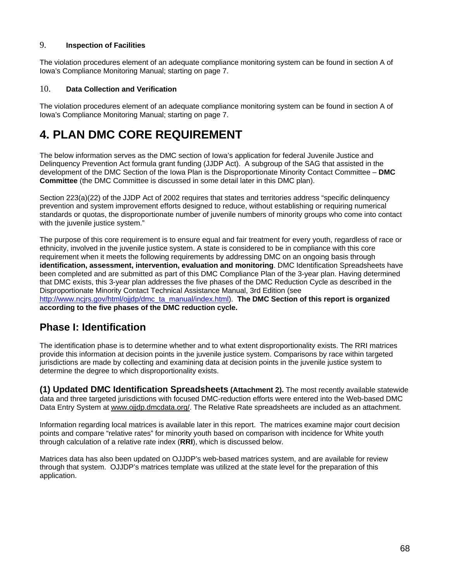#### 9. **Inspection of Facilities**

The violation procedures element of an adequate compliance monitoring system can be found in section A of Iowa's Compliance Monitoring Manual; starting on page 7.

#### 10. **Data Collection and Verification**

The violation procedures element of an adequate compliance monitoring system can be found in section A of Iowa's Compliance Monitoring Manual; starting on page 7.

# **4. PLAN DMC CORE REQUIREMENT**

The below information serves as the DMC section of Iowa's application for federal Juvenile Justice and Delinquency Prevention Act formula grant funding (JJDP Act). A subgroup of the SAG that assisted in the development of the DMC Section of the Iowa Plan is the Disproportionate Minority Contact Committee – **DMC Committee** (the DMC Committee is discussed in some detail later in this DMC plan).

Section 223(a)(22) of the JJDP Act of 2002 requires that states and territories address "specific delinquency prevention and system improvement efforts designed to reduce, without establishing or requiring numerical standards or quotas, the disproportionate number of juvenile numbers of minority groups who come into contact with the juvenile justice system."

The purpose of this core requirement is to ensure equal and fair treatment for every youth, regardless of race or ethnicity, involved in the juvenile justice system. A state is considered to be in compliance with this core requirement when it meets the following requirements by addressing DMC on an ongoing basis through **identification, assessment, intervention, evaluation and monitoring**. DMC Identification Spreadsheets have been completed and are submitted as part of this DMC Compliance Plan of the 3-year plan. Having determined that DMC exists, this 3-year plan addresses the five phases of the DMC Reduction Cycle as described in the Disproportionate Minority Contact Technical Assistance Manual, 3rd Edition (see [http://www.ncjrs.gov/html/ojjdp/dmc\\_ta\\_manual/index.html\).](http://www.ncjrs.gov/html/ojjdp/dmc_ta_manual/index.html) **The DMC Section of this report is organized according to the five phases of the DMC reduction cycle.**

# **Phase I: Identification**

The identification phase is to determine whether and to what extent disproportionality exists. The RRI matrices provide this information at decision points in the juvenile justice system. Comparisons by race within targeted jurisdictions are made by collecting and examining data at decision points in the juvenile justice system to determine the degree to which disproportionality exists.

**(1) Updated DMC Identification Spreadsheets (Attachment 2).** The most recently available statewide data and three targeted jurisdictions with focused DMC-reduction efforts were entered into the Web-based DMC Data Entry System at www.ojjdp.dmcdata.org/. The Relative Rate spreadsheets are included as an attachment.

Information regarding local matrices is available later in this report. The matrices examine major court decision points and compare "relative rates" for minority youth based on comparison with incidence for White youth through calculation of a relative rate index (**RRI**), which is discussed below.

Matrices data has also been updated on OJJDP's web-based matrices system, and are available for review through that system. OJJDP's matrices template was utilized at the state level for the preparation of this application.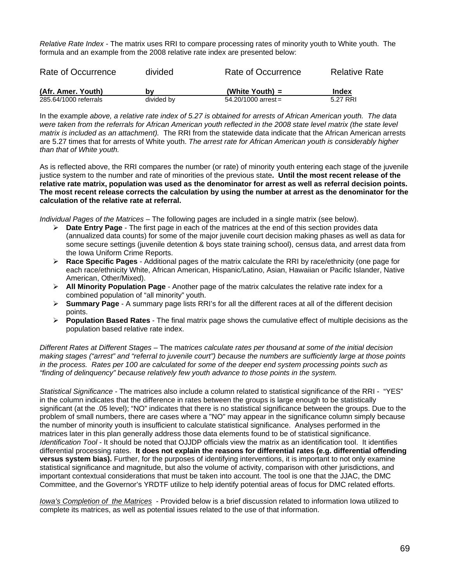*Relative Rate Index* - The matrix uses RRI to compare processing rates of minority youth to White youth. The formula and an example from the 2008 relative rate index are presented below:

| Rate of Occurrence    | divided    | Rate of Occurrence    | <b>Relative Rate</b> |  |
|-----------------------|------------|-----------------------|----------------------|--|
| (Afr. Amer. Youth)    | b٧         | (White Youth) $=$     | Index                |  |
| 285.64/1000 referrals | divided by | $54.20/1000$ arrest = | 5.27 RRI             |  |

In the example *above, a relative rate index of 5.27 is obtained for arrests of African American youth. The data*  were taken from the referrals for African American youth reflected in the 2008 state level matrix (the state level *matrix is included as an attachment).* The RRI from the statewide data indicate that the African American arrests are 5.27 times that for arrests of White youth. *The arrest rate for African American youth is considerably higher than that of White youth.* 

As is reflected above, the RRI compares the number (or rate) of minority youth entering each stage of the juvenile justice system to the number and rate of minorities of the previous state**. Until the most recent release of the relative rate matrix, population was used as the denominator for arrest as well as referral decision points. The most recent release corrects the calculation by using the number at arrest as the denominator for the calculation of the relative rate at referral.** 

*Individual Pages of the Matrices* – The following pages are included in a single matrix (see below).

- ¾ **Date Entry Page** The first page in each of the matrices at the end of this section provides data (annualized data counts) for some of the major juvenile court decision making phases as well as data for some secure settings (juvenile detention & boys state training school), census data, and arrest data from the Iowa Uniform Crime Reports.
- ¾ **Race Specific Pages** Additional pages of the matrix calculate the RRI by race/ethnicity (one page for each race/ethnicity White, African American, Hispanic/Latino, Asian, Hawaiian or Pacific Islander, Native American, Other/Mixed).
- ¾ **All Minority Population Page** Another page of the matrix calculates the relative rate index for a combined population of "all minority" youth.
- ¾ **Summary Page** A summary page lists RRI's for all the different races at all of the different decision points.
- ¾ **Population Based Rates** The final matrix page shows the cumulative effect of multiple decisions as the population based relative rate index.

*Different Rates at Different Stages* – The m*atrices calculate rates per thousand at some of the initial decision making stages ("arrest" and "referral to juvenile court") because the numbers are sufficiently large at those points in the process. Rates per 100 are calculated for some of the deeper end system processing points such as "finding of delinquency" because relatively few youth advance to those points in the system.* 

*Statistical Significance -* The matrices also include a column related to statistical significance of the RRI - "YES" in the column indicates that the difference in rates between the groups is large enough to be statistically significant (at the .05 level); "NO" indicates that there is no statistical significance between the groups. Due to the problem of small numbers, there are cases where a "NO" may appear in the significance column simply because the number of minority youth is insufficient to calculate statistical significance. Analyses performed in the matrices later in this plan generally address those data elements found to be of statistical significance. *Identification Tool* - It should be noted that OJJDP officials view the matrix as an identification tool. It identifies differential processing rates. **It does not explain the reasons for differential rates (e.g. differential offending versus system bias).** Further, for the purposes of identifying interventions, it is important to not only examine statistical significance and magnitude, but also the volume of activity, comparison with other jurisdictions, and important contextual considerations that must be taken into account. The tool is one that the JJAC, the DMC Committee, and the Governor's YRDTF utilize to help identify potential areas of focus for DMC related efforts.

*Iowa's Completion of the Matrices* - Provided below is a brief discussion related to information Iowa utilized to complete its matrices, as well as potential issues related to the use of that information.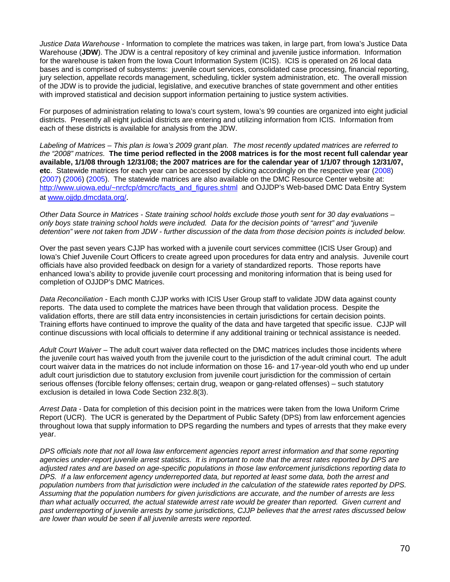*Justice Data Warehouse* - Information to complete the matrices was taken, in large part, from Iowa's Justice Data Warehouse (JDW). The JDW is a central repository of key criminal and juvenile justice information. Information for the warehouse is taken from the Iowa Court Information System (ICIS). ICIS is operated on 26 local data bases and is comprised of subsystems: juvenile court services, consolidated case processing, financial reporting, jury selection, appellate records management, scheduling, tickler system administration, etc. The overall mission of the JDW is to provide the judicial, legislative, and executive branches of state government and other entities with improved statistical and decision support information pertaining to justice system activities.

For purposes of administration relating to Iowa's court system, Iowa's 99 counties are organized into eight judicial districts. Presently all eight judicial districts are entering and utilizing information from ICIS. Information from each of these districts is available for analysis from the JDW.

*Labeling of Matrices – This plan is Iowa's 2009 grant plan. The most recently updated matrices are referred to the "2008" matrices.* **The time period reflected in the 2008 matrices is for the most recent full calendar year available, 1/1/08 through 12/31/08; the 2007 matrices are for the calendar year of 1/1/07 through 12/31/07, etc**. Statewide matrices for each year can be accessed by clicking accordingly on the respective year (2008) (2007) (2006) (2005). The statewide matrices are also available on the DMC Resource Center website at: [http://www.uiowa.edu/~nrcfcp/dmcrc/facts\\_and\\_figures.shtml](http://www.uiowa.edu/~nrcfcp/dmcrc/facts_and_figures.shtml) and OJJDP's Web-based DMC Data Entry System at [www.ojjdp.dmcdata.org/](http://www.ojjdp.dmcdata.org).

*Other Data Source in Matrices - State training school holds exclude those youth sent for 30 day evaluations – only boys state training school holds were included. Data for the decision points of "arrest" and "juvenile detention" were not taken from JDW - further discussion of the data from those decision points is included below.* 

Over the past seven years CJJP has worked with a juvenile court services committee (ICIS User Group) and Iowa's Chief Juvenile Court Officers to create agreed upon procedures for data entry and analysis. Juvenile court officials have also provided feedback on design for a variety of standardized reports. Those reports have enhanced Iowa's ability to provide juvenile court processing and monitoring information that is being used for completion of OJJDP's DMC Matrices.

*Data Reconciliation -* Each month CJJP works with ICIS User Group staff to validate JDW data against county reports. The data used to complete the matrices have been through that validation process. Despite the validation efforts, there are still data entry inconsistencies in certain jurisdictions for certain decision points. Training efforts have continued to improve the quality of the data and have targeted that specific issue. CJJP will continue discussions with local officials to determine if any additional training or technical assistance is needed.

*Adult Court Waiver* – The adult court waiver data reflected on the DMC matrices includes those incidents where the juvenile court has waived youth from the juvenile court to the jurisdiction of the adult criminal court. The adult court waiver data in the matrices do not include information on those 16- and 17-year-old youth who end up under adult court jurisdiction due to statutory exclusion from juvenile court jurisdiction for the commission of certain serious offenses (forcible felony offenses; certain drug, weapon or gang-related offenses) – such statutory exclusion is detailed in Iowa Code Section 232.8(3).

*Arrest Data -* Data for completion of this decision point in the matrices were taken from the Iowa Uniform Crime Report (UCR). The UCR is generated by the Department of Public Safety (DPS) from law enforcement agencies throughout Iowa that supply information to DPS regarding the numbers and types of arrests that they make every year.

*DPS officials note that not all Iowa law enforcement agencies report arrest information and that some reporting agencies under-report juvenile arrest statistics. It is important to note that the arrest rates reported by DPS are adjusted rates and are based on age-specific populations in those law enforcement jurisdictions reporting data to DPS. If a law enforcement agency underreported data, but reported at least some data, both the arrest and population numbers from that jurisdiction were included in the calculation of the statewide rates reported by DPS. Assuming that the population numbers for given jurisdictions are accurate, and the number of arrests are less than what actually occurred, the actual statewide arrest rate would be greater than reported. Given current and past underreporting of juvenile arrests by some jurisdictions, CJJP believes that the arrest rates discussed below are lower than would be seen if all juvenile arrests were reported.*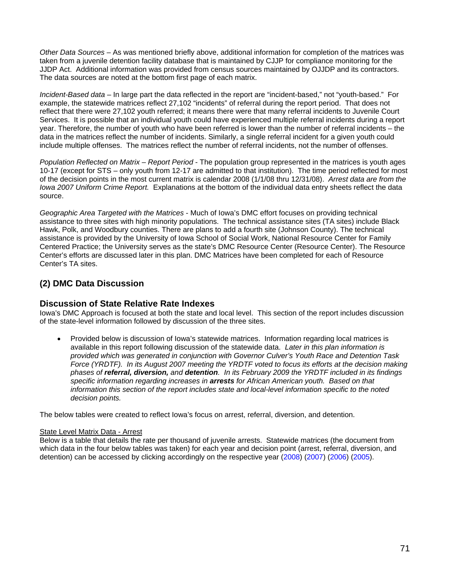*Other Data Sources* – As was mentioned briefly above, additional information for completion of the matrices was taken from a juvenile detention facility database that is maintained by CJJP for compliance monitoring for the JJDP Act. Additional information was provided from census sources maintained by OJJDP and its contractors. The data sources are noted at the bottom first page of each matrix.

*Incident-Based data* – In large part the data reflected in the report are "incident-based," not "youth-based." For example, the statewide matrices reflect 27,102 "incidents" of referral during the report period. That does not reflect that there were 27,102 youth referred; it means there were that many referral incidents to Juvenile Court Services. It is possible that an individual youth could have experienced multiple referral incidents during a report year. Therefore, the number of youth who have been referred is lower than the number of referral incidents – the data in the matrices reflect the number of incidents. Similarly, a single referral incident for a given youth could include multiple offenses. The matrices reflect the number of referral incidents, not the number of offenses.

*Population Reflected on Matrix – Report Period* - The population group represented in the matrices is youth ages 10-17 (except for STS – only youth from 12-17 are admitted to that institution). The time period reflected for most of the decision points in the most current matrix is calendar 2008 (1/1/08 thru 12/31/08). *Arrest data are from the Iowa 2007 Uniform Crime Report.* Explanations at the bottom of the individual data entry sheets reflect the data source.

*Geographic Area Targeted with the Matrices* - Much of Iowa's DMC effort focuses on providing technical assistance to three sites with high minority populations. The technical assistance sites (TA sites) include Black Hawk, Polk, and Woodbury counties. There are plans to add a fourth site (Johnson County). The technical assistance is provided by the University of Iowa School of Social Work, National Resource Center for Family Centered Practice; the University serves as the state's DMC Resource Center (Resource Center). The Resource Center's efforts are discussed later in this plan. DMC Matrices have been completed for each of Resource Center's TA sites.

# **(2) DMC Data Discussion**

## **Discussion of State Relative Rate Indexes**

Iowa's DMC Approach is focused at both the state and local level. This section of the report includes discussion of the state-level information followed by discussion of the three sites.

• Provided below is discussion of Iowa's statewide matrices. Information regarding local matrices is available in this report following discussion of the statewide data. *Later in this plan information is provided which was generated in conjunction with Governor Culver's Youth Race and Detention Task Force (YRDTF). In its August 2007 meeting the YRDTF voted to focus its efforts at the decision making phases of referral, diversion, and detention. In its February 2009 the YRDTF included in its findings specific information regarding increases in arrests for African American youth. Based on that information this section of the report includes state and local-level information specific to the noted decision points.*

The below tables were created to reflect Iowa's focus on arrest, referral, diversion, and detention.

#### State Level Matrix Data - Arrest

Below is a table that details the rate per thousand of juvenile arrests. Statewide matrices (the document from which data in the four below tables was taken) for each year and decision point (arrest, referral, diversion, and detention) can be accessed by clicking accordingly on the respective year (2008) (2007) (2006) (2005).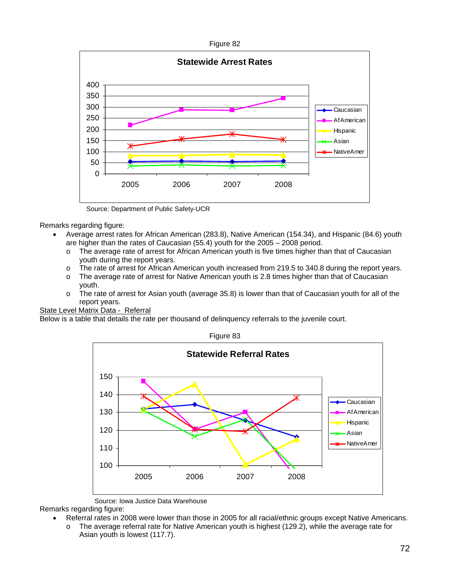



Source: Department of Public Safety-UCR

Remarks regarding figure:

- Average arrest rates for African American (283.8), Native American (154.34), and Hispanic (84.6) youth are higher than the rates of Caucasian (55.4) youth for the 2005 – 2008 period.
	- o The average rate of arrest for African American youth is five times higher than that of Caucasian youth during the report years.
	- o The rate of arrest for African American youth increased from 219.5 to 340.8 during the report years.
	- o The average rate of arrest for Native American youth is 2.8 times higher than that of Caucasian youth.
	- o The rate of arrest for Asian youth (average 35.8) is lower than that of Caucasian youth for all of the report years.

#### State Level Matrix Data - Referral

Below is a table that details the rate per thousand of delinquency referrals to the juvenile court.



Source: Iowa Justice Data Warehouse

Remarks regarding figure:

- Referral rates in 2008 were lower than those in 2005 for all racial/ethnic groups except Native Americans.
	- o The average referral rate for Native American youth is highest (129.2), while the average rate for Asian youth is lowest (117.7).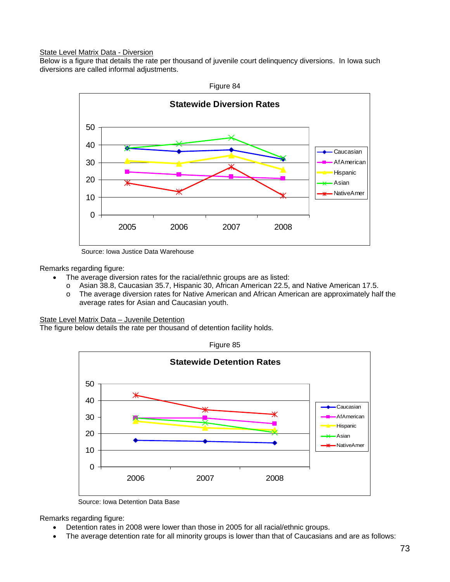#### State Level Matrix Data - Diversion

Below is a figure that details the rate per thousand of juvenile court delinquency diversions. In Iowa such diversions are called informal adjustments.



Source: Iowa Justice Data Warehouse

Remarks regarding figure:

- The average diversion rates for the racial/ethnic groups are as listed:
	- o Asian 38.8, Caucasian 35.7, Hispanic 30, African American 22.5, and Native American 17.5.
	- o The average diversion rates for Native American and African American are approximately half the average rates for Asian and Caucasian youth.

#### State Level Matrix Data – Juvenile Detention

The figure below details the rate per thousand of detention facility holds.





Source: Iowa Detention Data Base

Remarks regarding figure:

- Detention rates in 2008 were lower than those in 2005 for all racial/ethnic groups.
- The average detention rate for all minority groups is lower than that of Caucasians and are as follows: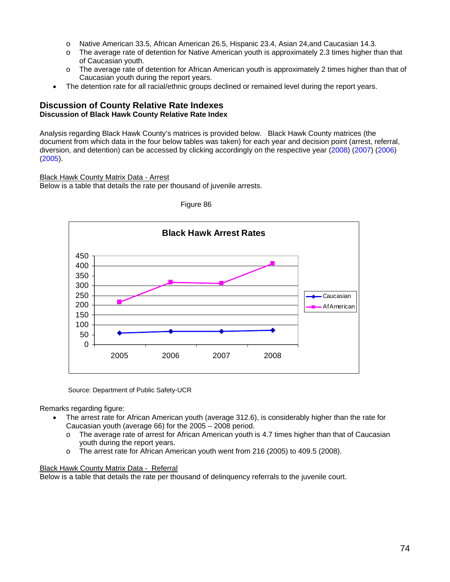- o Native American 33.5, African American 26.5, Hispanic 23.4, Asian 24,and Caucasian 14.3.
- o The average rate of detention for Native American youth is approximately 2.3 times higher than that of Caucasian youth.
- o The average rate of detention for African American youth is approximately 2 times higher than that of Caucasian youth during the report years.
- The detention rate for all racial/ethnic groups declined or remained level during the report years.

#### **Discussion of County Relative Rate Indexes Discussion of Black Hawk County Relative Rate Index**

Analysis regarding Black Hawk County's matrices is provided below. Black Hawk County matrices (the document from which data in the four below tables was taken) for each year and decision point (arrest, referral, diversion, and detention) can be accessed by clicking accordingly on the respective year (2008) (2007) (2006) (2005).

#### Black Hawk County Matrix Data - Arrest

Below is a table that details the rate per thousand of juvenile arrests.



Figure 86

Source: Department of Public Safety-UCR

Remarks regarding figure:

- The arrest rate for African American youth (average 312.6), is considerably higher than the rate for Caucasian youth (average 66) for the 2005 – 2008 period.
	- $\circ$  The average rate of arrest for African American youth is 4.7 times higher than that of Caucasian youth during the report years.
	- $\circ$  The arrest rate for African American youth went from 216 (2005) to 409.5 (2008).

#### Black Hawk County Matrix Data - Referral

Below is a table that details the rate per thousand of delinquency referrals to the juvenile court.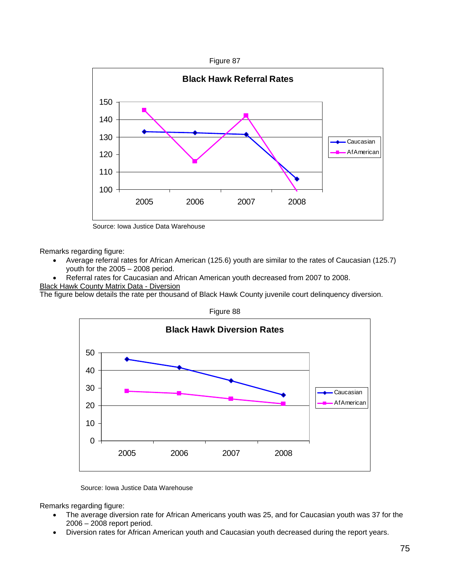

Source: Iowa Justice Data Warehouse

- Average referral rates for African American (125.6) youth are similar to the rates of Caucasian (125.7) youth for the 2005 – 2008 period.
- Referral rates for Caucasian and African American youth decreased from 2007 to 2008.
- Black Hawk County Matrix Data Diversion

The figure below details the rate per thousand of Black Hawk County juvenile court delinquency diversion.



Figure 88

Source: Iowa Justice Data Warehouse

Remarks regarding figure:

- The average diversion rate for African Americans youth was 25, and for Caucasian youth was 37 for the 2006 – 2008 report period.
- Diversion rates for African American youth and Caucasian youth decreased during the report years.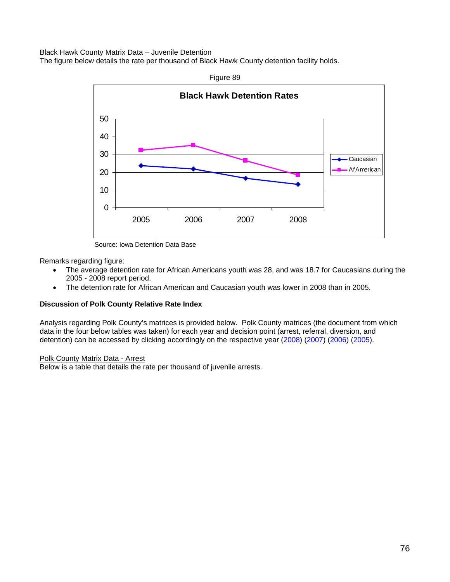Black Hawk County Matrix Data – Juvenile Detention

The figure below details the rate per thousand of Black Hawk County detention facility holds.



Source: Iowa Detention Data Base

Remarks regarding figure:

- The average detention rate for African Americans youth was 28, and was 18.7 for Caucasians during the 2005 - 2008 report period.
- The detention rate for African American and Caucasian youth was lower in 2008 than in 2005.

#### **Discussion of Polk County Relative Rate Index**

Analysis regarding Polk County's matrices is provided below. Polk County matrices (the document from which data in the four below tables was taken) for each year and decision point (arrest, referral, diversion, and detention) can be accessed by clicking accordingly on the respective year (2008) (2007) (2006) (2005).

#### Polk County Matrix Data - Arrest

Below is a table that details the rate per thousand of juvenile arrests.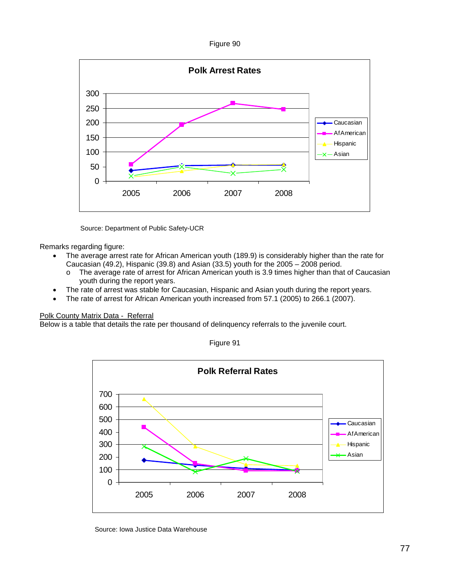Figure 90



Source: Department of Public Safety-UCR

Remarks regarding figure:

- The average arrest rate for African American youth (189.9) is considerably higher than the rate for Caucasian (49.2), Hispanic (39.8) and Asian (33.5) youth for the 2005 – 2008 period.
	- o The average rate of arrest for African American youth is 3.9 times higher than that of Caucasian youth during the report years.
- The rate of arrest was stable for Caucasian, Hispanic and Asian youth during the report years.
- The rate of arrest for African American youth increased from 57.1 (2005) to 266.1 (2007).

#### Polk County Matrix Data - Referral

Below is a table that details the rate per thousand of delinquency referrals to the juvenile court.



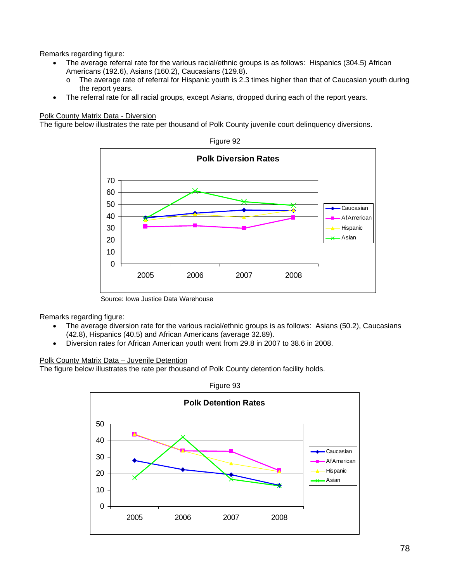- The average referral rate for the various racial/ethnic groups is as follows: Hispanics (304.5) African Americans (192.6), Asians (160.2), Caucasians (129.8).
	- o The average rate of referral for Hispanic youth is 2.3 times higher than that of Caucasian youth during the report years.
- The referral rate for all racial groups, except Asians, dropped during each of the report years.

#### Polk County Matrix Data - Diversion

The figure below illustrates the rate per thousand of Polk County juvenile court delinquency diversions.



Source: Iowa Justice Data Warehouse

Remarks regarding figure:

- The average diversion rate for the various racial/ethnic groups is as follows: Asians (50.2), Caucasians (42.8), Hispanics (40.5) and African Americans (average 32.89).
- Diversion rates for African American youth went from 29.8 in 2007 to 38.6 in 2008.

Polk County Matrix Data – Juvenile Detention

The figure below illustrates the rate per thousand of Polk County detention facility holds.

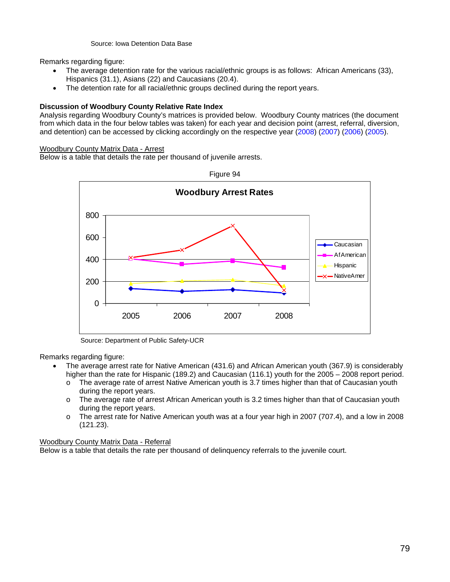#### Source: Iowa Detention Data Base

Remarks regarding figure:

- The average detention rate for the various racial/ethnic groups is as follows: African Americans (33), Hispanics (31.1), Asians (22) and Caucasians (20.4).
- The detention rate for all racial/ethnic groups declined during the report years.

#### **Discussion of Woodbury County Relative Rate Index**

Analysis regarding Woodbury County's matrices is provided below. Woodbury County matrices (the document from which data in the four below tables was taken) for each year and decision point (arrest, referral, diversion, and detention) can be accessed by clicking accordingly on the respective year (2008) (2007) (2006) (2005).

#### Woodbury County Matrix Data - Arrest

Below is a table that details the rate per thousand of juvenile arrests.



Source: Department of Public Safety-UCR

Remarks regarding figure:

- The average arrest rate for Native American (431.6) and African American youth (367.9) is considerably higher than the rate for Hispanic (189.2) and Caucasian (116.1) youth for the 2005 – 2008 report period.
	- o The average rate of arrest Native American youth is 3.7 times higher than that of Caucasian youth during the report years.
	- o The average rate of arrest African American youth is 3.2 times higher than that of Caucasian youth during the report years.
	- o The arrest rate for Native American youth was at a four year high in 2007 (707.4), and a low in 2008 (121.23).

#### Woodbury County Matrix Data - Referral

Below is a table that details the rate per thousand of delinquency referrals to the juvenile court.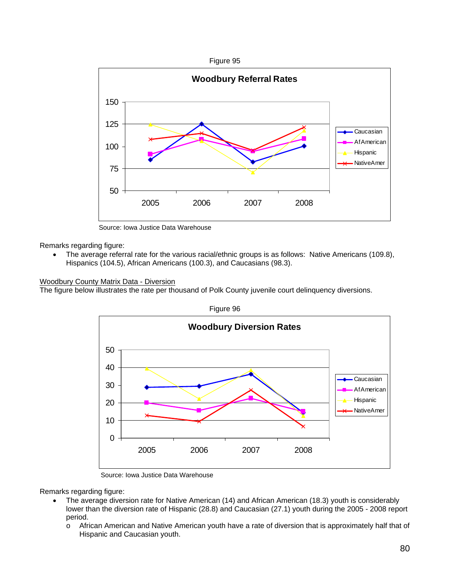

Source: Iowa Justice Data Warehouse

• The average referral rate for the various racial/ethnic groups is as follows: Native Americans (109.8), Hispanics (104.5), African Americans (100.3), and Caucasians (98.3).

Woodbury County Matrix Data - Diversion

The figure below illustrates the rate per thousand of Polk County juvenile court delinquency diversions.





Source: Iowa Justice Data Warehouse

Remarks regarding figure:

- The average diversion rate for Native American (14) and African American (18.3) youth is considerably lower than the diversion rate of Hispanic (28.8) and Caucasian (27.1) youth during the 2005 - 2008 report period.
	- o African American and Native American youth have a rate of diversion that is approximately half that of Hispanic and Caucasian youth.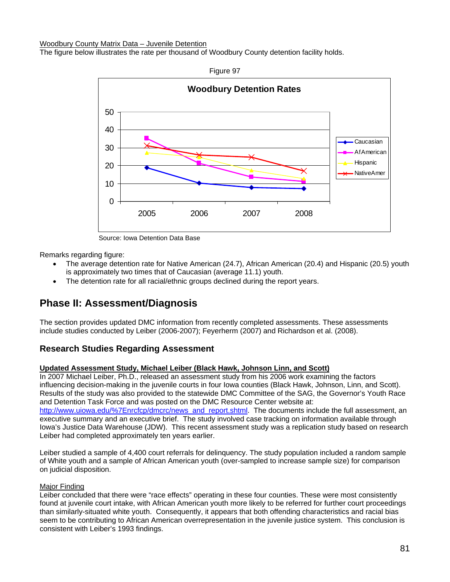#### Woodbury County Matrix Data – Juvenile Detention

The figure below illustrates the rate per thousand of Woodbury County detention facility holds.





Source: Iowa Detention Data Base

Remarks regarding figure:

- The average detention rate for Native American (24.7), African American (20.4) and Hispanic (20.5) youth is approximately two times that of Caucasian (average 11.1) youth.
- The detention rate for all racial/ethnic groups declined during the report years.

# **Phase II: Assessment/Diagnosis**

The section provides updated DMC information from recently completed assessments. These assessments include studies conducted by Leiber (2006-2007); Feyerherm (2007) and Richardson et al. (2008).

### **Research Studies Regarding Assessment**

#### **Updated Assessment Study, Michael Leiber (Black Hawk, Johnson Linn, and Scott)**

In 2007 Michael Leiber, Ph.D., released an assessment study from his 2006 work examining the factors influencing decision-making in the juvenile courts in four Iowa counties (Black Hawk, Johnson, Linn, and Scott). Results of the study was also provided to the statewide DMC Committee of the SAG, the Governor's Youth Race and Detention Task Force and was posted on the DMC Resource Center website at: [http://www.uiowa.edu/%7Enrcfcp/dmcrc/news\\_and\\_report.shtml.](http://www.uiowa.edu/%7Enrcfcp/dmcrc/news_and_reports.shtml) The documents include the full assessment, an executive summary and an executive brief. The study involved case tracking on information available through Iowa's Justice Data Warehouse (JDW). This recent assessment study was a replication study based on research Leiber had completed approximately ten years earlier.

Leiber studied a sample of 4,400 court referrals for delinquency. The study population included a random sample of White youth and a sample of African American youth (over-sampled to increase sample size) for comparison on judicial disposition.

#### Major Finding

Leiber concluded that there were "race effects" operating in these four counties. These were most consistently found at juvenile court intake, with African American youth more likely to be referred for further court proceedings than similarly-situated white youth. Consequently, it appears that both offending characteristics and racial bias seem to be contributing to African American overrepresentation in the juvenile justice system. This conclusion is consistent with Leiber's 1993 findings.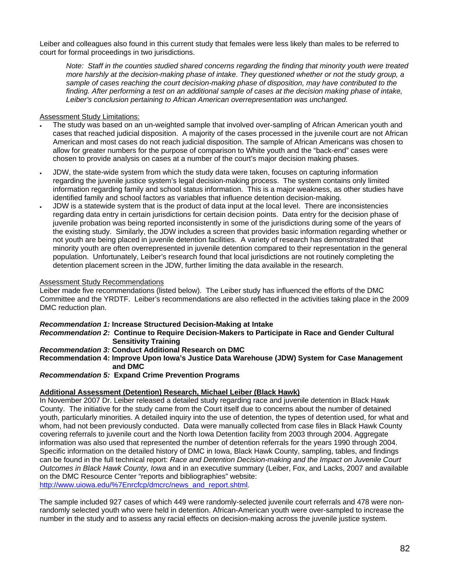Leiber and colleagues also found in this current study that females were less likely than males to be referred to court for formal proceedings in two jurisdictions.

*Note: Staff in the counties studied shared concerns regarding the finding that minority youth were treated more harshly at the decision-making phase of intake. They questioned whether or not the study group, a sample of cases reaching the court decision-making phase of disposition, may have contributed to the finding. After performing a test on an additional sample of cases at the decision making phase of intake, Leiber's conclusion pertaining to African American overrepresentation was unchanged.* 

#### Assessment Study Limitations:

- The study was based on an un-weighted sample that involved over-sampling of African American youth and cases that reached judicial disposition. A majority of the cases processed in the juvenile court are not African American and most cases do not reach judicial disposition. The sample of African Americans was chosen to allow for greater numbers for the purpose of comparison to White youth and the "back-end" cases were chosen to provide analysis on cases at a number of the court's major decision making phases.
- JDW, the state-wide system from which the study data were taken, focuses on capturing information regarding the juvenile justice system's legal decision-making process. The system contains only limited information regarding family and school status information. This is a major weakness, as other studies have identified family and school factors as variables that influence detention decision-making.
- JDW is a statewide system that is the product of data input at the local level. There are inconsistencies regarding data entry in certain jurisdictions for certain decision points. Data entry for the decision phase of juvenile probation was being reported inconsistently in some of the jurisdictions during some of the years of the existing study. Similarly, the JDW includes a screen that provides basic information regarding whether or not youth are being placed in juvenile detention facilities. A variety of research has demonstrated that minority youth are often overrepresented in juvenile detention compared to their representation in the general population. Unfortunately, Leiber's research found that local jurisdictions are not routinely completing the detention placement screen in the JDW, further limiting the data available in the research.

#### Assessment Study Recommendations

Leiber made five recommendations (listed below). The Leiber study has influenced the efforts of the DMC Committee and the YRDTF. Leiber's recommendations are also reflected in the activities taking place in the 2009 DMC reduction plan.

#### *Recommendation 1:* **Increase Structured Decision-Making at Intake**

#### *Recommendation 2:* **Continue to Require Decision-Makers to Participate in Race and Gender Cultural Sensitivity Training**

#### *Recommendation 3:* **Conduct Additional Research on DMC**

**Recommendation 4: Improve Upon Iowa's Justice Data Warehouse (JDW) System for Case Management and DMC** 

#### *Recommendation 5:* **Expand Crime Prevention Programs**

#### **Additional Assessment (Detention) Research, Michael Leiber (Black Hawk)**

In November 2007 Dr. Leiber released a detailed study regarding race and juvenile detention in Black Hawk County. The initiative for the study came from the Court itself due to concerns about the number of detained youth, particularly minorities. A detailed inquiry into the use of detention, the types of detention used, for what and whom, had not been previously conducted. Data were manually collected from case files in Black Hawk County covering referrals to juvenile court and the North Iowa Detention facility from 2003 through 2004. Aggregate information was also used that represented the number of detention referrals for the years 1990 through 2004. Specific information on the detailed history of DMC in Iowa, Black Hawk County, sampling, tables, and findings can be found in the full technical report: *Race and Detention Decision-making and the Impact on Juvenile Court Outcomes in Black Hawk County, Iowa* and in an executive summary (Leiber, Fox, and Lacks, 2007 and available on the DMC Resource Center "reports and bibliographies" website:

[http://www.uiowa.edu/%7Enrcfcp/dmcrc/news\\_and\\_report.shtml.](http://www.uiowa.edu/%7Enrcfcp/dmcrc/news_and_reports.shtml) 

The sample included 927 cases of which 449 were randomly-selected juvenile court referrals and 478 were nonrandomly selected youth who were held in detention. African-American youth were over-sampled to increase the number in the study and to assess any racial effects on decision-making across the juvenile justice system.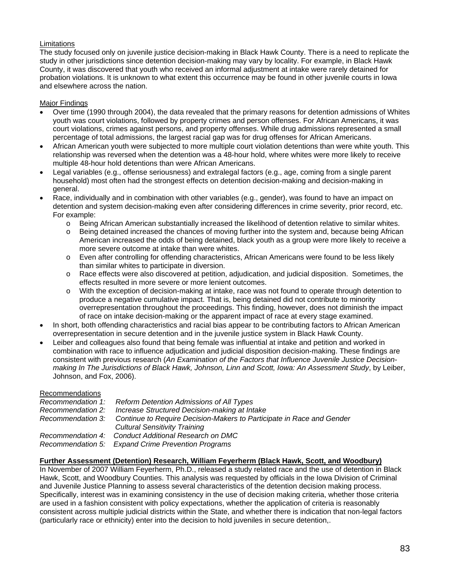#### Limitations

The study focused only on juvenile justice decision-making in Black Hawk County. There is a need to replicate the study in other jurisdictions since detention decision-making may vary by locality. For example, in Black Hawk County, it was discovered that youth who received an informal adjustment at intake were rarely detained for probation violations. It is unknown to what extent this occurrence may be found in other juvenile courts in Iowa and elsewhere across the nation.

#### Major Findings

- Over time (1990 through 2004), the data revealed that the primary reasons for detention admissions of Whites youth was court violations, followed by property crimes and person offenses. For African Americans, it was court violations, crimes against persons, and property offenses. While drug admissions represented a small percentage of total admissions, the largest racial gap was for drug offenses for African Americans.
- African American youth were subjected to more multiple court violation detentions than were white youth. This relationship was reversed when the detention was a 48-hour hold, where whites were more likely to receive multiple 48-hour hold detentions than were African Americans.
- Legal variables (e.g., offense seriousness) and extralegal factors (e.g., age, coming from a single parent household) most often had the strongest effects on detention decision-making and decision-making in general.
- Race, individually and in combination with other variables (e.g., gender), was found to have an impact on detention and system decision-making even after considering differences in crime severity, prior record, etc. For example:
	- o Being African American substantially increased the likelihood of detention relative to similar whites.
	- o Being detained increased the chances of moving further into the system and, because being African American increased the odds of being detained, black youth as a group were more likely to receive a more severe outcome at intake than were whites.
	- o Even after controlling for offending characteristics, African Americans were found to be less likely than similar whites to participate in diversion.
	- o Race effects were also discovered at petition, adjudication, and judicial disposition. Sometimes, the effects resulted in more severe or more lenient outcomes.
	- o With the exception of decision-making at intake, race was not found to operate through detention to produce a negative cumulative impact. That is, being detained did not contribute to minority overrepresentation throughout the proceedings. This finding, however, does not diminish the impact of race on intake decision-making or the apparent impact of race at every stage examined.
- In short, both offending characteristics and racial bias appear to be contributing factors to African American overrepresentation in secure detention and in the juvenile justice system in Black Hawk County.
- Leiber and colleagues also found that being female was influential at intake and petition and worked in combination with race to influence adjudication and judicial disposition decision-making. These findings are consistent with previous research (*An Examination of the Factors that Influence Juvenile Justice Decisionmaking In The Jurisdictions of Black Hawk, Johnson, Linn and Scott, Iowa: An Assessment Study*, by Leiber, Johnson, and Fox, 2006).

#### Recommendations

|                   | Recommendation 1: Reform Detention Admissions of All Types                              |
|-------------------|-----------------------------------------------------------------------------------------|
| Recommendation 2: | Increase Structured Decision-making at Intake                                           |
|                   | Recommendation 3: Continue to Require Decision-Makers to Participate in Race and Gender |
|                   | <b>Cultural Sensitivity Training</b>                                                    |
|                   | Recommendation 4: Conduct Additional Research on DMC                                    |
|                   | Recommendation 5: Expand Crime Prevention Programs                                      |
|                   |                                                                                         |

#### **Further Assessment (Detention) Research, William Feyerherm (Black Hawk, Scott, and Woodbury)**

In November of 2007 William Feyerherm, Ph.D., released a study related race and the use of detention in Black Hawk, Scott, and Woodbury Counties. This analysis was requested by officials in the Iowa Division of Criminal and Juvenile Justice Planning to assess several characteristics of the detention decision making process. Specifically, interest was in examining consistency in the use of decision making criteria, whether those criteria are used in a fashion consistent with policy expectations, whether the application of criteria is reasonably consistent across multiple judicial districts within the State, and whether there is indication that non-legal factors (particularly race or ethnicity) enter into the decision to hold juveniles in secure detention,.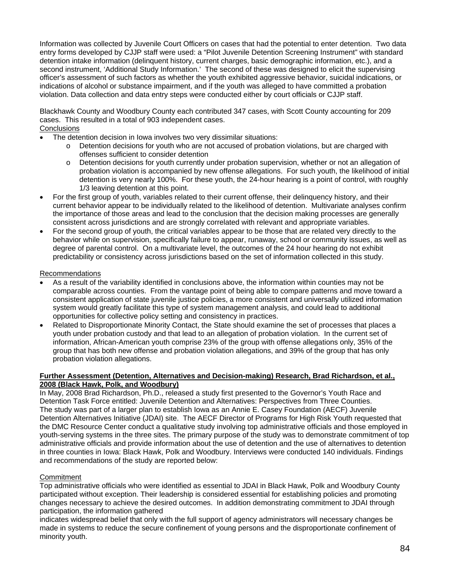Information was collected by Juvenile Court Officers on cases that had the potential to enter detention. Two data entry forms developed by CJJP staff were used: a "Pilot Juvenile Detention Screening Instrument" with standard detention intake information (delinquent history, current charges, basic demographic information, etc.), and a second instrument, 'Additional Study Information.' The second of these was designed to elicit the supervising officer's assessment of such factors as whether the youth exhibited aggressive behavior, suicidal indications, or indications of alcohol or substance impairment, and if the youth was alleged to have committed a probation violation. Data collection and data entry steps were conducted either by court officials or CJJP staff.

Blackhawk County and Woodbury County each contributed 347 cases, with Scott County accounting for 209 cases. This resulted in a total of 903 independent cases.

#### **Conclusions**

- The detention decision in Iowa involves two very dissimilar situations:
	- $\circ$  Detention decisions for youth who are not accused of probation violations, but are charged with offenses sufficient to consider detention
	- o Detention decisions for youth currently under probation supervision, whether or not an allegation of probation violation is accompanied by new offense allegations. For such youth, the likelihood of initial detention is very nearly 100%. For these youth, the 24-hour hearing is a point of control, with roughly 1/3 leaving detention at this point.
- For the first group of youth, variables related to their current offense, their delinquency history, and their current behavior appear to be individually related to the likelihood of detention. Multivariate analyses confirm the importance of those areas and lead to the conclusion that the decision making processes are generally consistent across jurisdictions and are strongly correlated with relevant and appropriate variables.
- For the second group of youth, the critical variables appear to be those that are related very directly to the behavior while on supervision, specifically failure to appear, runaway, school or community issues, as well as degree of parental control. On a multivariate level, the outcomes of the 24 hour hearing do not exhibit predictability or consistency across jurisdictions based on the set of information collected in this study.

#### Recommendations

- As a result of the variability identified in conclusions above, the information within counties may not be comparable across counties. From the vantage point of being able to compare patterns and move toward a consistent application of state juvenile justice policies, a more consistent and universally utilized information system would greatly facilitate this type of system management analysis, and could lead to additional opportunities for collective policy setting and consistency in practices.
- Related to Disproportionate Minority Contact, the State should examine the set of processes that places a youth under probation custody and that lead to an allegation of probation violation. In the current set of information, African-American youth comprise 23% of the group with offense allegations only, 35% of the group that has both new offense and probation violation allegations, and 39% of the group that has only probation violation allegations.

#### **Further Assessment (Detention, Alternatives and Decision-making) Research, Brad Richardson, et al., 2008 (Black Hawk, Polk, and Woodbury)**

In May, 2008 Brad Richardson, Ph.D., released a study first presented to the Governor's Youth Race and Detention Task Force entitled: Juvenile Detention and Alternatives: Perspectives from Three Counties. The study was part of a larger plan to establish Iowa as an Annie E. Casey Foundation (AECF) Juvenile Detention Alternatives Initiative (JDAI) site. The AECF Director of Programs for High Risk Youth requested that the DMC Resource Center conduct a qualitative study involving top administrative officials and those employed in youth-serving systems in the three sites. The primary purpose of the study was to demonstrate commitment of top administrative officials and provide information about the use of detention and the use of alternatives to detention in three counties in Iowa: Black Hawk, Polk and Woodbury. Interviews were conducted 140 individuals. Findings and recommendations of the study are reported below:

#### **Commitment**

Top administrative officials who were identified as essential to JDAI in Black Hawk, Polk and Woodbury County participated without exception. Their leadership is considered essential for establishing policies and promoting changes necessary to achieve the desired outcomes. In addition demonstrating commitment to JDAI through participation, the information gathered

indicates widespread belief that only with the full support of agency administrators will necessary changes be made in systems to reduce the secure confinement of young persons and the disproportionate confinement of minority youth.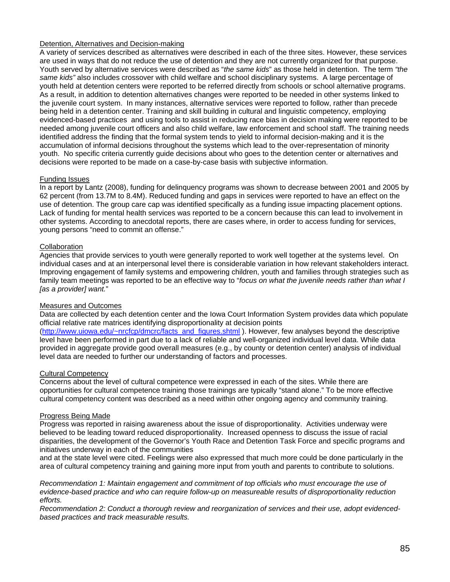#### Detention, Alternatives and Decision-making

A variety of services described as alternatives were described in each of the three sites. However, these services are used in ways that do not reduce the use of detention and they are not currently organized for that purpose. Youth served by alternative services were described as "*the same kids*" as those held in detention. The term *"the same kids"* also includes crossover with child welfare and school disciplinary systems. A large percentage of youth held at detention centers were reported to be referred directly from schools or school alternative programs. As a result, in addition to detention alternatives changes were reported to be needed in other systems linked to the juvenile court system. In many instances, alternative services were reported to follow, rather than precede being held in a detention center. Training and skill building in cultural and linguistic competency, employing evidenced-based practices and using tools to assist in reducing race bias in decision making were reported to be needed among juvenile court officers and also child welfare, law enforcement and school staff. The training needs identified address the finding that the formal system tends to yield to informal decision-making and it is the accumulation of informal decisions throughout the systems which lead to the over-representation of minority youth. No specific criteria currently guide decisions about who goes to the detention center or alternatives and decisions were reported to be made on a case-by-case basis with subjective information.

#### Funding Issues

In a report by Lantz (2008), funding for delinquency programs was shown to decrease between 2001 and 2005 by 62 percent (from 13.7M to 8.4M). Reduced funding and gaps in services were reported to have an effect on the use of detention. The group care cap was identified specifically as a funding issue impacting placement options. Lack of funding for mental health services was reported to be a concern because this can lead to involvement in other systems. According to anecdotal reports, there are cases where, in order to access funding for services, young persons "need to commit an offense."

#### **Collaboration**

Agencies that provide services to youth were generally reported to work well together at the systems level. On individual cases and at an interpersonal level there is considerable variation in how relevant stakeholders interact. Improving engagement of family systems and empowering children, youth and families through strategies such as family team meetings was reported to be an effective way to "*focus on what the juvenile needs rather than what I [as a provider] want.*"

#### Measures and Outcomes

Data are collected by each detention center and the Iowa Court Information System provides data which populate official relative rate matrices identifying disproportionality at decision points

[\(http://www.uiowa.edu/~nrcfcp/dmcrc/facts\\_and\\_figures.shtml \)](http://www.uiowa.edu/~nrcfcp/dmcrc/facts_and_figures.shtml). However, few analyses beyond the descriptive level have been performed in part due to a lack of reliable and well-organized individual level data. While data provided in aggregate provide good overall measures (e.g., by county or detention center) analysis of individual level data are needed to further our understanding of factors and processes.

#### Cultural Competency

Concerns about the level of cultural competence were expressed in each of the sites. While there are opportunities for cultural competence training those trainings are typically "stand alone." To be more effective cultural competency content was described as a need within other ongoing agency and community training.

#### Progress Being Made

Progress was reported in raising awareness about the issue of disproportionality. Activities underway were believed to be leading toward reduced disproportionality. Increased openness to discuss the issue of racial disparities, the development of the Governor's Youth Race and Detention Task Force and specific programs and initiatives underway in each of the communities

and at the state level were cited. Feelings were also expressed that much more could be done particularly in the area of cultural competency training and gaining more input from youth and parents to contribute to solutions.

*Recommendation 1: Maintain engagement and commitment of top officials who must encourage the use of evidence-based practice and who can require follow-up on measureable results of disproportionality reduction efforts.* 

*Recommendation 2: Conduct a thorough review and reorganization of services and their use, adopt evidencedbased practices and track measurable results.*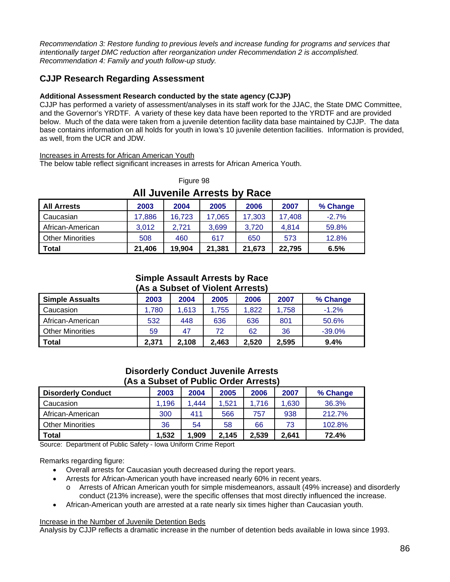*Recommendation 3: Restore funding to previous levels and increase funding for programs and services that intentionally target DMC reduction after reorganization under Recommendation 2 is accomplished. Recommendation 4: Family and youth follow-up study.* 

# **CJJP Research Regarding Assessment**

#### **Additional Assessment Research conducted by the state agency (CJJP)**

CJJP has performed a variety of assessment/analyses in its staff work for the JJAC, the State DMC Committee, and the Governor's YRDTF. A variety of these key data have been reported to the YRDTF and are provided below. Much of the data were taken from a juvenile detention facility data base maintained by CJJP. The data base contains information on all holds for youth in Iowa's 10 juvenile detention facilities. Information is provided, as well, from the UCR and JDW.

Increases in Arrests for African American Youth

The below table reflect significant increases in arrests for African America Youth.

| <b>All Juvenile Arrests by Race</b> |        |        |        |        |        |          |
|-------------------------------------|--------|--------|--------|--------|--------|----------|
| <b>All Arrests</b>                  | 2003   | 2004   | 2005   | 2006   | 2007   | % Change |
| Caucasian                           | 17,886 | 16.723 | 17,065 | 17,303 | 17,408 | $-2.7%$  |
| African-American                    | 3,012  | 2,721  | 3,699  | 3,720  | 4.814  | 59.8%    |
| <b>Other Minorities</b>             | 508    | 460    | 617    | 650    | 573    | 12.8%    |
| <b>Total</b>                        | 21,406 | 19,904 | 21,381 | 21,673 | 22,795 | 6.5%     |

Figure 98

#### **Simple Assault Arrests by Race (As a Subset of Violent Arrests)**

| (AS a Subset of Violent Affests) |       |       |       |       |       |          |
|----------------------------------|-------|-------|-------|-------|-------|----------|
| <b>Simple Assualts</b>           | 2003  | 2004  | 2005  | 2006  | 2007  | % Change |
| Caucasion                        | ,780  | 1.613 | 1.755 | 1,822 | 1.758 | $-1.2%$  |
| African-American                 | 532   | 448   | 636   | 636   | 801   | 50.6%    |
| <b>Other Minorities</b>          | 59    | 47    | 72    | 62    | 36    | $-39.0%$ |
| <b>Total</b>                     | 2.371 | 2.108 | 2.463 | 2,520 | 2,595 | 9.4%     |

### **Disorderly Conduct Juvenile Arrests (As a Subset of Public Order Arrests)**

| <b>Disorderly Conduct</b> | 2003  | 2004  | 2005  | 2006  | 2007  | % Change |
|---------------------------|-------|-------|-------|-------|-------|----------|
| Caucasion                 | 1,196 | 1.444 | 1.521 | 1.716 | ,630  | 36.3%    |
| African-American          | 300   | 411   | 566   | 757   | 938   | 212.7%   |
| <b>Other Minorities</b>   | 36    | 54    | 58    | 66    | 73    | 102.8%   |
| <b>Total</b>              | 1,532 | 1,909 | 2.145 | 2,539 | 2.641 | 72.4%    |

Source: Department of Public Safety - Iowa Uniform Crime Report

Remarks regarding figure:

- Overall arrests for Caucasian youth decreased during the report years.
	- Arrests for African-American youth have increased nearly 60% in recent years.
	- o Arrests of African American youth for simple misdemeanors, assault (49% increase) and disorderly conduct (213% increase), were the specific offenses that most directly influenced the increase.
	- African-American youth are arrested at a rate nearly six times higher than Caucasian youth.

#### Increase in the Number of Juvenile Detention Beds

Analysis by CJJP reflects a dramatic increase in the number of detention beds available in Iowa since 1993.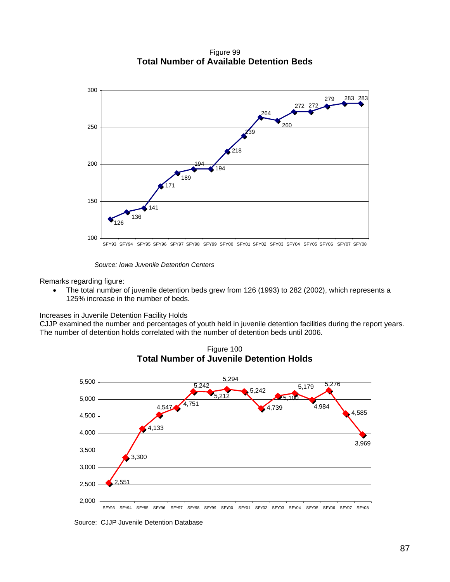Figure 99 **Total Number of Available Detention Beds** 



 *Source: Iowa Juvenile Detention Centers*

• The total number of juvenile detention beds grew from 126 (1993) to 282 (2002), which represents a 125% increase in the number of beds.

#### Increases in Juvenile Detention Facility Holds

CJJP examined the number and percentages of youth held in juvenile detention facilities during the report years. The number of detention holds correlated with the number of detention beds until 2006.



Figure 100 **Total Number of Juvenile Detention Holds**

Source: CJJP Juvenile Detention Database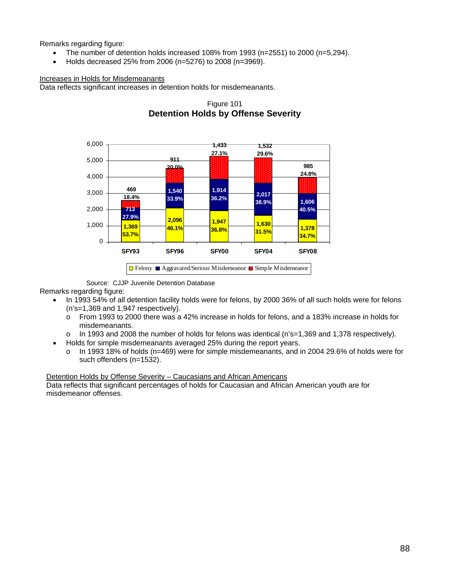- The number of detention holds increased  $108\%$  from  $1993$  (n= $2551$ ) to  $2000$  (n= $5,294$ ).
- Holds decreased 25% from 2006 (n=5276) to 2008 (n=3969).

#### Increases in Holds for Misdemeanants

Data reflects significant increases in detention holds for misdemeanants.



### Figure 101 **Detention Holds by Offense Severity**

Source: CJJP Juvenile Detention Database

Remarks regarding figure:

- In 1993 54% of all detention facility holds were for felons, by 2000 36% of all such holds were for felons (n's=1,369 and 1,947 respectively).
	- o From 1993 to 2000 there was a 42% increase in holds for felons, and a 183% increase in holds for misdemeanants.
	- $\circ$  In 1993 and 2008 the number of holds for felons was identical (n's=1,369 and 1,378 respectively).
- Holds for simple misdemeanants averaged 25% during the report years.
	- $\circ$  In 1993 18% of holds (n=469) were for simple misdemeanants, and in 2004 29.6% of holds were for such offenders (n=1532).

#### Detention Holds by Offense Severity – Caucasians and African Americans

Data reflects that significant percentages of holds for Caucasian and African American youth are for misdemeanor offenses.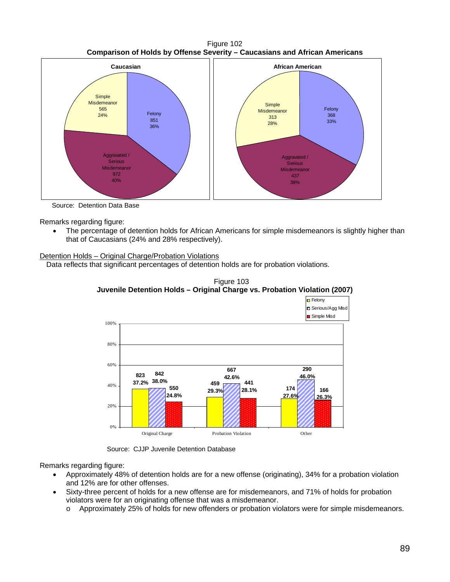Figure 102 **Comparison of Holds by Offense Severity – Caucasians and African Americans** 



Source: Detention Data Base

The percentage of detention holds for African Americans for simple misdemeanors is slightly higher than that of Caucasians (24% and 28% respectively).

#### Detention Holds – Original Charge/Probation Violations

Data reflects that significant percentages of detention holds are for probation violations.



Source: CJJP Juvenile Detention Database

Remarks regarding figure:

- Approximately 48% of detention holds are for a new offense (originating), 34% for a probation violation and 12% are for other offenses.
- Sixty-three percent of holds for a new offense are for misdemeanors, and 71% of holds for probation violators were for an originating offense that was a misdemeanor.
	- o Approximately 25% of holds for new offenders or probation violators were for simple misdemeanors.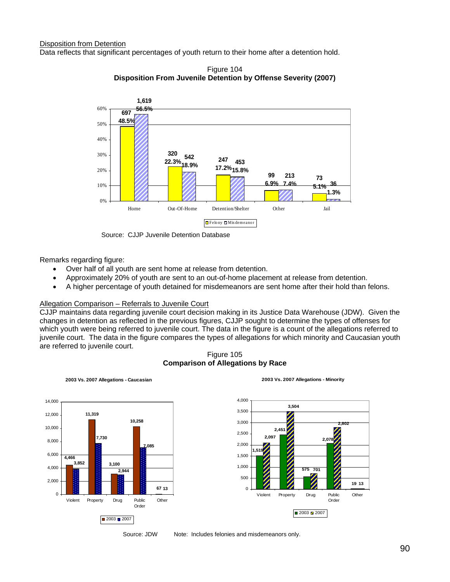Data reflects that significant percentages of youth return to their home after a detention hold.



Figure 104 **Disposition From Juvenile Detention by Offense Severity (2007)**

Source: CJJP Juvenile Detention Database

Remarks regarding figure:

- Over half of all youth are sent home at release from detention.
- Approximately 20% of youth are sent to an out-of-home placement at release from detention.
- A higher percentage of youth detained for misdemeanors are sent home after their hold than felons.

#### Allegation Comparison – Referrals to Juvenile Court

CJJP maintains data regarding juvenile court decision making in its Justice Data Warehouse (JDW). Given the changes in detention as reflected in the previous figures, CJJP sought to determine the types of offenses for which youth were being referred to juvenile court. The data in the figure is a count of the allegations referred to juvenile court. The data in the figure compares the types of allegations for which minority and Caucasian youth are referred to juvenile court.

Figure 105 **Comparison of Allegations by Race**



**2003 Vs. 2007 Allegations - Caucasian**



**2003 Vs. 2007 Allegations - Minority**

Source: JDW Note: Includes felonies and misdemeanors only.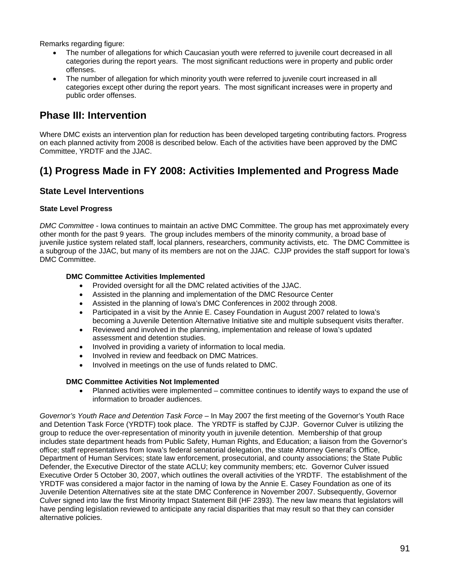- The number of allegations for which Caucasian youth were referred to juvenile court decreased in all categories during the report years. The most significant reductions were in property and public order offenses.
- The number of allegation for which minority youth were referred to juvenile court increased in all categories except other during the report years. The most significant increases were in property and public order offenses.

# **Phase III: Intervention**

Where DMC exists an intervention plan for reduction has been developed targeting contributing factors. Progress on each planned activity from 2008 is described below. Each of the activities have been approved by the DMC Committee, YRDTF and the JJAC.

# **(1) Progress Made in FY 2008: Activities Implemented and Progress Made**

### **State Level Interventions**

#### **State Level Progress**

*DMC Committee* - Iowa continues to maintain an active DMC Committee. The group has met approximately every other month for the past 9 years. The group includes members of the minority community, a broad base of juvenile justice system related staff, local planners, researchers, community activists, etc. The DMC Committee is a subgroup of the JJAC, but many of its members are not on the JJAC. CJJP provides the staff support for Iowa's DMC Committee.

#### **DMC Committee Activities Implemented**

- Provided oversight for all the DMC related activities of the JJAC.
- Assisted in the planning and implementation of the DMC Resource Center
- Assisted in the planning of Iowa's DMC Conferences in 2002 through 2008.
- Participated in a visit by the Annie E. Casey Foundation in August 2007 related to Iowa's becoming a Juvenile Detention Alternative Initiative site and multiple subsequent visits therafter.
- Reviewed and involved in the planning, implementation and release of Iowa's updated assessment and detention studies.
- Involved in providing a variety of information to local media.
- Involved in review and feedback on DMC Matrices.
- Involved in meetings on the use of funds related to DMC.

#### **DMC Committee Activities Not Implemented**

• Planned activities were implemented – committee continues to identify ways to expand the use of information to broader audiences.

*Governor's Youth Race and Detention Task Force* – In May 2007 the first meeting of the Governor's Youth Race and Detention Task Force (YRDTF) took place. The YRDTF is staffed by CJJP. Governor Culver is utilizing the group to reduce the over-representation of minority youth in juvenile detention. Membership of that group includes state department heads from Public Safety, Human Rights, and Education; a liaison from the Governor's office; staff representatives from Iowa's federal senatorial delegation, the state Attorney General's Office, Department of Human Services; state law enforcement, prosecutorial, and county associations; the State Public Defender, the Executive Director of the state ACLU; key community members; etc. Governor Culver issued Executive Order 5 October 30, 2007, which outlines the overall activities of the YRDTF. The establishment of the YRDTF was considered a major factor in the naming of Iowa by the Annie E. Casey Foundation as one of its Juvenile Detention Alternatives site at the state DMC Conference in November 2007. Subsequently, Governor Culver signed into law the first Minority Impact Statement Bill (HF 2393). The new law means that legislators will have pending legislation reviewed to anticipate any racial disparities that may result so that they can consider alternative policies.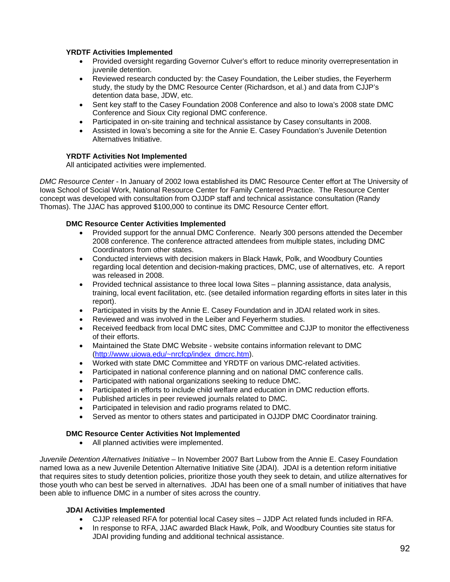#### **YRDTF Activities Implemented**

- Provided oversight regarding Governor Culver's effort to reduce minority overrepresentation in juvenile detention.
- Reviewed research conducted by: the Casey Foundation, the Leiber studies, the Feyerherm study, the study by the DMC Resource Center (Richardson, et al.) and data from CJJP's detention data base, JDW, etc.
- Sent key staff to the Casey Foundation 2008 Conference and also to Iowa's 2008 state DMC Conference and Sioux City regional DMC conference.
- Participated in on-site training and technical assistance by Casey consultants in 2008.
- Assisted in Iowa's becoming a site for the Annie E. Casey Foundation's Juvenile Detention Alternatives Initiative.

#### **YRDTF Activities Not Implemented**

All anticipated activities were implemented.

*DMC Resource Center -* In January of 2002 Iowa established its DMC Resource Center effort at The University of Iowa School of Social Work, National Resource Center for Family Centered Practice. The Resource Center concept was developed with consultation from OJJDP staff and technical assistance consultation (Randy Thomas). The JJAC has approved \$100,000 to continue its DMC Resource Center effort.

#### **DMC Resource Center Activities Implemented**

- Provided support for the annual DMC Conference. Nearly 300 persons attended the December 2008 conference. The conference attracted attendees from multiple states, including DMC Coordinators from other states.
- Conducted interviews with decision makers in Black Hawk, Polk, and Woodbury Counties regarding local detention and decision-making practices, DMC, use of alternatives, etc. A report was released in 2008.
- Provided technical assistance to three local Iowa Sites planning assistance, data analysis, training, local event facilitation, etc. (see detailed information regarding efforts in sites later in this report).
- Participated in visits by the Annie E. Casey Foundation and in JDAI related work in sites.
- Reviewed and was involved in the Leiber and Feyerherm studies.
- Received feedback from local DMC sites, DMC Committee and CJJP to monitor the effectiveness of their efforts.
- Maintained the State DMC Website website contains information relevant to DMC [\(http://www.uiowa.edu/~nrcfcp/index\\_dmcrc.htm\).](http://www.uiowa.edu/~nrcfcp/index_dmcrc.htm)
- Worked with state DMC Committee and YRDTF on various DMC-related activities.
- Participated in national conference planning and on national DMC conference calls.
- Participated with national organizations seeking to reduce DMC.
- Participated in efforts to include child welfare and education in DMC reduction efforts.
- Published articles in peer reviewed journals related to DMC.
- Participated in television and radio programs related to DMC.
- Served as mentor to others states and participated in OJJDP DMC Coordinator training.

#### **DMC Resource Center Activities Not Implemented**

• All planned activities were implemented.

*Juvenile Detention Alternatives Initiative* – In November 2007 Bart Lubow from the Annie E. Casey Foundation named Iowa as a new Juvenile Detention Alternative Initiative Site (JDAI). JDAI is a detention reform initiative that requires sites to study detention policies, prioritize those youth they seek to detain, and utilize alternatives for those youth who can best be served in alternatives. JDAI has been one of a small number of initiatives that have been able to influence DMC in a number of sites across the country.

#### **JDAI Activities Implemented**

- CJJP released RFA for potential local Casey sites JJDP Act related funds included in RFA.
- In response to RFA, JJAC awarded Black Hawk, Polk, and Woodbury Counties site status for JDAI providing funding and additional technical assistance.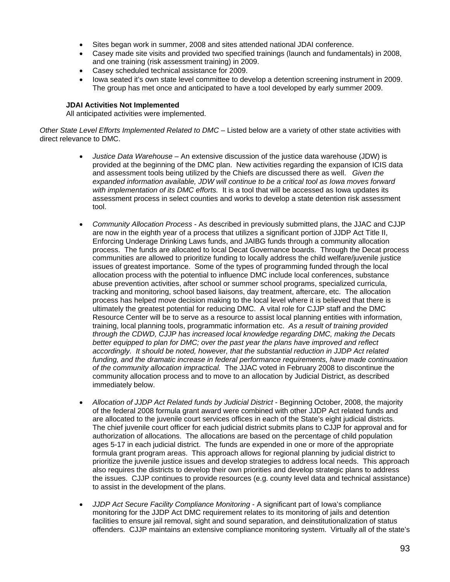- Sites began work in summer, 2008 and sites attended national JDAI conference.
- Casey made site visits and provided two specified trainings (launch and fundamentals) in 2008, and one training (risk assessment training) in 2009.
- Casey scheduled technical assistance for 2009.
- Iowa seated it's own state level committee to develop a detention screening instrument in 2009. The group has met once and anticipated to have a tool developed by early summer 2009.

#### **JDAI Activities Not Implemented**

All anticipated activities were implemented.

*Other State Level Efforts Implemented Related to DMC* – Listed below are a variety of other state activities with direct relevance to DMC.

- *Justice Data Warehouse* An extensive discussion of the justice data warehouse (JDW) is provided at the beginning of the DMC plan. New activities regarding the expansion of ICIS data and assessment tools being utilized by the Chiefs are discussed there as well. *Given the expanded information available, JDW will continue to be a critical tool as Iowa moves forward with implementation of its DMC efforts.* It is a tool that will be accessed as Iowa updates its assessment process in select counties and works to develop a state detention risk assessment tool.
- *Community Allocation Process* As described in previously submitted plans, the JJAC and CJJP are now in the eighth year of a process that utilizes a significant portion of JJDP Act Title II, Enforcing Underage Drinking Laws funds, and JAIBG funds through a community allocation process. The funds are allocated to local Decat Governance boards. Through the Decat process communities are allowed to prioritize funding to locally address the child welfare/juvenile justice issues of greatest importance. Some of the types of programming funded through the local allocation process with the potential to influence DMC include local conferences, substance abuse prevention activities, after school or summer school programs, specialized curricula, tracking and monitoring, school based liaisons, day treatment, aftercare, etc. The allocation process has helped move decision making to the local level where it is believed that there is ultimately the greatest potential for reducing DMC. A vital role for CJJP staff and the DMC Resource Center will be to serve as a resource to assist local planning entities with information, training, local planning tools, programmatic information etc. *As a result of training provided through the CDWD, CJJP has increased local knowledge regarding DMC, making the Decats better equipped to plan for DMC; over the past year the plans have improved and reflect accordingly. It should be noted, however, that the substantial reduction in JJDP Act related funding, and the dramatic increase in federal performance requirements, have made continuation of the community allocation impractical.* The JJAC voted in February 2008 to discontinue the community allocation process and to move to an allocation by Judicial District, as described immediately below.
- *Allocation of JJDP Act Related funds by Judicial District* Beginning October, 2008, the majority of the federal 2008 formula grant award were combined with other JJDP Act related funds and are allocated to the juvenile court services offices in each of the State's eight judicial districts. The chief juvenile court officer for each judicial district submits plans to CJJP for approval and for authorization of allocations. The allocations are based on the percentage of child population ages 5-17 in each judicial district. The funds are expended in one or more of the appropriate formula grant program areas. This approach allows for regional planning by judicial district to prioritize the juvenile justice issues and develop strategies to address local needs. This approach also requires the districts to develop their own priorities and develop strategic plans to address the issues. CJJP continues to provide resources (e.g. county level data and technical assistance) to assist in the development of the plans.
- *JJDP Act Secure Facility Compliance Monitoring* A significant part of Iowa's compliance monitoring for the JJDP Act DMC requirement relates to its monitoring of jails and detention facilities to ensure jail removal, sight and sound separation, and deinstitutionalization of status offenders. CJJP maintains an extensive compliance monitoring system. Virtually all of the state's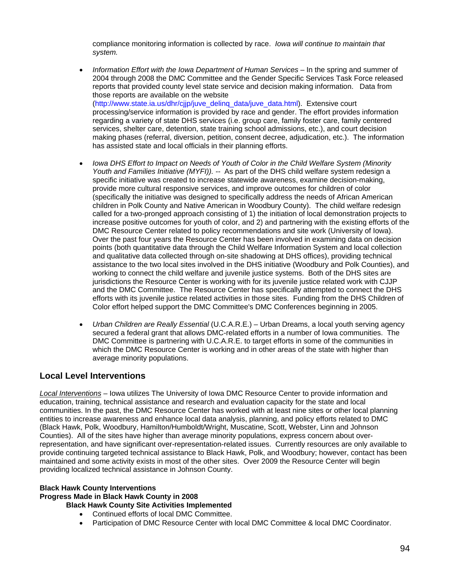compliance monitoring information is collected by race. *Iowa will continue to maintain that system.*

- Information Effort with the Iowa Department of Human Services In the spring and summer of 2004 through 2008 the DMC Committee and the Gender Specific Services Task Force released reports that provided county level state service and decision making information. Data from those reports are available on the website [\(http://www.state.ia.us/dhr/cjjp/juve\\_delinq\\_data/juve\\_data.html\).](http://www.state.ia.us/dhr/cjjp/juve_delinq_data/juve_data.html) Extensive court processing/service information is provided by race and gender. The effort provides information regarding a variety of state DHS services (i.e. group care, family foster care, family centered services, shelter care, detention, state training school admissions, etc.), and court decision making phases (referral, diversion, petition, consent decree, adjudication, etc.). The information has assisted state and local officials in their planning efforts.
- *Iowa DHS Effort to Impact on Needs of Youth of Color in the Child Welfare System (Minority Youth and Families Initiative (MYFI)). --* As part of the DHS child welfare system redesign a specific initiative was created to increase statewide awareness, examine decision-making, provide more cultural responsive services, and improve outcomes for children of color (specifically the initiative was designed to specifically address the needs of African American children in Polk County and Native American in Woodbury County). The child welfare redesign called for a two-pronged approach consisting of 1) the initiation of local demonstration projects to increase positive outcomes for youth of color, and 2) and partnering with the existing efforts of the DMC Resource Center related to policy recommendations and site work (University of Iowa). Over the past four years the Resource Center has been involved in examining data on decision points (both quantitative data through the Child Welfare Information System and local collection and qualitative data collected through on-site shadowing at DHS offices), providing technical assistance to the two local sites involved in the DHS initiative (Woodbury and Polk Counties), and working to connect the child welfare and juvenile justice systems. Both of the DHS sites are jurisdictions the Resource Center is working with for its juvenile justice related work with CJJP and the DMC Committee. The Resource Center has specifically attempted to connect the DHS efforts with its juvenile justice related activities in those sites. Funding from the DHS Children of Color effort helped support the DMC Committee's DMC Conferences beginning in 2005.
- *Urban Children are Really Essential* (U.C.A.R.E.) Urban Dreams, a local youth serving agency secured a federal grant that allows DMC-related efforts in a number of Iowa communities. The DMC Committee is partnering with U.C.A.R.E. to target efforts in some of the communities in which the DMC Resource Center is working and in other areas of the state with higher than average minority populations.

### **Local Level Interventions**

*Local Interventions –* Iowa utilizes The University of Iowa DMC Resource Center to provide information and education, training, technical assistance and research and evaluation capacity for the state and local communities. In the past, the DMC Resource Center has worked with at least nine sites or other local planning entities to increase awareness and enhance local data analysis, planning, and policy efforts related to DMC (Black Hawk, Polk, Woodbury, Hamilton/Humboldt/Wright, Muscatine, Scott, Webster, Linn and Johnson Counties). All of the sites have higher than average minority populations, express concern about overrepresentation, and have significant over-representation-related issues. Currently resources are only available to provide continuing targeted technical assistance to Black Hawk, Polk, and Woodbury; however, contact has been maintained and some activity exists in most of the other sites. Over 2009 the Resource Center will begin providing localized technical assistance in Johnson County.

#### **Black Hawk County Interventions Progress Made in Black Hawk County in 2008**

#### **Black Hawk County Site Activities Implemented**

- Continued efforts of local DMC Committee.
- Participation of DMC Resource Center with local DMC Committee & local DMC Coordinator.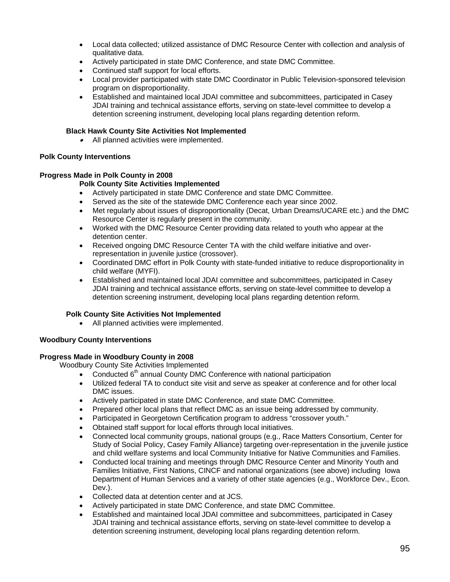- Local data collected; utilized assistance of DMC Resource Center with collection and analysis of qualitative data.
- Actively participated in state DMC Conference, and state DMC Committee.
- Continued staff support for local efforts.
- Local provider participated with state DMC Coordinator in Public Television-sponsored television program on disproportionality.
- Established and maintained local JDAI committee and subcommittees, participated in Casey JDAI training and technical assistance efforts, serving on state-level committee to develop a detention screening instrument, developing local plans regarding detention reform.

#### **Black Hawk County Site Activities Not Implemented**

• All planned activities were implemented.

#### **Polk County Interventions**

#### **Progress Made in Polk County in 2008**

#### **Polk County Site Activities Implemented**

- Actively participated in state DMC Conference and state DMC Committee.
- Served as the site of the statewide DMC Conference each year since 2002.
- Met regularly about issues of disproportionality (Decat, Urban Dreams/UCARE etc.) and the DMC Resource Center is regularly present in the community.
- Worked with the DMC Resource Center providing data related to youth who appear at the detention center.
- Received ongoing DMC Resource Center TA with the child welfare initiative and overrepresentation in juvenile justice (crossover).
- Coordinated DMC effort in Polk County with state-funded initiative to reduce disproportionality in child welfare (MYFI).
- Established and maintained local JDAI committee and subcommittees, participated in Casev JDAI training and technical assistance efforts, serving on state-level committee to develop a detention screening instrument, developing local plans regarding detention reform.

#### **Polk County Site Activities Not Implemented**

All planned activities were implemented.

#### **Woodbury County Interventions**

#### **Progress Made in Woodbury County in 2008**

Woodbury County Site Activities Implemented

- Conducted  $6<sup>th</sup>$  annual County DMC Conference with national participation
- Utilized federal TA to conduct site visit and serve as speaker at conference and for other local DMC issues.
- Actively participated in state DMC Conference, and state DMC Committee.
- Prepared other local plans that reflect DMC as an issue being addressed by community.
- Participated in Georgetown Certification program to address "crossover youth."
- Obtained staff support for local efforts through local initiatives.
- Connected local community groups, national groups (e.g., Race Matters Consortium, Center for Study of Social Policy, Casey Family Alliance) targeting over-representation in the juvenile justice and child welfare systems and local Community Initiative for Native Communities and Families.
- Conducted local training and meetings through DMC Resource Center and Minority Youth and Families Initiative, First Nations, CINCF and national organizations (see above) including Iowa Department of Human Services and a variety of other state agencies (e.g., Workforce Dev., Econ. Dev.).
- Collected data at detention center and at JCS.
- Actively participated in state DMC Conference, and state DMC Committee.
- Established and maintained local JDAI committee and subcommittees, participated in Casey JDAI training and technical assistance efforts, serving on state-level committee to develop a detention screening instrument, developing local plans regarding detention reform.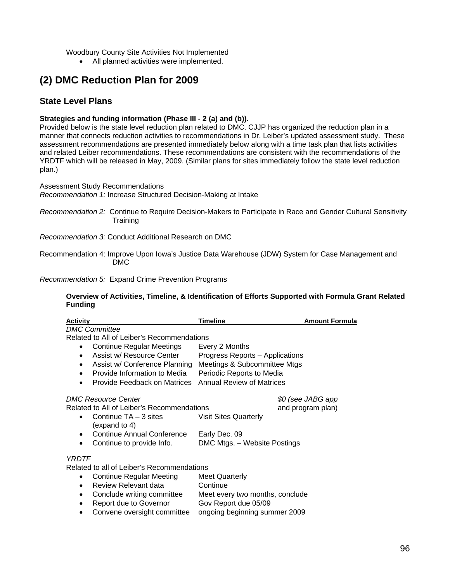Woodbury County Site Activities Not Implemented

• All planned activities were implemented.

# **(2) DMC Reduction Plan for 2009**

### **State Level Plans**

#### **Strategies and funding information (Phase III - 2 (a) and (b)).**

Provided below is the state level reduction plan related to DMC. CJJP has organized the reduction plan in a manner that connects reduction activities to recommendations in Dr. Leiber's updated assessment study. These assessment recommendations are presented immediately below along with a time task plan that lists activities and related Leiber recommendations. These recommendations are consistent with the recommendations of the YRDTF which will be released in May, 2009. (Similar plans for sites immediately follow the state level reduction plan.)

#### Assessment Study Recommendations

*Recommendation 1:* Increase Structured Decision-Making at Intake

*Recommendation 2:* Continue to Require Decision-Makers to Participate in Race and Gender Cultural Sensitivity **Training** 

*Recommendation 3:* Conduct Additional Research on DMC

Recommendation 4: Improve Upon Iowa's Justice Data Warehouse (JDW) System for Case Management and DMC

*Recommendation 5:* Expand Crime Prevention Programs

#### **Overview of Activities, Timeline, & Identification of Efforts Supported with Formula Grant Related Funding**

| Activity     |                                            | Timeline                         | <b>Amount Formula</b> |
|--------------|--------------------------------------------|----------------------------------|-----------------------|
|              | <b>DMC Committee</b>                       |                                  |                       |
|              | Related to All of Leiber's Recommendations |                                  |                       |
| ٠            | Continue Regular Meetings                  | Every 2 Months                   |                       |
| $\bullet$    | Assist w/ Resource Center                  | Progress Reports – Applications  |                       |
| $\bullet$    | Assist w/ Conference Planning              | Meetings & Subcommittee Mtgs     |                       |
| $\bullet$    | Provide Information to Media               | Periodic Reports to Media        |                       |
| $\bullet$    | Provide Feedback on Matrices               | <b>Annual Review of Matrices</b> |                       |
|              | <b>DMC Resource Center</b>                 |                                  | \$0 (see JABG app     |
|              | Related to All of Leiber's Recommendations |                                  | and program plan)     |
|              | Continue $TA - 3$ sites<br>(expand to 4)   | <b>Visit Sites Quarterly</b>     |                       |
| $\bullet$    | Continue Annual Conference                 | Early Dec. 09                    |                       |
|              | Continue to provide Info.                  | DMC Mtgs. - Website Postings     |                       |
| <b>YRDTF</b> |                                            |                                  |                       |
|              | Related to all of Leiber's Recommendations |                                  |                       |
| $\bullet$    | Continue Regular Meeting                   | <b>Meet Quarterly</b>            |                       |
| $\bullet$    | Review Relevant data                       | Continue                         |                       |
| ٠            | Conclude writing committee                 | Meet every two months, conclude  |                       |

- Report due to Governor Gov Report due 05/09
- Convene oversight committee ongoing beginning summer 2009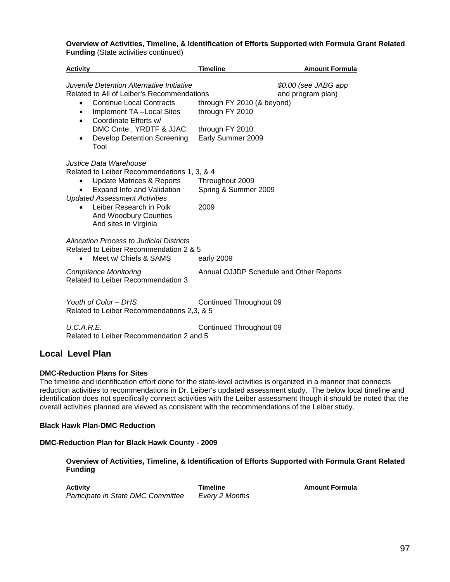**Overview of Activities, Timeline, & Identification of Efforts Supported with Formula Grant Related Funding** (State activities continued)

| <b>Activity</b>                                                                                                                                                                                                                                                                                       | <b>Timeline</b>                                                                       | <b>Amount Formula</b>                     |
|-------------------------------------------------------------------------------------------------------------------------------------------------------------------------------------------------------------------------------------------------------------------------------------------------------|---------------------------------------------------------------------------------------|-------------------------------------------|
| Juvenile Detention Alternative Initiative<br>Related to All of Leiber's Recommendations<br><b>Continue Local Contracts</b><br>$\bullet$<br>Implement TA-Local Sites<br>$\bullet$<br>Coordinate Efforts w/<br>$\bullet$<br>DMC Cmte., YRDTF & JJAC<br>Develop Detention Screening<br>$\bullet$<br>Tool | through FY 2010 (& beyond)<br>through FY 2010<br>through FY 2010<br>Early Summer 2009 | \$0.00 (see JABG app<br>and program plan) |
| Justice Data Warehouse<br>Related to Leiber Recommendations 1, 3, & 4<br><b>Update Matrices &amp; Reports</b><br>Expand Info and Validation<br><b>Updated Assessment Activities</b><br>Leiber Research in Polk<br><b>And Woodbury Counties</b><br>And sites in Virginia                               | Throughout 2009<br>Spring & Summer 2009<br>2009                                       |                                           |
| <b>Allocation Process to Judicial Districts</b><br>Related to Leiber Recommendation 2 & 5<br>Meet w/ Chiefs & SAMS<br>$\bullet$                                                                                                                                                                       | early 2009                                                                            |                                           |
| <b>Compliance Monitoring</b><br>Related to Leiber Recommendation 3                                                                                                                                                                                                                                    | Annual OJJDP Schedule and Other Reports                                               |                                           |
| Youth of Color - DHS<br>Related to Leiber Recommendations 2,3, & 5                                                                                                                                                                                                                                    | Continued Throughout 09                                                               |                                           |
| U.C.A.R.E.<br>Related to Leiber Recommendation 2 and 5                                                                                                                                                                                                                                                | Continued Throughout 09                                                               |                                           |
| تمال المنتم اللمد                                                                                                                                                                                                                                                                                     |                                                                                       |                                           |

# **Local Level Plan**

#### **DMC-Reduction Plans for Sites**

The timeline and identification effort done for the state-level activities is organized in a manner that connects reduction activities to recommendations in Dr. Leiber's updated assessment study. The below local timeline and identification does not specifically connect activities with the Leiber assessment though it should be noted that the overall activities planned are viewed as consistent with the recommendations of the Leiber study.

#### **Black Hawk Plan-DMC Reduction**

#### **DMC-Reduction Plan for Black Hawk County - 2009**

**Overview of Activities, Timeline, & Identification of Efforts Supported with Formula Grant Related Funding** 

| <b>Activity</b>                    | Timeline       | <b>Amount Formula</b> |
|------------------------------------|----------------|-----------------------|
| Participate in State DMC Committee | Every 2 Months |                       |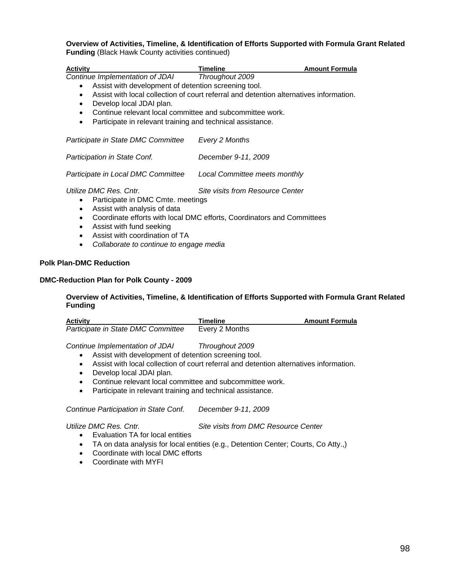#### **Overview of Activities, Timeline, & Identification of Efforts Supported with Formula Grant Related Funding** (Black Hawk County activities continued)

| <b>Activity</b>                                                                                                                                                                           | Timeline                                                                               | <b>Amount Formula</b> |
|-------------------------------------------------------------------------------------------------------------------------------------------------------------------------------------------|----------------------------------------------------------------------------------------|-----------------------|
| Continue Implementation of JDAI                                                                                                                                                           | Throughout 2009                                                                        |                       |
| Assist with development of detention screening tool.<br>$\bullet$                                                                                                                         |                                                                                        |                       |
| $\bullet$                                                                                                                                                                                 | Assist with local collection of court referral and detention alternatives information. |                       |
| Develop local JDAI plan.<br>$\bullet$<br>Continue relevant local committee and subcommittee work.<br>$\bullet$<br>Participate in relevant training and technical assistance.<br>$\bullet$ |                                                                                        |                       |
| Participate in State DMC Committee                                                                                                                                                        | Every 2 Months                                                                         |                       |
| Participation in State Conf.                                                                                                                                                              | December 9-11, 2009                                                                    |                       |
| Participate in Local DMC Committee                                                                                                                                                        | Local Committee meets monthly                                                          |                       |

*Utilize DMC Res. Cntr.* Site visits from Resource Center

- Participate in DMC Cmte. meetings
- Assist with analysis of data
- Coordinate efforts with local DMC efforts, Coordinators and Committees
- Assist with fund seeking
- Assist with coordination of TA
- *Collaborate to continue to engage media*

#### **Polk Plan-DMC Reduction**

#### **DMC-Reduction Plan for Polk County - 2009**

#### **Overview of Activities, Timeline, & Identification of Efforts Supported with Formula Grant Related Funding**

| <b>Activity</b>                    | <b>Timeline</b> | <b>Amount Formula</b> |
|------------------------------------|-----------------|-----------------------|
| Participate in State DMC Committee | Every 2 Months  |                       |

*Continue Implementation of JDAI Throughout 2009* 

- Assist with development of detention screening tool.
- Assist with local collection of court referral and detention alternatives information.
- Develop local JDAI plan.
- Continue relevant local committee and subcommittee work.
- Participate in relevant training and technical assistance.

 *Continue Participation in State Conf. December 9-11, 2009* 

*Utilize DMC Res. Cntr. Site visits from DMC Resource Center* 

- Evaluation TA for local entities
- TA on data analysis for local entities (e.g., Detention Center; Courts, Co Atty.,)
- Coordinate with local DMC efforts
- Coordinate with MYFI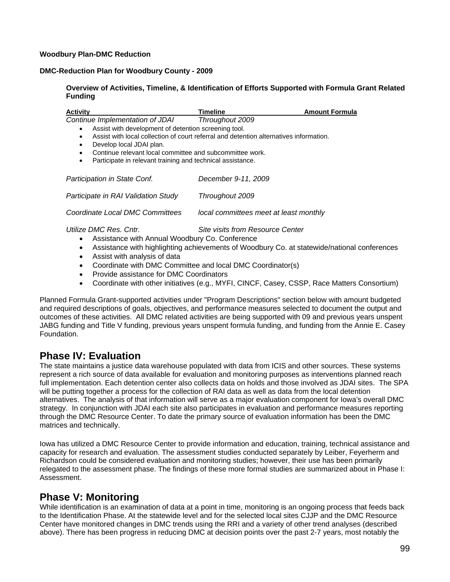#### **Woodbury Plan-DMC Reduction**

#### **DMC-Reduction Plan for Woodbury County - 2009**

#### **Overview of Activities, Timeline, & Identification of Efforts Supported with Formula Grant Related Funding**

| <b>Activity</b>                                                                             | <b>Timeline</b>                        | <b>Amount Formula</b> |
|---------------------------------------------------------------------------------------------|----------------------------------------|-----------------------|
| Continue Implementation of JDAI                                                             | Throughout 2009                        |                       |
| Assist with development of detention screening tool.<br>٠                                   |                                        |                       |
| Assist with local collection of court referral and detention alternatives information.<br>٠ |                                        |                       |
| Develop local JDAI plan.<br>٠                                                               |                                        |                       |
| Continue relevant local committee and subcommittee work.                                    |                                        |                       |
| Participate in relevant training and technical assistance.<br>٠                             |                                        |                       |
|                                                                                             |                                        |                       |
| Participation in State Conf.                                                                | December 9-11, 2009                    |                       |
|                                                                                             |                                        |                       |
| Participate in RAI Validation Study                                                         | Throughout 2009                        |                       |
|                                                                                             |                                        |                       |
| Coordinate Local DMC Committees                                                             | local committees meet at least monthly |                       |
|                                                                                             |                                        |                       |

*Utilize DMC Res. Cntr. Site visits from Resource Center* 

• Assistance with Annual Woodbury Co. Conference

- Assistance with highlighting achievements of Woodbury Co. at statewide/national conferences
- Assist with analysis of data
- Coordinate with DMC Committee and local DMC Coordinator(s)
- Provide assistance for DMC Coordinators
- Coordinate with other initiatives (e.g., MYFI, CINCF, Casey, CSSP, Race Matters Consortium)

Planned Formula Grant-supported activities under "Program Descriptions" section below with amount budgeted and required descriptions of goals, objectives, and performance measures selected to document the output and outcomes of these activities. All DMC related activities are being supported with 09 and previous years unspent JABG funding and Title V funding, previous years unspent formula funding, and funding from the Annie E. Casey Foundation.

# **Phase IV: Evaluation**

The state maintains a justice data warehouse populated with data from ICIS and other sources. These systems represent a rich source of data available for evaluation and monitoring purposes as interventions planned reach full implementation. Each detention center also collects data on holds and those involved as JDAI sites. The SPA will be putting together a process for the collection of RAI data as well as data from the local detention alternatives. The analysis of that information will serve as a major evaluation component for Iowa's overall DMC strategy. In conjunction with JDAI each site also participates in evaluation and performance measures reporting through the DMC Resource Center. To date the primary source of evaluation information has been the DMC matrices and technically.

Iowa has utilized a DMC Resource Center to provide information and education, training, technical assistance and capacity for research and evaluation. The assessment studies conducted separately by Leiber, Feyerherm and Richardson could be considered evaluation and monitoring studies; however, their use has been primarily relegated to the assessment phase. The findings of these more formal studies are summarized about in Phase I: Assessment.

## **Phase V: Monitoring**

While identification is an examination of data at a point in time, monitoring is an ongoing process that feeds back to the Identification Phase. At the statewide level and for the selected local sites CJJP and the DMC Resource Center have monitored changes in DMC trends using the RRI and a variety of other trend analyses (described above). There has been progress in reducing DMC at decision points over the past 2-7 years, most notably the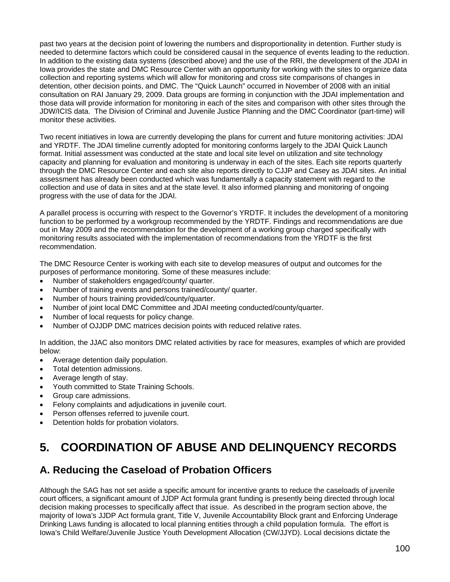past two years at the decision point of lowering the numbers and disproportionality in detention. Further study is needed to determine factors which could be considered causal in the sequence of events leading to the reduction. In addition to the existing data systems (described above) and the use of the RRI, the development of the JDAI in Iowa provides the state and DMC Resource Center with an opportunity for working with the sites to organize data collection and reporting systems which will allow for monitoring and cross site comparisons of changes in detention, other decision points, and DMC. The "Quick Launch" occurred in November of 2008 with an initial consultation on RAI January 29, 2009. Data groups are forming in conjunction with the JDAI implementation and those data will provide information for monitoring in each of the sites and comparison with other sites through the JDW/ICIS data. The Division of Criminal and Juvenile Justice Planning and the DMC Coordinator (part-time) will monitor these activities.

Two recent initiatives in Iowa are currently developing the plans for current and future monitoring activities: JDAI and YRDTF. The JDAI timeline currently adopted for monitoring conforms largely to the JDAI Quick Launch format. Initial assessment was conducted at the state and local site level on utilization and site technology capacity and planning for evaluation and monitoring is underway in each of the sites. Each site reports quarterly through the DMC Resource Center and each site also reports directly to CJJP and Casey as JDAI sites. An initial assessment has already been conducted which was fundamentally a capacity statement with regard to the collection and use of data in sites and at the state level. It also informed planning and monitoring of ongoing progress with the use of data for the JDAI.

A parallel process is occurring with respect to the Governor's YRDTF. It includes the development of a monitoring function to be performed by a workgroup recommended by the YRDTF. Findings and recommendations are due out in May 2009 and the recommendation for the development of a working group charged specifically with monitoring results associated with the implementation of recommendations from the YRDTF is the first recommendation.

The DMC Resource Center is working with each site to develop measures of output and outcomes for the purposes of performance monitoring. Some of these measures include:

- Number of stakeholders engaged/county/ quarter.
- Number of training events and persons trained/county/ quarter.
- Number of hours training provided/county/quarter.
- Number of joint local DMC Committee and JDAI meeting conducted/county/quarter.
- Number of local requests for policy change.
- Number of OJJDP DMC matrices decision points with reduced relative rates.

In addition, the JJAC also monitors DMC related activities by race for measures, examples of which are provided below:

- Average detention daily population.
- Total detention admissions.
- Average length of stay.
- Youth committed to State Training Schools.
- Group care admissions.
- Felony complaints and adjudications in juvenile court.
- Person offenses referred to juvenile court.
- Detention holds for probation violators.

# **5. COORDINATION OF ABUSE AND DELINQUENCY RECORDS**

# **A. Reducing the Caseload of Probation Officers**

Although the SAG has not set aside a specific amount for incentive grants to reduce the caseloads of juvenile court officers, a significant amount of JJDP Act formula grant funding is presently being directed through local decision making processes to specifically affect that issue. As described in the program section above, the majority of Iowa's JJDP Act formula grant, Title V, Juvenile Accountability Block grant and Enforcing Underage Drinking Laws funding is allocated to local planning entities through a child population formula. The effort is Iowa's Child Welfare/Juvenile Justice Youth Development Allocation (CW/JJYD). Local decisions dictate the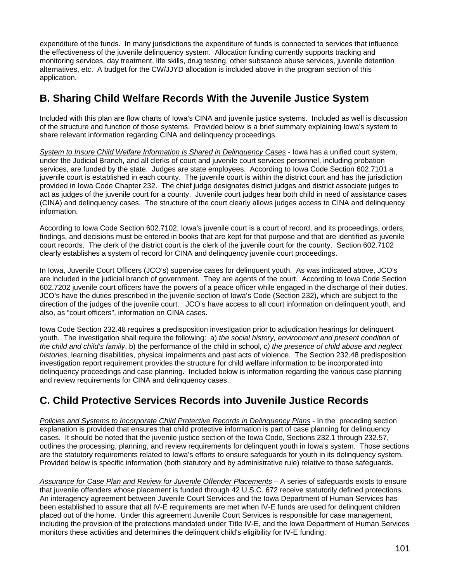expenditure of the funds. In many jurisdictions the expenditure of funds is connected to services that influence the effectiveness of the juvenile delinquency system. Allocation funding currently supports tracking and monitoring services, day treatment, life skills, drug testing, other substance abuse services, juvenile detention alternatives, etc. A budget for the CW/JJYD allocation is included above in the program section of this application.

# **B. Sharing Child Welfare Records With the Juvenile Justice System**

Included with this plan are flow charts of Iowa's CINA and juvenile justice systems. Included as well is discussion of the structure and function of those systems. Provided below is a brief summary explaining Iowa's system to share relevant information regarding CINA and delinquency proceedings.

*System to Insure Child Welfare Information is Shared in Delinquency Cases* - Iowa has a unified court system, under the Judicial Branch, and all clerks of court and juvenile court services personnel, including probation services, are funded by the state. Judges are state employees. According to Iowa Code Section 602.7101 a juvenile court is established in each county. The juvenile court is within the district court and has the jurisdiction provided in Iowa Code Chapter 232. The chief judge designates district judges and district associate judges to act as judges of the juvenile court for a county. Juvenile court judges hear both child in need of assistance cases (CINA) and delinquency cases. The structure of the court clearly allows judges access to CINA and delinquency information.

According to Iowa Code Section 602.7102, Iowa's juvenile court is a court of record, and its proceedings, orders, findings, and decisions must be entered in books that are kept for that purpose and that are identified as juvenile court records. The clerk of the district court is the clerk of the juvenile court for the county. Section 602.7102 clearly establishes a system of record for CINA and delinquency juvenile court proceedings.

In Iowa, Juvenile Court Officers (JCO's) supervise cases for delinquent youth. As was indicated above, JCO's are included in the judicial branch of government. They are agents of the court. According to Iowa Code Section 602.7202 juvenile court officers have the powers of a peace officer while engaged in the discharge of their duties. JCO's have the duties prescribed in the juvenile section of Iowa's Code (Section 232), which are subject to the direction of the judges of the juvenile court. JCO's have access to all court information on delinquent youth, and also, as "court officers", information on CINA cases.

Iowa Code Section 232.48 requires a predisposition investigation prior to adjudication hearings for delinquent youth. The investigation shall require the following: a) *the social history, environment and present condition of the child and child's family*, b) the performance of the child in school, c*) the presence of child abuse and neglect histories*, learning disabilities, physical impairments and past acts of violence. The Section 232.48 predisposition investigation report requirement provides the structure for child welfare information to be incorporated into delinquency proceedings and case planning. Included below is information regarding the various case planning and review requirements for CINA and delinquency cases.

# **C. Child Protective Services Records into Juvenile Justice Records**

*Policies and Systems to Incorporate Child Protective Records in Delinquency Plans* - In the preceding section explanation is provided that ensures that child protective information is part of case planning for delinquency cases. It should be noted that the juvenile justice section of the Iowa Code, Sections 232.1 through 232.57, outlines the processing, planning, and review requirements for delinquent youth in Iowa's system. Those sections are the statutory requirements related to Iowa's efforts to ensure safeguards for youth in its delinquency system. Provided below is specific information (both statutory and by administrative rule) relative to those safeguards.

*Assurance for Case Plan and Review for Juvenile Offender Placements* – A series of safeguards exists to ensure that juvenile offenders whose placement is funded through 42 U.S.C. 672 receive statutorily defined protections. An interagency agreement between Juvenile Court Services and the Iowa Department of Human Services has been established to assure that all IV-E requirements are met when IV-E funds are used for delinquent children placed out of the home. Under this agreement Juvenile Court Services is responsible for case management, including the provision of the protections mandated under Title IV-E, and the Iowa Department of Human Services monitors these activities and determines the delinquent child's eligibility for IV-E funding.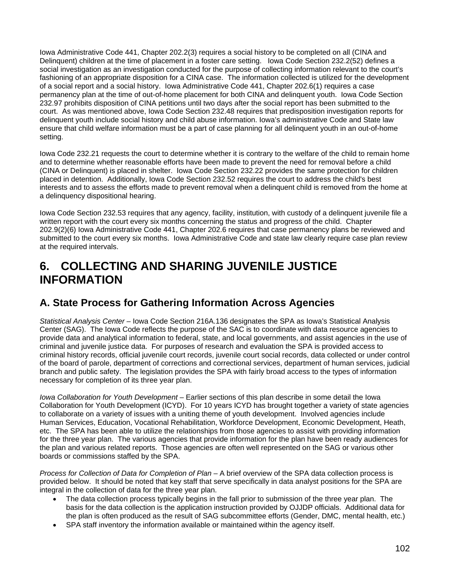Iowa Administrative Code 441, Chapter 202.2(3) requires a social history to be completed on all (CINA and Delinquent) children at the time of placement in a foster care setting. Iowa Code Section 232.2(52) defines a social investigation as an investigation conducted for the purpose of collecting information relevant to the court's fashioning of an appropriate disposition for a CINA case. The information collected is utilized for the development of a social report and a social history. Iowa Administrative Code 441, Chapter 202.6(1) requires a case permanency plan at the time of out-of-home placement for both CINA and delinquent youth. Iowa Code Section 232.97 prohibits disposition of CINA petitions until two days after the social report has been submitted to the court. As was mentioned above, Iowa Code Section 232.48 requires that predisposition investigation reports for delinquent youth include social history and child abuse information. Iowa's administrative Code and State law ensure that child welfare information must be a part of case planning for all delinquent youth in an out-of-home setting.

Iowa Code 232.21 requests the court to determine whether it is contrary to the welfare of the child to remain home and to determine whether reasonable efforts have been made to prevent the need for removal before a child (CINA or Delinquent) is placed in shelter. Iowa Code Section 232.22 provides the same protection for children placed in detention. Additionally, Iowa Code Section 232.52 requires the court to address the child's best interests and to assess the efforts made to prevent removal when a delinquent child is removed from the home at a delinquency dispositional hearing.

Iowa Code Section 232.53 requires that any agency, facility, institution, with custody of a delinquent juvenile file a written report with the court every six months concerning the status and progress of the child. Chapter 202.9(2)(6) Iowa Administrative Code 441, Chapter 202.6 requires that case permanency plans be reviewed and submitted to the court every six months. Iowa Administrative Code and state law clearly require case plan review at the required intervals.

# **6. COLLECTING AND SHARING JUVENILE JUSTICE INFORMATION**

# **A. State Process for Gathering Information Across Agencies**

*Statistical Analysis Center –* Iowa Code Section 216A.136 designates the SPA as Iowa's Statistical Analysis Center (SAG). The Iowa Code reflects the purpose of the SAC is to coordinate with data resource agencies to provide data and analytical information to federal, state, and local governments, and assist agencies in the use of criminal and juvenile justice data. For purposes of research and evaluation the SPA is provided access to criminal history records, official juvenile court records, juvenile court social records, data collected or under control of the board of parole, department of corrections and correctional services, department of human services, judicial branch and public safety. The legislation provides the SPA with fairly broad access to the types of information necessary for completion of its three year plan.

*Iowa Collaboration for Youth Development* – Earlier sections of this plan describe in some detail the Iowa Collaboration for Youth Development (ICYD). For 10 years ICYD has brought together a variety of state agencies to collaborate on a variety of issues with a uniting theme of youth development. Involved agencies include Human Services, Education, Vocational Rehabilitation, Workforce Development, Economic Development, Heath, etc. The SPA has been able to utilize the relationships from those agencies to assist with providing information for the three year plan. The various agencies that provide information for the plan have been ready audiences for the plan and various related reports. Those agencies are often well represented on the SAG or various other boards or commissions staffed by the SPA.

*Process for Collection of Data for Completion of Plan* – A brief overview of the SPA data collection process is provided below. It should be noted that key staff that serve specifically in data analyst positions for the SPA are integral in the collection of data for the three year plan.

- The data collection process typically begins in the fall prior to submission of the three year plan. The basis for the data collection is the application instruction provided by OJJDP officials. Additional data for the plan is often produced as the result of SAG subcommittee efforts (Gender, DMC, mental health, etc.)
- SPA staff inventory the information available or maintained within the agency itself.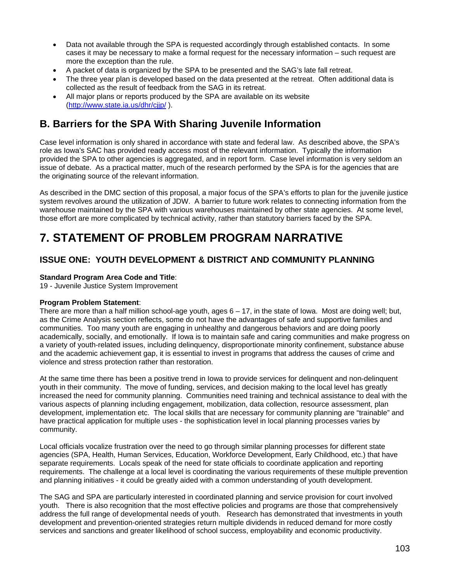- Data not available through the SPA is requested accordingly through established contacts. In some cases it may be necessary to make a formal request for the necessary information – such request are more the exception than the rule.
- A packet of data is organized by the SPA to be presented and the SAG's late fall retreat.
- The three year plan is developed based on the data presented at the retreat. Often additional data is collected as the result of feedback from the SAG in its retreat.
- All major plans or reports produced by the SPA are available on its website [\(http://www.state.ia.us/dhr/cjjp/ \)](http://www.state.ia.us/dhr/cjjp/).

# **B. Barriers for the SPA With Sharing Juvenile Information**

Case level information is only shared in accordance with state and federal law. As described above, the SPA's role as Iowa's SAC has provided ready access most of the relevant information. Typically the information provided the SPA to other agencies is aggregated, and in report form. Case level information is very seldom an issue of debate. As a practical matter, much of the research performed by the SPA is for the agencies that are the originating source of the relevant information.

As described in the DMC section of this proposal, a major focus of the SPA's efforts to plan for the juvenile justice system revolves around the utilization of JDW. A barrier to future work relates to connecting information from the warehouse maintained by the SPA with various warehouses maintained by other state agencies. At some level, those effort are more complicated by technical activity, rather than statutory barriers faced by the SPA.

# **7. STATEMENT OF PROBLEM PROGRAM NARRATIVE**

## **ISSUE ONE: YOUTH DEVELOPMENT & DISTRICT AND COMMUNITY PLANNING**

#### **Standard Program Area Code and Title**:

19 - Juvenile Justice System Improvement

#### **Program Problem Statement**:

There are more than a half million school-age youth, ages  $6 - 17$ , in the state of Iowa. Most are doing well; but, as the Crime Analysis section reflects, some do not have the advantages of safe and supportive families and communities. Too many youth are engaging in unhealthy and dangerous behaviors and are doing poorly academically, socially, and emotionally. If Iowa is to maintain safe and caring communities and make progress on a variety of youth-related issues, including delinquency, disproportionate minority confinement, substance abuse and the academic achievement gap, it is essential to invest in programs that address the causes of crime and violence and stress protection rather than restoration.

At the same time there has been a positive trend in Iowa to provide services for delinquent and non-delinquent youth in their community. The move of funding, services, and decision making to the local level has greatly increased the need for community planning. Communities need training and technical assistance to deal with the various aspects of planning including engagement, mobilization, data collection, resource assessment, plan development, implementation etc. The local skills that are necessary for community planning are "trainable" and have practical application for multiple uses - the sophistication level in local planning processes varies by community.

Local officials vocalize frustration over the need to go through similar planning processes for different state agencies (SPA, Health, Human Services, Education, Workforce Development, Early Childhood, etc.) that have separate requirements. Locals speak of the need for state officials to coordinate application and reporting requirements. The challenge at a local level is coordinating the various requirements of these multiple prevention and planning initiatives - it could be greatly aided with a common understanding of youth development.

The SAG and SPA are particularly interested in coordinated planning and service provision for court involved youth. There is also recognition that the most effective policies and programs are those that comprehensively address the full range of developmental needs of youth. Research has demonstrated that investments in youth development and prevention-oriented strategies return multiple dividends in reduced demand for more costly services and sanctions and greater likelihood of school success, employability and economic productivity.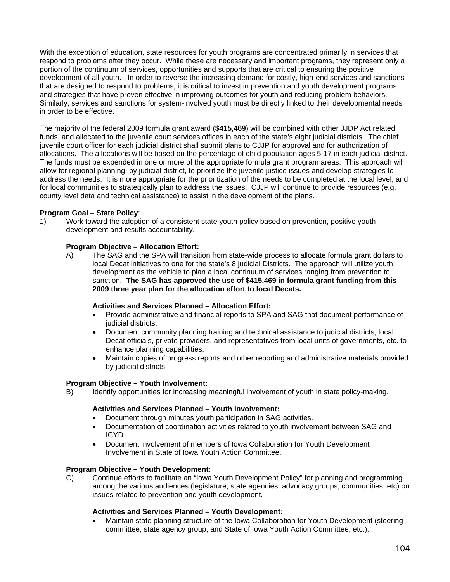With the exception of education, state resources for youth programs are concentrated primarily in services that respond to problems after they occur. While these are necessary and important programs, they represent only a portion of the continuum of services, opportunities and supports that are critical to ensuring the positive development of all youth. In order to reverse the increasing demand for costly, high-end services and sanctions that are designed to respond to problems, it is critical to invest in prevention and youth development programs and strategies that have proven effective in improving outcomes for youth and reducing problem behaviors. Similarly, services and sanctions for system-involved youth must be directly linked to their developmental needs in order to be effective.

The majority of the federal 2009 formula grant award (**\$415,469**) will be combined with other JJDP Act related funds, and allocated to the juvenile court services offices in each of the state's eight judicial districts. The chief juvenile court officer for each judicial district shall submit plans to CJJP for approval and for authorization of allocations. The allocations will be based on the percentage of child population ages 5-17 in each judicial district. The funds must be expended in one or more of the appropriate formula grant program areas. This approach will allow for regional planning, by judicial district, to prioritize the juvenile justice issues and develop strategies to address the needs. It is more appropriate for the prioritization of the needs to be completed at the local level, and for local communities to strategically plan to address the issues. CJJP will continue to provide resources (e.g. county level data and technical assistance) to assist in the development of the plans.

#### **Program Goal – State Policy**:

1) Work toward the adoption of a consistent state youth policy based on prevention, positive youth development and results accountability.

#### **Program Objective – Allocation Effort:**

A) The SAG and the SPA will transition from state-wide process to allocate formula grant dollars to local Decat initiatives to one for the state's 8 judicial Districts. The approach will utilize youth development as the vehicle to plan a local continuum of services ranging from prevention to sanction. **The SAG has approved the use of \$415,469 in formula grant funding from this 2009 three year plan for the allocation effort to local Decats.** 

#### **Activities and Services Planned – Allocation Effort:**

- Provide administrative and financial reports to SPA and SAG that document performance of judicial districts.
- Document community planning training and technical assistance to judicial districts, local Decat officials, private providers, and representatives from local units of governments, etc. to enhance planning capabilities.
- Maintain copies of progress reports and other reporting and administrative materials provided by judicial districts.

#### **Program Objective – Youth Involvement:**

B) Identify opportunities for increasing meaningful involvement of youth in state policy-making.

#### **Activities and Services Planned – Youth Involvement:**

- Document through minutes youth participation in SAG activities.
- Documentation of coordination activities related to youth involvement between SAG and ICYD.
- Document involvement of members of Iowa Collaboration for Youth Development Involvement in State of Iowa Youth Action Committee.

#### **Program Objective – Youth Development:**

C) Continue efforts to facilitate an "Iowa Youth Development Policy" for planning and programming among the various audiences (legislature, state agencies, advocacy groups, communities, etc) on issues related to prevention and youth development.

#### **Activities and Services Planned – Youth Development:**

• Maintain state planning structure of the Iowa Collaboration for Youth Development (steering committee, state agency group, and State of Iowa Youth Action Committee, etc.).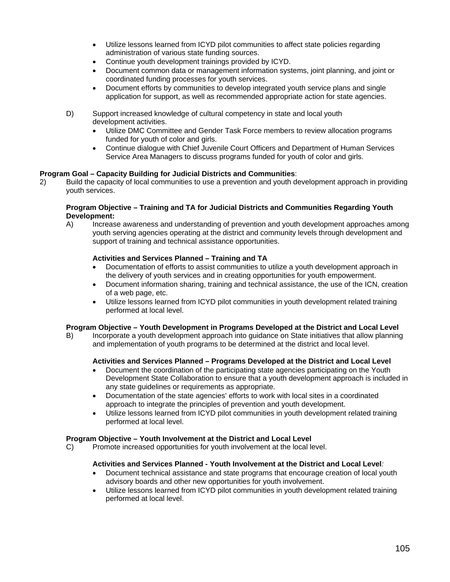- Utilize lessons learned from ICYD pilot communities to affect state policies regarding administration of various state funding sources.
- Continue youth development trainings provided by ICYD.
- Document common data or management information systems, joint planning, and joint or coordinated funding processes for youth services.
- Document efforts by communities to develop integrated youth service plans and single application for support, as well as recommended appropriate action for state agencies.
- D) Support increased knowledge of cultural competency in state and local youth development activities.
	- Utilize DMC Committee and Gender Task Force members to review allocation programs funded for youth of color and girls.
	- Continue dialogue with Chief Juvenile Court Officers and Department of Human Services Service Area Managers to discuss programs funded for youth of color and girls.

#### **Program Goal – Capacity Building for Judicial Districts and Communities**:

2) Build the capacity of local communities to use a prevention and youth development approach in providing youth services.

#### **Program Objective – Training and TA for Judicial Districts and Communities Regarding Youth Development:**

A) Increase awareness and understanding of prevention and youth development approaches among youth serving agencies operating at the district and community levels through development and support of training and technical assistance opportunities.

#### **Activities and Services Planned – Training and TA**

- Documentation of efforts to assist communities to utilize a youth development approach in the delivery of youth services and in creating opportunities for youth empowerment.
- Document information sharing, training and technical assistance, the use of the ICN, creation of a web page, etc.
- Utilize lessons learned from ICYD pilot communities in youth development related training performed at local level.

#### **Program Objective – Youth Development in Programs Developed at the District and Local Level**

B) Incorporate a youth development approach into guidance on State initiatives that allow planning and implementation of youth programs to be determined at the district and local level.

#### **Activities and Services Planned – Programs Developed at the District and Local Level**

- Document the coordination of the participating state agencies participating on the Youth Development State Collaboration to ensure that a youth development approach is included in any state guidelines or requirements as appropriate.
- Documentation of the state agencies' efforts to work with local sites in a coordinated approach to integrate the principles of prevention and youth development.
- Utilize lessons learned from ICYD pilot communities in youth development related training performed at local level.

#### **Program Objective – Youth Involvement at the District and Local Level**

C) Promote increased opportunities for youth involvement at the local level.

#### **Activities and Services Planned - Youth Involvement at the District and Local Level***:*

- Document technical assistance and state programs that encourage creation of local youth advisory boards and other new opportunities for youth involvement.
- Utilize lessons learned from ICYD pilot communities in youth development related training performed at local level.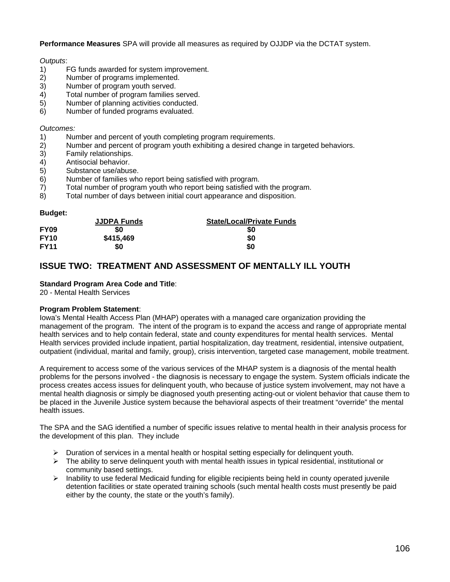**Performance Measures** SPA will provide all measures as required by OJJDP via the DCTAT system.

#### *Outputs*:

- 1) FG funds awarded for system improvement.
- 2) Number of programs implemented.
- 3) Number of program youth served.
- 4) Total number of program families served.
- 5) Number of planning activities conducted.
- 6) Number of funded programs evaluated.

#### *Outcomes:*

- 1) Number and percent of youth completing program requirements.
- 2) Number and percent of program youth exhibiting a desired change in targeted behaviors.
- 3) Family relationships.<br>4) Antisocial behavior.
- Antisocial behavior.
- 5) Substance use/abuse.
- 6) Number of families who report being satisfied with program.
- 7) Total number of program youth who report being satisfied with the program.
- 8) Total number of days between initial court appearance and disposition.

#### **Budget:**

|             | <b>JJDPA Funds</b> | <b>State/Local/Private Funds</b> |
|-------------|--------------------|----------------------------------|
| <b>FY09</b> | SO.                | \$0                              |
| <b>FY10</b> | \$415,469          | \$0                              |
| <b>FY11</b> | \$0                | \$0                              |

## **ISSUE TWO: TREATMENT AND ASSESSMENT OF MENTALLY ILL YOUTH**

#### **Standard Program Area Code and Title**:

20 - Mental Health Services

#### **Program Problem Statement**:

Iowa's Mental Health Access Plan (MHAP) operates with a managed care organization providing the management of the program. The intent of the program is to expand the access and range of appropriate mental health services and to help contain federal, state and county expenditures for mental health services. Mental Health services provided include inpatient, partial hospitalization, day treatment, residential, intensive outpatient, outpatient (individual, marital and family, group), crisis intervention, targeted case management, mobile treatment.

A requirement to access some of the various services of the MHAP system is a diagnosis of the mental health problems for the persons involved - the diagnosis is necessary to engage the system. System officials indicate the process creates access issues for delinquent youth, who because of justice system involvement, may not have a mental health diagnosis or simply be diagnosed youth presenting acting-out or violent behavior that cause them to be placed in the Juvenile Justice system because the behavioral aspects of their treatment "override" the mental health issues.

The SPA and the SAG identified a number of specific issues relative to mental health in their analysis process for the development of this plan. They include

- $\triangleright$  Duration of services in a mental health or hospital setting especially for delinquent youth.
- $\triangleright$  The ability to serve delinguent youth with mental health issues in typical residential, institutional or community based settings.
- $\triangleright$  Inability to use federal Medicaid funding for eligible recipients being held in county operated juvenile detention facilities or state operated training schools (such mental health costs must presently be paid either by the county, the state or the youth's family).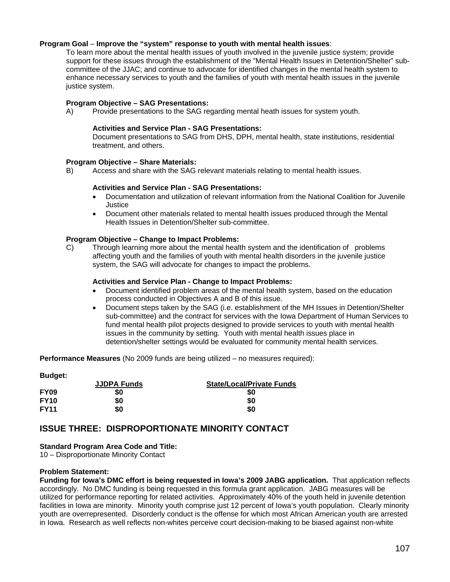#### **Program Goal** – **Improve the "system" response to youth with mental health issues**:

 To learn more about the mental health issues of youth involved in the juvenile justice system; provide support for these issues through the establishment of the "Mental Health Issues in Detention/Shelter" subcommittee of the JJAC; and continue to advocate for identified changes in the mental health system to enhance necessary services to youth and the families of youth with mental health issues in the juvenile justice system.

#### **Program Objective – SAG Presentations:**

A) Provide presentations to the SAG regarding mental heath issues for system youth.

#### **Activities and Service Plan - SAG Presentations:**

Document presentations to SAG from DHS, DPH, mental health, state institutions, residential treatment, and others.

#### **Program Objective – Share Materials:**

B) Access and share with the SAG relevant materials relating to mental health issues.

#### **Activities and Service Plan - SAG Presentations:**

- Documentation and utilization of relevant information from the National Coalition for Juvenile **Justice**
- Document other materials related to mental health issues produced through the Mental Health Issues in Detention/Shelter sub-committee.

#### **Program Objective – Change to Impact Problems:**

C) Through learning more about the mental health system and the identification of problems affecting youth and the families of youth with mental health disorders in the juvenile justice system, the SAG will advocate for changes to impact the problems.

#### **Activities and Service Plan - Change to Impact Problems:**

- Document identified problem areas of the mental health system, based on the education process conducted in Objectives A and B of this issue.
- Document steps taken by the SAG (i.e. establishment of the MH Issues in Detention/Shelter sub-committee) and the contract for services with the Iowa Department of Human Services to fund mental health pilot projects designed to provide services to youth with mental health issues in the community by setting. Youth with mental health issues place in detention/shelter settings would be evaluated for community mental health services.

**Performance Measures** (No 2009 funds are being utilized – no measures required):

| <b>JJDPA Funds</b> | <b>State/Local/Private Funds</b> |
|--------------------|----------------------------------|
| \$0                | \$0                              |
| \$0                | \$0                              |
| \$0                | \$0                              |
|                    |                                  |

#### **ISSUE THREE: DISPROPORTIONATE MINORITY CONTACT**

#### **Standard Program Area Code and Title:**

10 – Disproportionate Minority Contact

#### **Problem Statement:**

**Funding for Iowa's DMC effort is being requested in Iowa's 2009 JABG application.** That application reflects accordingly. No DMC funding is being requested in this formula grant application.JABG measures will be utilized for performance reporting for related activities. Approximately 40% of the youth held in juvenile detention facilities in Iowa are minority. Minority youth comprise just 12 percent of Iowa's youth population. Clearly minority youth are overrepresented. Disorderly conduct is the offense for which most African American youth are arrested in Iowa. Research as well reflects non-whites perceive court decision-making to be biased against non-white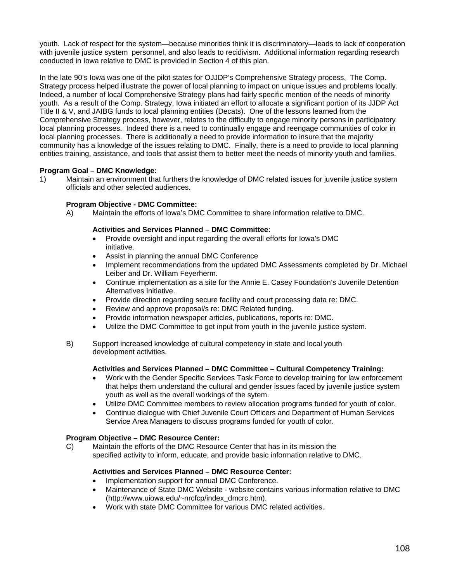youth. Lack of respect for the system—because minorities think it is discriminatory—leads to lack of cooperation with juvenile justice system personnel, and also leads to recidivism. Additional information regarding research conducted in Iowa relative to DMC is provided in Section 4 of this plan.

In the late 90's Iowa was one of the pilot states for OJJDP's Comprehensive Strategy process. The Comp. Strategy process helped illustrate the power of local planning to impact on unique issues and problems locally. Indeed, a number of local Comprehensive Strategy plans had fairly specific mention of the needs of minority youth. As a result of the Comp. Strategy, Iowa initiated an effort to allocate a significant portion of its JJDP Act Title II & V, and JAIBG funds to local planning entities (Decats). One of the lessons learned from the Comprehensive Strategy process, however, relates to the difficulty to engage minority persons in participatory local planning processes. Indeed there is a need to continually engage and reengage communities of color in local planning processes. There is additionally a need to provide information to insure that the majority community has a knowledge of the issues relating to DMC. Finally, there is a need to provide to local planning entities training, assistance, and tools that assist them to better meet the needs of minority youth and families.

#### **Program Goal – DMC Knowledge:**

1) Maintain an environment that furthers the knowledge of DMC related issues for juvenile justice system officials and other selected audiences.

#### **Program Objective - DMC Committee:**

A) Maintain the efforts of Iowa's DMC Committee to share information relative to DMC.

#### **Activities and Services Planned – DMC Committee:**

- Provide oversight and input regarding the overall efforts for Iowa's DMC initiative.
- Assist in planning the annual DMC Conference
- Implement recommendations from the updated DMC Assessments completed by Dr. Michael Leiber and Dr. William Feyerherm.
- Continue implementation as a site for the Annie E. Casey Foundation's Juvenile Detention Alternatives Initiative.
- Provide direction regarding secure facility and court processing data re: DMC.
- Review and approve proposal/s re: DMC Related funding.
- Provide information newspaper articles, publications, reports re: DMC.
- Utilize the DMC Committee to get input from youth in the juvenile justice system.
- B) Support increased knowledge of cultural competency in state and local youth development activities.

#### **Activities and Services Planned – DMC Committee – Cultural Competency Training:**

- Work with the Gender Specific Services Task Force to develop training for law enforcement that helps them understand the cultural and gender issues faced by juvenile justice system youth as well as the overall workings of the sytem.
- Utilize DMC Committee members to review allocation programs funded for youth of color.
- Continue dialogue with Chief Juvenile Court Officers and Department of Human Services Service Area Managers to discuss programs funded for youth of color.

#### **Program Objective – DMC Resource Center:**

C) Maintain the efforts of the DMC Resource Center that has in its mission the specified activity to inform, educate, and provide basic information relative to DMC.

#### **Activities and Services Planned – DMC Resource Center:**

- Implementation support for annual DMC Conference.
- Maintenance of State DMC Website website contains various information relative to DMC (http://www.uiowa.edu/~nrcfcp/index\_dmcrc.htm).
- Work with state DMC Committee for various DMC related activities.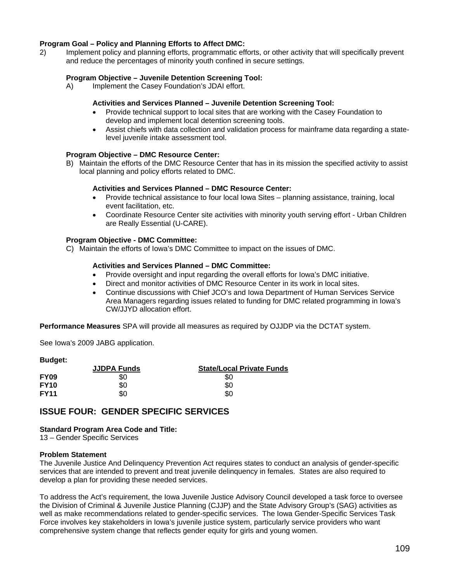#### **Program Goal – Policy and Planning Efforts to Affect DMC:**

2) Implement policy and planning efforts, programmatic efforts, or other activity that will specifically prevent and reduce the percentages of minority youth confined in secure settings.

#### **Program Objective – Juvenile Detention Screening Tool:**

A) Implement the Casey Foundation's JDAI effort.

#### **Activities and Services Planned – Juvenile Detention Screening Tool:**

- Provide technical support to local sites that are working with the Casey Foundation to develop and implement local detention screening tools.
- Assist chiefs with data collection and validation process for mainframe data regarding a statelevel juvenile intake assessment tool.

#### **Program Objective – DMC Resource Center:**

B) Maintain the efforts of the DMC Resource Center that has in its mission the specified activity to assist local planning and policy efforts related to DMC.

#### **Activities and Services Planned – DMC Resource Center:**

- Provide technical assistance to four local Iowa Sites planning assistance, training, local event facilitation, etc.
- Coordinate Resource Center site activities with minority youth serving effort Urban Children are Really Essential (U-CARE).

#### **Program Objective - DMC Committee:**

C) Maintain the efforts of Iowa's DMC Committee to impact on the issues of DMC.

#### **Activities and Services Planned – DMC Committee:**

- Provide oversight and input regarding the overall efforts for Iowa's DMC initiative.
- Direct and monitor activities of DMC Resource Center in its work in local sites.
- Continue discussions with Chief JCO's and Iowa Department of Human Services Service Area Managers regarding issues related to funding for DMC related programming in Iowa's CW/JJYD allocation effort.

**Performance Measures** SPA will provide all measures as required by OJJDP via the DCTAT system.

See Iowa's 2009 JABG application.

#### **Budget:**

|             | <b>JJDPA Funds</b> | <b>State/Local Private Funds</b> |
|-------------|--------------------|----------------------------------|
| <b>FY09</b> | \$0                | \$0                              |
| <b>FY10</b> | \$0                | \$0                              |
| <b>FY11</b> | \$0                | \$0                              |

### **ISSUE FOUR: GENDER SPECIFIC SERVICES**

#### **Standard Program Area Code and Title:**

13 – Gender Specific Services

#### **Problem Statement**

The Juvenile Justice And Delinquency Prevention Act requires states to conduct an analysis of gender-specific services that are intended to prevent and treat juvenile delinquency in females. States are also required to develop a plan for providing these needed services.

To address the Act's requirement, the Iowa Juvenile Justice Advisory Council developed a task force to oversee the Division of Criminal & Juvenile Justice Planning (CJJP) and the State Advisory Group's (SAG) activities as well as make recommendations related to gender-specific services. The Iowa Gender-Specific Services Task Force involves key stakeholders in Iowa's juvenile justice system, particularly service providers who want comprehensive system change that reflects gender equity for girls and young women.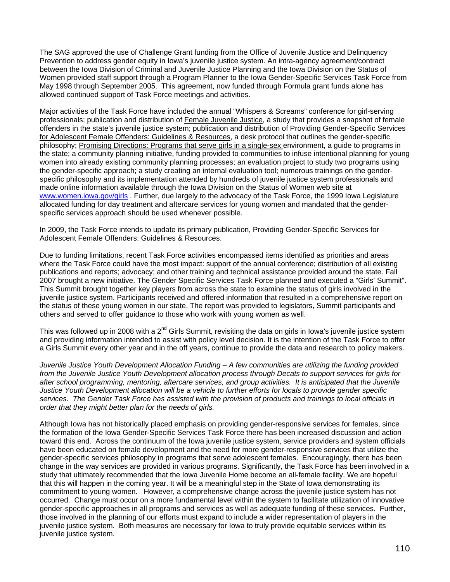The SAG approved the use of Challenge Grant funding from the Office of Juvenile Justice and Delinquency Prevention to address gender equity in Iowa's juvenile justice system. An intra-agency agreement/contract between the Iowa Division of Criminal and Juvenile Justice Planning and the Iowa Division on the Status of Women provided staff support through a Program Planner to the Iowa Gender-Specific Services Task Force from May 1998 through September 2005. This agreement, now funded through Formula grant funds alone has allowed continued support of Task Force meetings and activities.

Major activities of the Task Force have included the annual "Whispers & Screams" conference for girl-serving professionals; publication and distribution of Female Juvenile Justice, a study that provides a snapshot of female offenders in the state's juvenile justice system; publication and distribution of Providing Gender-Specific Services for Adolescent Female Offenders: Guidelines & Resources, a desk protocol that outlines the gender-specific philosophy; Promising Directions: Programs that serve girls in a single-sex environment, a guide to programs in the state; a community planning initiative, funding provided to communities to infuse intentional planning for young women into already existing community planning processes; an evaluation project to study two programs using the gender-specific approach; a study creating an internal evaluation tool; numerous trainings on the genderspecific philosophy and its implementation attended by hundreds of juvenile justice system professionals and made online information available through the Iowa Division on the Status of Women web site at [www.women.iowa.gov/girls .](http://www.women.iowa.gov/girls) Further, due largely to the advocacy of the Task Force, the 1999 Iowa Legislature allocated funding for day treatment and aftercare services for young women and mandated that the genderspecific services approach should be used whenever possible.

In 2009, the Task Force intends to update its primary publication, Providing Gender-Specific Services for Adolescent Female Offenders: Guidelines & Resources.

Due to funding limitations, recent Task Force activities encompassed items identified as priorities and areas where the Task Force could have the most impact: support of the annual conference; distribution of all existing publications and reports; advocacy; and other training and technical assistance provided around the state. Fall 2007 brought a new initiative. The Gender Specific Services Task Force planned and executed a "Girls' Summit". This Summit brought together key players from across the state to examine the status of girls involved in the juvenile justice system. Participants received and offered information that resulted in a comprehensive report on the status of these young women in our state. The report was provided to legislators, Summit participants and others and served to offer guidance to those who work with young women as well.

This was followed up in 2008 with a 2<sup>nd</sup> Girls Summit, revisiting the data on girls in Iowa's juvenile justice system and providing information intended to assist with policy level decision. It is the intention of the Task Force to offer a Girls Summit every other year and in the off years, continue to provide the data and research to policy makers.

*Juvenile Justice Youth Development Allocation Funding – A few communities are utilizing the funding provided from the Juvenile Justice Youth Development allocation process through Decats to support services for girls for after school programming, mentoring, aftercare services, and group activities. It is anticipated that the Juvenile Justice Youth Development allocation will be a vehicle to further efforts for locals to provide gender specific services. The Gender Task Force has assisted with the provision of products and trainings to local officials in order that they might better plan for the needs of girls.* 

Although Iowa has not historically placed emphasis on providing gender-responsive services for females, since the formation of the Iowa Gender-Specific Services Task Force there has been increased discussion and action toward this end. Across the continuum of the Iowa juvenile justice system, service providers and system officials have been educated on female development and the need for more gender-responsive services that utilize the gender-specific services philosophy in programs that serve adolescent females. Encouragingly, there has been change in the way services are provided in various programs. Significantly, the Task Force has been involved in a study that ultimately recommended that the Iowa Juvenile Home become an all-female facility. We are hopeful that this will happen in the coming year. It will be a meaningful step in the State of Iowa demonstrating its commitment to young women. However, a comprehensive change across the juvenile justice system has not occurred. Change must occur on a more fundamental level within the system to facilitate utilization of innovative gender-specific approaches in all programs and services as well as adequate funding of these services. Further, those involved in the planning of our efforts must expand to include a wider representation of players in the juvenile justice system. Both measures are necessary for Iowa to truly provide equitable services within its juvenile justice system.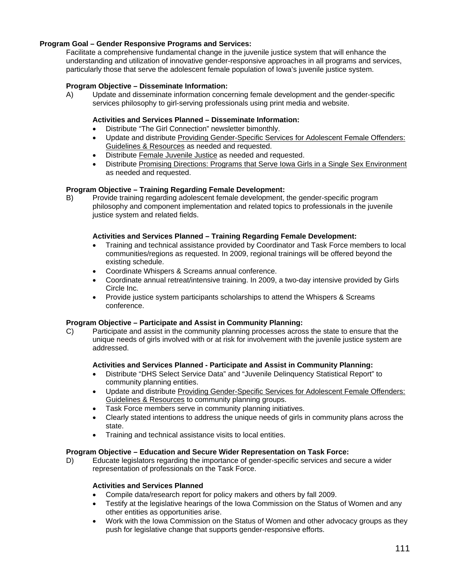#### **Program Goal – Gender Responsive Programs and Services:**

Facilitate a comprehensive fundamental change in the juvenile justice system that will enhance the understanding and utilization of innovative gender-responsive approaches in all programs and services, particularly those that serve the adolescent female population of Iowa's juvenile justice system.

#### **Program Objective – Disseminate Information:**

A) Update and disseminate information concerning female development and the gender-specific services philosophy to girl-serving professionals using print media and website.

#### **Activities and Services Planned – Disseminate Information:**

- Distribute "The Girl Connection" newsletter bimonthly.
- Update and distribute Providing Gender-Specific Services for Adolescent Female Offenders: Guidelines & Resources as needed and requested.
- Distribute Female Juvenile Justice as needed and requested.
- Distribute Promising Directions: Programs that Serve Iowa Girls in a Single Sex Environment as needed and requested.

#### **Program Objective – Training Regarding Female Development:**

B) Provide training regarding adolescent female development, the gender-specific program philosophy and component implementation and related topics to professionals in the juvenile justice system and related fields.

#### **Activities and Services Planned – Training Regarding Female Development:**

- Training and technical assistance provided by Coordinator and Task Force members to local communities/regions as requested. In 2009, regional trainings will be offered beyond the existing schedule.
- Coordinate Whispers & Screams annual conference.
- Coordinate annual retreat/intensive training. In 2009, a two-day intensive provided by Girls Circle Inc.
- Provide justice system participants scholarships to attend the Whispers & Screams conference.

#### **Program Objective – Participate and Assist in Community Planning:**

C) Participate and assist in the community planning processes across the state to ensure that the unique needs of girls involved with or at risk for involvement with the juvenile justice system are addressed.

#### **Activities and Services Planned - Participate and Assist in Community Planning:**

- Distribute "DHS Select Service Data" and "Juvenile Delinquency Statistical Report" to community planning entities.
- Update and distribute Providing Gender-Specific Services for Adolescent Female Offenders: Guidelines & Resources to community planning groups.
- Task Force members serve in community planning initiatives.
- Clearly stated intentions to address the unique needs of girls in community plans across the state.
- Training and technical assistance visits to local entities.

#### **Program Objective – Education and Secure Wider Representation on Task Force:**

D) Educate legislators regarding the importance of gender-specific services and secure a wider representation of professionals on the Task Force.

#### **Activities and Services Planned**

- Compile data/research report for policy makers and others by fall 2009.
- Testify at the legislative hearings of the Iowa Commission on the Status of Women and any other entities as opportunities arise.
- Work with the Iowa Commission on the Status of Women and other advocacy groups as they push for legislative change that supports gender-responsive efforts.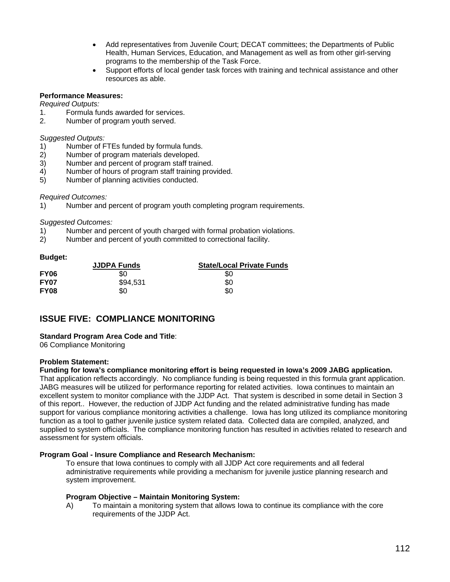- Add representatives from Juvenile Court; DECAT committees; the Departments of Public Health, Human Services, Education, and Management as well as from other girl-serving programs to the membership of the Task Force.
- Support efforts of local gender task forces with training and technical assistance and other resources as able.

#### **Performance Measures:**

*Required Outputs:* 

- 1. Formula funds awarded for services.<br>2. Number of program youth served.
- Number of program youth served.

#### *Suggested Outputs:*

- 1) Number of FTEs funded by formula funds.<br>2) Number of program materials developed.
- 2) Number of program materials developed.
- 3) Number and percent of program staff trained.
- 4) Number of hours of program staff training provided.
- 5) Number of planning activities conducted.

*Required Outcomes:* 

1) Number and percent of program youth completing program requirements.

#### *Suggested Outcomes:*

- 1) Number and percent of youth charged with formal probation violations.
- 2) Number and percent of youth committed to correctional facility.

#### **Budget:**

|             | <b>JJDPA Funds</b> | <b>State/Local Private Funds</b> |
|-------------|--------------------|----------------------------------|
| <b>FY06</b> | SΟ                 | \$0                              |
| <b>FY07</b> | \$94.531           | \$0                              |
| <b>FY08</b> | \$0                | \$0                              |

### **ISSUE FIVE: COMPLIANCE MONITORING**

#### **Standard Program Area Code and Title**:

06 Compliance Monitoring

#### **Problem Statement:**

#### **Funding for Iowa's compliance monitoring effort is being requested in Iowa's 2009 JABG application.**

That application reflects accordingly. No compliance funding is being requested in this formula grant application. JABG measures will be utilized for performance reporting for related activities. Iowa continues to maintain an excellent system to monitor compliance with the JJDP Act. That system is described in some detail in Section 3 of this report.. However, the reduction of JJDP Act funding and the related administrative funding has made support for various compliance monitoring activities a challenge. Iowa has long utilized its compliance monitoring function as a tool to gather juvenile justice system related data. Collected data are compiled, analyzed, and supplied to system officials. The compliance monitoring function has resulted in activities related to research and assessment for system officials.

#### **Program Goal - Insure Compliance and Research Mechanism:**

To ensure that Iowa continues to comply with all JJDP Act core requirements and all federal administrative requirements while providing a mechanism for juvenile justice planning research and system improvement.

#### **Program Objective – Maintain Monitoring System:**

A) To maintain a monitoring system that allows Iowa to continue its compliance with the core requirements of the JJDP Act.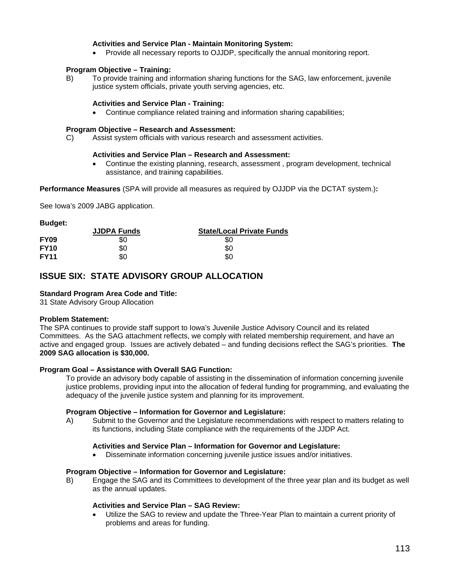#### **Activities and Service Plan - Maintain Monitoring System:**

• Provide all necessary reports to OJJDP, specifically the annual monitoring report.

#### **Program Objective – Training:**

B) To provide training and information sharing functions for the SAG, law enforcement, juvenile justice system officials, private youth serving agencies, etc.

#### **Activities and Service Plan - Training:**

• Continue compliance related training and information sharing capabilities;

#### **Program Objective – Research and Assessment:**

C) Assist system officials with various research and assessment activities.

#### **Activities and Service Plan – Research and Assessment:**

• Continue the existing planning, research, assessment , program development, technical assistance, and training capabilities.

**Performance Measures** (SPA will provide all measures as required by OJJDP via the DCTAT system.)**:**

See Iowa's 2009 JABG application.

**Budget:** 

|             | <b>JJDPA Funds</b> | <b>State/Local Private Funds</b> |
|-------------|--------------------|----------------------------------|
| <b>FY09</b> | \$0                | \$0                              |
| <b>FY10</b> | \$0                | \$0                              |
| <b>FY11</b> | \$0                | \$0                              |

### **ISSUE SIX: STATE ADVISORY GROUP ALLOCATION**

#### **Standard Program Area Code and Title:**

31 State Advisory Group Allocation

#### **Problem Statement:**

The SPA continues to provide staff support to Iowa's Juvenile Justice Advisory Council and its related Committees. As the SAG attachment reflects, we comply with related membership requirement, and have an active and engaged group. Issues are actively debated – and funding decisions reflect the SAG's priorities. **The 2009 SAG allocation is \$30,000.** 

#### **Program Goal – Assistance with Overall SAG Function:**

To provide an advisory body capable of assisting in the dissemination of information concerning juvenile justice problems, providing input into the allocation of federal funding for programming, and evaluating the adequacy of the juvenile justice system and planning for its improvement.

#### **Program Objective – Information for Governor and Legislature:**

A) Submit to the Governor and the Legislature recommendations with respect to matters relating to its functions, including State compliance with the requirements of the JJDP Act.

#### **Activities and Service Plan – Information for Governor and Legislature:**

• Disseminate information concerning juvenile justice issues and/or initiatives.

#### **Program Objective – Information for Governor and Legislature:**

B) Engage the SAG and its Committees to development of the three year plan and its budget as well as the annual updates.

#### **Activities and Service Plan – SAG Review:**

• Utilize the SAG to review and update the Three-Year Plan to maintain a current priority of problems and areas for funding.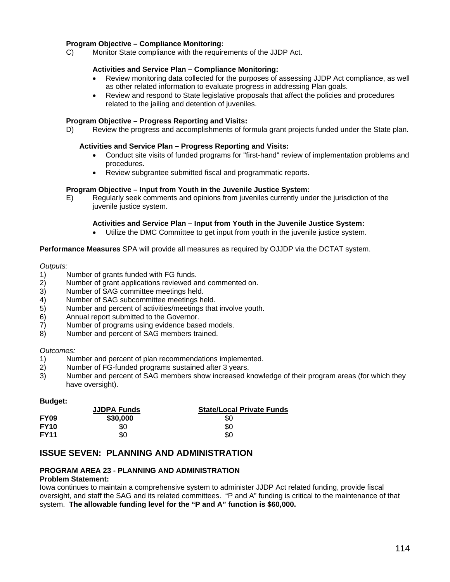#### **Program Objective – Compliance Monitoring:**

C) Monitor State compliance with the requirements of the JJDP Act.

#### **Activities and Service Plan – Compliance Monitoring:**

- Review monitoring data collected for the purposes of assessing JJDP Act compliance, as well as other related information to evaluate progress in addressing Plan goals.
- Review and respond to State legislative proposals that affect the policies and procedures related to the jailing and detention of juveniles.

#### **Program Objective – Progress Reporting and Visits:**

D) Review the progress and accomplishments of formula grant projects funded under the State plan.

#### **Activities and Service Plan – Progress Reporting and Visits:**

- Conduct site visits of funded programs for "first-hand" review of implementation problems and procedures.
- Review subgrantee submitted fiscal and programmatic reports.

#### **Program Objective – Input from Youth in the Juvenile Justice System:**

E) Regularly seek comments and opinions from juveniles currently under the jurisdiction of the juvenile justice system.

#### **Activities and Service Plan – Input from Youth in the Juvenile Justice System:**

• Utilize the DMC Committee to get input from youth in the juvenile justice system.

**Performance Measures** SPA will provide all measures as required by OJJDP via the DCTAT system.

#### *Outputs:*

- 1) Number of grants funded with FG funds.<br>2) Number of grant applications reviewed a
- Number of grant applications reviewed and commented on.
- 3) Number of SAG committee meetings held.
- 4) Number of SAG subcommittee meetings held.
- 5) Number and percent of activities/meetings that involve youth.
- 6) Annual report submitted to the Governor.
- 7) Number of programs using evidence based models.
- 8) Number and percent of SAG members trained.

#### *Outcomes:*

- 1) Number and percent of plan recommendations implemented.
- 2) Number of FG-funded programs sustained after 3 years.
- 3) Number and percent of SAG members show increased knowledge of their program areas (for which they have oversight).

#### **Budget:**

|             | <b>JJDPA Funds</b> | <b>State/Local Private Funds</b> |
|-------------|--------------------|----------------------------------|
| <b>FY09</b> | \$30,000           | \$0                              |
| <b>FY10</b> | \$0                | \$0                              |
| <b>FY11</b> | \$0                | \$0                              |

#### **ISSUE SEVEN: PLANNING AND ADMINISTRATION**

#### **PROGRAM AREA 23 - PLANNING AND ADMINISTRATION**

#### **Problem Statement:**

Iowa continues to maintain a comprehensive system to administer JJDP Act related funding, provide fiscal oversight, and staff the SAG and its related committees. "P and A" funding is critical to the maintenance of that system. **The allowable funding level for the "P and A" function is \$60,000.**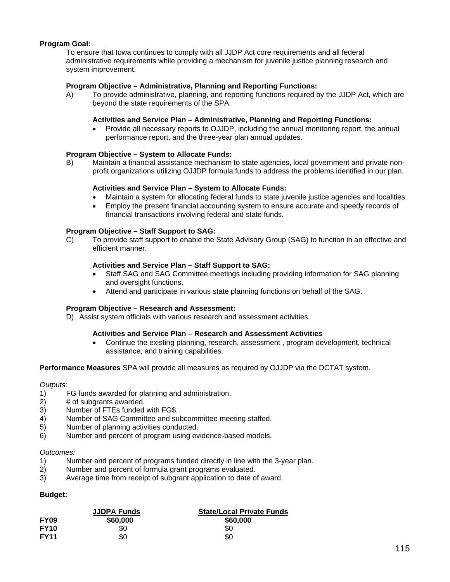#### **Program Goal:**

To ensure that Iowa continues to comply with all JJDP Act core requirements and all federal administrative requirements while providing a mechanism for juvenile justice planning research and system improvement.

#### **Program Objective – Administrative, Planning and Reporting Functions:**

A) To provide administrative, planning, and reporting functions required by the JJDP Act, which are beyond the state requirements of the SPA.

#### **Activities and Service Plan – Administrative, Planning and Reporting Functions:**

• Provide all necessary reports to OJJDP, including the annual monitoring report, the annual performance report, and the three-year plan annual updates.

#### **Program Objective – System to Allocate Funds:**

B) Maintain a financial assistance mechanism to state agencies, local government and private nonprofit organizations utilizing OJJDP formula funds to address the problems identified in our plan.

#### **Activities and Service Plan – System to Allocate Funds:**

- Maintain a system for allocating federal funds to state juvenile justice agencies and localities.
- Employ the present financial accounting system to ensure accurate and speedy records of financial transactions involving federal and state funds.

#### **Program Objective – Staff Support to SAG:**

C) To provide staff support to enable the State Advisory Group (SAG) to function in an effective and efficient manner.

#### **Activities and Service Plan – Staff Support to SAG:**

- Staff SAG and SAG Committee meetings including providing information for SAG planning and oversight functions.
- Attend and participate in various state planning functions on behalf of the SAG.

#### **Program Objective – Research and Assessment:**

D) Assist system officials with various research and assessment activities.

#### **Activities and Service Plan – Research and Assessment Activities**

• Continue the existing planning, research, assessment , program development, technical assistance, and training capabilities.

**Performance Measures** SPA will provide all measures as required by OJJDP via the DCTAT system.

#### *Outputs:*

- 1) FG funds awarded for planning and administration.
- 2) # of subgrants awarded.
- 3) Number of FTEs funded with FG\$.
- 4) Number of SAG Committee and subcommittee meeting staffed.
- 5) Number of planning activities conducted.
- 6) Number and percent of program using evidence-based models.

#### *Outcomes:*

- 1) Number and percent of programs funded directly in line with the 3-year plan.<br>2) Number and percent of formula grant programs evaluated.
- 2) Number and percent of formula grant programs evaluated.
- 3) Average time from receipt of subgrant application to date of award.

#### **Budget:**

| <b>JJDPA Funds</b> |          | <b>State/Local Private Funds</b> |  |
|--------------------|----------|----------------------------------|--|
| <b>FY09</b>        | \$60,000 | \$60,000                         |  |
| <b>FY10</b>        | \$0      | \$0                              |  |
| <b>FY11</b>        | \$0      | \$0                              |  |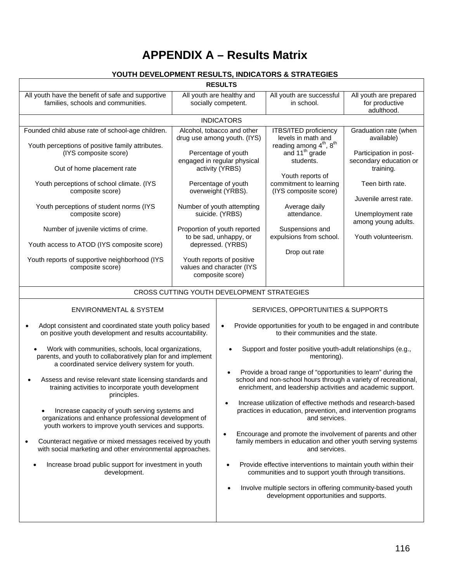# **APPENDIX A – Results Matrix**

#### **YOUTH DEVELOPMENT RESULTS, INDICATORS & STRATEGIES**

#### **RESULTS**

| <b>RESULTS</b>                                                                                                                                                                                                                                                                                                                                                                                                                                                                                                                                                                                                                                                                                                                                                                                                                                  |                                                                                                                                                                                                                                                       |                                            |                                                                                                                                                                                                                                                                                                                                                                                                                                                                                                                                                                                                                                                                                                                                                                                                                                                                                                                                                                  |                                                                                                                                                                                               |  |
|-------------------------------------------------------------------------------------------------------------------------------------------------------------------------------------------------------------------------------------------------------------------------------------------------------------------------------------------------------------------------------------------------------------------------------------------------------------------------------------------------------------------------------------------------------------------------------------------------------------------------------------------------------------------------------------------------------------------------------------------------------------------------------------------------------------------------------------------------|-------------------------------------------------------------------------------------------------------------------------------------------------------------------------------------------------------------------------------------------------------|--------------------------------------------|------------------------------------------------------------------------------------------------------------------------------------------------------------------------------------------------------------------------------------------------------------------------------------------------------------------------------------------------------------------------------------------------------------------------------------------------------------------------------------------------------------------------------------------------------------------------------------------------------------------------------------------------------------------------------------------------------------------------------------------------------------------------------------------------------------------------------------------------------------------------------------------------------------------------------------------------------------------|-----------------------------------------------------------------------------------------------------------------------------------------------------------------------------------------------|--|
| All youth have the benefit of safe and supportive<br>families, schools and communities.                                                                                                                                                                                                                                                                                                                                                                                                                                                                                                                                                                                                                                                                                                                                                         | All youth are healthy and<br>socially competent.                                                                                                                                                                                                      |                                            | All youth are successful<br>in school.                                                                                                                                                                                                                                                                                                                                                                                                                                                                                                                                                                                                                                                                                                                                                                                                                                                                                                                           | All youth are prepared<br>for productive<br>adulthood.                                                                                                                                        |  |
|                                                                                                                                                                                                                                                                                                                                                                                                                                                                                                                                                                                                                                                                                                                                                                                                                                                 |                                                                                                                                                                                                                                                       |                                            |                                                                                                                                                                                                                                                                                                                                                                                                                                                                                                                                                                                                                                                                                                                                                                                                                                                                                                                                                                  |                                                                                                                                                                                               |  |
| Founded child abuse rate of school-age children.<br>Youth perceptions of positive family attributes.<br>(IYS composite score)<br>Out of home placement rate<br>Youth perceptions of school climate. (IYS<br>composite score)<br>Youth perceptions of student norms (IYS<br>composite score)                                                                                                                                                                                                                                                                                                                                                                                                                                                                                                                                                     | <b>INDICATORS</b><br>Alcohol, tobacco and other<br>drug use among youth. (IYS)<br>Percentage of youth<br>engaged in regular physical<br>activity (YRBS)<br>Percentage of youth<br>overweight (YRBS).<br>Number of youth attempting<br>suicide. (YRBS) |                                            | ITBS/ITED proficiency<br>levels in math and<br>reading among 4 <sup>th</sup> , 8 <sup>th</sup><br>and 11 <sup>th</sup> grade<br>students.<br>Youth reports of<br>commitment to learning<br>(IYS composite score)<br>Average daily<br>attendance.                                                                                                                                                                                                                                                                                                                                                                                                                                                                                                                                                                                                                                                                                                                 | Graduation rate (when<br>available)<br>Participation in post-<br>secondary education or<br>training.<br>Teen birth rate.<br>Juvenile arrest rate.<br>Unemployment rate<br>among young adults. |  |
| Number of juvenile victims of crime.<br>Youth access to ATOD (IYS composite score)<br>Youth reports of supportive neighborhood (IYS<br>composite score)                                                                                                                                                                                                                                                                                                                                                                                                                                                                                                                                                                                                                                                                                         | Proportion of youth reported<br>to be sad, unhappy, or<br>depressed. (YRBS)<br>Youth reports of positive<br>values and character (IYS<br>composite score)                                                                                             |                                            | Suspensions and<br>expulsions from school.<br>Drop out rate                                                                                                                                                                                                                                                                                                                                                                                                                                                                                                                                                                                                                                                                                                                                                                                                                                                                                                      | Youth volunteerism.                                                                                                                                                                           |  |
|                                                                                                                                                                                                                                                                                                                                                                                                                                                                                                                                                                                                                                                                                                                                                                                                                                                 |                                                                                                                                                                                                                                                       | CROSS CUTTING YOUTH DEVELOPMENT STRATEGIES |                                                                                                                                                                                                                                                                                                                                                                                                                                                                                                                                                                                                                                                                                                                                                                                                                                                                                                                                                                  |                                                                                                                                                                                               |  |
| <b>ENVIRONMENTAL &amp; SYSTEM</b><br>Adopt consistent and coordinated state youth policy based<br>on positive youth development and results accountability.<br>Work with communities, schools, local organizations,<br>parents, and youth to collaboratively plan for and implement<br>a coordinated service delivery system for youth.<br>Assess and revise relevant state licensing standards and<br>training activities to incorporate youth development<br>principles.<br>Increase capacity of youth serving systems and<br>organizations and enhance professional development of<br>youth workers to improve youth services and supports.<br>Counteract negative or mixed messages received by youth<br>with social marketing and other environmental approaches.<br>Increase broad public support for investment in youth<br>development. |                                                                                                                                                                                                                                                       | $\bullet$<br>$\bullet$                     | SERVICES, OPPORTUNITIES & SUPPORTS<br>Provide opportunities for youth to be engaged in and contribute<br>to their communities and the state.<br>Support and foster positive youth-adult relationships (e.g.,<br>mentoring).<br>Provide a broad range of "opportunities to learn" during the<br>school and non-school hours through a variety of recreational,<br>enrichment, and leadership activities and academic support.<br>Increase utilization of effective methods and research-based<br>practices in education, prevention, and intervention programs<br>and services.<br>Encourage and promote the involvement of parents and other<br>family members in education and other youth serving systems<br>and services.<br>Provide effective interventions to maintain youth within their<br>communities and to support youth through transitions.<br>Involve multiple sectors in offering community-based youth<br>development opportunities and supports. |                                                                                                                                                                                               |  |
|                                                                                                                                                                                                                                                                                                                                                                                                                                                                                                                                                                                                                                                                                                                                                                                                                                                 |                                                                                                                                                                                                                                                       |                                            |                                                                                                                                                                                                                                                                                                                                                                                                                                                                                                                                                                                                                                                                                                                                                                                                                                                                                                                                                                  |                                                                                                                                                                                               |  |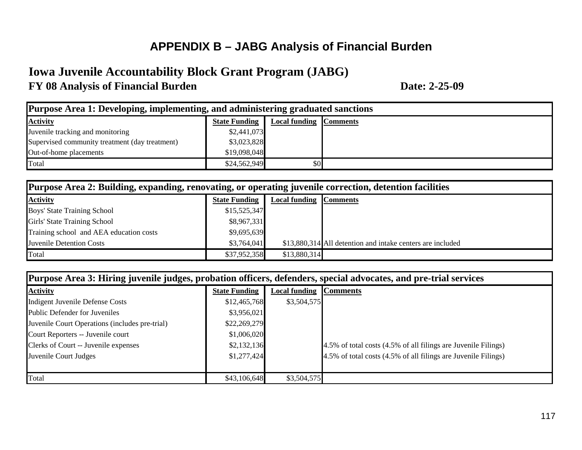## **APPENDIX B – JABG Analysis of Financial Burden**

# **Iowa Juvenile Accountability Block Grant Program (JABG)**

## **FY 08 Analysis of Financial Burden**<br> **Date: 2-25-09**

| Purpose Area 1: Developing, implementing, and administering graduated sanctions |                      |                               |  |  |
|---------------------------------------------------------------------------------|----------------------|-------------------------------|--|--|
| <b>Activity</b>                                                                 | <b>State Funding</b> | <b>Local funding Comments</b> |  |  |
| Juvenile tracking and monitoring                                                | \$2,441,073          |                               |  |  |
| Supervised community treatment (day treatment)                                  | \$3,023,828          |                               |  |  |
| Out-of-home placements                                                          | \$19,098,048         |                               |  |  |
| Total                                                                           | \$24,562,949         |                               |  |  |

| Purpose Area 2: Building, expanding, renovating, or operating juvenile correction, detention facilities |                      |                               |                                                            |  |  |
|---------------------------------------------------------------------------------------------------------|----------------------|-------------------------------|------------------------------------------------------------|--|--|
| <b>Activity</b>                                                                                         | <b>State Funding</b> | <b>Local funding Comments</b> |                                                            |  |  |
| Boys' State Training School                                                                             | \$15,525,347         |                               |                                                            |  |  |
| <b>Girls' State Training School</b>                                                                     | \$8,967,331          |                               |                                                            |  |  |
| Training school and AEA education costs                                                                 | \$9,695,639          |                               |                                                            |  |  |
| <b>Juvenile Detention Costs</b>                                                                         | \$3,764,041          |                               | \$13,880,314 All detention and intake centers are included |  |  |
| Total                                                                                                   | \$37,952,358         | \$13,880,314                  |                                                            |  |  |

| Purpose Area 3: Hiring juvenile judges, probation officers, defenders, special advocates, and pre-trial services |                      |                               |                                                                |  |
|------------------------------------------------------------------------------------------------------------------|----------------------|-------------------------------|----------------------------------------------------------------|--|
| <b>Activity</b>                                                                                                  | <b>State Funding</b> | <b>Local funding Comments</b> |                                                                |  |
| Indigent Juvenile Defense Costs                                                                                  | \$12,465,768         | \$3,504,575                   |                                                                |  |
| Public Defender for Juveniles                                                                                    | \$3,956,021          |                               |                                                                |  |
| Juvenile Court Operations (includes pre-trial)                                                                   | \$22,269,279         |                               |                                                                |  |
| Court Reporters -- Juvenile court                                                                                | \$1,006,020          |                               |                                                                |  |
| Clerks of Court -- Juvenile expenses                                                                             | \$2,132,136          |                               | 4.5% of total costs (4.5% of all filings are Juvenile Filings) |  |
| Juvenile Court Judges                                                                                            | \$1,277,424          |                               | 4.5% of total costs (4.5% of all filings are Juvenile Filings) |  |
|                                                                                                                  |                      |                               |                                                                |  |
| Total                                                                                                            | \$43,106,648         | \$3,504,575                   |                                                                |  |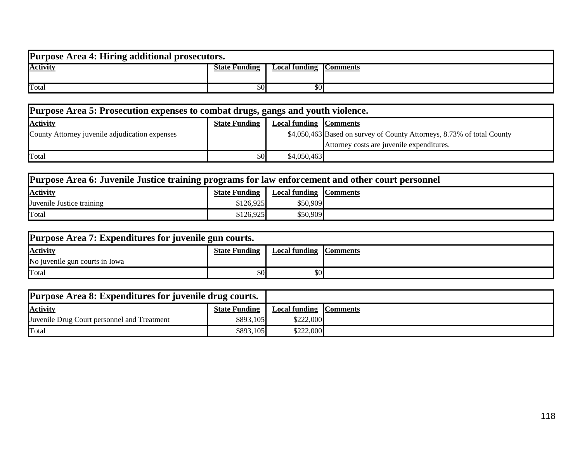| <b>Purpose Area 4: Hiring additional prosecutors.</b> |                      |                        |  |  |
|-------------------------------------------------------|----------------------|------------------------|--|--|
| <b>Activity</b>                                       | <b>State Funding</b> | Local funding Comments |  |  |
| Total                                                 | <b>SOI</b>           |                        |  |  |

| Purpose Area 5: Prosecution expenses to combat drugs, gangs and youth violence. |  |             |                                                                        |  |  |
|---------------------------------------------------------------------------------|--|-------------|------------------------------------------------------------------------|--|--|
| <b>Local funding Comments</b><br><b>State Funding</b><br><b>Activity</b>        |  |             |                                                                        |  |  |
| County Attorney juvenile adjudication expenses                                  |  |             | \$4,050,463 Based on survey of County Attorneys, 8.73% of total County |  |  |
|                                                                                 |  |             | Attorney costs are juvenile expenditures.                              |  |  |
| Total                                                                           |  | \$4,050,463 |                                                                        |  |  |

| Purpose Area 6: Juvenile Justice training programs for law enforcement and other court personnel |                      |                               |  |  |  |
|--------------------------------------------------------------------------------------------------|----------------------|-------------------------------|--|--|--|
| <b>Activity</b>                                                                                  | <b>State Funding</b> | <b>Local funding Comments</b> |  |  |  |
| Juvenile Justice training                                                                        | \$126,925            | \$50,909                      |  |  |  |
| Total                                                                                            | \$126,925            | \$50,909                      |  |  |  |

| <b>Purpose Area 7: Expenditures for juvenile gun courts.</b> |                      |                        |  |  |
|--------------------------------------------------------------|----------------------|------------------------|--|--|
| <b>Activity</b><br>No juvenile gun courts in Iowa            | <b>State Funding</b> | Local funding Comments |  |  |
|                                                              |                      |                        |  |  |
| Total                                                        | 80.                  |                        |  |  |

| <b>Purpose Area 8: Expenditures for juvenile drug courts.</b> |                      |                               |  |
|---------------------------------------------------------------|----------------------|-------------------------------|--|
| <b>Activity</b>                                               | <b>State Funding</b> | <b>Local funding Comments</b> |  |
| Juvenile Drug Court personnel and Treatment                   | \$893,105            | \$222,000                     |  |
| Total                                                         | \$893,105            | \$222,000                     |  |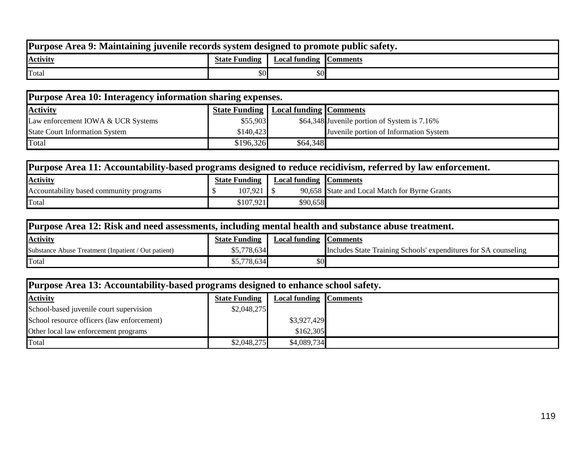| Purpose Area 9: Maintaining juvenile records system designed to promote public safety. |  |                                          |  |  |
|----------------------------------------------------------------------------------------|--|------------------------------------------|--|--|
| <b>Activity</b>                                                                        |  | State Funding   Local funding   Comments |  |  |
| Total                                                                                  |  |                                          |  |  |

| Purpose Area 10: Interagency information sharing expenses. |           |                                                 |                                              |  |  |
|------------------------------------------------------------|-----------|-------------------------------------------------|----------------------------------------------|--|--|
| <b>Activity</b>                                            |           | <b>State Funding   Local funding   Comments</b> |                                              |  |  |
| Law enforcement IOWA & UCR Systems                         | \$55,903  |                                                 | \$64,348 Juvenile portion of System is 7.16% |  |  |
| <b>State Court Information System</b>                      | \$140,423 |                                                 | Juvenile portion of Information System       |  |  |
| Total                                                      | \$196,326 | \$64,348                                        |                                              |  |  |

| Purpose Area 11: Accountability-based programs designed to reduce recidivism, referred by law enforcement. |              |                                          |                                               |  |
|------------------------------------------------------------------------------------------------------------|--------------|------------------------------------------|-----------------------------------------------|--|
| <b>Activity</b>                                                                                            |              | State Funding   Local funding   Comments |                                               |  |
| Accountability based community programs                                                                    | $107,921$ \$ |                                          | 90,658 State and Local Match for Byrne Grants |  |
| Total                                                                                                      | \$107,921    | \$90,658                                 |                                               |  |

| Purpose Area 12: Risk and need assessments, including mental health and substance abuse treatment. |                      |                        |                                                                 |  |
|----------------------------------------------------------------------------------------------------|----------------------|------------------------|-----------------------------------------------------------------|--|
| <b>Activity</b>                                                                                    | <b>State Funding</b> | Local funding Comments |                                                                 |  |
| Substance Abuse Treatment (Inpatient / Out patient)                                                | \$5,778,634          |                        | Includes State Training Schools' expenditures for SA counseling |  |
| Total                                                                                              | \$5,778,634          |                        |                                                                 |  |

| Purpose Area 13: Accountability-based programs designed to enhance school safety. |                      |                               |  |  |
|-----------------------------------------------------------------------------------|----------------------|-------------------------------|--|--|
| <b>Activity</b>                                                                   | <b>State Funding</b> | <b>Local funding Comments</b> |  |  |
| School-based juvenile court supervision                                           | \$2,048,275          |                               |  |  |
| School resource officers (law enforcement)                                        |                      | \$3,927,429                   |  |  |
| Other local law enforcement programs                                              |                      | \$162,305                     |  |  |
| Total                                                                             | \$2,048,275          | \$4,089,734                   |  |  |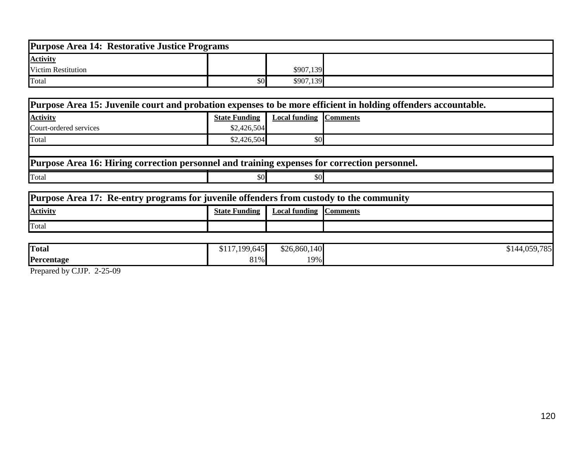| <b>Purpose Area 14: Restorative Justice Programs</b> |     |           |  |  |
|------------------------------------------------------|-----|-----------|--|--|
| <b>Activity</b>                                      |     |           |  |  |
| Victim Restitution                                   |     | \$907,139 |  |  |
| Total                                                | \$0 | \$907,139 |  |  |

| Purpose Area 15: Juvenile court and probation expenses to be more efficient in holding offenders accountable. |                                                                                              |                               |  |  |  |  |
|---------------------------------------------------------------------------------------------------------------|----------------------------------------------------------------------------------------------|-------------------------------|--|--|--|--|
| <b>Activity</b>                                                                                               | <b>State Funding</b>                                                                         | <b>Local funding Comments</b> |  |  |  |  |
| Court-ordered services                                                                                        | \$2,426,504                                                                                  |                               |  |  |  |  |
| Total                                                                                                         | \$2,426,504                                                                                  | \$0                           |  |  |  |  |
|                                                                                                               |                                                                                              |                               |  |  |  |  |
|                                                                                                               | Purpose Area 16: Hiring correction personnel and training expenses for correction personnel. |                               |  |  |  |  |

| <b>Purpose</b><br>---<br>e Area 16: Hiring correction personnel and training expenses for correction personnel. |  |  |  |  |
|-----------------------------------------------------------------------------------------------------------------|--|--|--|--|
| Total                                                                                                           |  |  |  |  |

| <b>Purpose Area 17: Re-entry programs for juvenile offenders from custody to the community</b> |                      |                               |               |  |
|------------------------------------------------------------------------------------------------|----------------------|-------------------------------|---------------|--|
| <b>Activity</b>                                                                                | <b>State Funding</b> | <b>Local funding Comments</b> |               |  |
| Total                                                                                          |                      |                               |               |  |
|                                                                                                |                      |                               |               |  |
| <b>Total</b>                                                                                   | \$117,199,645        | \$26,860,140                  | \$144,059,785 |  |
| Percentage                                                                                     | 81%                  | 19%                           |               |  |

Prepared by CJJP. 2-25-09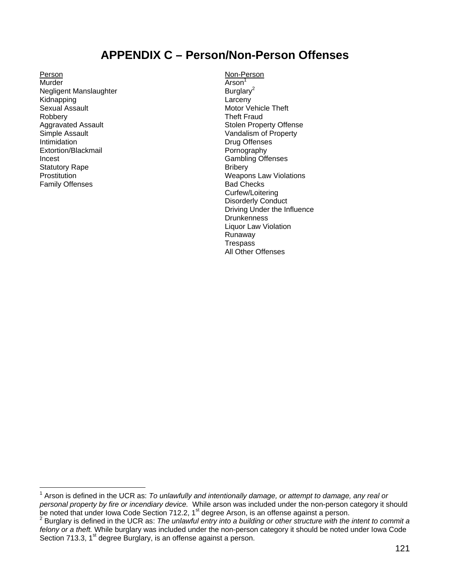### **APPENDIX C – Person/Non-Person Offenses**

Person Non-Person Non-Person Non-Person Non-Person Non-Person Non-Person Non-Person Non-Person Non-Person Non-Murder **Music Arson**<sup>1</sup> Negligent Manslaughter  $Burglary^2$ Kidnapping **Larceny** Sexual Assault Motor Vehicle Theft Robbery **Theft Fraud** Aggravated Assault **Aggravated Assault** Stolen Property Offense<br>
Simple Assault Simple Assault Stolen Property Intimidation **Drug Offenses** Extortion/Blackmail extortion/Blackmail extensive pornography Incest Gambling Offenses Statutory Rape **Britannics** Bribery Family Offenses **Bad Checks** Bad Checks

Vandalism of Property Prostitution **Next** Prostitution **Next Act 2018** Weapons Law Violations Curfew/Loitering Disorderly Conduct Driving Under the Influence **Drunkenness**  Liquor Law Violation Runaway **Trespass** All Other Offenses

 $\overline{a}$ 1 Arson is defined in the UCR as: *To unlawfully and intentionally damage, or attempt to damage, any real or personal property by fire or incendiary device.* While arson was included under the non-person category it should be noted that under Iowa Code Section 712.2, 1<sup>st</sup> degree Arson, is an offense against a person.<br><sup>2</sup> Burglary is defined in the UCB asy The unlauful arta virte a huilding as ether etructure with the

<sup>&</sup>lt;sup>2</sup> Burglary is defined in the UCR as: *The unlawful entry into a building or other structure with the intent to commit a felony or a theft.* While burglary was included under the non-person category it should be noted under Iowa Code Section 713.3, 1<sup>st</sup> degree Burglary, is an offense against a person.